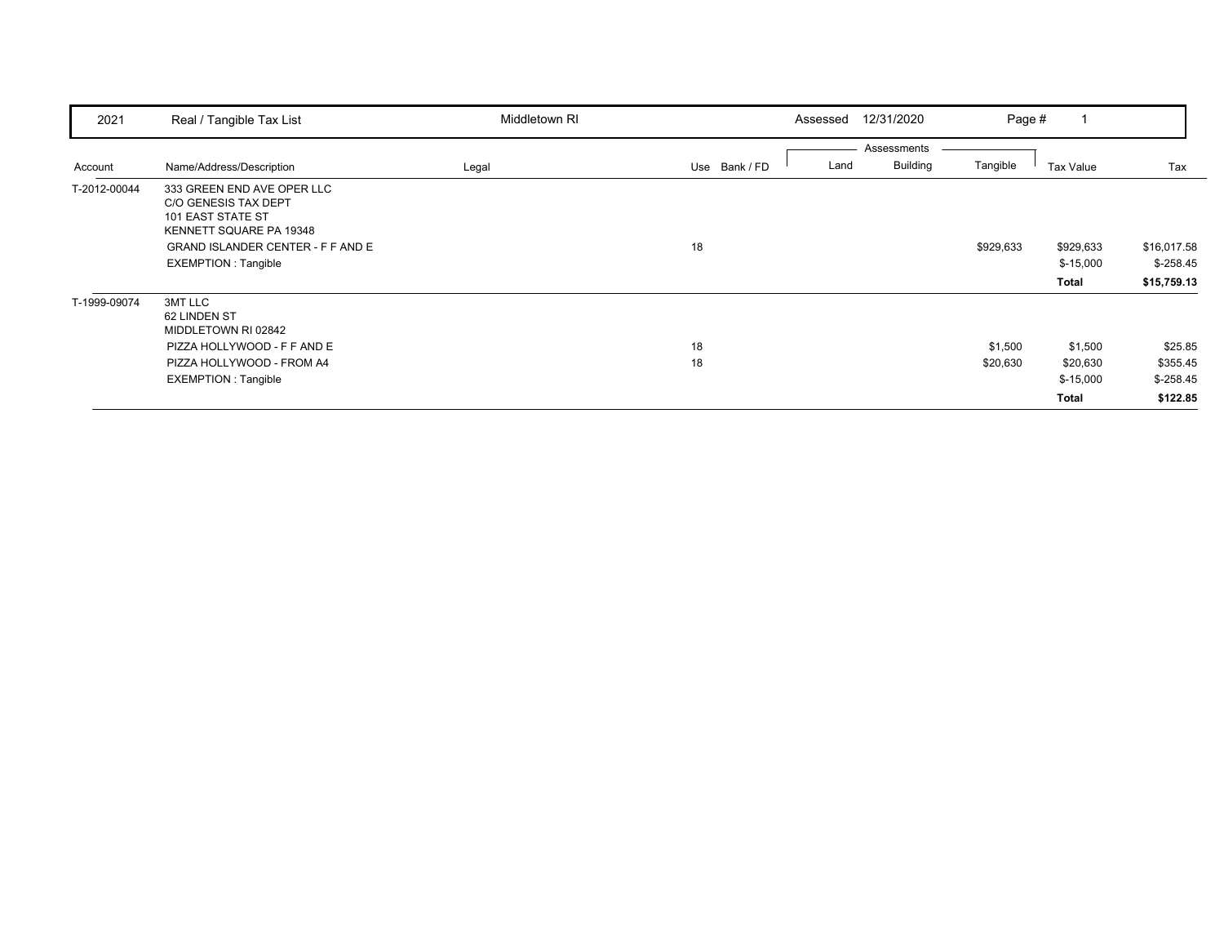| 2021         | Real / Tangible Tax List                                                                                                                                                     | Middletown RI | Assessed              | 12/31/2020<br>Page #                       |                                            |                                               |
|--------------|------------------------------------------------------------------------------------------------------------------------------------------------------------------------------|---------------|-----------------------|--------------------------------------------|--------------------------------------------|-----------------------------------------------|
| Account      | Name/Address/Description                                                                                                                                                     | Legal         | Land<br>Use Bank / FD | Assessments<br><b>Building</b><br>Tangible | Tax Value                                  | Tax                                           |
| T-2012-00044 | 333 GREEN END AVE OPER LLC<br>C/O GENESIS TAX DEPT<br>101 EAST STATE ST<br>KENNETT SQUARE PA 19348<br><b>GRAND ISLANDER CENTER - F F AND E</b><br><b>EXEMPTION: Tangible</b> |               | 18                    | \$929,633                                  | \$929,633<br>$$-15,000$<br>Total           | \$16,017.58<br>$$-258.45$<br>\$15,759.13      |
| T-1999-09074 | 3MT LLC<br>62 LINDEN ST<br>MIDDLETOWN RI 02842<br>PIZZA HOLLYWOOD - F F AND E<br>PIZZA HOLLYWOOD - FROM A4<br><b>EXEMPTION: Tangible</b>                                     |               | 18<br>18              | \$1,500<br>\$20,630                        | \$1,500<br>\$20,630<br>$$-15,000$<br>Total | \$25.85<br>\$355.45<br>$$-258.45$<br>\$122.85 |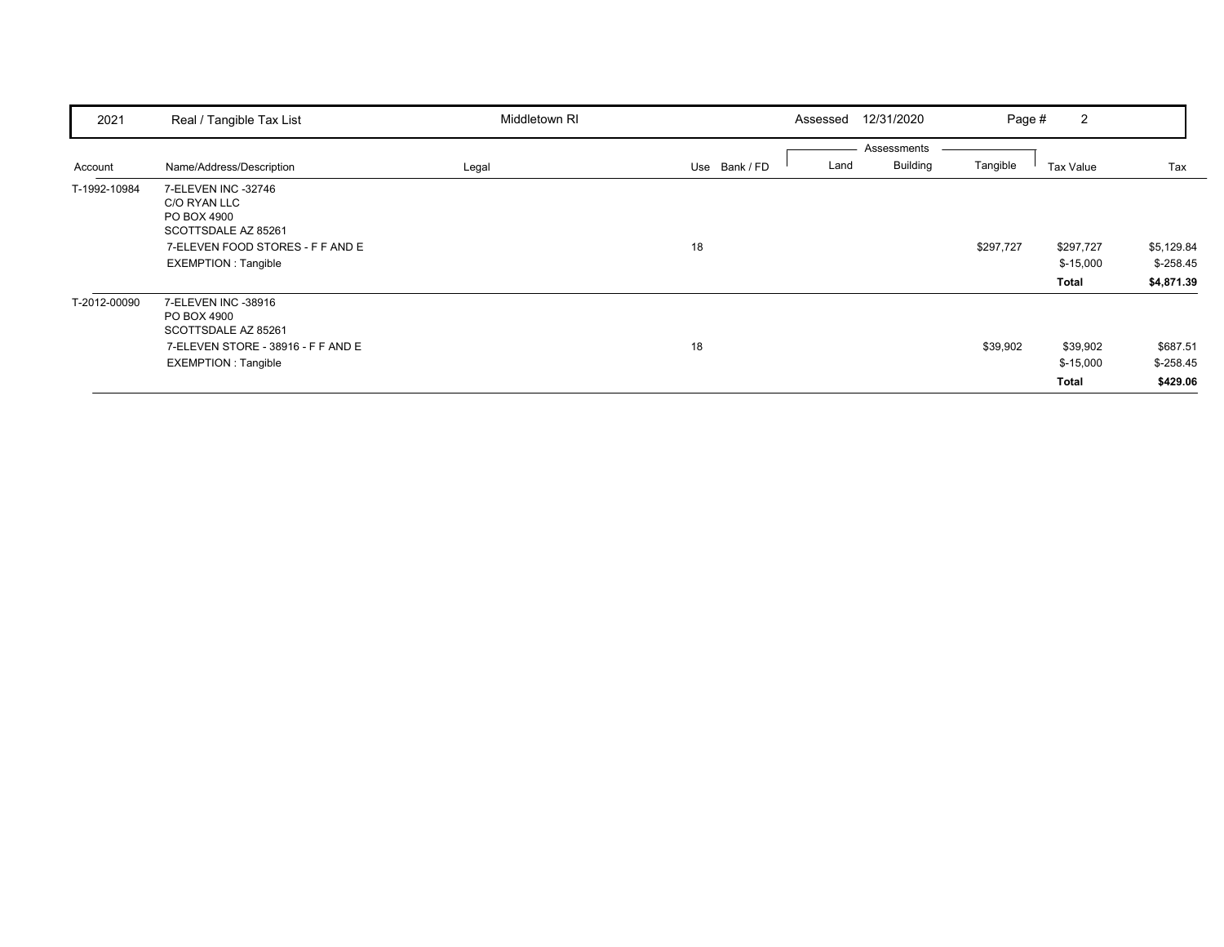| 2021         | Real / Tangible Tax List                                                                                                                    | Middletown RI |               | 12/31/2020<br>Assessed                 | Page #    | 2                                |                                        |
|--------------|---------------------------------------------------------------------------------------------------------------------------------------------|---------------|---------------|----------------------------------------|-----------|----------------------------------|----------------------------------------|
| Account      | Name/Address/Description                                                                                                                    | Legal         | Use Bank / FD | Assessments<br><b>Building</b><br>Land | Tangible  | Tax Value                        | Tax                                    |
| T-1992-10984 | 7-ELEVEN INC -32746<br>C/O RYAN LLC<br>PO BOX 4900<br>SCOTTSDALE AZ 85261<br>7-ELEVEN FOOD STORES - F F AND E<br><b>EXEMPTION: Tangible</b> |               | 18            |                                        | \$297,727 | \$297,727<br>$$-15,000$<br>Total | \$5,129.84<br>$$-258.45$<br>\$4,871.39 |
| T-2012-00090 | 7-ELEVEN INC -38916<br>PO BOX 4900<br>SCOTTSDALE AZ 85261<br>7-ELEVEN STORE - 38916 - F F AND E<br><b>EXEMPTION: Tangible</b>               |               | 18            |                                        | \$39,902  | \$39,902<br>$$-15,000$<br>Total  | \$687.51<br>$$-258.45$<br>\$429.06     |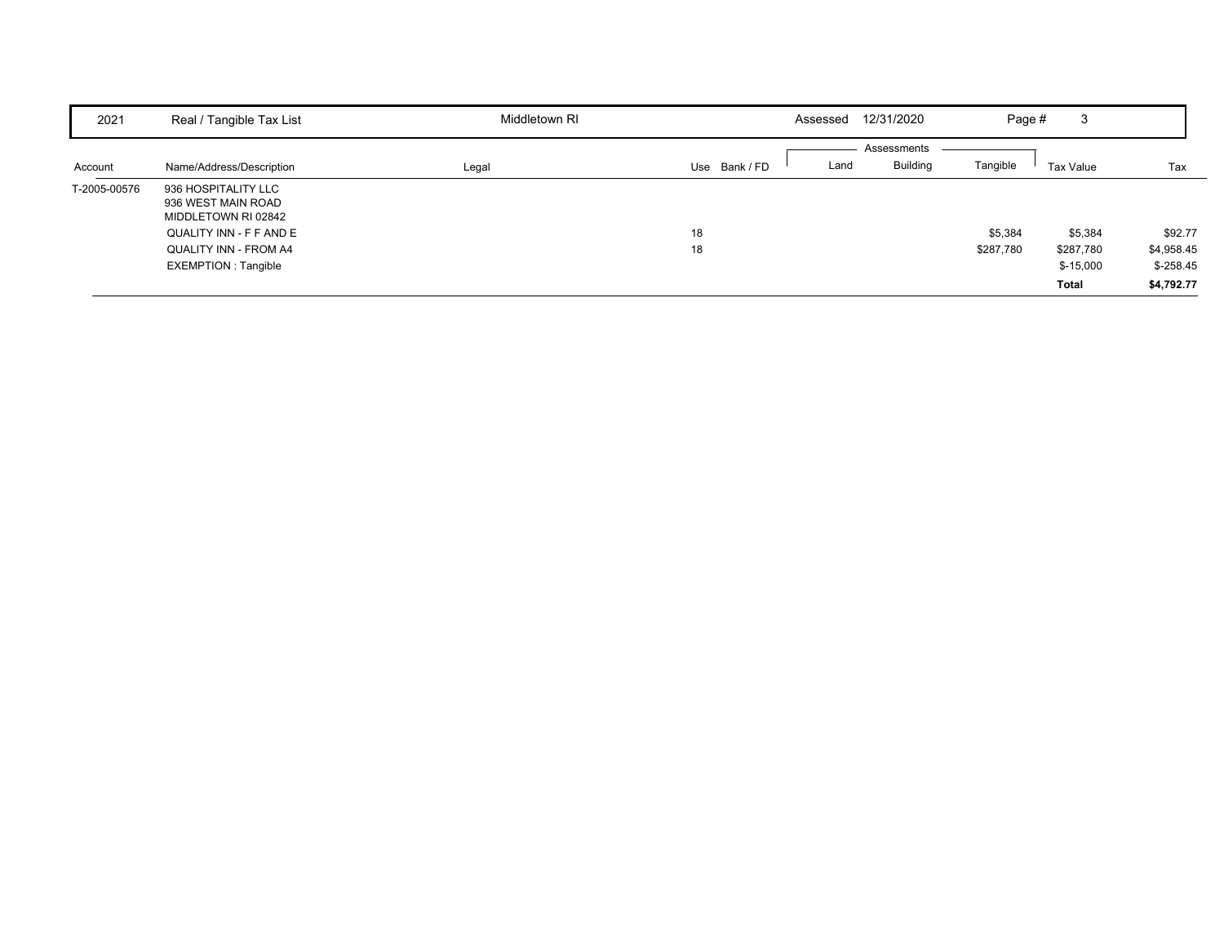| 2021         | Real / Tangible Tax List                                         | Middletown RI |             | Assessed | 12/31/2020                     | Page #    | 3          |            |
|--------------|------------------------------------------------------------------|---------------|-------------|----------|--------------------------------|-----------|------------|------------|
| Account      | Name/Address/Description                                         | Legal         | Use Bank/FD | Land     | Assessments<br><b>Building</b> | Tangible  | Tax Value  | Tax        |
| T-2005-00576 | 936 HOSPITALITY LLC<br>936 WEST MAIN ROAD<br>MIDDLETOWN RI 02842 |               |             |          |                                |           |            |            |
|              | QUALITY INN - F F AND E                                          |               | 18          |          |                                | \$5,384   | \$5,384    | \$92.77    |
|              | QUALITY INN - FROM A4                                            |               | 18          |          |                                | \$287,780 | \$287,780  | \$4,958.45 |
|              | <b>EXEMPTION: Tangible</b>                                       |               |             |          |                                |           | $$-15,000$ | $$-258.45$ |
|              |                                                                  |               |             |          |                                |           | Total      | \$4,792.77 |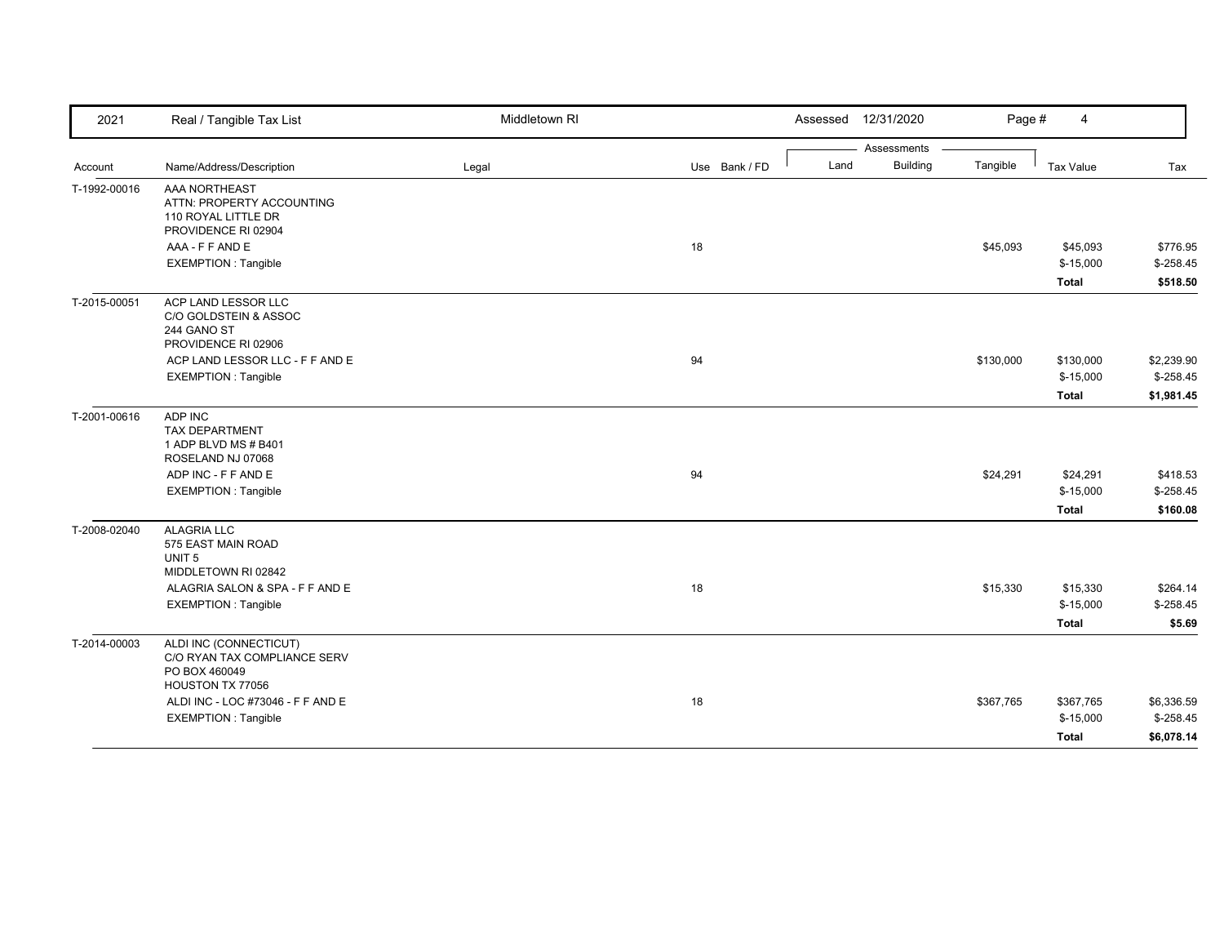|              |                                                                                                             |       |               |      |                 | Page #    | 4                       |                          |
|--------------|-------------------------------------------------------------------------------------------------------------|-------|---------------|------|-----------------|-----------|-------------------------|--------------------------|
|              |                                                                                                             |       |               |      | Assessments     |           |                         |                          |
| Account      | Name/Address/Description                                                                                    | Legal | Use Bank / FD | Land | <b>Building</b> | Tangible  | Tax Value               | Tax                      |
| T-1992-00016 | AAA NORTHEAST<br>ATTN: PROPERTY ACCOUNTING<br>110 ROYAL LITTLE DR<br>PROVIDENCE RI 02904<br>AAA - F F AND E |       | 18            |      |                 | \$45,093  | \$45,093                | \$776.95                 |
|              | <b>EXEMPTION: Tangible</b>                                                                                  |       |               |      |                 |           | $$-15,000$              | $$-258.45$               |
|              |                                                                                                             |       |               |      |                 |           | <b>Total</b>            | \$518.50                 |
| T-2015-00051 | ACP LAND LESSOR LLC<br>C/O GOLDSTEIN & ASSOC<br>244 GANO ST<br>PROVIDENCE RI 02906                          |       |               |      |                 |           |                         |                          |
|              | ACP LAND LESSOR LLC - F F AND E                                                                             |       | 94            |      |                 | \$130,000 | \$130,000               | \$2,239.90               |
|              | <b>EXEMPTION: Tangible</b>                                                                                  |       |               |      |                 |           | $$-15,000$              | $$-258.45$               |
|              |                                                                                                             |       |               |      |                 |           | <b>Total</b>            | \$1,981.45               |
| T-2001-00616 | ADP INC<br><b>TAX DEPARTMENT</b><br>1 ADP BLVD MS # B401<br>ROSELAND NJ 07068                               |       |               |      |                 |           |                         |                          |
|              | ADP INC - F F AND E                                                                                         |       | 94            |      |                 | \$24,291  | \$24,291                | \$418.53                 |
|              | <b>EXEMPTION: Tangible</b>                                                                                  |       |               |      |                 |           | $$-15,000$              | $$-258.45$               |
|              |                                                                                                             |       |               |      |                 |           | <b>Total</b>            | \$160.08                 |
| T-2008-02040 | <b>ALAGRIA LLC</b><br>575 EAST MAIN ROAD<br>UNIT <sub>5</sub><br>MIDDLETOWN RI 02842                        |       |               |      |                 |           |                         |                          |
|              | ALAGRIA SALON & SPA - F F AND E                                                                             |       | 18            |      |                 | \$15,330  | \$15,330                | \$264.14                 |
|              | <b>EXEMPTION: Tangible</b>                                                                                  |       |               |      |                 |           | $$-15,000$              | $$-258.45$               |
|              |                                                                                                             |       |               |      |                 |           | <b>Total</b>            | \$5.69                   |
| T-2014-00003 | ALDI INC (CONNECTICUT)<br>C/O RYAN TAX COMPLIANCE SERV<br>PO BOX 460049<br>HOUSTON TX 77056                 |       |               |      |                 |           |                         |                          |
|              | ALDI INC - LOC #73046 - F F AND E<br><b>EXEMPTION: Tangible</b>                                             |       | 18            |      |                 | \$367,765 | \$367,765<br>$$-15,000$ | \$6,336.59<br>$$-258.45$ |
|              |                                                                                                             |       |               |      |                 |           | <b>Total</b>            | \$6,078.14               |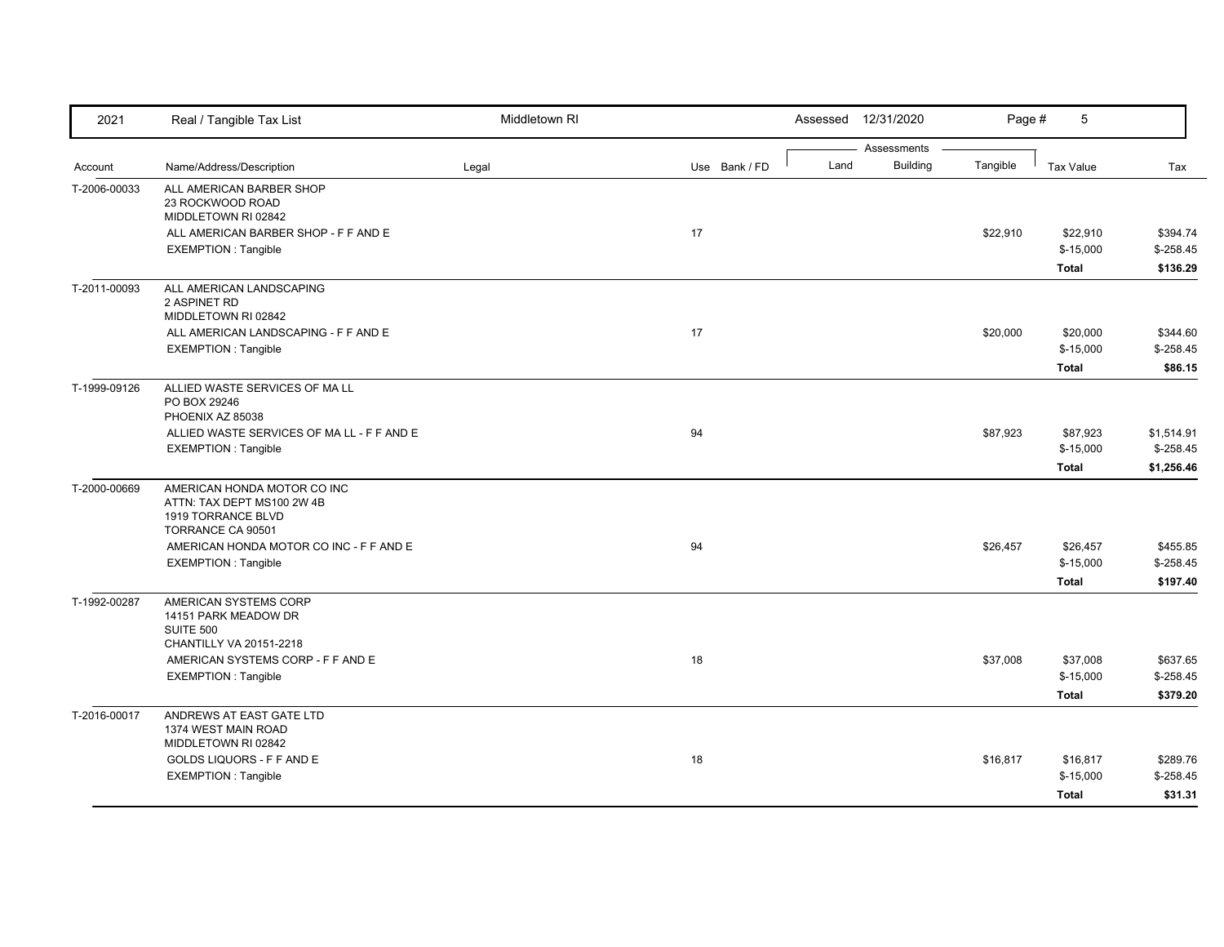| 2021         | Real / Tangible Tax List                                                                             | Middletown RI |               |      | Assessed 12/31/2020            | Page #   | 5                                      |                                        |
|--------------|------------------------------------------------------------------------------------------------------|---------------|---------------|------|--------------------------------|----------|----------------------------------------|----------------------------------------|
| Account      | Name/Address/Description                                                                             | Legal         | Use Bank / FD | Land | Assessments<br><b>Building</b> | Tangible | Tax Value                              | Tax                                    |
| T-2006-00033 | ALL AMERICAN BARBER SHOP<br>23 ROCKWOOD ROAD<br>MIDDLETOWN RI 02842                                  |               |               |      |                                |          |                                        |                                        |
|              | ALL AMERICAN BARBER SHOP - F F AND E<br><b>EXEMPTION: Tangible</b>                                   |               | 17            |      |                                | \$22,910 | \$22,910<br>$$-15,000$<br><b>Total</b> | \$394.74<br>$$-258.45$<br>\$136.29     |
| T-2011-00093 | ALL AMERICAN LANDSCAPING<br>2 ASPINET RD<br>MIDDLETOWN RI 02842                                      |               |               |      |                                |          |                                        |                                        |
|              | ALL AMERICAN LANDSCAPING - F F AND E<br><b>EXEMPTION: Tangible</b>                                   |               | 17            |      |                                | \$20,000 | \$20,000<br>$$-15,000$<br><b>Total</b> | \$344.60<br>$$-258.45$<br>\$86.15      |
| T-1999-09126 | ALLIED WASTE SERVICES OF MA LL<br>PO BOX 29246<br>PHOENIX AZ 85038                                   |               |               |      |                                |          |                                        |                                        |
|              | ALLIED WASTE SERVICES OF MA LL - F F AND E<br><b>EXEMPTION: Tangible</b>                             |               | 94            |      |                                | \$87,923 | \$87,923<br>$$-15,000$<br><b>Total</b> | \$1,514.91<br>$$-258.45$<br>\$1,256.46 |
| T-2000-00669 | AMERICAN HONDA MOTOR CO INC<br>ATTN: TAX DEPT MS100 2W 4B<br>1919 TORRANCE BLVD<br>TORRANCE CA 90501 |               |               |      |                                |          |                                        |                                        |
|              | AMERICAN HONDA MOTOR CO INC - F F AND E<br><b>EXEMPTION: Tangible</b>                                |               | 94            |      |                                | \$26,457 | \$26,457<br>$$-15,000$<br><b>Total</b> | \$455.85<br>$$-258.45$<br>\$197.40     |
| T-1992-00287 | AMERICAN SYSTEMS CORP<br>14151 PARK MEADOW DR<br><b>SUITE 500</b><br>CHANTILLY VA 20151-2218         |               |               |      |                                |          |                                        |                                        |
|              | AMERICAN SYSTEMS CORP - F F AND E<br><b>EXEMPTION: Tangible</b>                                      |               | 18            |      |                                | \$37,008 | \$37,008<br>$$-15,000$<br><b>Total</b> | \$637.65<br>$$ -258.45$<br>\$379.20    |
| T-2016-00017 | ANDREWS AT EAST GATE LTD<br>1374 WEST MAIN ROAD<br>MIDDLETOWN RI 02842                               |               |               |      |                                |          |                                        |                                        |
|              | GOLDS LIQUORS - F F AND E<br><b>EXEMPTION: Tangible</b>                                              |               | 18            |      |                                | \$16,817 | \$16,817<br>$$-15,000$<br><b>Total</b> | \$289.76<br>$$ -258.45$<br>\$31.31     |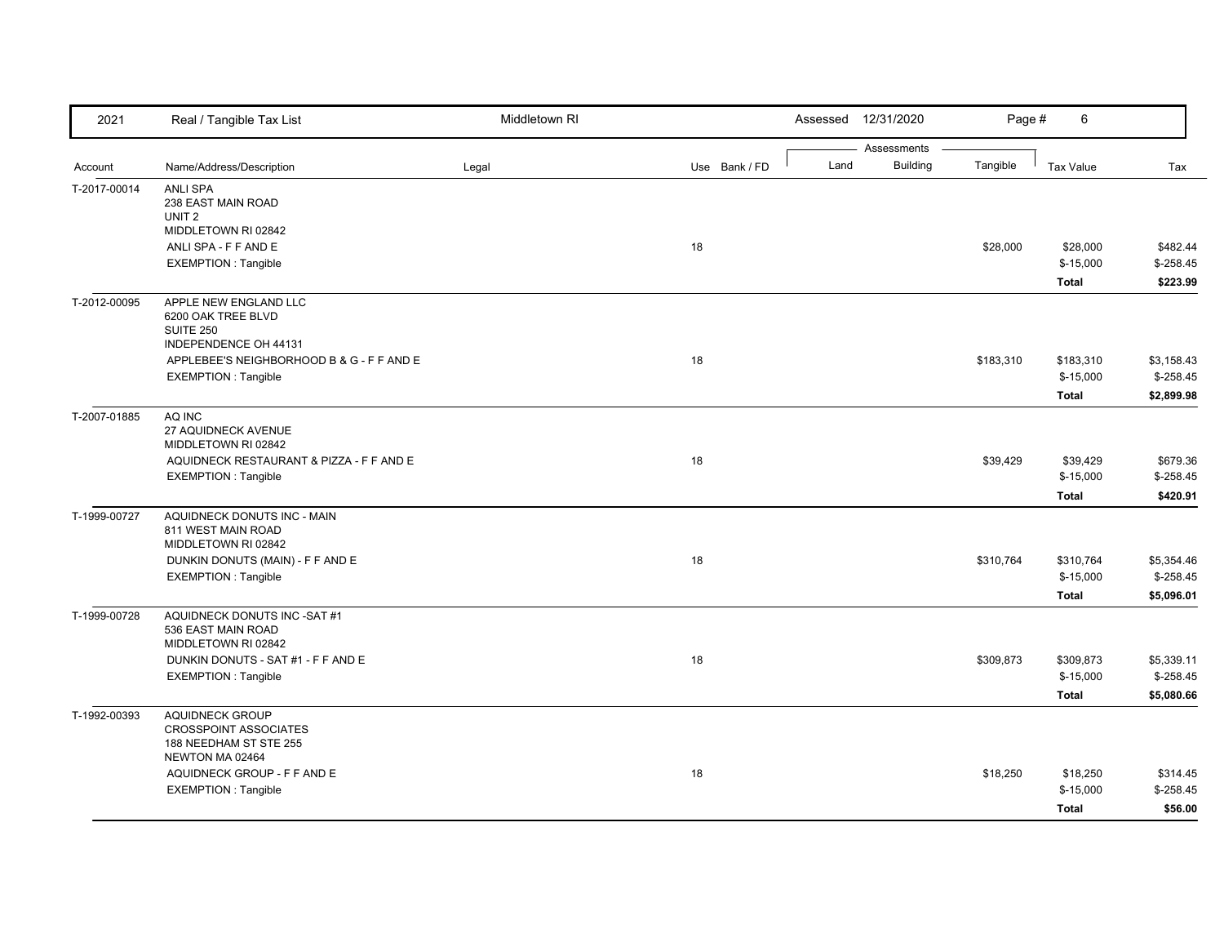| 2021         | Real / Tangible Tax List                                  | Middletown RI |               |      | Assessed 12/31/2020            | Page #    | 6            |             |
|--------------|-----------------------------------------------------------|---------------|---------------|------|--------------------------------|-----------|--------------|-------------|
| Account      | Name/Address/Description                                  | Legal         | Use Bank / FD | Land | Assessments<br><b>Building</b> | Tangible  | Tax Value    | Tax         |
|              |                                                           |               |               |      |                                |           |              |             |
| T-2017-00014 | <b>ANLI SPA</b><br>238 EAST MAIN ROAD                     |               |               |      |                                |           |              |             |
|              | UNIT <sub>2</sub>                                         |               |               |      |                                |           |              |             |
|              | MIDDLETOWN RI 02842                                       |               |               |      |                                |           |              |             |
|              | ANLI SPA - F F AND E                                      |               | 18            |      |                                | \$28,000  | \$28,000     | \$482.44    |
|              | <b>EXEMPTION: Tangible</b>                                |               |               |      |                                |           | $$-15,000$   | $$-258.45$  |
|              |                                                           |               |               |      |                                |           | <b>Total</b> | \$223.99    |
| T-2012-00095 | APPLE NEW ENGLAND LLC                                     |               |               |      |                                |           |              |             |
|              | 6200 OAK TREE BLVD                                        |               |               |      |                                |           |              |             |
|              | SUITE 250<br>INDEPENDENCE OH 44131                        |               |               |      |                                |           |              |             |
|              | APPLEBEE'S NEIGHBORHOOD B & G - F F AND E                 |               | 18            |      |                                | \$183,310 | \$183,310    | \$3,158.43  |
|              | <b>EXEMPTION: Tangible</b>                                |               |               |      |                                |           | $$-15,000$   | $$-258.45$  |
|              |                                                           |               |               |      |                                |           | <b>Total</b> | \$2,899.98  |
|              | AQ INC                                                    |               |               |      |                                |           |              |             |
| T-2007-01885 | 27 AQUIDNECK AVENUE                                       |               |               |      |                                |           |              |             |
|              | MIDDLETOWN RI 02842                                       |               |               |      |                                |           |              |             |
|              | AQUIDNECK RESTAURANT & PIZZA - F F AND E                  |               | 18            |      |                                | \$39,429  | \$39,429     | \$679.36    |
|              | <b>EXEMPTION: Tangible</b>                                |               |               |      |                                |           | $$-15,000$   | $$ -258.45$ |
|              |                                                           |               |               |      |                                |           | <b>Total</b> | \$420.91    |
| T-1999-00727 | AQUIDNECK DONUTS INC - MAIN                               |               |               |      |                                |           |              |             |
|              | 811 WEST MAIN ROAD                                        |               |               |      |                                |           |              |             |
|              | MIDDLETOWN RI 02842                                       |               |               |      |                                |           |              |             |
|              | DUNKIN DONUTS (MAIN) - F F AND E                          |               | 18            |      |                                | \$310,764 | \$310.764    | \$5,354.46  |
|              | <b>EXEMPTION: Tangible</b>                                |               |               |      |                                |           | $$-15,000$   | $$-258.45$  |
|              |                                                           |               |               |      |                                |           | <b>Total</b> | \$5,096.01  |
| T-1999-00728 | AQUIDNECK DONUTS INC -SAT #1                              |               |               |      |                                |           |              |             |
|              | 536 EAST MAIN ROAD                                        |               |               |      |                                |           |              |             |
|              | MIDDLETOWN RI 02842<br>DUNKIN DONUTS - SAT #1 - F F AND E |               | 18            |      |                                | \$309,873 | \$309,873    | \$5,339.11  |
|              | EXEMPTION : Tangible                                      |               |               |      |                                |           | $$-15,000$   | $$ -258.45$ |
|              |                                                           |               |               |      |                                |           |              |             |
|              |                                                           |               |               |      |                                |           | <b>Total</b> | \$5,080.66  |
| T-1992-00393 | <b>AQUIDNECK GROUP</b><br><b>CROSSPOINT ASSOCIATES</b>    |               |               |      |                                |           |              |             |
|              | 188 NEEDHAM ST STE 255                                    |               |               |      |                                |           |              |             |
|              | NEWTON MA 02464                                           |               |               |      |                                |           |              |             |
|              | AQUIDNECK GROUP - F F AND E                               |               | 18            |      |                                | \$18,250  | \$18,250     | \$314.45    |
|              | <b>EXEMPTION: Tangible</b>                                |               |               |      |                                |           | $$-15,000$   | $$-258.45$  |
|              |                                                           |               |               |      |                                |           | <b>Total</b> | \$56.00     |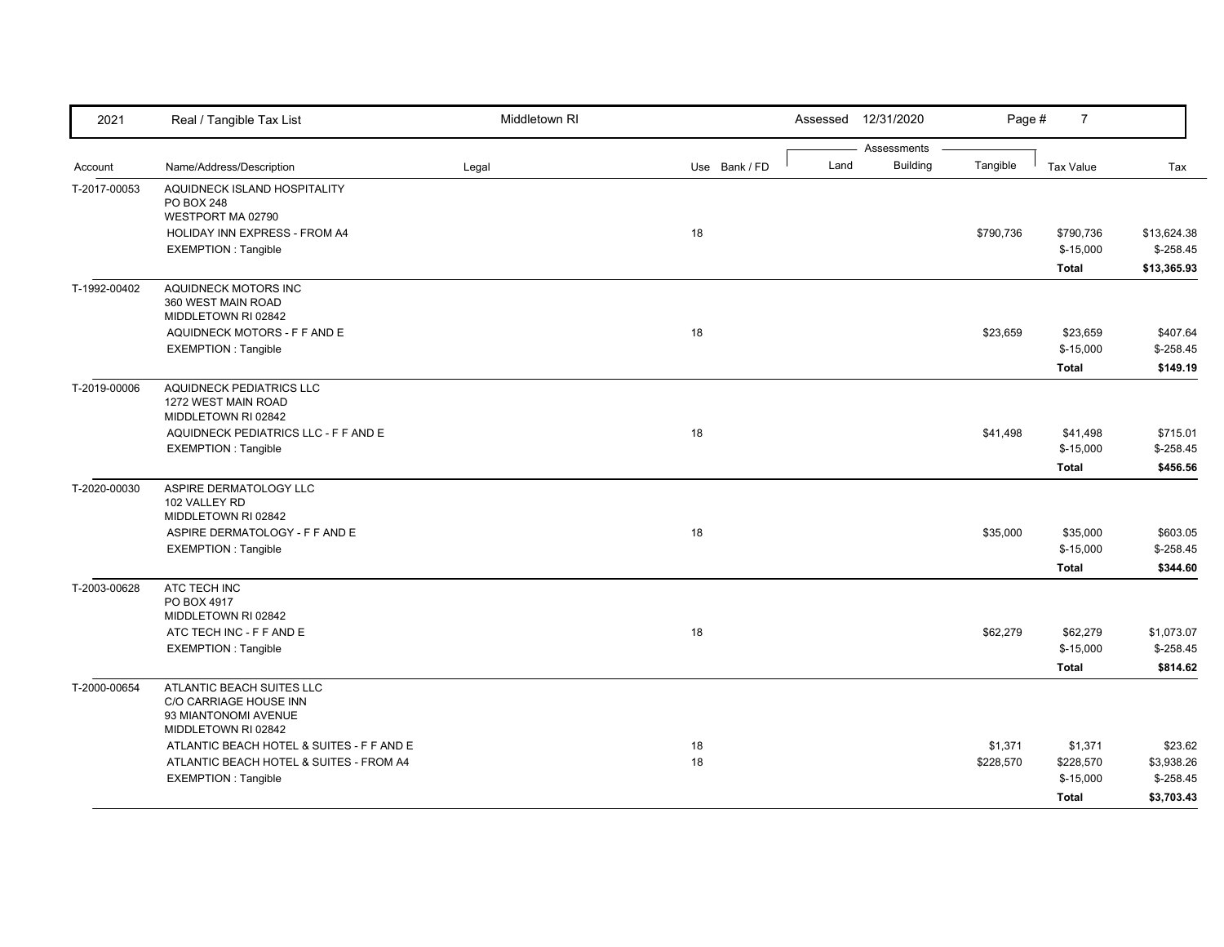| 2021         | Real / Tangible Tax List                                                                                           | Middletown RI |               |      | Assessed 12/31/2020            | Page #               | $\overline{7}$                                     |                                                    |
|--------------|--------------------------------------------------------------------------------------------------------------------|---------------|---------------|------|--------------------------------|----------------------|----------------------------------------------------|----------------------------------------------------|
| Account      | Name/Address/Description                                                                                           | Legal         | Use Bank / FD | Land | Assessments<br><b>Building</b> | Tangible             | <b>Tax Value</b>                                   | Tax                                                |
| T-2017-00053 | AQUIDNECK ISLAND HOSPITALITY<br><b>PO BOX 248</b><br>WESTPORT MA 02790                                             |               |               |      |                                |                      |                                                    |                                                    |
|              | HOLIDAY INN EXPRESS - FROM A4<br><b>EXEMPTION: Tangible</b>                                                        |               | 18            |      |                                | \$790,736            | \$790,736<br>$$-15,000$                            | \$13,624.38<br>$$-258.45$                          |
| T-1992-00402 | AQUIDNECK MOTORS INC<br>360 WEST MAIN ROAD<br>MIDDLETOWN RI 02842                                                  |               |               |      |                                |                      | <b>Total</b>                                       | \$13,365.93                                        |
|              | AQUIDNECK MOTORS - F F AND E<br><b>EXEMPTION: Tangible</b>                                                         |               | 18            |      |                                | \$23,659             | \$23,659<br>$$-15,000$<br><b>Total</b>             | \$407.64<br>$$ -258.45$<br>\$149.19                |
| T-2019-00006 | AQUIDNECK PEDIATRICS LLC<br>1272 WEST MAIN ROAD<br>MIDDLETOWN RI 02842                                             |               |               |      |                                |                      |                                                    |                                                    |
|              | AQUIDNECK PEDIATRICS LLC - F F AND E<br><b>EXEMPTION: Tangible</b>                                                 |               | 18            |      |                                | \$41,498             | \$41,498<br>$$-15,000$<br><b>Total</b>             | \$715.01<br>$$-258.45$<br>\$456.56                 |
| T-2020-00030 | ASPIRE DERMATOLOGY LLC<br>102 VALLEY RD<br>MIDDLETOWN RI 02842                                                     |               |               |      |                                |                      |                                                    |                                                    |
|              | ASPIRE DERMATOLOGY - F F AND E<br><b>EXEMPTION: Tangible</b>                                                       |               | 18            |      |                                | \$35,000             | \$35,000<br>$$-15,000$<br><b>Total</b>             | \$603.05<br>$$-258.45$<br>\$344.60                 |
| T-2003-00628 | ATC TECH INC<br>PO BOX 4917<br>MIDDLETOWN RI 02842                                                                 |               |               |      |                                |                      |                                                    |                                                    |
|              | ATC TECH INC - F F AND E<br><b>EXEMPTION: Tangible</b>                                                             |               | 18            |      |                                | \$62,279             | \$62,279<br>$$-15,000$<br><b>Total</b>             | \$1,073.07<br>$$-258.45$<br>\$814.62               |
| T-2000-00654 | ATLANTIC BEACH SUITES LLC<br>C/O CARRIAGE HOUSE INN<br>93 MIANTONOMI AVENUE<br>MIDDLETOWN RI 02842                 |               |               |      |                                |                      |                                                    |                                                    |
|              | ATLANTIC BEACH HOTEL & SUITES - F F AND E<br>ATLANTIC BEACH HOTEL & SUITES - FROM A4<br><b>EXEMPTION: Tangible</b> |               | 18<br>18      |      |                                | \$1,371<br>\$228,570 | \$1,371<br>\$228,570<br>$$-15,000$<br><b>Total</b> | \$23.62<br>\$3,938.26<br>$$ -258.45$<br>\$3,703.43 |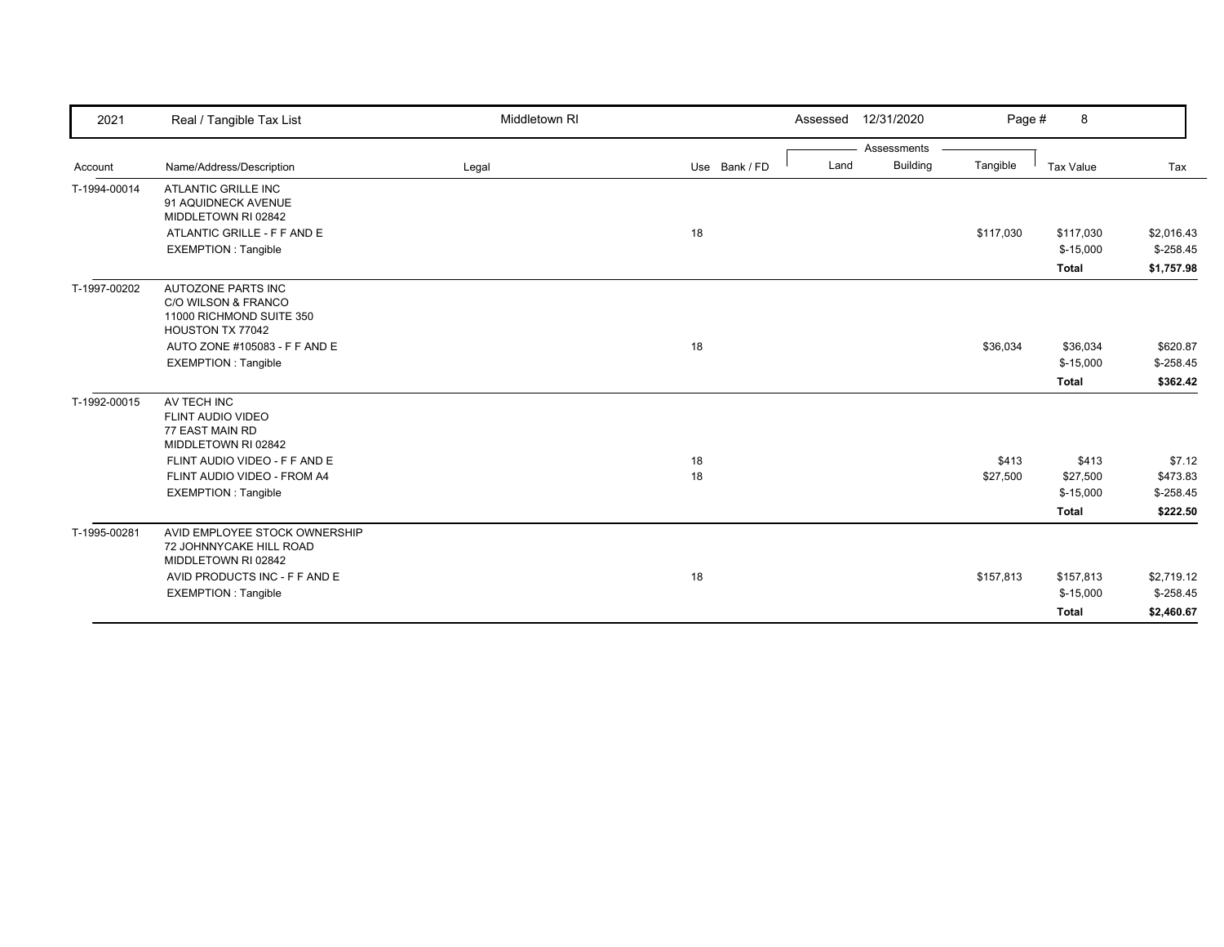| 2021         | Real / Tangible Tax List                                                                  | Middletown RI |               | Assessed 12/31/2020     | Page #    | 8                       |                          |
|--------------|-------------------------------------------------------------------------------------------|---------------|---------------|-------------------------|-----------|-------------------------|--------------------------|
|              |                                                                                           |               |               | Assessments             |           |                         |                          |
| Account      | Name/Address/Description                                                                  | Legal         | Use Bank / FD | <b>Building</b><br>Land | Tangible  | Tax Value               | Tax                      |
| T-1994-00014 | <b>ATLANTIC GRILLE INC</b><br>91 AQUIDNECK AVENUE<br>MIDDLETOWN RI 02842                  |               |               |                         |           |                         |                          |
|              | ATLANTIC GRILLE - F F AND E                                                               |               | 18            |                         | \$117,030 | \$117,030               | \$2,016.43               |
|              | <b>EXEMPTION: Tangible</b>                                                                |               |               |                         |           | $$-15,000$              | $$-258.45$               |
|              |                                                                                           |               |               |                         |           | <b>Total</b>            | \$1,757.98               |
| T-1997-00202 | AUTOZONE PARTS INC<br>C/O WILSON & FRANCO<br>11000 RICHMOND SUITE 350<br>HOUSTON TX 77042 |               |               |                         |           |                         |                          |
|              | AUTO ZONE #105083 - F F AND E                                                             |               | 18            |                         | \$36,034  | \$36,034                | \$620.87                 |
|              | <b>EXEMPTION: Tangible</b>                                                                |               |               |                         |           | $$-15,000$              | $$-258.45$               |
|              |                                                                                           |               |               |                         |           | <b>Total</b>            | \$362.42                 |
| T-1992-00015 | AV TECH INC<br><b>FLINT AUDIO VIDEO</b><br>77 EAST MAIN RD<br>MIDDLETOWN RI 02842         |               |               |                         |           |                         |                          |
|              | FLINT AUDIO VIDEO - F F AND E                                                             |               | 18            |                         | \$413     | \$413                   | \$7.12                   |
|              | FLINT AUDIO VIDEO - FROM A4                                                               |               | 18            |                         | \$27,500  | \$27,500                | \$473.83                 |
|              | <b>EXEMPTION: Tangible</b>                                                                |               |               |                         |           | $$-15,000$              | $$ -258.45$              |
|              |                                                                                           |               |               |                         |           | <b>Total</b>            | \$222.50                 |
| T-1995-00281 | AVID EMPLOYEE STOCK OWNERSHIP<br>72 JOHNNYCAKE HILL ROAD<br>MIDDLETOWN RI 02842           |               |               |                         |           |                         |                          |
|              | AVID PRODUCTS INC - F F AND E<br><b>EXEMPTION: Tangible</b>                               |               | 18            |                         | \$157,813 | \$157,813<br>$$-15,000$ | \$2,719.12<br>$$-258.45$ |
|              |                                                                                           |               |               |                         |           | <b>Total</b>            | \$2,460.67               |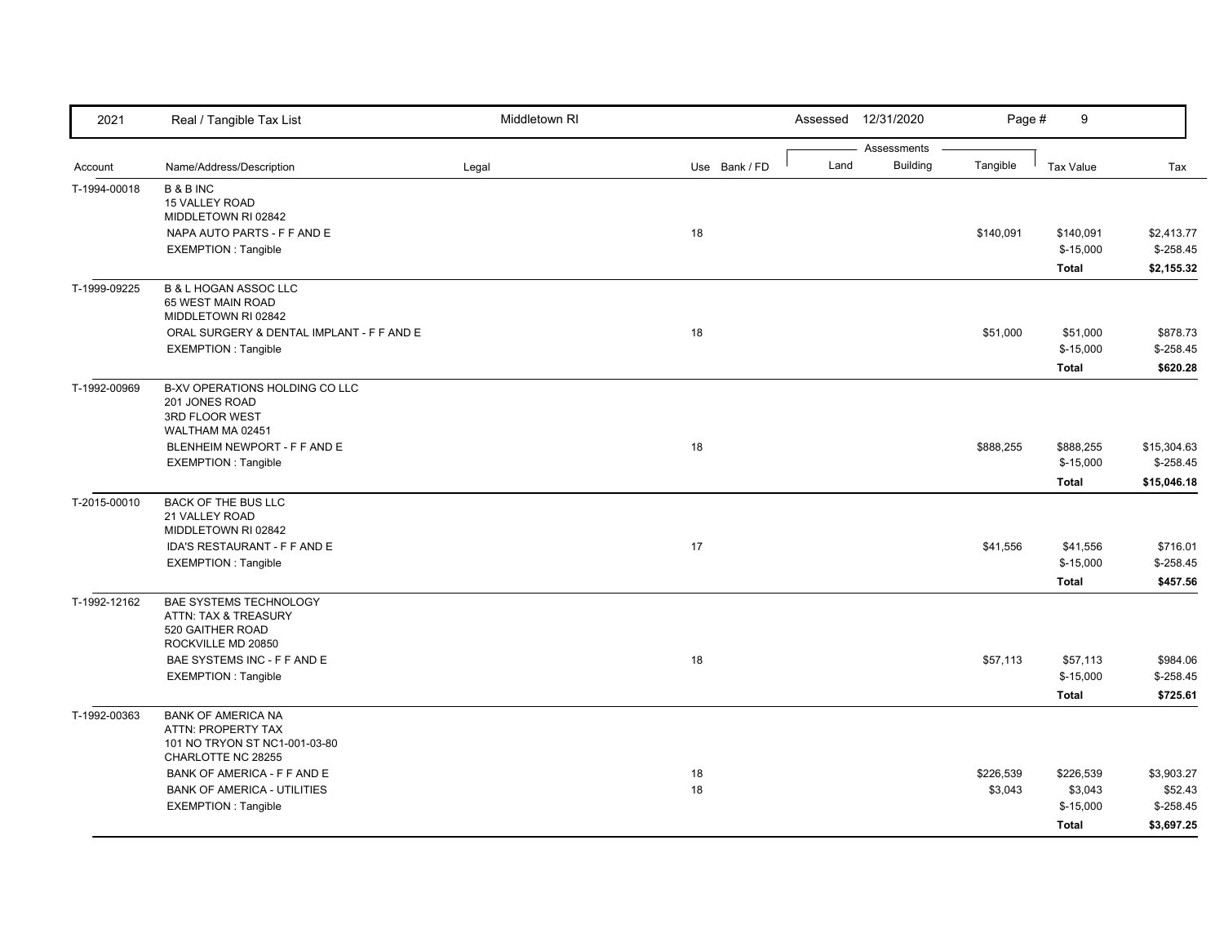| 2021         | Real / Tangible Tax List                                                                               | Middletown RI |               | Assessed 12/31/2020 |                                | Page #               | 9                                                  |                                                    |
|--------------|--------------------------------------------------------------------------------------------------------|---------------|---------------|---------------------|--------------------------------|----------------------|----------------------------------------------------|----------------------------------------------------|
| Account      | Name/Address/Description                                                                               |               | Use Bank / FD | Land                | Assessments<br><b>Building</b> | Tangible             | <b>Tax Value</b>                                   | Tax                                                |
| T-1994-00018 | <b>B&amp;BINC</b><br>15 VALLEY ROAD<br>MIDDLETOWN RI 02842                                             | Legal         |               |                     |                                |                      |                                                    |                                                    |
|              | NAPA AUTO PARTS - F F AND E<br><b>EXEMPTION: Tangible</b>                                              |               | 18            |                     |                                | \$140,091            | \$140,091<br>$$-15,000$<br><b>Total</b>            | \$2,413.77<br>$$ -258.45$<br>\$2,155.32            |
| T-1999-09225 | <b>B &amp; L HOGAN ASSOC LLC</b><br>65 WEST MAIN ROAD<br>MIDDLETOWN RI 02842                           |               |               |                     |                                |                      |                                                    |                                                    |
|              | ORAL SURGERY & DENTAL IMPLANT - F F AND E<br>EXEMPTION : Tangible                                      |               | 18            |                     |                                | \$51,000             | \$51,000<br>$$-15,000$<br><b>Total</b>             | \$878.73<br>$$ -258.45$<br>\$620.28                |
| T-1992-00969 | <b>B-XV OPERATIONS HOLDING CO LLC</b><br>201 JONES ROAD<br>3RD FLOOR WEST<br>WALTHAM MA 02451          |               |               |                     |                                |                      |                                                    |                                                    |
|              | BLENHEIM NEWPORT - F F AND E<br><b>EXEMPTION: Tangible</b>                                             |               | 18            |                     |                                | \$888,255            | \$888,255<br>$$-15,000$<br><b>Total</b>            | \$15,304.63<br>$$-258.45$<br>\$15,046.18           |
| T-2015-00010 | <b>BACK OF THE BUS LLC</b><br>21 VALLEY ROAD<br>MIDDLETOWN RI 02842                                    |               |               |                     |                                |                      |                                                    |                                                    |
|              | IDA'S RESTAURANT - F F AND E<br><b>EXEMPTION: Tangible</b>                                             |               | 17            |                     |                                | \$41,556             | \$41,556<br>$$-15,000$<br><b>Total</b>             | \$716.01<br>$$-258.45$<br>\$457.56                 |
| T-1992-12162 | BAE SYSTEMS TECHNOLOGY<br>ATTN: TAX & TREASURY<br>520 GAITHER ROAD<br>ROCKVILLE MD 20850               |               |               |                     |                                |                      |                                                    |                                                    |
|              | BAE SYSTEMS INC - F F AND E<br><b>EXEMPTION: Tangible</b>                                              |               | 18            |                     |                                | \$57,113             | \$57,113<br>$$-15,000$<br><b>Total</b>             | \$984.06<br>$$-258.45$<br>\$725.61                 |
| T-1992-00363 | <b>BANK OF AMERICA NA</b><br>ATTN: PROPERTY TAX<br>101 NO TRYON ST NC1-001-03-80<br>CHARLOTTE NC 28255 |               |               |                     |                                |                      |                                                    |                                                    |
|              | BANK OF AMERICA - F F AND E<br><b>BANK OF AMERICA - UTILITIES</b><br>EXEMPTION: Tangible               |               | 18<br>18      |                     |                                | \$226,539<br>\$3,043 | \$226,539<br>\$3,043<br>$$-15,000$<br><b>Total</b> | \$3,903.27<br>\$52.43<br>$$ -258.45$<br>\$3,697.25 |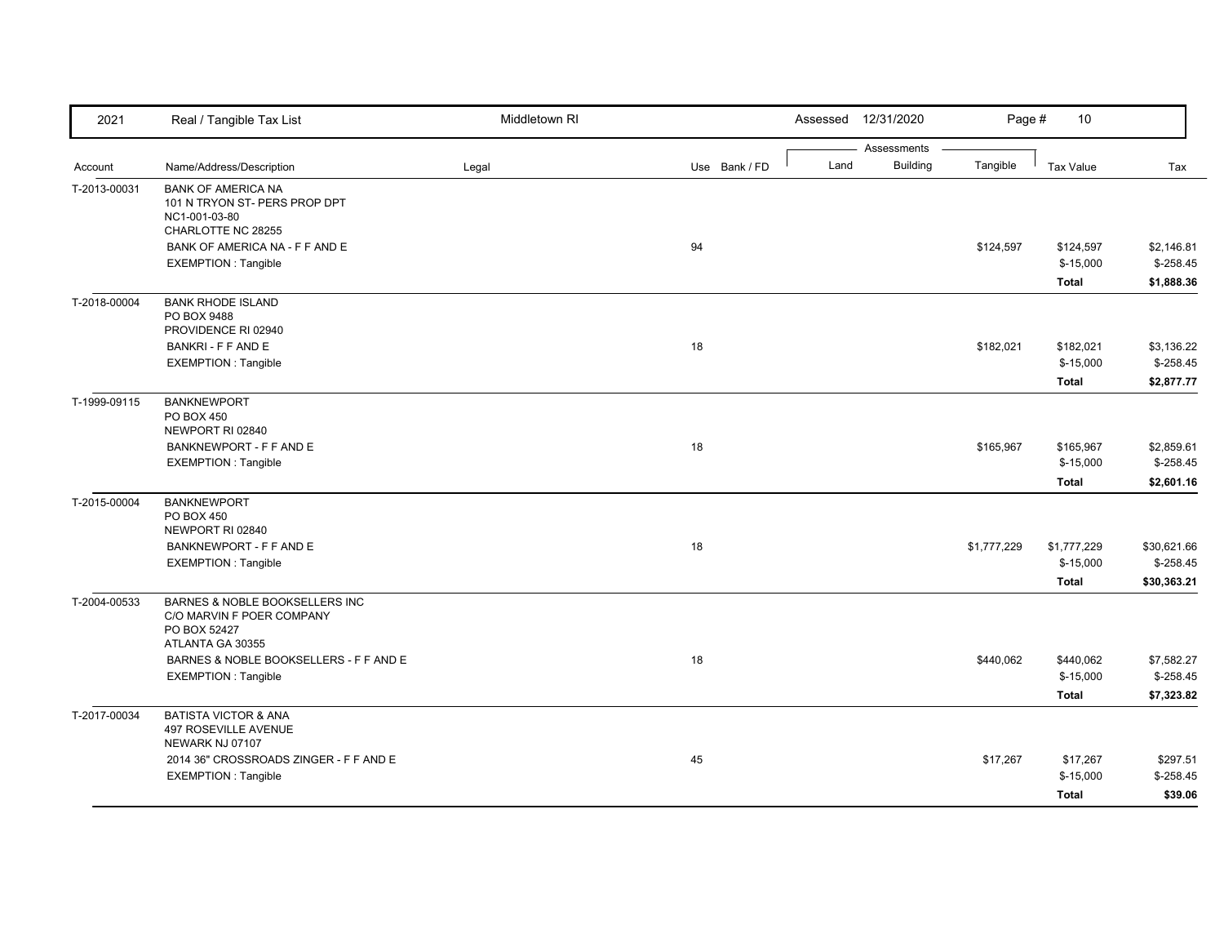| 2021         | Real / Tangible Tax List                                                                        | Middletown RI |               |      | Assessed 12/31/2020            | Page #      | 10               |             |
|--------------|-------------------------------------------------------------------------------------------------|---------------|---------------|------|--------------------------------|-------------|------------------|-------------|
|              | Name/Address/Description                                                                        |               | Use Bank / FD | Land | Assessments<br><b>Building</b> | Tangible    | <b>Tax Value</b> | Tax         |
| Account      |                                                                                                 | Legal         |               |      |                                |             |                  |             |
| T-2013-00031 | <b>BANK OF AMERICA NA</b><br>101 N TRYON ST- PERS PROP DPT<br>NC1-001-03-80                     |               |               |      |                                |             |                  |             |
|              | CHARLOTTE NC 28255                                                                              |               |               |      |                                |             |                  |             |
|              | BANK OF AMERICA NA - F F AND E                                                                  |               | 94            |      |                                | \$124,597   | \$124,597        | \$2,146.81  |
|              | <b>EXEMPTION: Tangible</b>                                                                      |               |               |      |                                |             | $$-15,000$       | $$-258.45$  |
|              |                                                                                                 |               |               |      |                                |             | <b>Total</b>     | \$1,888.36  |
| T-2018-00004 | <b>BANK RHODE ISLAND</b><br>PO BOX 9488<br>PROVIDENCE RI 02940                                  |               |               |      |                                |             |                  |             |
|              | <b>BANKRI - F F AND E</b>                                                                       |               | 18            |      |                                | \$182,021   | \$182,021        | \$3,136.22  |
|              | <b>EXEMPTION: Tangible</b>                                                                      |               |               |      |                                |             | $$-15,000$       | $$ -258.45$ |
|              |                                                                                                 |               |               |      |                                |             | <b>Total</b>     | \$2,877.77  |
| T-1999-09115 | <b>BANKNEWPORT</b>                                                                              |               |               |      |                                |             |                  |             |
|              | PO BOX 450<br>NEWPORT RI 02840                                                                  |               |               |      |                                |             |                  |             |
|              | BANKNEWPORT - F F AND E                                                                         |               | 18            |      |                                | \$165,967   | \$165,967        | \$2,859.61  |
|              | <b>EXEMPTION: Tangible</b>                                                                      |               |               |      |                                |             | $$-15,000$       | $$-258.45$  |
|              |                                                                                                 |               |               |      |                                |             | <b>Total</b>     | \$2,601.16  |
| T-2015-00004 | <b>BANKNEWPORT</b>                                                                              |               |               |      |                                |             |                  |             |
|              | PO BOX 450<br>NEWPORT RI 02840                                                                  |               |               |      |                                |             |                  |             |
|              | BANKNEWPORT - F F AND E                                                                         |               | 18            |      |                                | \$1,777,229 | \$1,777,229      | \$30,621.66 |
|              | <b>EXEMPTION: Tangible</b>                                                                      |               |               |      |                                |             | $$-15,000$       | $$-258.45$  |
|              |                                                                                                 |               |               |      |                                |             | <b>Total</b>     | \$30,363.21 |
| T-2004-00533 | BARNES & NOBLE BOOKSELLERS INC<br>C/O MARVIN F POER COMPANY<br>PO BOX 52427<br>ATLANTA GA 30355 |               |               |      |                                |             |                  |             |
|              | BARNES & NOBLE BOOKSELLERS - F F AND E                                                          |               | 18            |      |                                |             | \$440,062        | \$7,582.27  |
|              | <b>EXEMPTION: Tangible</b>                                                                      |               |               |      |                                | \$440,062   | $$-15,000$       | $$-258.45$  |
|              |                                                                                                 |               |               |      |                                |             | <b>Total</b>     | \$7,323.82  |
|              |                                                                                                 |               |               |      |                                |             |                  |             |
| T-2017-00034 | <b>BATISTA VICTOR &amp; ANA</b><br>497 ROSEVILLE AVENUE<br>NEWARK NJ 07107                      |               |               |      |                                |             |                  |             |
|              | 2014 36" CROSSROADS ZINGER - F F AND E                                                          |               | 45            |      |                                | \$17,267    | \$17,267         | \$297.51    |
|              | <b>EXEMPTION: Tangible</b>                                                                      |               |               |      |                                |             | $$-15,000$       | $$-258.45$  |
|              |                                                                                                 |               |               |      |                                |             | <b>Total</b>     | \$39.06     |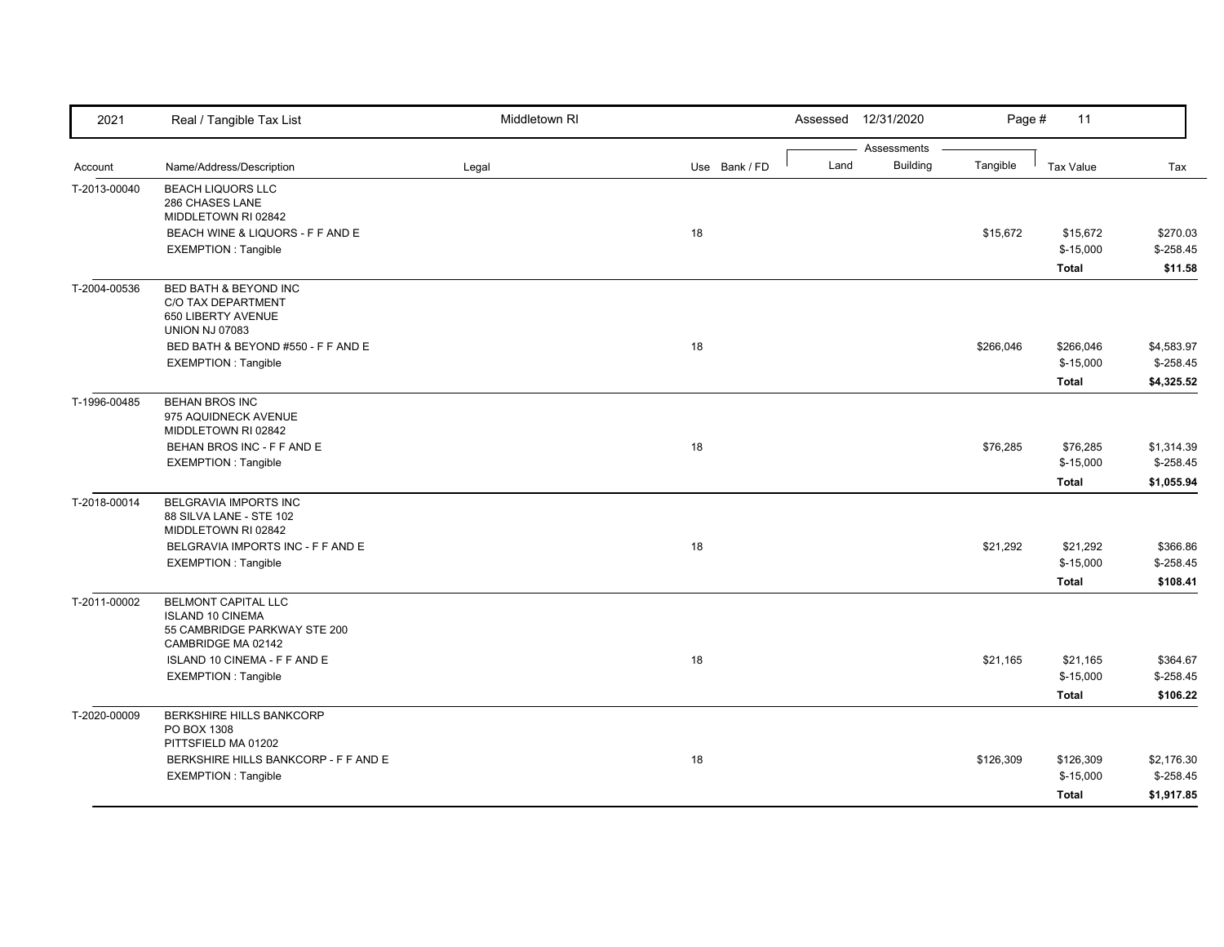| 2021         | Real / Tangible Tax List                                                                                    | Middletown RI |               |      | Assessed 12/31/2020            | Page #    | 11                                      |                                        |
|--------------|-------------------------------------------------------------------------------------------------------------|---------------|---------------|------|--------------------------------|-----------|-----------------------------------------|----------------------------------------|
| Account      | Name/Address/Description                                                                                    | Legal         | Use Bank / FD | Land | Assessments<br><b>Building</b> | Tangible  | <b>Tax Value</b>                        | Tax                                    |
| T-2013-00040 | <b>BEACH LIQUORS LLC</b><br>286 CHASES LANE<br>MIDDLETOWN RI 02842                                          |               |               |      |                                |           |                                         |                                        |
|              | BEACH WINE & LIQUORS - F F AND E<br><b>EXEMPTION: Tangible</b>                                              |               | 18            |      |                                | \$15,672  | \$15,672<br>$$-15,000$<br>Total         | \$270.03<br>$$-258.45$<br>\$11.58      |
| T-2004-00536 | <b>BED BATH &amp; BEYOND INC</b><br>C/O TAX DEPARTMENT<br>650 LIBERTY AVENUE<br><b>UNION NJ 07083</b>       |               |               |      |                                |           |                                         |                                        |
|              | BED BATH & BEYOND #550 - F F AND E<br><b>EXEMPTION: Tangible</b>                                            |               | 18            |      |                                | \$266,046 | \$266,046<br>$$-15,000$<br><b>Total</b> | \$4,583.97<br>$$-258.45$<br>\$4,325.52 |
| T-1996-00485 | <b>BEHAN BROS INC</b><br>975 AQUIDNECK AVENUE<br>MIDDLETOWN RI 02842                                        |               |               |      |                                |           |                                         |                                        |
|              | BEHAN BROS INC - F F AND E<br>EXEMPTION : Tangible                                                          |               | 18            |      |                                | \$76,285  | \$76,285<br>$$-15,000$<br><b>Total</b>  | \$1,314.39<br>$$-258.45$<br>\$1,055.94 |
| T-2018-00014 | BELGRAVIA IMPORTS INC<br>88 SILVA LANE - STE 102<br>MIDDLETOWN RI 02842                                     |               |               |      |                                |           |                                         |                                        |
|              | BELGRAVIA IMPORTS INC - F F AND E<br><b>EXEMPTION: Tangible</b>                                             |               | 18            |      |                                | \$21,292  | \$21,292<br>$$-15,000$<br><b>Total</b>  | \$366.86<br>$$-258.45$<br>\$108.41     |
| T-2011-00002 | <b>BELMONT CAPITAL LLC</b><br><b>ISLAND 10 CINEMA</b><br>55 CAMBRIDGE PARKWAY STE 200<br>CAMBRIDGE MA 02142 |               |               |      |                                |           |                                         |                                        |
|              | ISLAND 10 CINEMA - F F AND E<br><b>EXEMPTION: Tangible</b>                                                  |               | 18            |      |                                | \$21,165  | \$21,165<br>$$-15,000$<br><b>Total</b>  | \$364.67<br>$$-258.45$<br>\$106.22     |
| T-2020-00009 | <b>BERKSHIRE HILLS BANKCORP</b><br>PO BOX 1308<br>PITTSFIELD MA 01202                                       |               |               |      |                                |           |                                         |                                        |
|              | BERKSHIRE HILLS BANKCORP - F F AND E<br><b>EXEMPTION: Tangible</b>                                          |               | 18            |      |                                | \$126,309 | \$126,309<br>$$-15,000$<br><b>Total</b> | \$2,176.30<br>$$-258.45$<br>\$1,917.85 |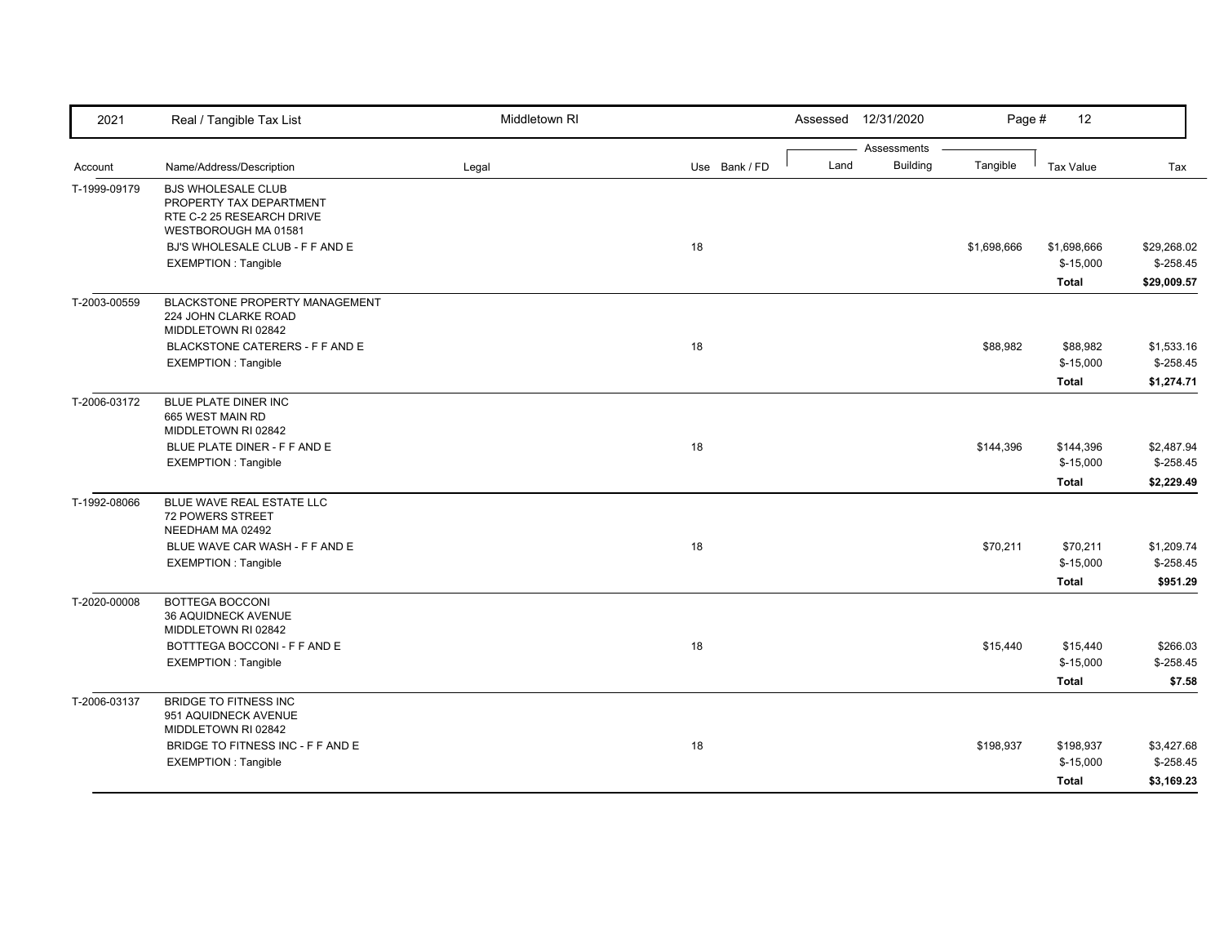| 2021         | Real / Tangible Tax List                                                                                  | Middletown RI |               | Assessed | 12/31/2020                     | Page #      | 12               |             |
|--------------|-----------------------------------------------------------------------------------------------------------|---------------|---------------|----------|--------------------------------|-------------|------------------|-------------|
|              |                                                                                                           |               | Use Bank / FD | Land     | Assessments<br><b>Building</b> | Tangible    | <b>Tax Value</b> | Tax         |
| Account      | Name/Address/Description                                                                                  | Legal         |               |          |                                |             |                  |             |
| T-1999-09179 | <b>BJS WHOLESALE CLUB</b><br>PROPERTY TAX DEPARTMENT<br>RTE C-2 25 RESEARCH DRIVE<br>WESTBOROUGH MA 01581 |               |               |          |                                |             |                  |             |
|              | BJ'S WHOLESALE CLUB - F F AND E                                                                           |               | 18            |          |                                | \$1,698,666 | \$1,698,666      | \$29,268.02 |
|              | <b>EXEMPTION: Tangible</b>                                                                                |               |               |          |                                |             | $$-15,000$       | $$-258.45$  |
|              |                                                                                                           |               |               |          |                                |             | <b>Total</b>     | \$29,009.57 |
| T-2003-00559 | <b>BLACKSTONE PROPERTY MANAGEMENT</b><br>224 JOHN CLARKE ROAD<br>MIDDLETOWN RI 02842                      |               |               |          |                                |             |                  |             |
|              | BLACKSTONE CATERERS - F F AND E                                                                           |               | 18            |          |                                | \$88,982    | \$88,982         | \$1,533.16  |
|              | <b>EXEMPTION: Tangible</b>                                                                                |               |               |          |                                |             | $$-15,000$       | $$-258.45$  |
|              |                                                                                                           |               |               |          |                                |             | <b>Total</b>     | \$1,274.71  |
| T-2006-03172 | BLUE PLATE DINER INC<br>665 WEST MAIN RD<br>MIDDLETOWN RI 02842                                           |               |               |          |                                |             |                  |             |
|              | BLUE PLATE DINER - F F AND E                                                                              |               | 18            |          |                                | \$144,396   | \$144,396        | \$2,487.94  |
|              | <b>EXEMPTION: Tangible</b>                                                                                |               |               |          |                                |             | $$-15,000$       | $$-258.45$  |
|              |                                                                                                           |               |               |          |                                |             | <b>Total</b>     | \$2,229.49  |
| T-1992-08066 | BLUE WAVE REAL ESTATE LLC<br><b>72 POWERS STREET</b><br>NEEDHAM MA 02492                                  |               |               |          |                                |             |                  |             |
|              | BLUE WAVE CAR WASH - F F AND E                                                                            |               | 18            |          |                                | \$70,211    | \$70,211         | \$1,209.74  |
|              | <b>EXEMPTION: Tangible</b>                                                                                |               |               |          |                                |             | $$-15,000$       | $$-258.45$  |
|              |                                                                                                           |               |               |          |                                |             | Total            | \$951.29    |
| T-2020-00008 | <b>BOTTEGA BOCCONI</b><br>36 AQUIDNECK AVENUE<br>MIDDLETOWN RI 02842                                      |               |               |          |                                |             |                  |             |
|              | BOTTTEGA BOCCONI - F F AND E                                                                              |               | 18            |          |                                | \$15,440    | \$15,440         | \$266.03    |
|              | <b>EXEMPTION: Tangible</b>                                                                                |               |               |          |                                |             | $$-15,000$       | $$-258.45$  |
|              |                                                                                                           |               |               |          |                                |             | <b>Total</b>     | \$7.58      |
| T-2006-03137 | <b>BRIDGE TO FITNESS INC</b><br>951 AQUIDNECK AVENUE<br>MIDDLETOWN RI 02842                               |               |               |          |                                |             |                  |             |
|              | BRIDGE TO FITNESS INC - F F AND E                                                                         |               | 18            |          |                                | \$198,937   | \$198,937        | \$3,427.68  |
|              | <b>EXEMPTION: Tangible</b>                                                                                |               |               |          |                                |             | $$-15,000$       | $$-258.45$  |
|              |                                                                                                           |               |               |          |                                |             | Total            | \$3,169.23  |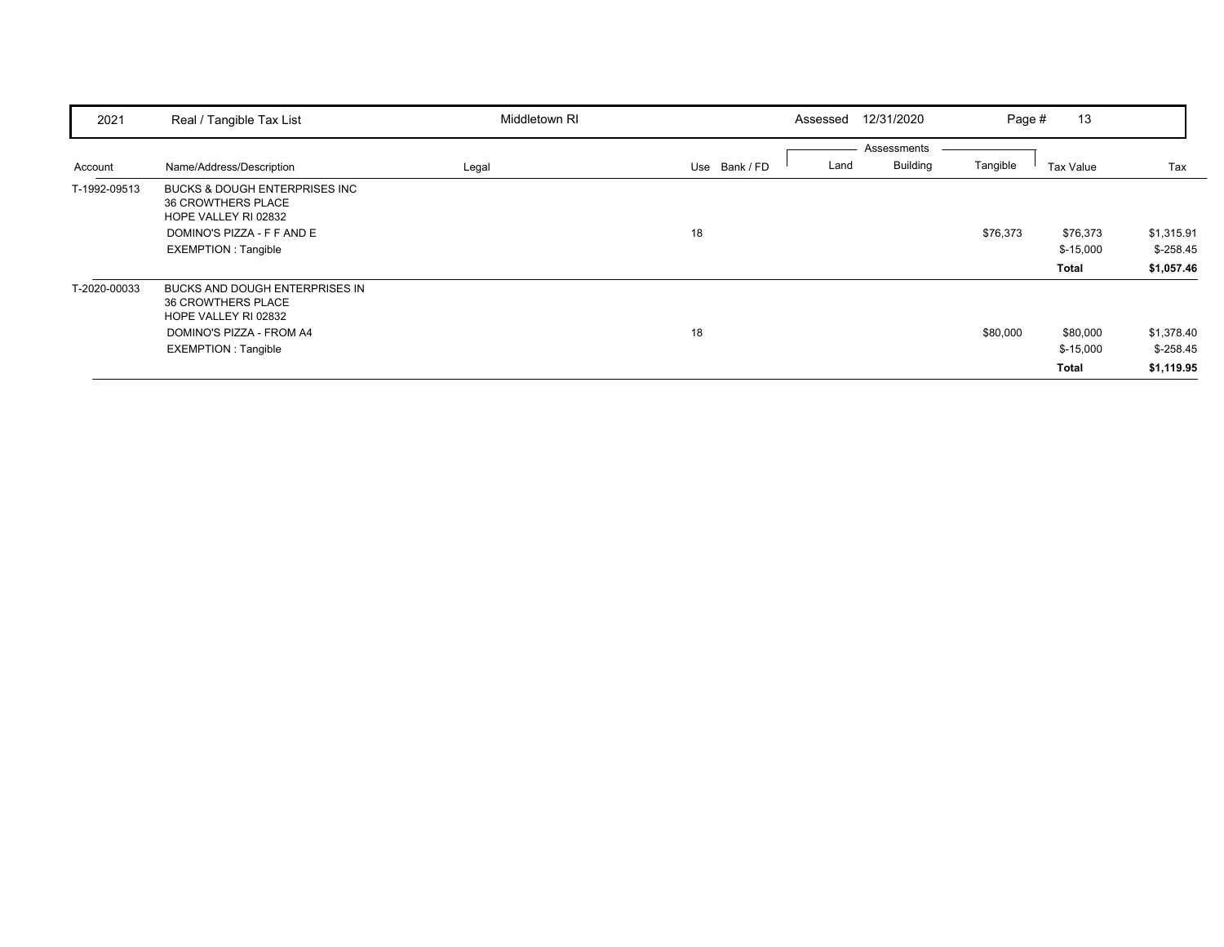| 2021         | Real / Tangible Tax List                                                                                                                                  | Middletown RI |               | 12/31/2020<br>Assessed                 | Page #   | 13                              |                                        |
|--------------|-----------------------------------------------------------------------------------------------------------------------------------------------------------|---------------|---------------|----------------------------------------|----------|---------------------------------|----------------------------------------|
| Account      | Name/Address/Description                                                                                                                                  | Legal         | Use Bank / FD | Assessments<br><b>Building</b><br>Land | Tangible | Tax Value                       | Tax                                    |
| T-1992-09513 | <b>BUCKS &amp; DOUGH ENTERPRISES INC</b><br><b>36 CROWTHERS PLACE</b><br>HOPE VALLEY RI 02832<br>DOMINO'S PIZZA - F F AND E<br><b>EXEMPTION: Tangible</b> |               | 18            |                                        | \$76,373 | \$76,373<br>$$-15,000$<br>Total | \$1,315.91<br>$$-258.45$<br>\$1,057.46 |
| T-2020-00033 | BUCKS AND DOUGH ENTERPRISES IN<br><b>36 CROWTHERS PLACE</b><br>HOPE VALLEY RI 02832<br>DOMINO'S PIZZA - FROM A4<br><b>EXEMPTION: Tangible</b>             |               | 18            |                                        | \$80,000 | \$80,000<br>$$-15,000$<br>Total | \$1,378.40<br>$$-258.45$<br>\$1,119.95 |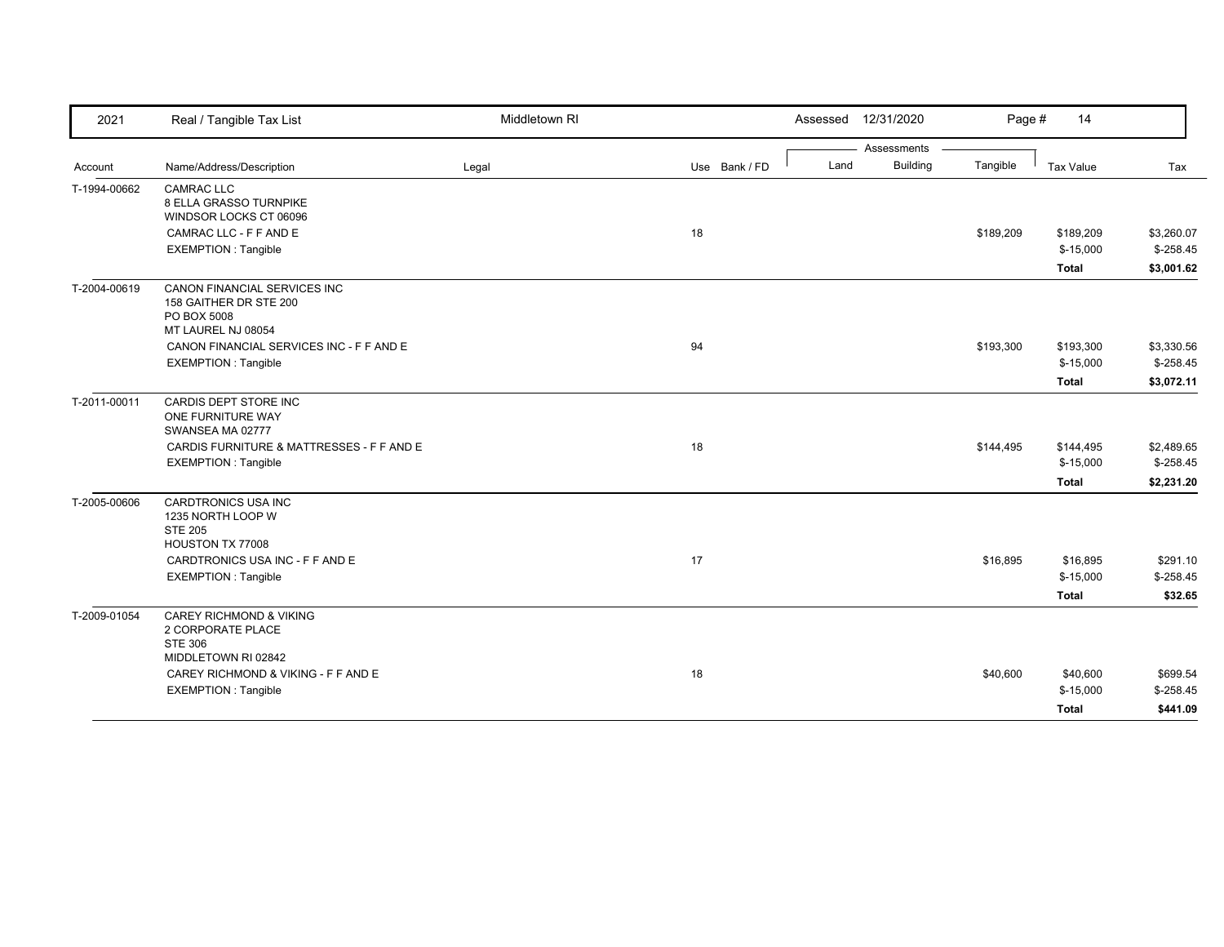| 2021         | Real / Tangible Tax List                                                                         | Middletown RI |               | 12/31/2020<br>Assessed  | Page #    | 14                                      |                                         |
|--------------|--------------------------------------------------------------------------------------------------|---------------|---------------|-------------------------|-----------|-----------------------------------------|-----------------------------------------|
|              |                                                                                                  |               |               | Assessments             |           |                                         |                                         |
| Account      | Name/Address/Description                                                                         | Legal         | Use Bank / FD | <b>Building</b><br>Land | Tangible  | Tax Value                               | Tax                                     |
| T-1994-00662 | <b>CAMRAC LLC</b><br>8 ELLA GRASSO TURNPIKE<br>WINDSOR LOCKS CT 06096                            |               |               |                         |           |                                         |                                         |
|              | CAMRAC LLC - F F AND E<br><b>EXEMPTION: Tangible</b>                                             |               | 18            |                         | \$189,209 | \$189,209<br>$$-15,000$<br><b>Total</b> | \$3,260.07<br>$$-258.45$<br>\$3,001.62  |
| T-2004-00619 | CANON FINANCIAL SERVICES INC<br>158 GAITHER DR STE 200<br>PO BOX 5008<br>MT LAUREL NJ 08054      |               |               |                         |           |                                         |                                         |
|              | CANON FINANCIAL SERVICES INC - F F AND E<br><b>EXEMPTION: Tangible</b>                           |               | 94            |                         | \$193,300 | \$193,300<br>$$-15,000$<br>Total        | \$3,330.56<br>$$ -258.45$<br>\$3,072.11 |
| T-2011-00011 | CARDIS DEPT STORE INC<br>ONE FURNITURE WAY<br>SWANSEA MA 02777                                   |               |               |                         |           |                                         |                                         |
|              | CARDIS FURNITURE & MATTRESSES - F F AND E<br><b>EXEMPTION: Tangible</b>                          |               | 18            |                         | \$144,495 | \$144,495<br>$$-15,000$                 | \$2,489.65<br>$$-258.45$                |
|              |                                                                                                  |               |               |                         |           | <b>Total</b>                            | \$2,231.20                              |
| T-2005-00606 | CARDTRONICS USA INC<br>1235 NORTH LOOP W<br><b>STE 205</b><br>HOUSTON TX 77008                   |               |               |                         |           |                                         |                                         |
|              | CARDTRONICS USA INC - F F AND E<br><b>EXEMPTION: Tangible</b>                                    |               | 17            |                         | \$16,895  | \$16,895<br>$$-15,000$<br><b>Total</b>  | \$291.10<br>$$-258.45$<br>\$32.65       |
| T-2009-01054 | <b>CAREY RICHMOND &amp; VIKING</b><br>2 CORPORATE PLACE<br><b>STE 306</b><br>MIDDLETOWN RI 02842 |               |               |                         |           |                                         |                                         |
|              | CAREY RICHMOND & VIKING - F F AND E<br><b>EXEMPTION: Tangible</b>                                |               | 18            |                         | \$40,600  | \$40,600<br>$$-15,000$<br><b>Total</b>  | \$699.54<br>$$-258.45$<br>\$441.09      |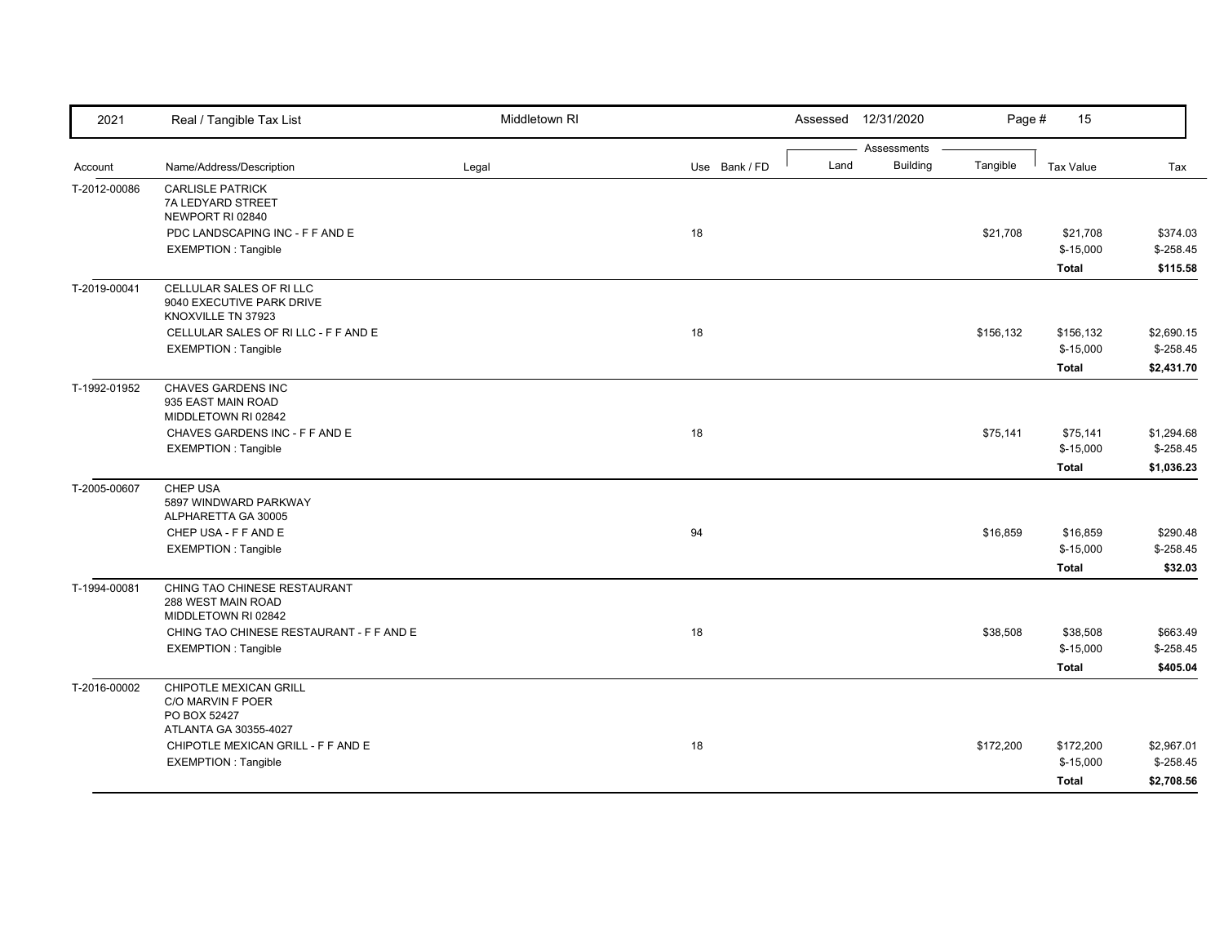| 2021         | Real / Tangible Tax List                                                                          | Middletown RI |               | Assessed 12/31/2020                    | Page #    | 15                                     |                                        |
|--------------|---------------------------------------------------------------------------------------------------|---------------|---------------|----------------------------------------|-----------|----------------------------------------|----------------------------------------|
| Account      | Name/Address/Description                                                                          | Legal         | Use Bank / FD | Assessments<br><b>Building</b><br>Land | Tangible  | <b>Tax Value</b>                       | Tax                                    |
| T-2012-00086 | <b>CARLISLE PATRICK</b><br>7A LEDYARD STREET<br>NEWPORT RI 02840                                  |               |               |                                        |           |                                        |                                        |
|              | PDC LANDSCAPING INC - F F AND E<br><b>EXEMPTION: Tangible</b>                                     |               | 18            |                                        | \$21,708  | \$21,708<br>$$-15,000$<br><b>Total</b> | \$374.03<br>$$-258.45$<br>\$115.58     |
| T-2019-00041 | CELLULAR SALES OF RILLC<br>9040 EXECUTIVE PARK DRIVE<br>KNOXVILLE TN 37923                        |               |               |                                        |           |                                        |                                        |
|              | CELLULAR SALES OF RILLC - F F AND E<br><b>EXEMPTION: Tangible</b>                                 |               | 18            |                                        | \$156,132 | \$156,132<br>$$-15,000$<br>Total       | \$2,690.15<br>$$-258.45$<br>\$2,431.70 |
| T-1992-01952 | CHAVES GARDENS INC<br>935 EAST MAIN ROAD<br>MIDDLETOWN RI 02842<br>CHAVES GARDENS INC - F F AND E |               | 18            |                                        | \$75,141  | \$75,141                               | \$1,294.68                             |
|              | <b>EXEMPTION: Tangible</b>                                                                        |               |               |                                        |           | $$-15,000$<br>Total                    | $$-258.45$<br>\$1,036.23               |
| T-2005-00607 | CHEP USA<br>5897 WINDWARD PARKWAY<br>ALPHARETTA GA 30005                                          |               |               |                                        |           |                                        |                                        |
|              | CHEP USA - F F AND E<br><b>EXEMPTION: Tangible</b>                                                |               | 94            |                                        | \$16,859  | \$16,859<br>$$-15,000$<br>Total        | \$290.48<br>$$-258.45$<br>\$32.03      |
| T-1994-00081 | CHING TAO CHINESE RESTAURANT<br>288 WEST MAIN ROAD<br>MIDDLETOWN RI 02842                         |               |               |                                        |           |                                        |                                        |
|              | CHING TAO CHINESE RESTAURANT - F F AND E<br><b>EXEMPTION: Tangible</b>                            |               | 18            |                                        | \$38,508  | \$38,508<br>$$-15,000$<br>Total        | \$663.49<br>$$-258.45$<br>\$405.04     |
| T-2016-00002 | <b>CHIPOTLE MEXICAN GRILL</b><br>C/O MARVIN F POER<br>PO BOX 52427                                |               |               |                                        |           |                                        |                                        |
|              | ATLANTA GA 30355-4027<br>CHIPOTLE MEXICAN GRILL - F F AND E<br><b>EXEMPTION: Tangible</b>         |               | 18            |                                        | \$172,200 | \$172,200<br>$$-15,000$<br>Total       | \$2,967.01<br>$$-258.45$<br>\$2,708.56 |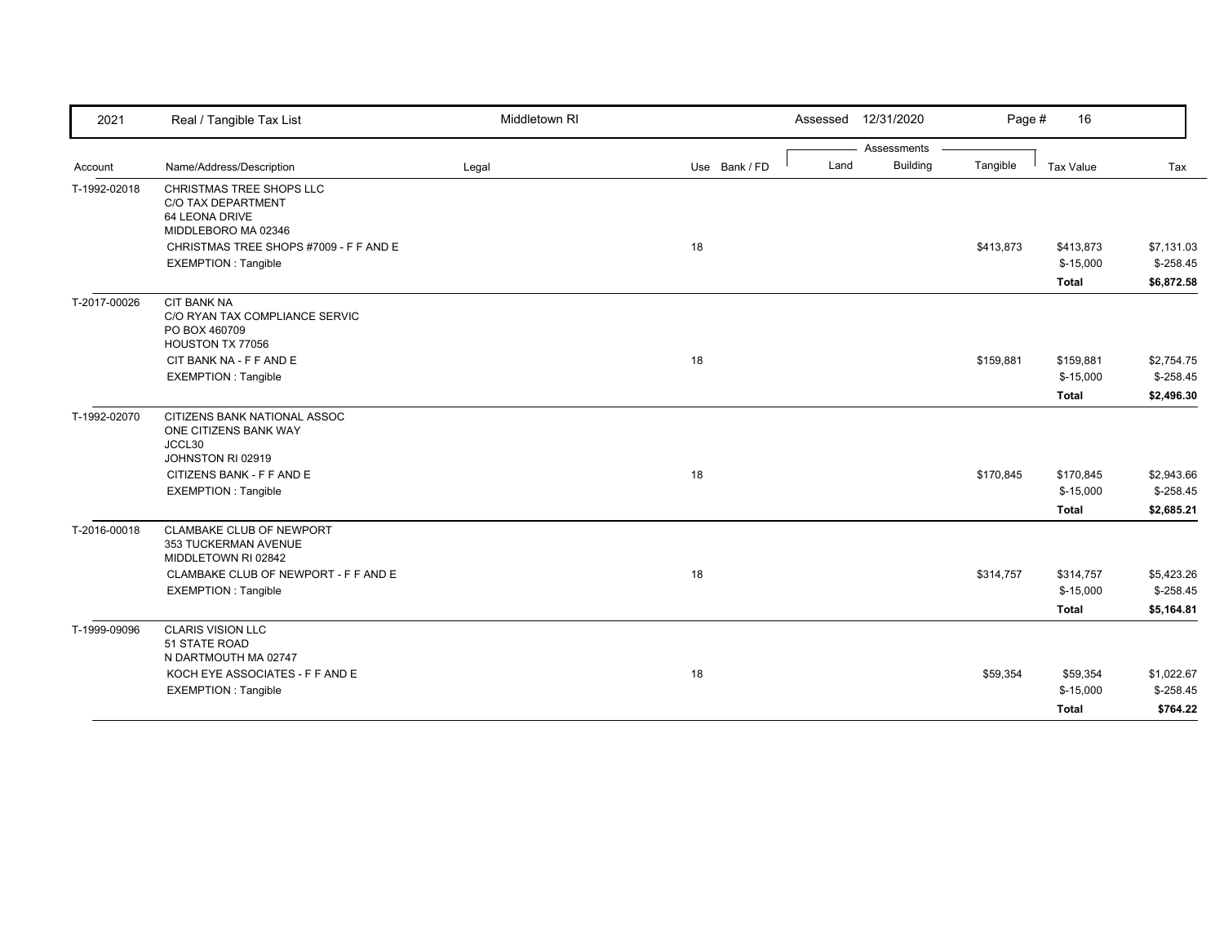| 2021         | Real / Tangible Tax List                              | Middletown RI |               |      | Assessed 12/31/2020 | Page #    | 16                      |                          |
|--------------|-------------------------------------------------------|---------------|---------------|------|---------------------|-----------|-------------------------|--------------------------|
|              |                                                       |               |               |      | Assessments         |           |                         |                          |
| Account      | Name/Address/Description                              | Legal         | Use Bank / FD | Land | <b>Building</b>     | Tangible  | Tax Value               | Tax                      |
| T-1992-02018 | <b>CHRISTMAS TREE SHOPS LLC</b><br>C/O TAX DEPARTMENT |               |               |      |                     |           |                         |                          |
|              | 64 LEONA DRIVE                                        |               |               |      |                     |           |                         |                          |
|              | MIDDLEBORO MA 02346                                   |               |               |      |                     |           |                         |                          |
|              | CHRISTMAS TREE SHOPS #7009 - F F AND E                |               | 18            |      |                     | \$413,873 | \$413,873               | \$7,131.03               |
|              | <b>EXEMPTION: Tangible</b>                            |               |               |      |                     |           | $$-15,000$              | $$-258.45$               |
|              |                                                       |               |               |      |                     |           | <b>Total</b>            | \$6,872.58               |
| T-2017-00026 | <b>CIT BANK NA</b>                                    |               |               |      |                     |           |                         |                          |
|              | C/O RYAN TAX COMPLIANCE SERVIC                        |               |               |      |                     |           |                         |                          |
|              | PO BOX 460709                                         |               |               |      |                     |           |                         |                          |
|              | HOUSTON TX 77056                                      |               | 18            |      |                     |           |                         |                          |
|              | CIT BANK NA - F F AND E<br><b>EXEMPTION: Tangible</b> |               |               |      |                     | \$159,881 | \$159,881<br>$$-15,000$ | \$2,754.75<br>$$-258.45$ |
|              |                                                       |               |               |      |                     |           |                         |                          |
|              |                                                       |               |               |      |                     |           | <b>Total</b>            | \$2,496.30               |
| T-1992-02070 | CITIZENS BANK NATIONAL ASSOC                          |               |               |      |                     |           |                         |                          |
|              | ONE CITIZENS BANK WAY                                 |               |               |      |                     |           |                         |                          |
|              | JCCL30<br>JOHNSTON RI 02919                           |               |               |      |                     |           |                         |                          |
|              | CITIZENS BANK - F F AND E                             |               | 18            |      |                     | \$170,845 | \$170,845               | \$2,943.66               |
|              | <b>EXEMPTION: Tangible</b>                            |               |               |      |                     |           | $$-15,000$              | $$-258.45$               |
|              |                                                       |               |               |      |                     |           | <b>Total</b>            | \$2,685.21               |
| T-2016-00018 | <b>CLAMBAKE CLUB OF NEWPORT</b>                       |               |               |      |                     |           |                         |                          |
|              | 353 TUCKERMAN AVENUE                                  |               |               |      |                     |           |                         |                          |
|              | MIDDLETOWN RI 02842                                   |               |               |      |                     |           |                         |                          |
|              | CLAMBAKE CLUB OF NEWPORT - F F AND E                  |               | 18            |      |                     | \$314,757 | \$314,757               | \$5,423.26               |
|              | <b>EXEMPTION: Tangible</b>                            |               |               |      |                     |           | $$-15,000$              | $$-258.45$               |
|              |                                                       |               |               |      |                     |           | <b>Total</b>            | \$5,164.81               |
| T-1999-09096 | <b>CLARIS VISION LLC</b>                              |               |               |      |                     |           |                         |                          |
|              | 51 STATE ROAD                                         |               |               |      |                     |           |                         |                          |
|              | N DARTMOUTH MA 02747                                  |               |               |      |                     |           |                         |                          |
|              | KOCH EYE ASSOCIATES - F F AND E                       |               | 18            |      |                     | \$59,354  | \$59,354                | \$1,022.67               |
|              | <b>EXEMPTION: Tangible</b>                            |               |               |      |                     |           | $$-15,000$              | $$-258.45$               |
|              |                                                       |               |               |      |                     |           | <b>Total</b>            | \$764.22                 |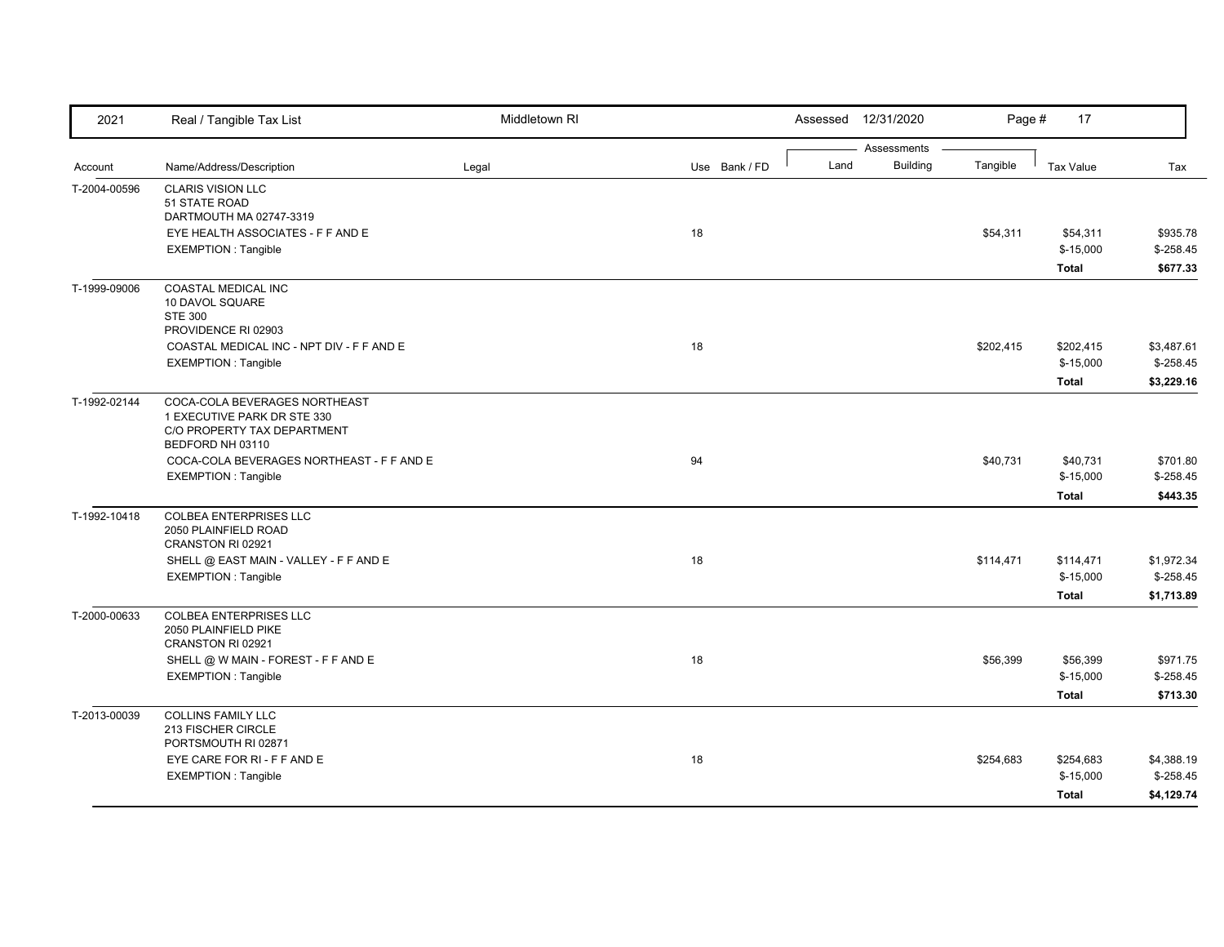| 2021         | Real / Tangible Tax List                                                                                        | Middletown RI |               |      | Assessed 12/31/2020            | Page #    | 17                                      |                                        |
|--------------|-----------------------------------------------------------------------------------------------------------------|---------------|---------------|------|--------------------------------|-----------|-----------------------------------------|----------------------------------------|
| Account      | Name/Address/Description                                                                                        | Legal         | Use Bank / FD | Land | Assessments<br><b>Building</b> | Tangible  | <b>Tax Value</b>                        | Tax                                    |
| T-2004-00596 | <b>CLARIS VISION LLC</b><br>51 STATE ROAD<br>DARTMOUTH MA 02747-3319                                            |               |               |      |                                |           |                                         |                                        |
|              | EYE HEALTH ASSOCIATES - F F AND E<br><b>EXEMPTION: Tangible</b>                                                 |               | 18            |      |                                | \$54,311  | \$54,311<br>$$-15,000$<br><b>Total</b>  | \$935.78<br>$$-258.45$<br>\$677.33     |
| T-1999-09006 | <b>COASTAL MEDICAL INC</b><br>10 DAVOL SQUARE<br><b>STE 300</b><br>PROVIDENCE RI 02903                          |               |               |      |                                |           |                                         |                                        |
|              | COASTAL MEDICAL INC - NPT DIV - F F AND E<br><b>EXEMPTION: Tangible</b>                                         |               | 18            |      |                                | \$202,415 | \$202,415<br>$$-15,000$<br><b>Total</b> | \$3,487.61<br>$$-258.45$<br>\$3,229.16 |
| T-1992-02144 | COCA-COLA BEVERAGES NORTHEAST<br>1 EXECUTIVE PARK DR STE 330<br>C/O PROPERTY TAX DEPARTMENT<br>BEDFORD NH 03110 |               |               |      |                                |           |                                         |                                        |
|              | COCA-COLA BEVERAGES NORTHEAST - F F AND E<br><b>EXEMPTION: Tangible</b>                                         |               | 94            |      |                                | \$40,731  | \$40,731<br>$$-15,000$<br><b>Total</b>  | \$701.80<br>$$-258.45$<br>\$443.35     |
| T-1992-10418 | <b>COLBEA ENTERPRISES LLC</b><br>2050 PLAINFIELD ROAD<br>CRANSTON RI 02921                                      |               |               |      |                                |           |                                         |                                        |
|              | SHELL @ EAST MAIN - VALLEY - F F AND E<br><b>EXEMPTION: Tangible</b>                                            |               | 18            |      |                                | \$114,471 | \$114,471<br>$$-15,000$<br><b>Total</b> | \$1,972.34<br>$$-258.45$<br>\$1,713.89 |
| T-2000-00633 | <b>COLBEA ENTERPRISES LLC</b><br>2050 PLAINFIELD PIKE<br>CRANSTON RI 02921                                      |               |               |      |                                |           |                                         |                                        |
|              | SHELL @ W MAIN - FOREST - F F AND E<br><b>EXEMPTION: Tangible</b>                                               |               | 18            |      |                                | \$56,399  | \$56,399<br>$$-15,000$<br><b>Total</b>  | \$971.75<br>$$-258.45$<br>\$713.30     |
| T-2013-00039 | <b>COLLINS FAMILY LLC</b><br>213 FISCHER CIRCLE<br>PORTSMOUTH RI 02871                                          |               |               |      |                                |           |                                         |                                        |
|              | EYE CARE FOR RI - F F AND E<br><b>EXEMPTION: Tangible</b>                                                       |               | 18            |      |                                | \$254,683 | \$254,683<br>$$-15,000$<br><b>Total</b> | \$4,388.19<br>$$-258.45$<br>\$4,129.74 |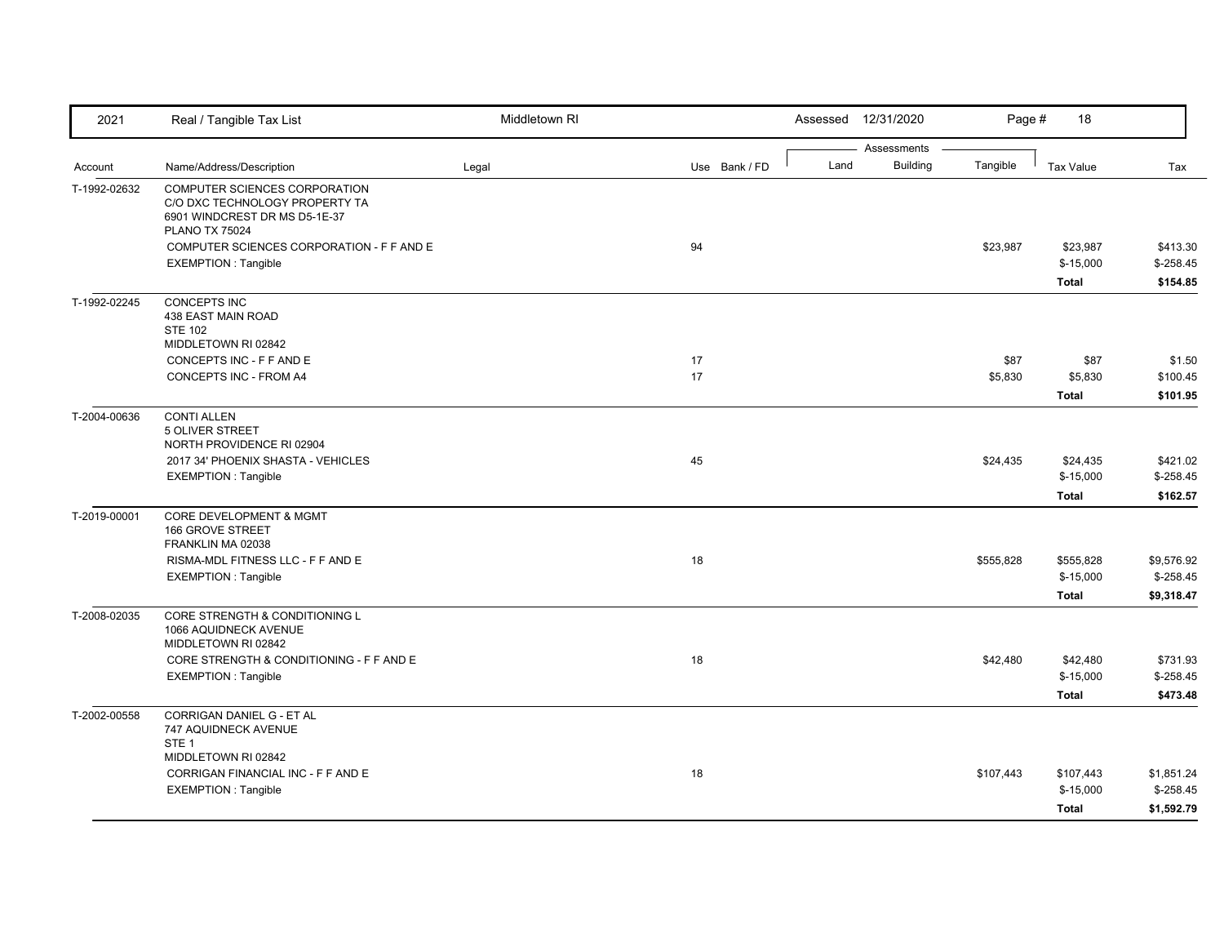| 2021         | Real / Tangible Tax List                                                                                                         | Middletown RI |               |      | Assessed 12/31/2020            | Page #          | 18                                      |                                        |
|--------------|----------------------------------------------------------------------------------------------------------------------------------|---------------|---------------|------|--------------------------------|-----------------|-----------------------------------------|----------------------------------------|
| Account      | Name/Address/Description                                                                                                         | Legal         | Use Bank / FD | Land | Assessments<br><b>Building</b> | Tangible        | <b>Tax Value</b>                        | Tax                                    |
| T-1992-02632 | <b>COMPUTER SCIENCES CORPORATION</b><br>C/O DXC TECHNOLOGY PROPERTY TA<br>6901 WINDCREST DR MS D5-1E-37<br><b>PLANO TX 75024</b> |               |               |      |                                |                 |                                         |                                        |
|              | COMPUTER SCIENCES CORPORATION - F F AND E<br><b>EXEMPTION: Tangible</b>                                                          |               | 94            |      |                                | \$23,987        | \$23,987<br>$$-15,000$<br><b>Total</b>  | \$413.30<br>$$-258.45$<br>\$154.85     |
| T-1992-02245 | CONCEPTS INC<br>438 EAST MAIN ROAD<br><b>STE 102</b><br>MIDDLETOWN RI 02842                                                      |               |               |      |                                |                 |                                         |                                        |
|              | CONCEPTS INC - F F AND E<br>CONCEPTS INC - FROM A4                                                                               |               | 17<br>17      |      |                                | \$87<br>\$5,830 | \$87<br>\$5,830<br><b>Total</b>         | \$1.50<br>\$100.45<br>\$101.95         |
| T-2004-00636 | <b>CONTI ALLEN</b><br>5 OLIVER STREET<br>NORTH PROVIDENCE RI 02904                                                               |               |               |      |                                |                 |                                         |                                        |
|              | 2017 34' PHOENIX SHASTA - VEHICLES<br><b>EXEMPTION: Tangible</b>                                                                 |               | 45            |      |                                | \$24,435        | \$24,435<br>$$-15,000$<br><b>Total</b>  | \$421.02<br>$$-258.45$<br>\$162.57     |
| T-2019-00001 | CORE DEVELOPMENT & MGMT<br>166 GROVE STREET<br>FRANKLIN MA 02038                                                                 |               |               |      |                                |                 |                                         |                                        |
|              | RISMA-MDL FITNESS LLC - F F AND E<br><b>EXEMPTION: Tangible</b>                                                                  |               | 18            |      |                                | \$555,828       | \$555.828<br>$$-15,000$<br><b>Total</b> | \$9,576.92<br>$$-258.45$<br>\$9,318.47 |
| T-2008-02035 | CORE STRENGTH & CONDITIONING L<br>1066 AQUIDNECK AVENUE<br>MIDDLETOWN RI 02842                                                   |               |               |      |                                |                 |                                         |                                        |
|              | CORE STRENGTH & CONDITIONING - F F AND E<br><b>EXEMPTION: Tangible</b>                                                           |               | 18            |      |                                | \$42,480        | \$42,480<br>$$-15,000$<br><b>Total</b>  | \$731.93<br>$$-258.45$<br>\$473.48     |
| T-2002-00558 | <b>CORRIGAN DANIEL G - ET AL</b><br>747 AQUIDNECK AVENUE<br>STE <sub>1</sub>                                                     |               |               |      |                                |                 |                                         |                                        |
|              | MIDDLETOWN RI 02842<br>CORRIGAN FINANCIAL INC - F F AND E<br><b>EXEMPTION: Tangible</b>                                          |               | 18            |      |                                | \$107,443       | \$107,443<br>$$-15,000$                 | \$1,851.24<br>$$-258.45$               |
|              |                                                                                                                                  |               |               |      |                                |                 | <b>Total</b>                            | \$1,592.79                             |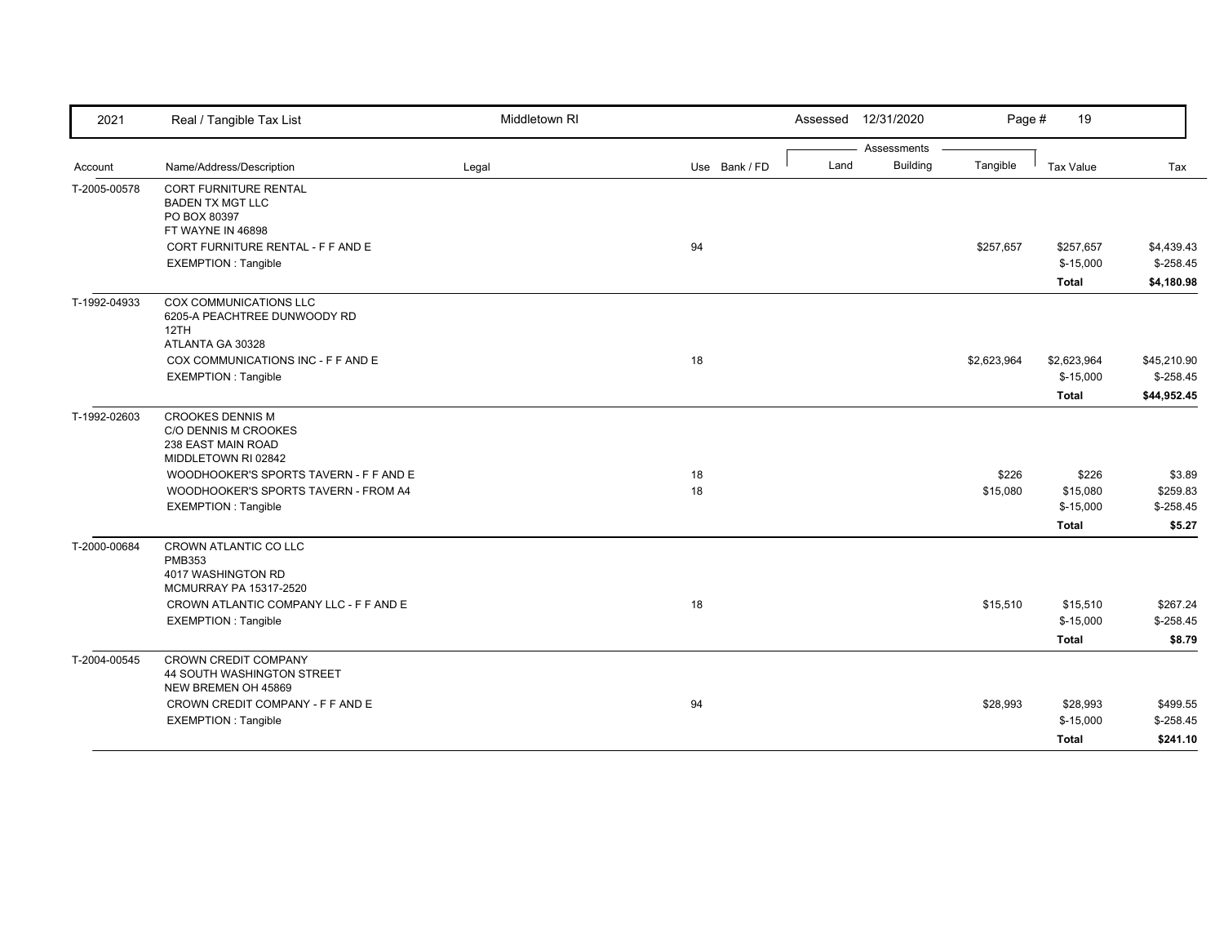| 2021         | Real / Tangible Tax List                                                                     | Middletown RI |               | Assessed | 12/31/2020      | Page #      | 19               |             |
|--------------|----------------------------------------------------------------------------------------------|---------------|---------------|----------|-----------------|-------------|------------------|-------------|
|              |                                                                                              |               |               |          | Assessments     |             |                  |             |
| Account      | Name/Address/Description                                                                     | Legal         | Use Bank / FD | Land     | <b>Building</b> | Tangible    | <b>Tax Value</b> | Tax         |
| T-2005-00578 | CORT FURNITURE RENTAL<br><b>BADEN TX MGT LLC</b><br>PO BOX 80397<br>FT WAYNE IN 46898        |               |               |          |                 |             |                  |             |
|              | CORT FURNITURE RENTAL - F F AND E                                                            |               | 94            |          |                 | \$257,657   | \$257,657        | \$4,439.43  |
|              | EXEMPTION: Tangible                                                                          |               |               |          |                 |             | $$-15,000$       | $$-258.45$  |
|              |                                                                                              |               |               |          |                 |             | <b>Total</b>     | \$4,180.98  |
| T-1992-04933 | <b>COX COMMUNICATIONS LLC</b><br>6205-A PEACHTREE DUNWOODY RD<br>12TH<br>ATLANTA GA 30328    |               |               |          |                 |             |                  |             |
|              | COX COMMUNICATIONS INC - F F AND E                                                           |               | 18            |          |                 | \$2,623,964 | \$2,623,964      | \$45,210.90 |
|              | <b>EXEMPTION: Tangible</b>                                                                   |               |               |          |                 |             | $$-15,000$       | $$-258.45$  |
|              |                                                                                              |               |               |          |                 |             | <b>Total</b>     | \$44,952.45 |
| T-1992-02603 | <b>CROOKES DENNIS M</b><br>C/O DENNIS M CROOKES<br>238 EAST MAIN ROAD<br>MIDDLETOWN RI 02842 |               |               |          |                 |             |                  |             |
|              | WOODHOOKER'S SPORTS TAVERN - F F AND E                                                       |               | 18            |          |                 | \$226       | \$226            | \$3.89      |
|              | WOODHOOKER'S SPORTS TAVERN - FROM A4                                                         |               | 18            |          |                 | \$15,080    | \$15,080         | \$259.83    |
|              | <b>EXEMPTION: Tangible</b>                                                                   |               |               |          |                 |             | $$-15,000$       | $$ -258.45$ |
|              |                                                                                              |               |               |          |                 |             | <b>Total</b>     | \$5.27      |
| T-2000-00684 | CROWN ATLANTIC CO LLC<br><b>PMB353</b><br>4017 WASHINGTON RD<br>MCMURRAY PA 15317-2520       |               |               |          |                 |             |                  |             |
|              | CROWN ATLANTIC COMPANY LLC - F F AND E                                                       |               | 18            |          |                 | \$15,510    | \$15,510         | \$267.24    |
|              | <b>EXEMPTION: Tangible</b>                                                                   |               |               |          |                 |             | $$-15,000$       | $$-258.45$  |
|              |                                                                                              |               |               |          |                 |             | <b>Total</b>     | \$8.79      |
| T-2004-00545 | <b>CROWN CREDIT COMPANY</b><br>44 SOUTH WASHINGTON STREET<br>NEW BREMEN OH 45869             |               |               |          |                 |             |                  |             |
|              | CROWN CREDIT COMPANY - F F AND E                                                             |               | 94            |          |                 | \$28,993    | \$28,993         | \$499.55    |
|              | <b>EXEMPTION: Tangible</b>                                                                   |               |               |          |                 |             | $$-15,000$       | $$-258.45$  |
|              |                                                                                              |               |               |          |                 |             | <b>Total</b>     | \$241.10    |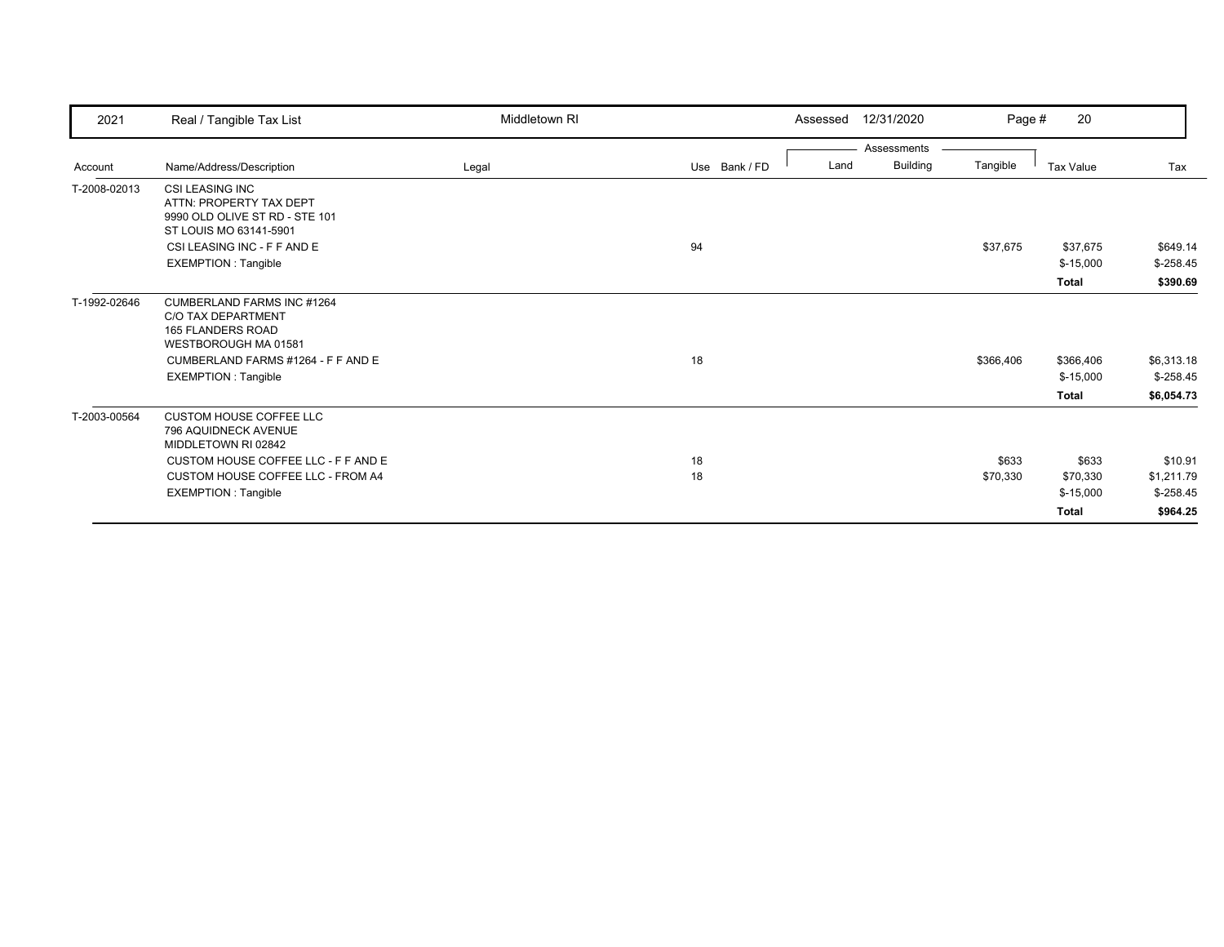| 2021         | Real / Tangible Tax List                                                                                                                                                         | Middletown RI |               | Assessed | 12/31/2020      | Page #    | 20                                      |                                        |
|--------------|----------------------------------------------------------------------------------------------------------------------------------------------------------------------------------|---------------|---------------|----------|-----------------|-----------|-----------------------------------------|----------------------------------------|
|              |                                                                                                                                                                                  |               |               |          | Assessments     |           |                                         |                                        |
| Account      | Name/Address/Description                                                                                                                                                         | Legal         | Use Bank / FD | Land     | <b>Building</b> | Tangible  | Tax Value                               | Tax                                    |
| T-2008-02013 | <b>CSI LEASING INC</b><br>ATTN: PROPERTY TAX DEPT<br>9990 OLD OLIVE ST RD - STE 101<br>ST LOUIS MO 63141-5901                                                                    |               |               |          |                 |           |                                         |                                        |
|              | CSI LEASING INC - F F AND E                                                                                                                                                      |               | 94            |          |                 | \$37,675  | \$37,675                                | \$649.14                               |
|              | <b>EXEMPTION: Tangible</b>                                                                                                                                                       |               |               |          |                 |           | $$-15,000$                              | $$-258.45$                             |
|              |                                                                                                                                                                                  |               |               |          |                 |           | <b>Total</b>                            | \$390.69                               |
| T-1992-02646 | <b>CUMBERLAND FARMS INC #1264</b><br><b>C/O TAX DEPARTMENT</b><br><b>165 FLANDERS ROAD</b><br>WESTBOROUGH MA 01581<br>CUMBERLAND FARMS #1264 - F F AND E<br>EXEMPTION : Tangible |               | 18            |          |                 | \$366,406 | \$366,406<br>$$-15,000$<br><b>Total</b> | \$6,313.18<br>$$-258.45$<br>\$6,054.73 |
| T-2003-00564 | <b>CUSTOM HOUSE COFFEE LLC</b><br>796 AQUIDNECK AVENUE<br>MIDDLETOWN RI 02842                                                                                                    |               |               |          |                 |           |                                         |                                        |
|              | CUSTOM HOUSE COFFEE LLC - F F AND E                                                                                                                                              |               | 18            |          |                 | \$633     | \$633                                   | \$10.91                                |
|              | CUSTOM HOUSE COFFEE LLC - FROM A4                                                                                                                                                |               | 18            |          |                 | \$70,330  | \$70,330                                | \$1,211.79                             |
|              | <b>EXEMPTION: Tangible</b>                                                                                                                                                       |               |               |          |                 |           | $$-15,000$                              | $$-258.45$                             |
|              |                                                                                                                                                                                  |               |               |          |                 |           | <b>Total</b>                            | \$964.25                               |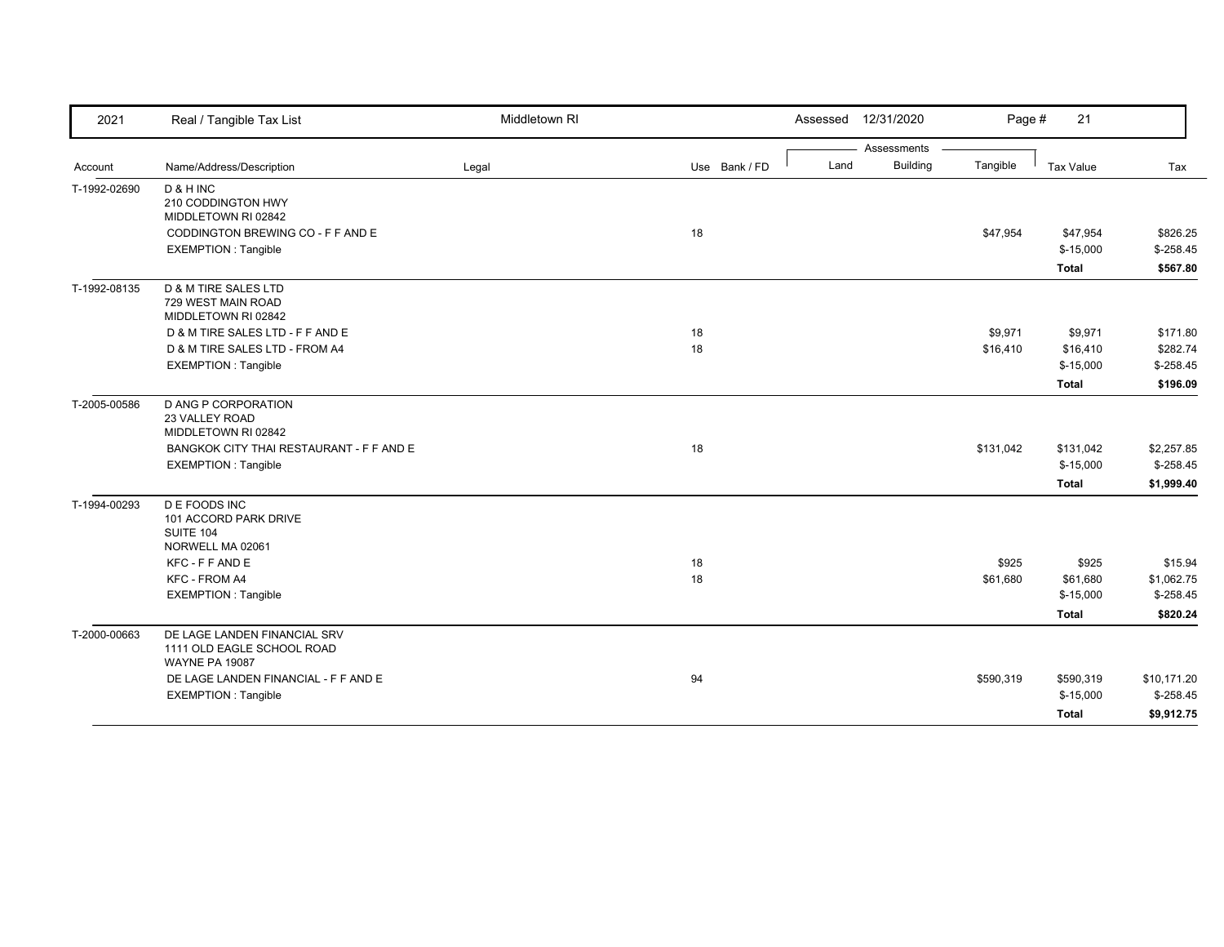| 2021                         | Real / Tangible Tax List                                                            | Middletown RI |               | Assessed | 12/31/2020      | Page #    | 21           |             |
|------------------------------|-------------------------------------------------------------------------------------|---------------|---------------|----------|-----------------|-----------|--------------|-------------|
|                              |                                                                                     |               |               |          | Assessments     |           |              |             |
| Account                      | Name/Address/Description                                                            | Legal         | Use Bank / FD | Land     | <b>Building</b> | Tangible  | Tax Value    | Tax         |
| T-1992-02690                 | D & H INC<br>210 CODDINGTON HWY<br>MIDDLETOWN RI 02842                              |               |               |          |                 |           |              |             |
|                              | CODDINGTON BREWING CO - F F AND E                                                   |               | 18            |          |                 | \$47,954  | \$47,954     | \$826.25    |
|                              | <b>EXEMPTION: Tangible</b>                                                          |               |               |          |                 |           | $$-15,000$   | $$-258.45$  |
|                              |                                                                                     |               |               |          |                 |           | Total        | \$567.80    |
| T-1992-08135<br>T-2005-00586 | D & M TIRE SALES LTD<br>729 WEST MAIN ROAD<br>MIDDLETOWN RI 02842                   |               |               |          |                 |           |              |             |
|                              | D & M TIRE SALES LTD - F F AND E                                                    |               | 18            |          |                 | \$9,971   | \$9,971      | \$171.80    |
|                              | D & M TIRE SALES LTD - FROM A4                                                      |               | 18            |          |                 | \$16,410  | \$16,410     | \$282.74    |
|                              | <b>EXEMPTION: Tangible</b>                                                          |               |               |          |                 |           | $$-15,000$   | $$-258.45$  |
|                              |                                                                                     |               |               |          |                 |           | <b>Total</b> | \$196.09    |
|                              | D ANG P CORPORATION<br>23 VALLEY ROAD<br>MIDDLETOWN RI 02842                        |               |               |          |                 |           |              |             |
|                              | BANGKOK CITY THAI RESTAURANT - F F AND E                                            |               | 18            |          |                 | \$131,042 | \$131,042    | \$2,257.85  |
|                              | <b>EXEMPTION: Tangible</b>                                                          |               |               |          |                 |           | $$-15,000$   | $$-258.45$  |
|                              |                                                                                     |               |               |          |                 |           | Total        | \$1,999.40  |
| T-1994-00293                 | <b>DE FOODS INC</b><br>101 ACCORD PARK DRIVE<br>SUITE 104<br>NORWELL MA 02061       |               |               |          |                 |           |              |             |
|                              | KFC - F F AND E                                                                     |               | 18            |          |                 | \$925     | \$925        | \$15.94     |
|                              | KFC - FROM A4                                                                       |               | 18            |          |                 | \$61,680  | \$61,680     | \$1,062.75  |
|                              | <b>EXEMPTION: Tangible</b>                                                          |               |               |          |                 |           | $$-15,000$   | $$-258.45$  |
|                              |                                                                                     |               |               |          |                 |           | Total        | \$820.24    |
| T-2000-00663                 | DE LAGE LANDEN FINANCIAL SRV<br>1111 OLD EAGLE SCHOOL ROAD<br><b>WAYNE PA 19087</b> |               |               |          |                 |           |              |             |
|                              | DE LAGE LANDEN FINANCIAL - F F AND E                                                |               | 94            |          |                 | \$590,319 | \$590,319    | \$10,171.20 |
|                              | <b>EXEMPTION: Tangible</b>                                                          |               |               |          |                 |           | $$-15,000$   | $$-258.45$  |
|                              |                                                                                     |               |               |          |                 |           | Total        | \$9,912.75  |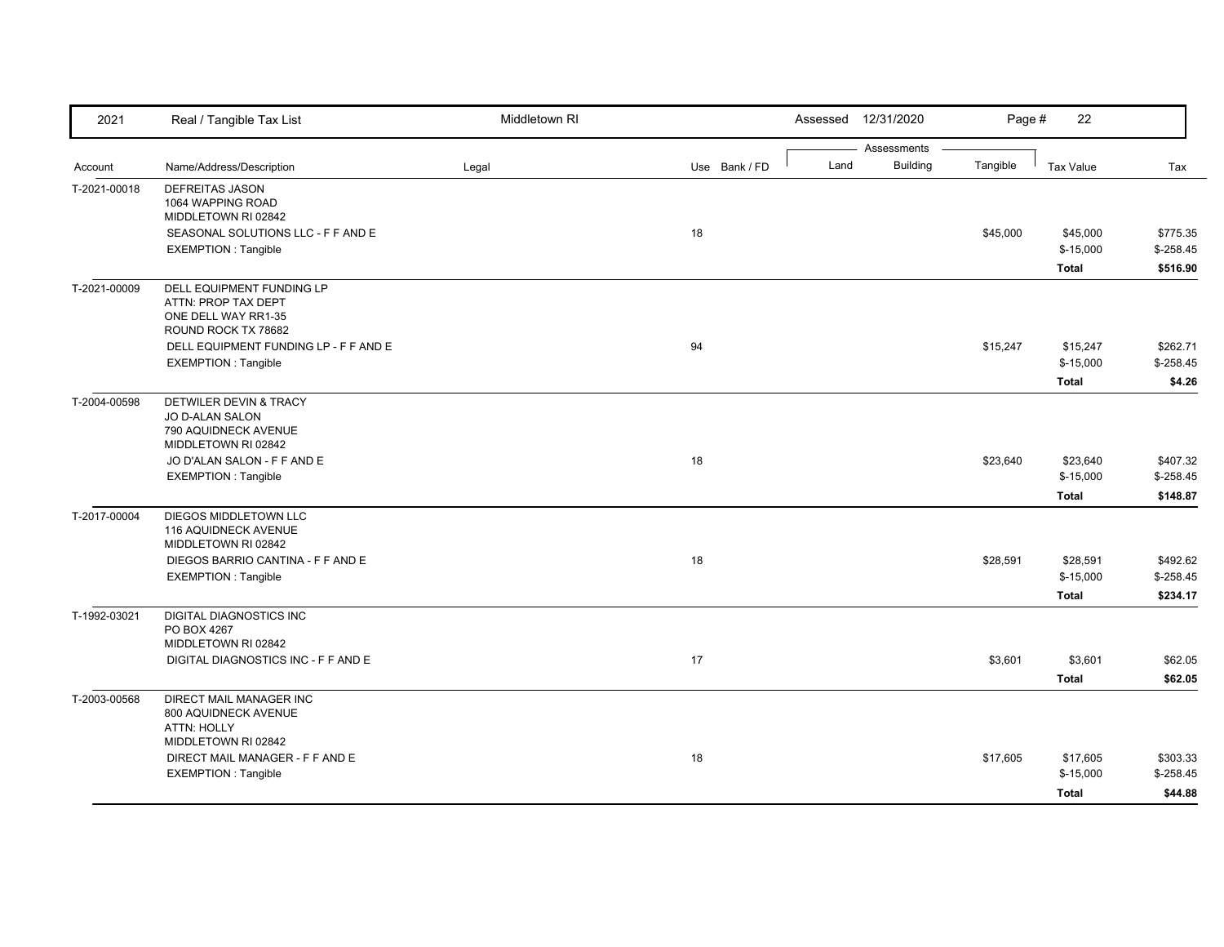| 2021         | Real / Tangible Tax List                    | Middletown RI |               |      | Assessed 12/31/2020 | Page #   | 22               |            |
|--------------|---------------------------------------------|---------------|---------------|------|---------------------|----------|------------------|------------|
|              |                                             |               |               |      | Assessments         |          |                  |            |
| Account      | Name/Address/Description                    | Legal         | Use Bank / FD | Land | <b>Building</b>     | Tangible | <b>Tax Value</b> | Tax        |
| T-2021-00018 | DEFREITAS JASON                             |               |               |      |                     |          |                  |            |
|              | 1064 WAPPING ROAD                           |               |               |      |                     |          |                  |            |
|              | MIDDLETOWN RI 02842                         |               |               |      |                     |          |                  |            |
|              | SEASONAL SOLUTIONS LLC - F F AND E          |               | 18            |      |                     | \$45,000 | \$45,000         | \$775.35   |
|              | <b>EXEMPTION: Tangible</b>                  |               |               |      |                     |          | $$-15,000$       | $$-258.45$ |
|              |                                             |               |               |      |                     |          | <b>Total</b>     | \$516.90   |
| T-2021-00009 | DELL EQUIPMENT FUNDING LP                   |               |               |      |                     |          |                  |            |
|              | ATTN: PROP TAX DEPT                         |               |               |      |                     |          |                  |            |
|              | ONE DELL WAY RR1-35                         |               |               |      |                     |          |                  |            |
|              | ROUND ROCK TX 78682                         |               |               |      |                     |          |                  |            |
|              | DELL EQUIPMENT FUNDING LP - F F AND E       |               | 94            |      |                     | \$15,247 | \$15,247         | \$262.71   |
|              | <b>EXEMPTION: Tangible</b>                  |               |               |      |                     |          | $$-15,000$       | $$-258.45$ |
|              |                                             |               |               |      |                     |          | <b>Total</b>     | \$4.26     |
| T-2004-00598 | <b>DETWILER DEVIN &amp; TRACY</b>           |               |               |      |                     |          |                  |            |
|              | <b>JO D-ALAN SALON</b>                      |               |               |      |                     |          |                  |            |
|              | 790 AQUIDNECK AVENUE<br>MIDDLETOWN RI 02842 |               |               |      |                     |          |                  |            |
|              | JO D'ALAN SALON - F F AND E                 |               | 18            |      |                     | \$23,640 | \$23,640         | \$407.32   |
|              | <b>EXEMPTION: Tangible</b>                  |               |               |      |                     |          | $$-15,000$       | $$-258.45$ |
|              |                                             |               |               |      |                     |          |                  |            |
|              |                                             |               |               |      |                     |          | <b>Total</b>     | \$148.87   |
| T-2017-00004 | DIEGOS MIDDLETOWN LLC                       |               |               |      |                     |          |                  |            |
|              | 116 AQUIDNECK AVENUE                        |               |               |      |                     |          |                  |            |
|              | MIDDLETOWN RI 02842                         |               |               |      |                     |          |                  |            |
|              | DIEGOS BARRIO CANTINA - F F AND E           |               | 18            |      |                     | \$28,591 | \$28,591         | \$492.62   |
|              | <b>EXEMPTION: Tangible</b>                  |               |               |      |                     |          | $$-15,000$       | $$-258.45$ |
|              |                                             |               |               |      |                     |          | <b>Total</b>     | \$234.17   |
| T-1992-03021 | DIGITAL DIAGNOSTICS INC                     |               |               |      |                     |          |                  |            |
|              | PO BOX 4267                                 |               |               |      |                     |          |                  |            |
|              | MIDDLETOWN RI 02842                         |               |               |      |                     |          |                  |            |
|              | DIGITAL DIAGNOSTICS INC - F F AND E         |               | 17            |      |                     | \$3,601  | \$3,601          | \$62.05    |
|              |                                             |               |               |      |                     |          | <b>Total</b>     | \$62.05    |
| T-2003-00568 | <b>DIRECT MAIL MANAGER INC</b>              |               |               |      |                     |          |                  |            |
|              | 800 AQUIDNECK AVENUE                        |               |               |      |                     |          |                  |            |
|              | <b>ATTN: HOLLY</b>                          |               |               |      |                     |          |                  |            |
|              | MIDDLETOWN RI 02842                         |               |               |      |                     |          |                  |            |
|              | DIRECT MAIL MANAGER - F F AND E             |               | 18            |      |                     | \$17,605 | \$17,605         | \$303.33   |
|              | <b>EXEMPTION: Tangible</b>                  |               |               |      |                     |          | $$-15,000$       | $$-258.45$ |
|              |                                             |               |               |      |                     |          | <b>Total</b>     | \$44.88    |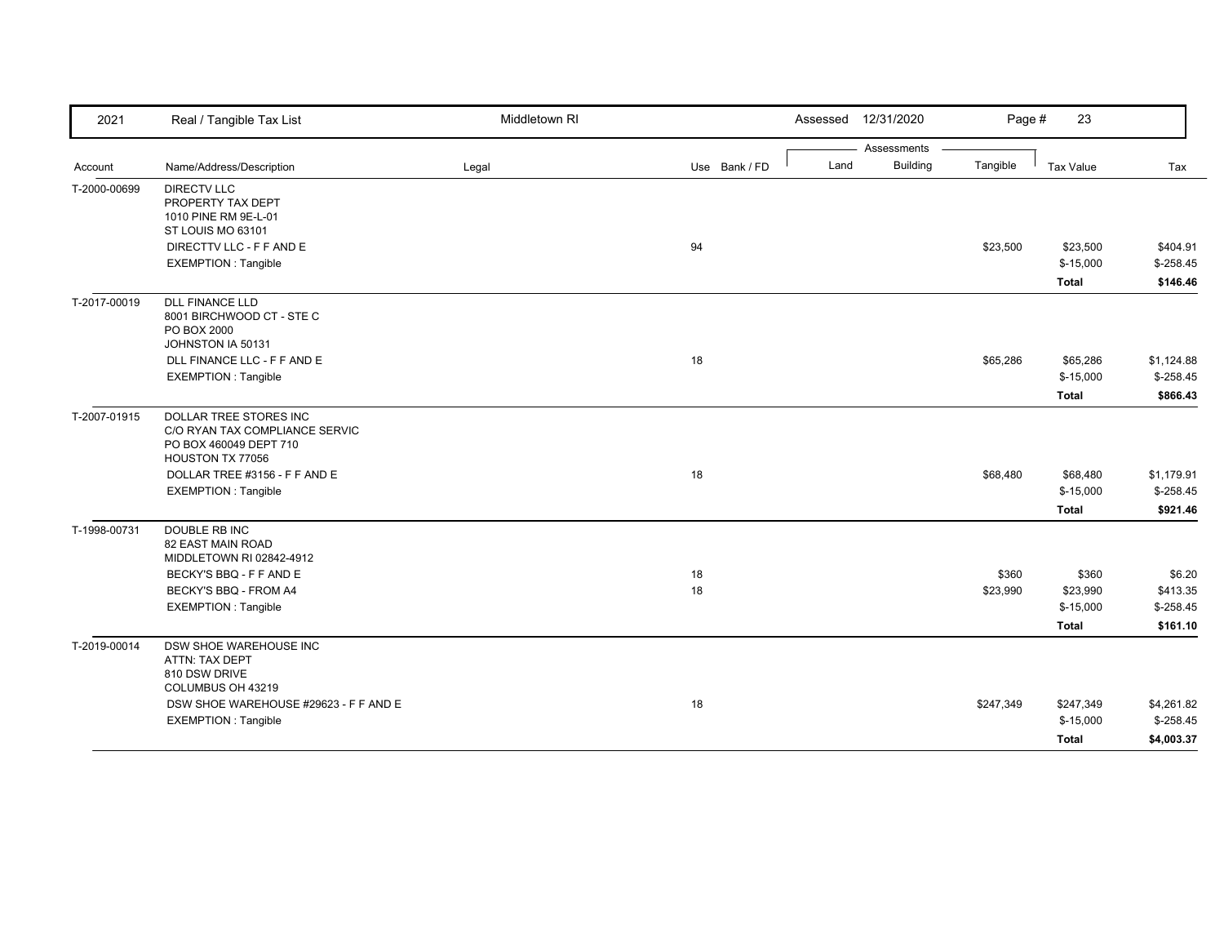| 2021         | Real / Tangible Tax List                                                                               | Middletown RI |               | 12/31/2020<br>Assessed  | Page #    | 23           |            |
|--------------|--------------------------------------------------------------------------------------------------------|---------------|---------------|-------------------------|-----------|--------------|------------|
|              |                                                                                                        |               |               | Assessments             |           |              |            |
| Account      | Name/Address/Description                                                                               | Legal         | Use Bank / FD | <b>Building</b><br>Land | Tangible  | Tax Value    | Tax        |
| T-2000-00699 | <b>DIRECTV LLC</b><br>PROPERTY TAX DEPT<br>1010 PINE RM 9E-L-01<br>ST LOUIS MO 63101                   |               |               |                         |           |              |            |
|              | DIRECTTV LLC - F F AND E                                                                               |               | 94            |                         | \$23,500  | \$23,500     | \$404.91   |
|              | <b>EXEMPTION: Tangible</b>                                                                             |               |               |                         |           | $$-15,000$   | $$-258.45$ |
|              |                                                                                                        |               |               |                         |           | <b>Total</b> | \$146.46   |
| T-2017-00019 | <b>DLL FINANCE LLD</b><br>8001 BIRCHWOOD CT - STE C<br>PO BOX 2000<br>JOHNSTON IA 50131                |               |               |                         |           |              |            |
|              | DLL FINANCE LLC - F F AND E                                                                            |               | 18            |                         | \$65,286  | \$65,286     | \$1,124.88 |
|              | <b>EXEMPTION: Tangible</b>                                                                             |               |               |                         |           | $$-15,000$   | $$-258.45$ |
|              |                                                                                                        |               |               |                         |           | <b>Total</b> | \$866.43   |
| T-2007-01915 | DOLLAR TREE STORES INC<br>C/O RYAN TAX COMPLIANCE SERVIC<br>PO BOX 460049 DEPT 710<br>HOUSTON TX 77056 |               |               |                         |           |              |            |
|              | DOLLAR TREE #3156 - F F AND E                                                                          |               | 18            |                         | \$68,480  | \$68,480     | \$1,179.91 |
|              | <b>EXEMPTION: Tangible</b>                                                                             |               |               |                         |           | $$-15,000$   | $$-258.45$ |
|              |                                                                                                        |               |               |                         |           | <b>Total</b> | \$921.46   |
| T-1998-00731 | DOUBLE RB INC<br>82 EAST MAIN ROAD<br>MIDDLETOWN RI 02842-4912                                         |               |               |                         |           |              |            |
|              | BECKY'S BBQ - F F AND E                                                                                |               | 18            |                         | \$360     | \$360        | \$6.20     |
|              | BECKY'S BBQ - FROM A4                                                                                  |               | 18            |                         | \$23,990  | \$23,990     | \$413.35   |
|              | <b>EXEMPTION: Tangible</b>                                                                             |               |               |                         |           | $$-15,000$   | $$-258.45$ |
|              |                                                                                                        |               |               |                         |           | <b>Total</b> | \$161.10   |
| T-2019-00014 | DSW SHOE WAREHOUSE INC<br>ATTN: TAX DEPT<br>810 DSW DRIVE<br>COLUMBUS OH 43219                         |               |               |                         |           |              |            |
|              | DSW SHOE WAREHOUSE #29623 - F F AND E                                                                  |               | 18            |                         | \$247,349 | \$247,349    | \$4,261.82 |
|              | <b>EXEMPTION: Tangible</b>                                                                             |               |               |                         |           | $$-15,000$   | $$-258.45$ |
|              |                                                                                                        |               |               |                         |           | <b>Total</b> | \$4,003.37 |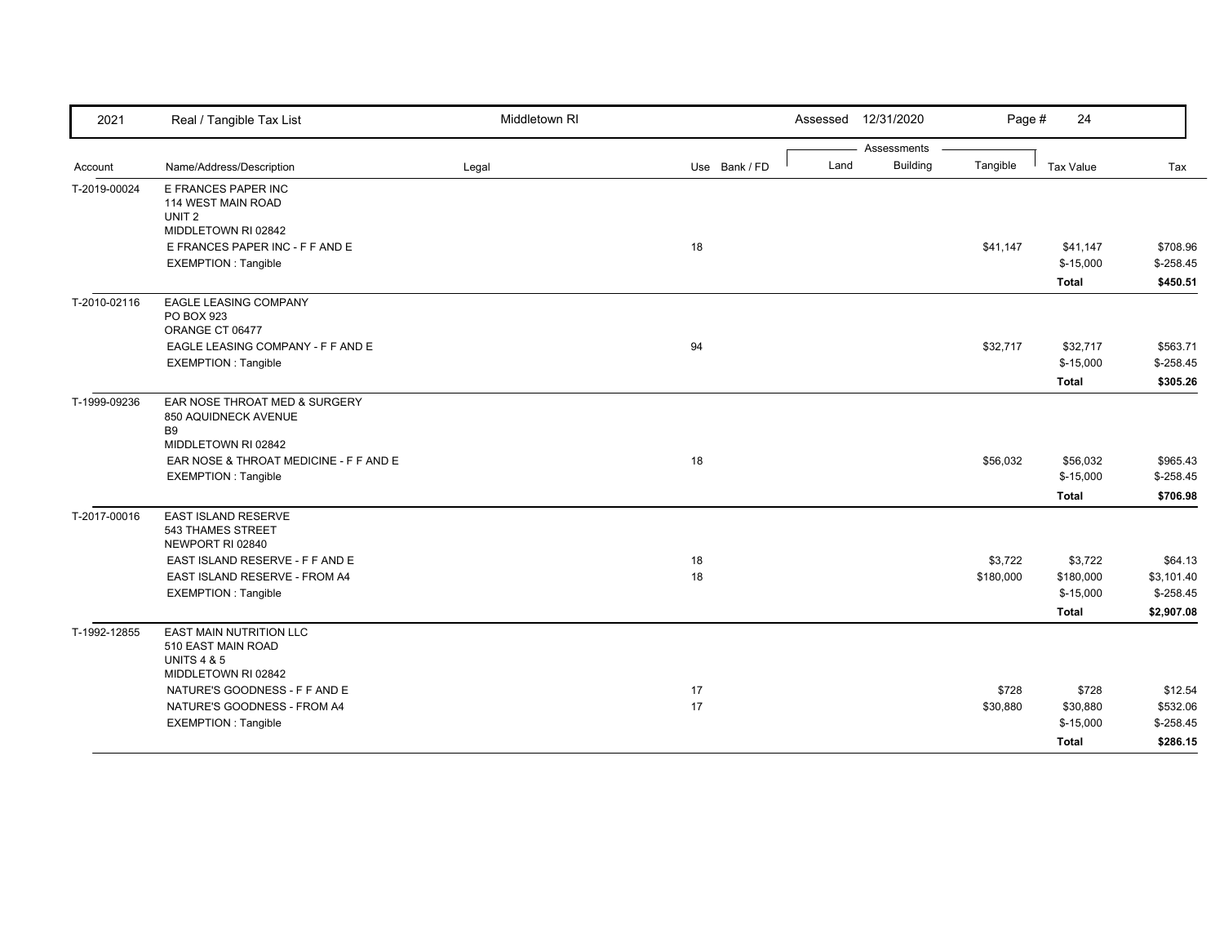| 2021         | Real / Tangible Tax List                                                                       | Middletown RI |               | Assessed 12/31/2020 |                 | Page #    | 24                         |                        |
|--------------|------------------------------------------------------------------------------------------------|---------------|---------------|---------------------|-----------------|-----------|----------------------------|------------------------|
|              |                                                                                                |               |               |                     | Assessments     |           |                            |                        |
| Account      | Name/Address/Description                                                                       | Legal         | Use Bank / FD | Land                | <b>Building</b> | Tangible  | Tax Value                  | Tax                    |
| T-2019-00024 | E FRANCES PAPER INC<br>114 WEST MAIN ROAD<br>UNIT <sub>2</sub><br>MIDDLETOWN RI 02842          |               |               |                     |                 |           |                            |                        |
|              | E FRANCES PAPER INC - F F AND E                                                                |               | 18            |                     |                 | \$41,147  | \$41,147                   | \$708.96               |
|              | <b>EXEMPTION: Tangible</b>                                                                     |               |               |                     |                 |           | $$-15,000$<br><b>Total</b> | $$-258.45$<br>\$450.51 |
| T-2010-02116 | <b>EAGLE LEASING COMPANY</b><br>PO BOX 923<br>ORANGE CT 06477                                  |               |               |                     |                 |           |                            |                        |
|              | EAGLE LEASING COMPANY - F F AND E                                                              |               | 94            |                     |                 | \$32,717  | \$32,717                   | \$563.71               |
|              | <b>EXEMPTION: Tangible</b>                                                                     |               |               |                     |                 |           | $$-15,000$                 | $$-258.45$             |
|              |                                                                                                |               |               |                     |                 |           | <b>Total</b>               | \$305.26               |
| T-1999-09236 | EAR NOSE THROAT MED & SURGERY<br>850 AQUIDNECK AVENUE<br><b>B9</b>                             |               |               |                     |                 |           |                            |                        |
|              | MIDDLETOWN RI 02842<br>EAR NOSE & THROAT MEDICINE - F F AND E                                  |               | 18            |                     |                 | \$56,032  | \$56,032                   | \$965.43               |
|              | <b>EXEMPTION: Tangible</b>                                                                     |               |               |                     |                 |           | $$-15,000$                 | $$-258.45$             |
|              |                                                                                                |               |               |                     |                 |           | <b>Total</b>               | \$706.98               |
| T-2017-00016 | <b>EAST ISLAND RESERVE</b><br>543 THAMES STREET<br>NEWPORT RI 02840                            |               |               |                     |                 |           |                            |                        |
|              | EAST ISLAND RESERVE - F F AND E                                                                |               | 18            |                     |                 | \$3,722   | \$3,722                    | \$64.13                |
|              | EAST ISLAND RESERVE - FROM A4                                                                  |               | 18            |                     |                 | \$180,000 | \$180,000                  | \$3,101.40             |
|              | <b>EXEMPTION: Tangible</b>                                                                     |               |               |                     |                 |           | $$-15,000$                 | $$-258.45$             |
|              |                                                                                                |               |               |                     |                 |           | <b>Total</b>               | \$2,907.08             |
| T-1992-12855 | EAST MAIN NUTRITION LLC<br>510 EAST MAIN ROAD<br><b>UNITS 4 &amp; 5</b><br>MIDDLETOWN RI 02842 |               |               |                     |                 |           |                            |                        |
|              | NATURE'S GOODNESS - F F AND E                                                                  |               | 17            |                     |                 | \$728     | \$728                      | \$12.54                |
|              | NATURE'S GOODNESS - FROM A4                                                                    |               | 17            |                     |                 | \$30,880  | \$30,880                   | \$532.06               |
|              | <b>EXEMPTION: Tangible</b>                                                                     |               |               |                     |                 |           | $$-15,000$                 | $$-258.45$             |
|              |                                                                                                |               |               |                     |                 |           | <b>Total</b>               | \$286.15               |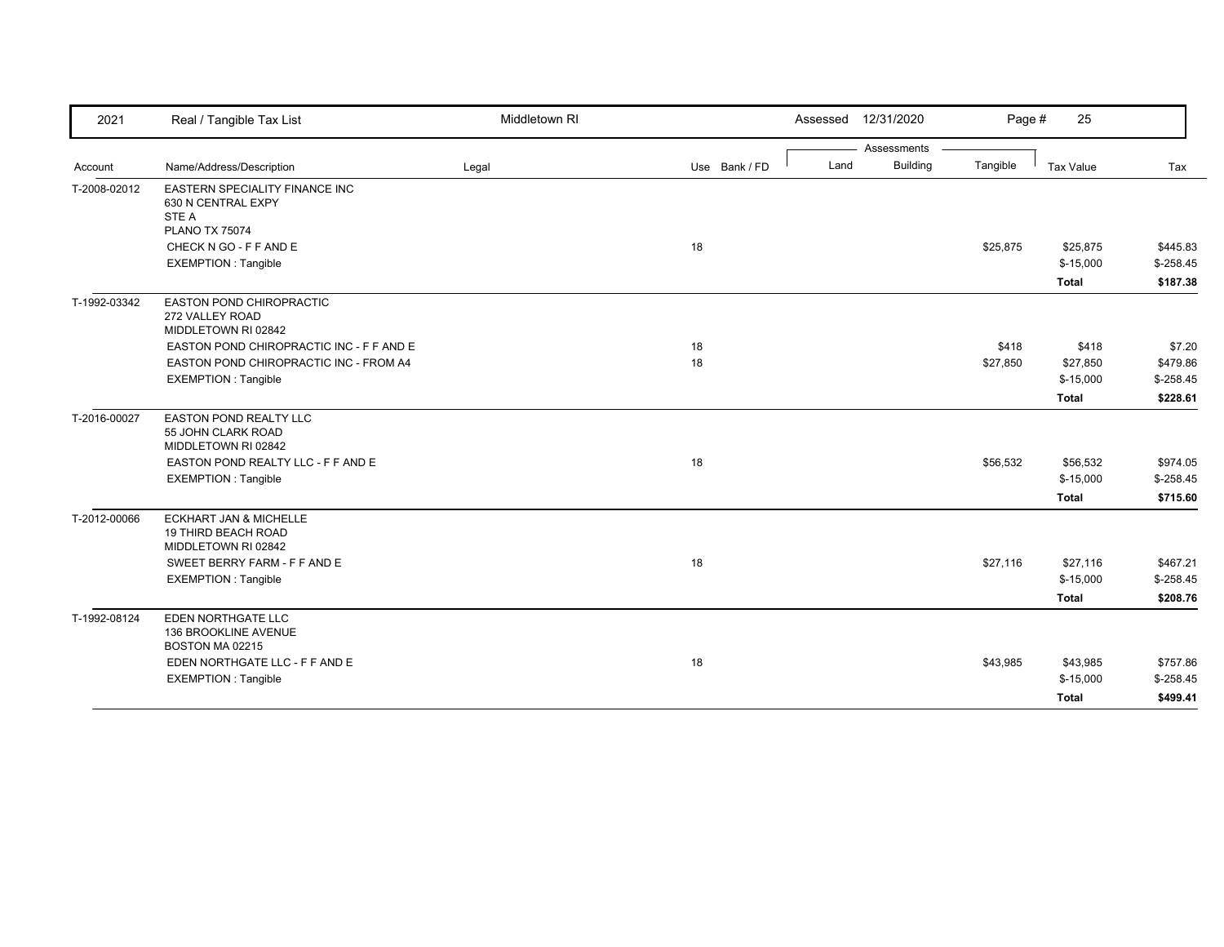| 2021         | Real / Tangible Tax List                                    | Middletown RI |               |      | Assessed 12/31/2020 | Page #   | 25           |                        |
|--------------|-------------------------------------------------------------|---------------|---------------|------|---------------------|----------|--------------|------------------------|
|              |                                                             |               |               |      | Assessments         |          |              |                        |
| Account      | Name/Address/Description                                    | Legal         | Use Bank / FD | Land | <b>Building</b>     | Tangible | Tax Value    | Tax                    |
| T-2008-02012 | <b>EASTERN SPECIALITY FINANCE INC</b><br>630 N CENTRAL EXPY |               |               |      |                     |          |              |                        |
|              | STE A                                                       |               |               |      |                     |          |              |                        |
|              | <b>PLANO TX 75074</b>                                       |               |               |      |                     |          |              |                        |
|              | CHECK N GO - F F AND E                                      |               | 18            |      |                     | \$25,875 | \$25,875     | \$445.83               |
|              | <b>EXEMPTION: Tangible</b>                                  |               |               |      |                     |          | $$-15,000$   | $$-258.45$             |
|              |                                                             |               |               |      |                     |          | <b>Total</b> | \$187.38               |
| T-1992-03342 | <b>EASTON POND CHIROPRACTIC</b>                             |               |               |      |                     |          |              |                        |
|              | 272 VALLEY ROAD                                             |               |               |      |                     |          |              |                        |
|              | MIDDLETOWN RI 02842                                         |               |               |      |                     |          |              |                        |
|              | EASTON POND CHIROPRACTIC INC - F F AND E                    |               | 18            |      |                     | \$418    | \$418        | \$7.20                 |
|              | EASTON POND CHIROPRACTIC INC - FROM A4                      |               | 18            |      |                     | \$27,850 | \$27,850     | \$479.86               |
|              | <b>EXEMPTION: Tangible</b>                                  |               |               |      |                     |          | $$-15,000$   | $$-258.45$             |
|              |                                                             |               |               |      |                     |          | <b>Total</b> | \$228.61               |
| T-2016-00027 | EASTON POND REALTY LLC                                      |               |               |      |                     |          |              |                        |
|              | 55 JOHN CLARK ROAD                                          |               |               |      |                     |          |              |                        |
|              | MIDDLETOWN RI 02842                                         |               |               |      |                     |          |              |                        |
|              | EASTON POND REALTY LLC - F F AND E                          |               | 18            |      |                     | \$56,532 | \$56,532     | \$974.05<br>$$-258.45$ |
|              | <b>EXEMPTION: Tangible</b>                                  |               |               |      |                     |          | $$-15,000$   |                        |
|              |                                                             |               |               |      |                     |          | <b>Total</b> | \$715.60               |
| T-2012-00066 | <b>ECKHART JAN &amp; MICHELLE</b><br>19 THIRD BEACH ROAD    |               |               |      |                     |          |              |                        |
|              | MIDDLETOWN RI 02842                                         |               |               |      |                     |          |              |                        |
|              | SWEET BERRY FARM - F F AND E                                |               | 18            |      |                     | \$27,116 | \$27,116     | \$467.21               |
|              | <b>EXEMPTION: Tangible</b>                                  |               |               |      |                     |          | $$-15,000$   | $$-258.45$             |
|              |                                                             |               |               |      |                     |          | <b>Total</b> | \$208.76               |
| T-1992-08124 | EDEN NORTHGATE LLC                                          |               |               |      |                     |          |              |                        |
|              | 136 BROOKLINE AVENUE                                        |               |               |      |                     |          |              |                        |
|              | BOSTON MA 02215                                             |               |               |      |                     |          |              |                        |
|              | EDEN NORTHGATE LLC - F F AND E                              |               | 18            |      |                     | \$43,985 | \$43,985     | \$757.86               |
|              | <b>EXEMPTION: Tangible</b>                                  |               |               |      |                     |          | $$-15,000$   | $$-258.45$             |
|              |                                                             |               |               |      |                     |          | <b>Total</b> | \$499.41               |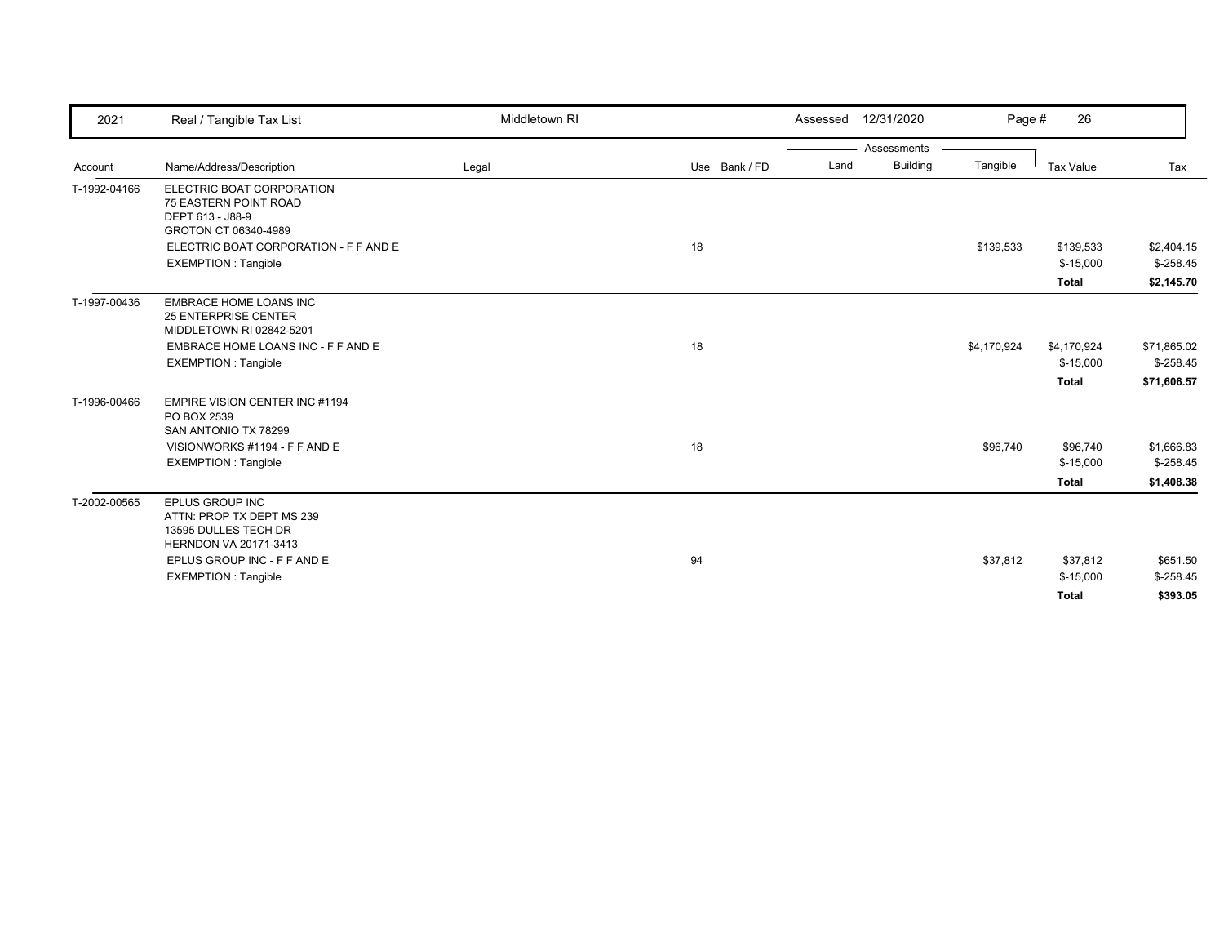| 2021         | Real / Tangible Tax List                                                                                                                | Middletown RI |               | 12/31/2020<br>Assessed  | Page #      | 26               |             |
|--------------|-----------------------------------------------------------------------------------------------------------------------------------------|---------------|---------------|-------------------------|-------------|------------------|-------------|
|              |                                                                                                                                         |               |               | Assessments             |             |                  |             |
| Account      | Name/Address/Description                                                                                                                | Legal         | Use Bank / FD | <b>Building</b><br>Land | Tangible    | <b>Tax Value</b> | Tax         |
| T-1992-04166 | ELECTRIC BOAT CORPORATION<br>75 EASTERN POINT ROAD<br>DEPT 613 - J88-9<br>GROTON CT 06340-4989<br>ELECTRIC BOAT CORPORATION - F F AND E |               | 18            |                         | \$139,533   | \$139,533        | \$2,404.15  |
|              | <b>EXEMPTION: Tangible</b>                                                                                                              |               |               |                         |             | $$-15,000$       | $$-258.45$  |
|              |                                                                                                                                         |               |               |                         |             | <b>Total</b>     | \$2,145.70  |
| T-1997-00436 | <b>EMBRACE HOME LOANS INC</b><br><b>25 ENTERPRISE CENTER</b><br>MIDDLETOWN RI 02842-5201                                                |               |               |                         |             |                  |             |
|              | EMBRACE HOME LOANS INC - F F AND E                                                                                                      |               | 18            |                         | \$4,170,924 | \$4,170,924      | \$71,865.02 |
|              | <b>EXEMPTION: Tangible</b>                                                                                                              |               |               |                         |             | $$-15,000$       | $$-258.45$  |
|              |                                                                                                                                         |               |               |                         |             | <b>Total</b>     | \$71,606.57 |
| T-1996-00466 | EMPIRE VISION CENTER INC #1194<br>PO BOX 2539<br>SAN ANTONIO TX 78299                                                                   |               |               |                         |             |                  |             |
|              | VISIONWORKS #1194 - F F AND E                                                                                                           |               | 18            |                         | \$96,740    | \$96,740         | \$1,666.83  |
|              | <b>EXEMPTION: Tangible</b>                                                                                                              |               |               |                         |             | $$-15,000$       | $$-258.45$  |
|              |                                                                                                                                         |               |               |                         |             | <b>Total</b>     | \$1,408.38  |
| T-2002-00565 | <b>EPLUS GROUP INC</b><br>ATTN: PROP TX DEPT MS 239<br>13595 DULLES TECH DR<br>HERNDON VA 20171-3413                                    |               |               |                         |             |                  |             |
|              | EPLUS GROUP INC - F F AND E                                                                                                             |               | 94            |                         | \$37,812    | \$37,812         | \$651.50    |
|              | <b>EXEMPTION: Tangible</b>                                                                                                              |               |               |                         |             | $$-15,000$       | $$-258.45$  |
|              |                                                                                                                                         |               |               |                         |             | <b>Total</b>     | \$393.05    |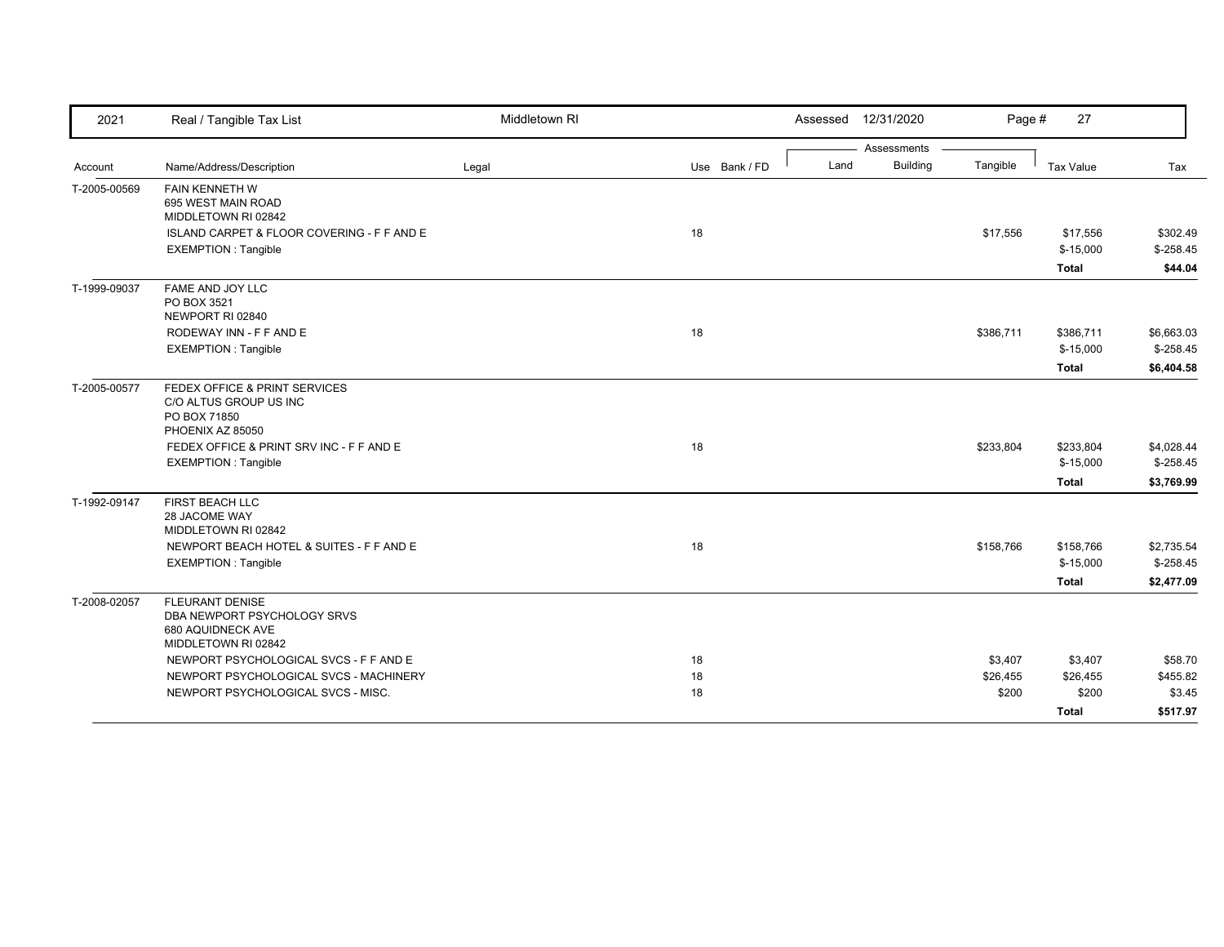| 2021         | Real / Tangible Tax List                                          | Middletown RI |               |      | Assessed 12/31/2020 | Page #    | 27                      |                          |
|--------------|-------------------------------------------------------------------|---------------|---------------|------|---------------------|-----------|-------------------------|--------------------------|
|              |                                                                   |               |               |      | Assessments         |           |                         |                          |
| Account      | Name/Address/Description                                          | Legal         | Use Bank / FD | Land | <b>Building</b>     | Tangible  | <b>Tax Value</b>        | Tax                      |
| T-2005-00569 | FAIN KENNETH W<br>695 WEST MAIN ROAD                              |               |               |      |                     |           |                         |                          |
|              | MIDDLETOWN RI 02842<br>ISLAND CARPET & FLOOR COVERING - F F AND E |               |               |      |                     | \$17,556  | \$17,556                | \$302.49                 |
|              | <b>EXEMPTION: Tangible</b>                                        |               | 18            |      |                     |           | $$-15,000$              | $$-258.45$               |
|              |                                                                   |               |               |      |                     |           | <b>Total</b>            | \$44.04                  |
| T-1999-09037 | FAME AND JOY LLC                                                  |               |               |      |                     |           |                         |                          |
|              | PO BOX 3521                                                       |               |               |      |                     |           |                         |                          |
|              | NEWPORT RI 02840<br>RODEWAY INN - F F AND E                       |               | 18            |      |                     |           |                         |                          |
|              | <b>EXEMPTION: Tangible</b>                                        |               |               |      |                     | \$386,711 | \$386,711<br>$$-15,000$ | \$6,663.03<br>$$-258.45$ |
|              |                                                                   |               |               |      |                     |           | Total                   | \$6,404.58               |
| T-2005-00577 | FEDEX OFFICE & PRINT SERVICES                                     |               |               |      |                     |           |                         |                          |
|              | C/O ALTUS GROUP US INC                                            |               |               |      |                     |           |                         |                          |
|              | PO BOX 71850                                                      |               |               |      |                     |           |                         |                          |
|              | PHOENIX AZ 85050                                                  |               |               |      |                     |           |                         |                          |
|              | FEDEX OFFICE & PRINT SRV INC - F F AND E                          |               | 18            |      |                     | \$233,804 | \$233,804               | \$4,028.44               |
|              | <b>EXEMPTION: Tangible</b>                                        |               |               |      |                     |           | $$-15,000$              | $$-258.45$               |
|              |                                                                   |               |               |      |                     |           | <b>Total</b>            | \$3,769.99               |
| T-1992-09147 | FIRST BEACH LLC                                                   |               |               |      |                     |           |                         |                          |
|              | 28 JACOME WAY<br>MIDDLETOWN RI 02842                              |               |               |      |                     |           |                         |                          |
|              | NEWPORT BEACH HOTEL & SUITES - F F AND E                          |               | 18            |      |                     | \$158,766 | \$158,766               | \$2,735.54               |
|              | <b>EXEMPTION: Tangible</b>                                        |               |               |      |                     |           | $$-15,000$              | $$-258.45$               |
|              |                                                                   |               |               |      |                     |           | <b>Total</b>            | \$2,477.09               |
| T-2008-02057 | <b>FLEURANT DENISE</b>                                            |               |               |      |                     |           |                         |                          |
|              | DBA NEWPORT PSYCHOLOGY SRVS                                       |               |               |      |                     |           |                         |                          |
|              | 680 AQUIDNECK AVE<br>MIDDLETOWN RI 02842                          |               |               |      |                     |           |                         |                          |
|              | NEWPORT PSYCHOLOGICAL SVCS - F F AND E                            |               | 18            |      |                     | \$3,407   | \$3,407                 | \$58.70                  |
|              | NEWPORT PSYCHOLOGICAL SVCS - MACHINERY                            |               | 18            |      |                     | \$26,455  | \$26,455                | \$455.82                 |
|              | NEWPORT PSYCHOLOGICAL SVCS - MISC.                                |               | 18            |      |                     | \$200     | \$200                   | \$3.45                   |
|              |                                                                   |               |               |      |                     |           | <b>Total</b>            | \$517.97                 |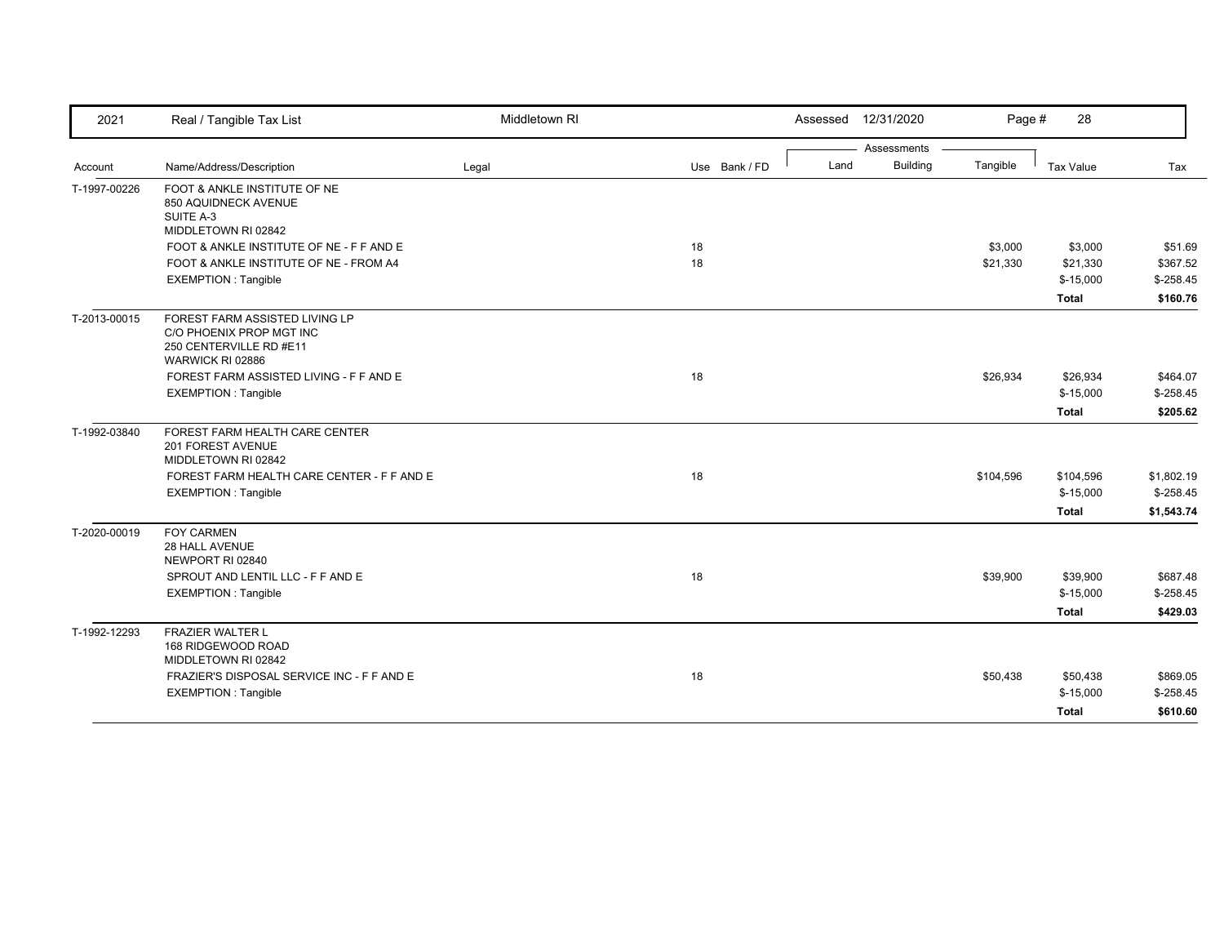| 2021         | Real / Tangible Tax List                                                                                  | Middletown RI |               |      | Assessed 12/31/2020 | Page #    | 28               |            |
|--------------|-----------------------------------------------------------------------------------------------------------|---------------|---------------|------|---------------------|-----------|------------------|------------|
|              |                                                                                                           |               |               |      | Assessments         |           |                  |            |
| Account      | Name/Address/Description                                                                                  | Legal         | Use Bank / FD | Land | <b>Building</b>     | Tangible  | <b>Tax Value</b> | Tax        |
| T-1997-00226 | FOOT & ANKLE INSTITUTE OF NE<br>850 AQUIDNECK AVENUE<br>SUITE A-3<br>MIDDLETOWN RI 02842                  |               |               |      |                     |           |                  |            |
|              | FOOT & ANKLE INSTITUTE OF NE - F F AND E                                                                  |               | 18            |      |                     | \$3,000   | \$3,000          | \$51.69    |
|              | FOOT & ANKLE INSTITUTE OF NE - FROM A4                                                                    |               | 18            |      |                     | \$21,330  | \$21,330         | \$367.52   |
|              | <b>EXEMPTION: Tangible</b>                                                                                |               |               |      |                     |           | $$-15,000$       | $$-258.45$ |
|              |                                                                                                           |               |               |      |                     |           | <b>Total</b>     | \$160.76   |
| T-2013-00015 | FOREST FARM ASSISTED LIVING LP<br>C/O PHOENIX PROP MGT INC<br>250 CENTERVILLE RD #E11<br>WARWICK RI 02886 |               |               |      |                     |           |                  |            |
|              | FOREST FARM ASSISTED LIVING - F F AND E                                                                   |               | 18            |      |                     | \$26,934  | \$26,934         | \$464.07   |
|              | <b>EXEMPTION: Tangible</b>                                                                                |               |               |      |                     |           | $$-15,000$       | $$-258.45$ |
|              |                                                                                                           |               |               |      |                     |           | <b>Total</b>     | \$205.62   |
| T-1992-03840 | FOREST FARM HEALTH CARE CENTER<br>201 FOREST AVENUE<br>MIDDLETOWN RI 02842                                |               |               |      |                     |           |                  |            |
|              | FOREST FARM HEALTH CARE CENTER - F F AND E                                                                |               | 18            |      |                     | \$104,596 | \$104,596        | \$1,802.19 |
|              | <b>EXEMPTION: Tangible</b>                                                                                |               |               |      |                     |           | $$-15,000$       | $$-258.45$ |
|              |                                                                                                           |               |               |      |                     |           | <b>Total</b>     | \$1,543.74 |
| T-2020-00019 | <b>FOY CARMEN</b><br>28 HALL AVENUE<br>NEWPORT RI 02840                                                   |               |               |      |                     |           |                  |            |
|              | SPROUT AND LENTIL LLC - F F AND E                                                                         |               | 18            |      |                     | \$39,900  | \$39,900         | \$687.48   |
|              | <b>EXEMPTION: Tangible</b>                                                                                |               |               |      |                     |           | $$-15,000$       | $$-258.45$ |
|              |                                                                                                           |               |               |      |                     |           | <b>Total</b>     | \$429.03   |
| T-1992-12293 | <b>FRAZIER WALTER L</b><br>168 RIDGEWOOD ROAD<br>MIDDLETOWN RI 02842                                      |               |               |      |                     |           |                  |            |
|              | FRAZIER'S DISPOSAL SERVICE INC - F F AND E                                                                |               | 18            |      |                     | \$50,438  | \$50,438         | \$869.05   |
|              | <b>EXEMPTION: Tangible</b>                                                                                |               |               |      |                     |           | $$-15,000$       | $$-258.45$ |
|              |                                                                                                           |               |               |      |                     |           | <b>Total</b>     | \$610.60   |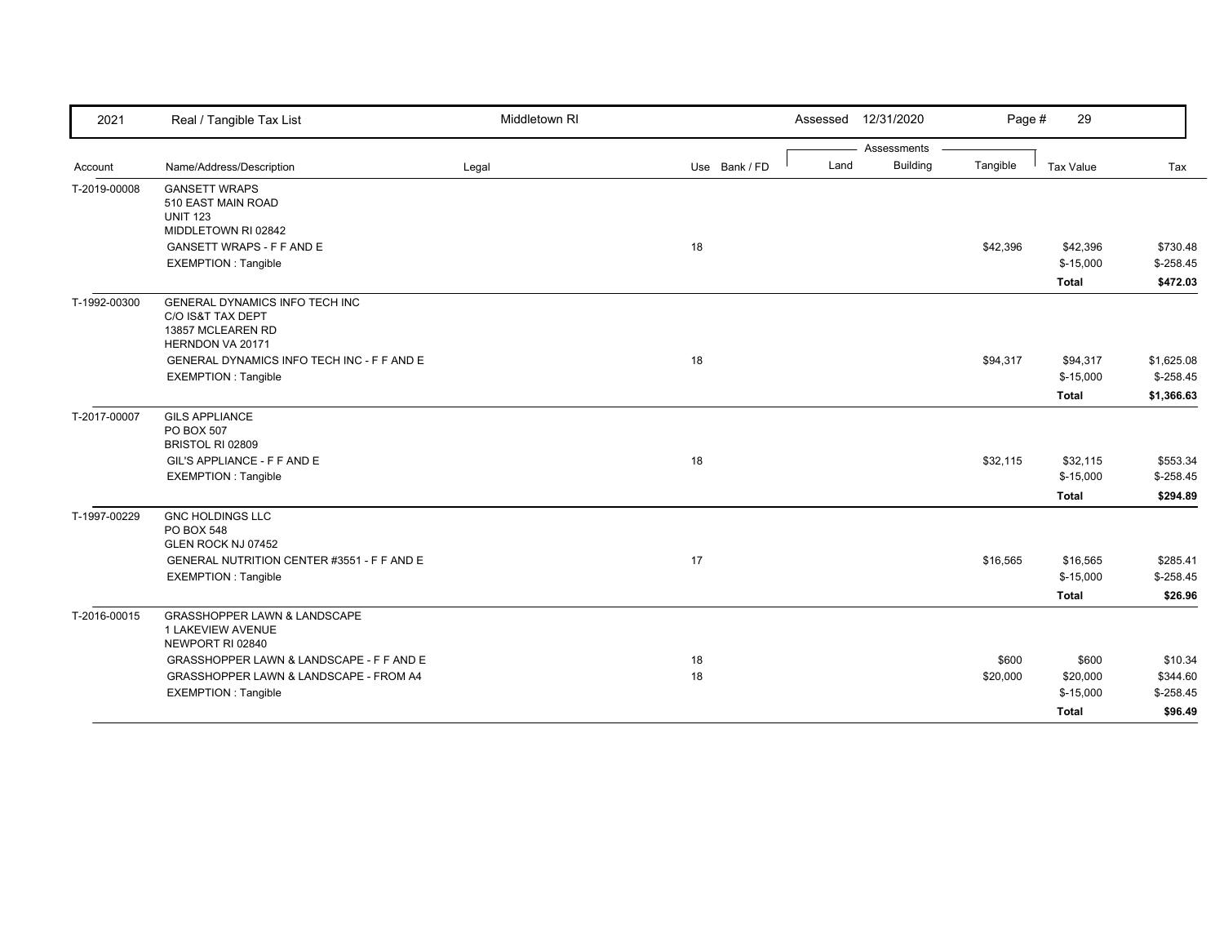| 2021         | Real / Tangible Tax List                                                                     | Middletown RI |               | 12/31/2020<br>Assessed  | Page #   | 29           |             |
|--------------|----------------------------------------------------------------------------------------------|---------------|---------------|-------------------------|----------|--------------|-------------|
|              |                                                                                              |               |               | Assessments             |          |              |             |
| Account      | Name/Address/Description                                                                     | Legal         | Use Bank / FD | <b>Building</b><br>Land | Tangible | Tax Value    | Tax         |
| T-2019-00008 | <b>GANSETT WRAPS</b><br>510 EAST MAIN ROAD<br><b>UNIT 123</b><br>MIDDLETOWN RI 02842         |               |               |                         |          |              |             |
|              | <b>GANSETT WRAPS - F F AND E</b>                                                             |               | 18            |                         | \$42,396 | \$42,396     | \$730.48    |
|              | <b>EXEMPTION: Tangible</b>                                                                   |               |               |                         |          | $$-15,000$   | $$-258.45$  |
|              |                                                                                              |               |               |                         |          | <b>Total</b> | \$472.03    |
| T-1992-00300 | GENERAL DYNAMICS INFO TECH INC<br>C/O IS&T TAX DEPT<br>13857 MCLEAREN RD<br>HERNDON VA 20171 |               |               |                         |          |              |             |
|              | GENERAL DYNAMICS INFO TECH INC - F F AND E                                                   |               | 18            |                         | \$94,317 | \$94,317     | \$1,625.08  |
|              | <b>EXEMPTION: Tangible</b>                                                                   |               |               |                         |          | $$-15,000$   | $$-258.45$  |
|              |                                                                                              |               |               |                         |          | Total        | \$1,366.63  |
| T-2017-00007 | <b>GILS APPLIANCE</b><br>PO BOX 507<br>BRISTOL RI 02809                                      |               |               |                         |          |              |             |
|              | GIL'S APPLIANCE - F F AND E                                                                  |               | 18            |                         | \$32,115 | \$32,115     | \$553.34    |
|              | <b>EXEMPTION: Tangible</b>                                                                   |               |               |                         |          | $$-15,000$   | $$ -258.45$ |
|              |                                                                                              |               |               |                         |          | Total        | \$294.89    |
| T-1997-00229 | <b>GNC HOLDINGS LLC</b><br><b>PO BOX 548</b><br>GLEN ROCK NJ 07452                           |               |               |                         |          |              |             |
|              | GENERAL NUTRITION CENTER #3551 - F F AND E                                                   |               | 17            |                         | \$16,565 | \$16,565     | \$285.41    |
|              | <b>EXEMPTION: Tangible</b>                                                                   |               |               |                         |          | $$-15,000$   | $$-258.45$  |
|              |                                                                                              |               |               |                         |          | Total        | \$26.96     |
| T-2016-00015 | <b>GRASSHOPPER LAWN &amp; LANDSCAPE</b><br>1 LAKEVIEW AVENUE<br>NEWPORT RI 02840             |               |               |                         |          |              |             |
|              | GRASSHOPPER LAWN & LANDSCAPE - F F AND E                                                     |               | 18            |                         | \$600    | \$600        | \$10.34     |
|              | GRASSHOPPER LAWN & LANDSCAPE - FROM A4                                                       |               | 18            |                         | \$20,000 | \$20,000     | \$344.60    |
|              | <b>EXEMPTION: Tangible</b>                                                                   |               |               |                         |          | $$-15,000$   | $$-258.45$  |
|              |                                                                                              |               |               |                         |          | Total        | \$96.49     |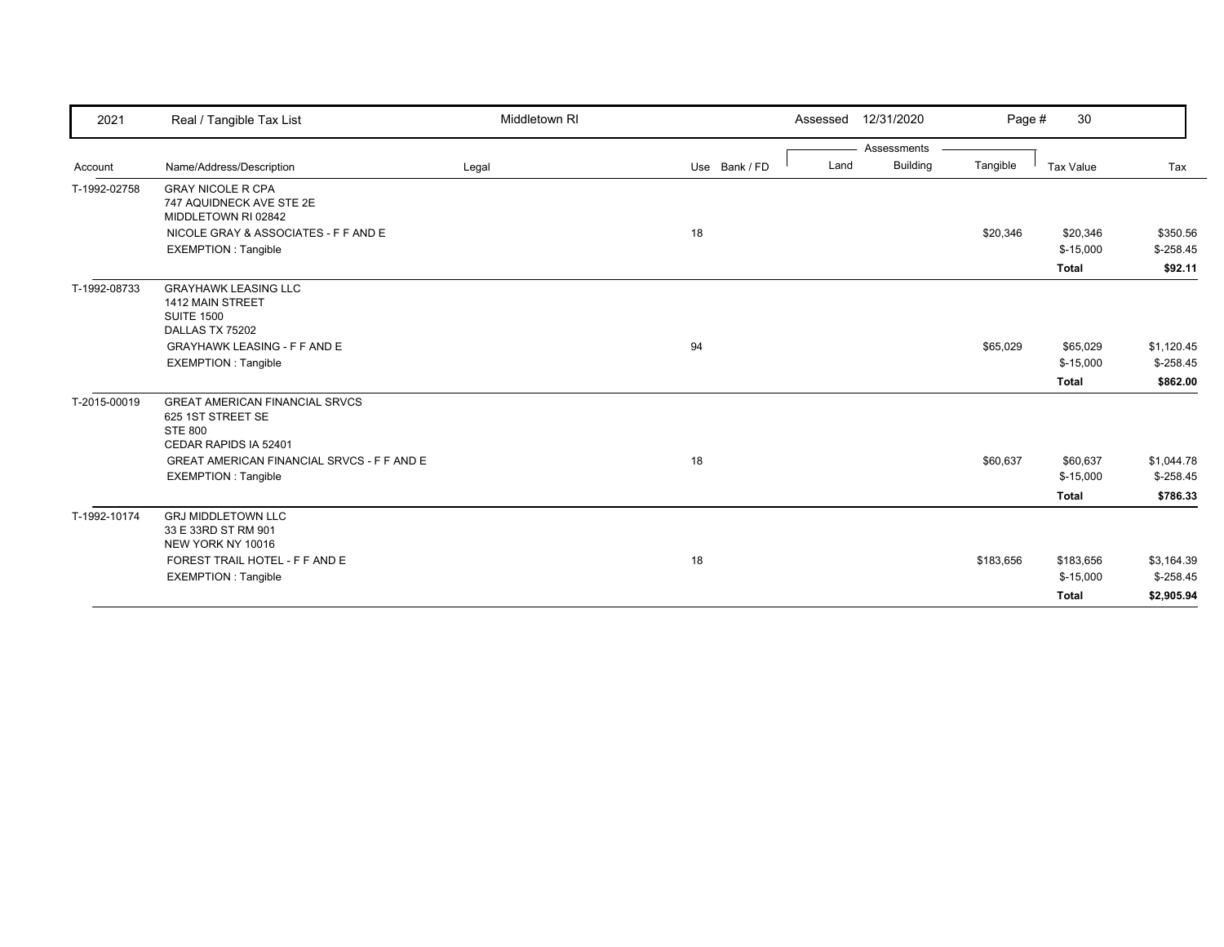| 2021         | Real / Tangible Tax List                                                                                                                                                          | Middletown RI |               | Assessed 12/31/2020                    | Page #    | 30                                      |                                        |
|--------------|-----------------------------------------------------------------------------------------------------------------------------------------------------------------------------------|---------------|---------------|----------------------------------------|-----------|-----------------------------------------|----------------------------------------|
| Account      | Name/Address/Description                                                                                                                                                          | Legal         | Use Bank / FD | Assessments<br><b>Building</b><br>Land | Tangible  | Tax Value                               | Tax                                    |
| T-1992-02758 | <b>GRAY NICOLE R CPA</b><br>747 AQUIDNECK AVE STE 2E<br>MIDDLETOWN RI 02842<br>NICOLE GRAY & ASSOCIATES - F F AND E<br><b>EXEMPTION: Tangible</b>                                 |               | 18            |                                        | \$20,346  | \$20,346<br>$$-15,000$<br><b>Total</b>  | \$350.56<br>$$-258.45$<br>\$92.11      |
| T-1992-08733 | <b>GRAYHAWK LEASING LLC</b><br>1412 MAIN STREET<br><b>SUITE 1500</b><br>DALLAS TX 75202<br><b>GRAYHAWK LEASING - F F AND E</b><br><b>EXEMPTION: Tangible</b>                      |               | 94            |                                        | \$65,029  | \$65,029<br>$$-15,000$<br><b>Total</b>  | \$1,120.45<br>$$-258.45$<br>\$862.00   |
| T-2015-00019 | <b>GREAT AMERICAN FINANCIAL SRVCS</b><br>625 1ST STREET SE<br><b>STE 800</b><br>CEDAR RAPIDS IA 52401<br>GREAT AMERICAN FINANCIAL SRVCS - F F AND E<br><b>EXEMPTION: Tangible</b> |               | 18            |                                        | \$60,637  | \$60,637<br>$$-15,000$<br><b>Total</b>  | \$1,044.78<br>$$-258.45$<br>\$786.33   |
| T-1992-10174 | <b>GRJ MIDDLETOWN LLC</b><br>33 E 33RD ST RM 901<br>NEW YORK NY 10016<br>FOREST TRAIL HOTEL - F F AND E<br><b>EXEMPTION: Tangible</b>                                             |               | 18            |                                        | \$183,656 | \$183,656<br>$$-15,000$<br><b>Total</b> | \$3,164.39<br>$$-258.45$<br>\$2,905.94 |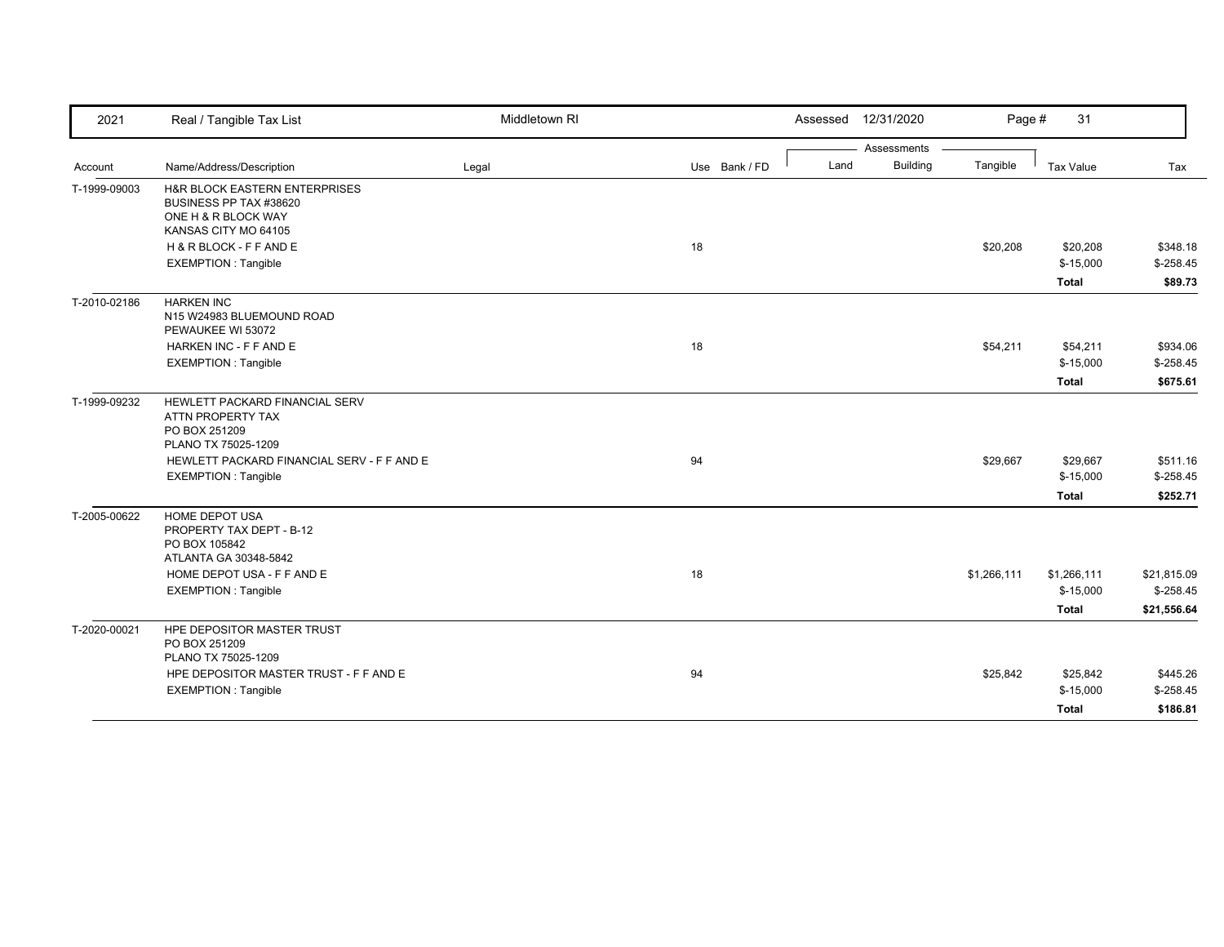| 2021         | Real / Tangible Tax List                                                                    | Middletown RI |               |      | Assessed 12/31/2020 | Page #      | 31               |             |
|--------------|---------------------------------------------------------------------------------------------|---------------|---------------|------|---------------------|-------------|------------------|-------------|
|              |                                                                                             |               |               |      | Assessments         |             |                  |             |
| Account      | Name/Address/Description                                                                    | Legal         | Use Bank / FD | Land | <b>Building</b>     | Tangible    | <b>Tax Value</b> | Tax         |
| T-1999-09003 | H&R BLOCK EASTERN ENTERPRISES<br>BUSINESS PP TAX #38620<br>ONE H & R BLOCK WAY              |               |               |      |                     |             |                  |             |
|              | KANSAS CITY MO 64105<br>H & R BLOCK - F F AND E                                             |               | 18            |      |                     | \$20,208    | \$20,208         | \$348.18    |
|              | <b>EXEMPTION: Tangible</b>                                                                  |               |               |      |                     |             | $$-15,000$       | $$-258.45$  |
|              |                                                                                             |               |               |      |                     |             | <b>Total</b>     | \$89.73     |
| T-2010-02186 | <b>HARKEN INC</b><br>N15 W24983 BLUEMOUND ROAD<br>PEWAUKEE WI 53072                         |               |               |      |                     |             |                  |             |
|              | HARKEN INC - F F AND E                                                                      |               | 18            |      |                     | \$54,211    | \$54,211         | \$934.06    |
|              | <b>EXEMPTION: Tangible</b>                                                                  |               |               |      |                     |             | $$-15,000$       | $$-258.45$  |
|              |                                                                                             |               |               |      |                     |             | <b>Total</b>     | \$675.61    |
| T-1999-09232 | HEWLETT PACKARD FINANCIAL SERV<br>ATTN PROPERTY TAX<br>PO BOX 251209<br>PLANO TX 75025-1209 |               |               |      |                     |             |                  |             |
|              | HEWLETT PACKARD FINANCIAL SERV - F F AND E                                                  |               | 94            |      |                     | \$29,667    | \$29,667         | \$511.16    |
|              | <b>EXEMPTION: Tangible</b>                                                                  |               |               |      |                     |             | $$-15,000$       | $$-258.45$  |
|              |                                                                                             |               |               |      |                     |             | <b>Total</b>     | \$252.71    |
| T-2005-00622 | HOME DEPOT USA<br>PROPERTY TAX DEPT - B-12<br>PO BOX 105842<br>ATLANTA GA 30348-5842        |               |               |      |                     |             |                  |             |
|              | HOME DEPOT USA - F F AND E                                                                  |               | 18            |      |                     | \$1,266,111 | \$1,266,111      | \$21,815.09 |
|              | <b>EXEMPTION: Tangible</b>                                                                  |               |               |      |                     |             | $$-15,000$       | $$-258.45$  |
|              |                                                                                             |               |               |      |                     |             | <b>Total</b>     | \$21,556.64 |
| T-2020-00021 | HPE DEPOSITOR MASTER TRUST<br>PO BOX 251209<br>PLANO TX 75025-1209                          |               |               |      |                     |             |                  |             |
|              | HPE DEPOSITOR MASTER TRUST - F F AND E                                                      |               | 94            |      |                     | \$25,842    | \$25,842         | \$445.26    |
|              | <b>EXEMPTION: Tangible</b>                                                                  |               |               |      |                     |             | $$-15,000$       | $$-258.45$  |
|              |                                                                                             |               |               |      |                     |             | <b>Total</b>     | \$186.81    |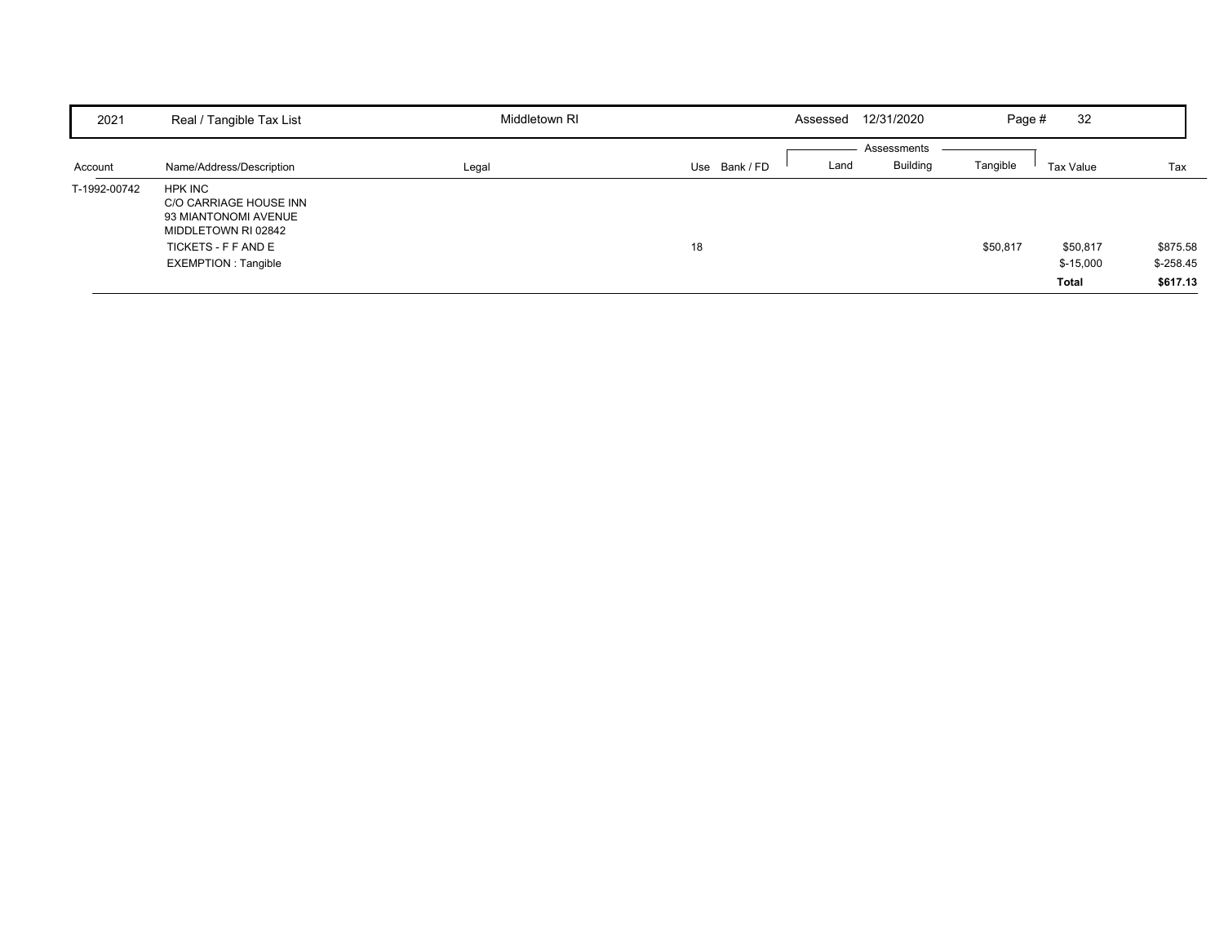| 2021         | Real / Tangible Tax List                                                                                                              | Middletown RI |             | Assessed | 12/31/2020                     | Page #   | 32                                     |                                    |
|--------------|---------------------------------------------------------------------------------------------------------------------------------------|---------------|-------------|----------|--------------------------------|----------|----------------------------------------|------------------------------------|
| Account      | Name/Address/Description                                                                                                              | Legal         | Use Bank/FD | Land     | Assessments<br><b>Building</b> | Tangible | Tax Value                              | Tax                                |
| T-1992-00742 | HPK INC<br>C/O CARRIAGE HOUSE INN<br>93 MIANTONOMI AVENUE<br>MIDDLETOWN RI 02842<br>TICKETS - F F AND E<br><b>EXEMPTION: Tangible</b> |               | 18          |          |                                | \$50,817 | \$50,817<br>$$-15,000$<br><b>Total</b> | \$875.58<br>$$-258.45$<br>\$617.13 |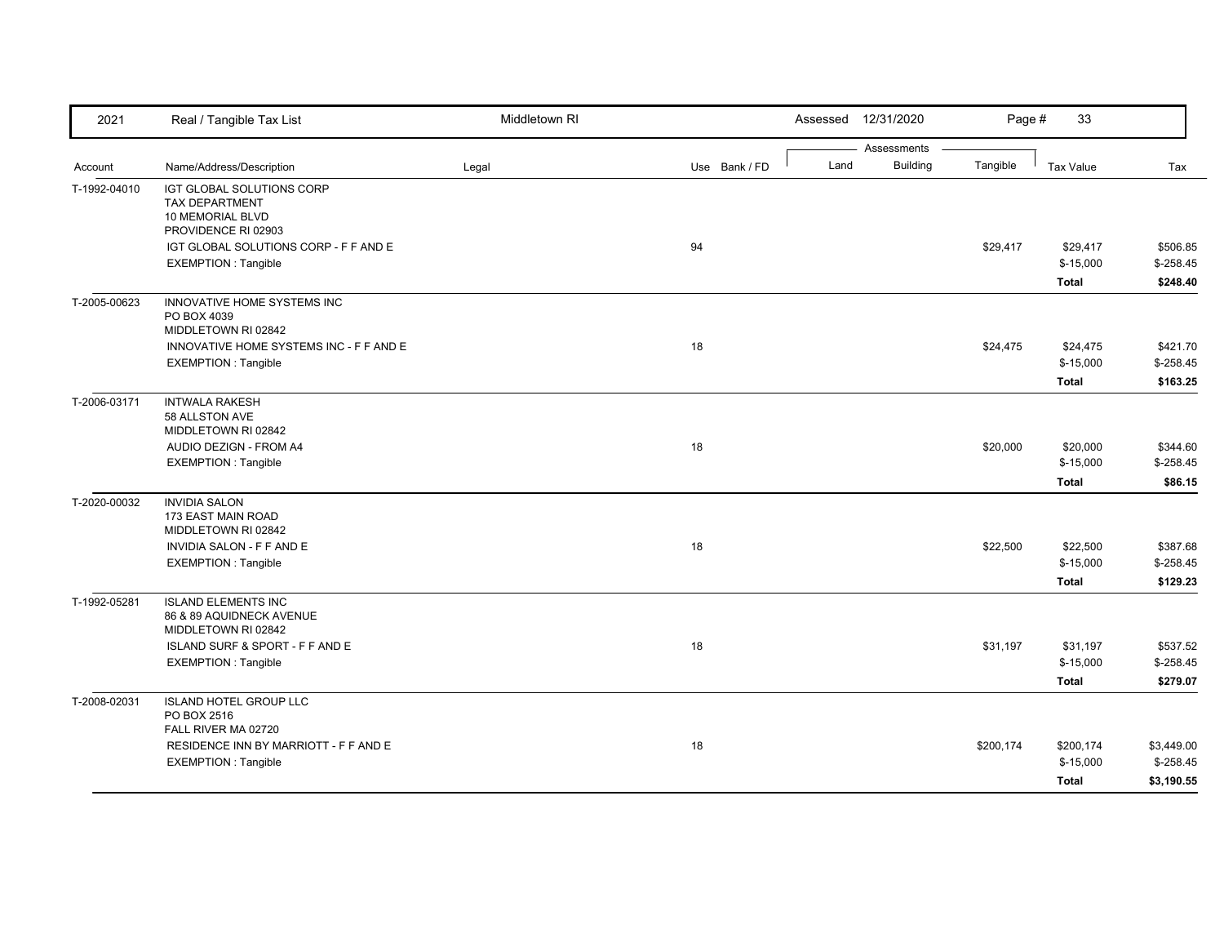| 2021         | Real / Tangible Tax List                                                                                     | Middletown RI |               | Assessed | 12/31/2020                     | Page #    | 33                                     |                                        |
|--------------|--------------------------------------------------------------------------------------------------------------|---------------|---------------|----------|--------------------------------|-----------|----------------------------------------|----------------------------------------|
| Account      | Name/Address/Description                                                                                     | Legal         | Use Bank / FD | Land     | Assessments<br><b>Building</b> | Tangible  | <b>Tax Value</b>                       | Tax                                    |
| T-1992-04010 | IGT GLOBAL SOLUTIONS CORP<br>TAX DEPARTMENT<br>10 MEMORIAL BLVD                                              |               |               |          |                                |           |                                        |                                        |
|              | PROVIDENCE RI 02903<br>IGT GLOBAL SOLUTIONS CORP - F F AND E<br><b>EXEMPTION: Tangible</b>                   |               | 94            |          |                                | \$29,417  | \$29,417<br>$$-15,000$<br><b>Total</b> | \$506.85<br>$$-258.45$<br>\$248.40     |
| T-2005-00623 | INNOVATIVE HOME SYSTEMS INC<br>PO BOX 4039<br>MIDDLETOWN RI 02842<br>INNOVATIVE HOME SYSTEMS INC - F F AND E |               | 18            |          |                                | \$24,475  | \$24,475                               | \$421.70                               |
|              | <b>EXEMPTION: Tangible</b>                                                                                   |               |               |          |                                |           | $$-15,000$<br><b>Total</b>             | $$-258.45$<br>\$163.25                 |
| T-2006-03171 | <b>INTWALA RAKESH</b><br>58 ALLSTON AVE<br>MIDDLETOWN RI 02842                                               |               |               |          |                                |           |                                        |                                        |
|              | AUDIO DEZIGN - FROM A4<br><b>EXEMPTION: Tangible</b>                                                         |               | 18            |          |                                | \$20,000  | \$20,000<br>$$-15,000$<br><b>Total</b> | \$344.60<br>$$-258.45$<br>\$86.15      |
| T-2020-00032 | <b>INVIDIA SALON</b><br>173 EAST MAIN ROAD<br>MIDDLETOWN RI 02842<br>INVIDIA SALON - F F AND E               |               | 18            |          |                                | \$22,500  | \$22,500                               | \$387.68                               |
|              | <b>EXEMPTION: Tangible</b>                                                                                   |               |               |          |                                |           | $$-15,000$<br>Total                    | $$-258.45$<br>\$129.23                 |
| T-1992-05281 | <b>ISLAND ELEMENTS INC</b><br>86 & 89 AQUIDNECK AVENUE<br>MIDDLETOWN RI 02842                                |               |               |          |                                |           |                                        |                                        |
|              | ISLAND SURF & SPORT - F F AND E<br><b>EXEMPTION: Tangible</b>                                                |               | 18            |          |                                | \$31,197  | \$31,197<br>$$-15,000$<br><b>Total</b> | \$537.52<br>$$-258.45$<br>\$279.07     |
| T-2008-02031 | <b>ISLAND HOTEL GROUP LLC</b><br>PO BOX 2516<br>FALL RIVER MA 02720                                          |               |               |          |                                |           |                                        |                                        |
|              | RESIDENCE INN BY MARRIOTT - F F AND E<br><b>EXEMPTION: Tangible</b>                                          |               | 18            |          |                                | \$200,174 | \$200,174<br>$$-15,000$<br>Total       | \$3,449.00<br>$$-258.45$<br>\$3,190.55 |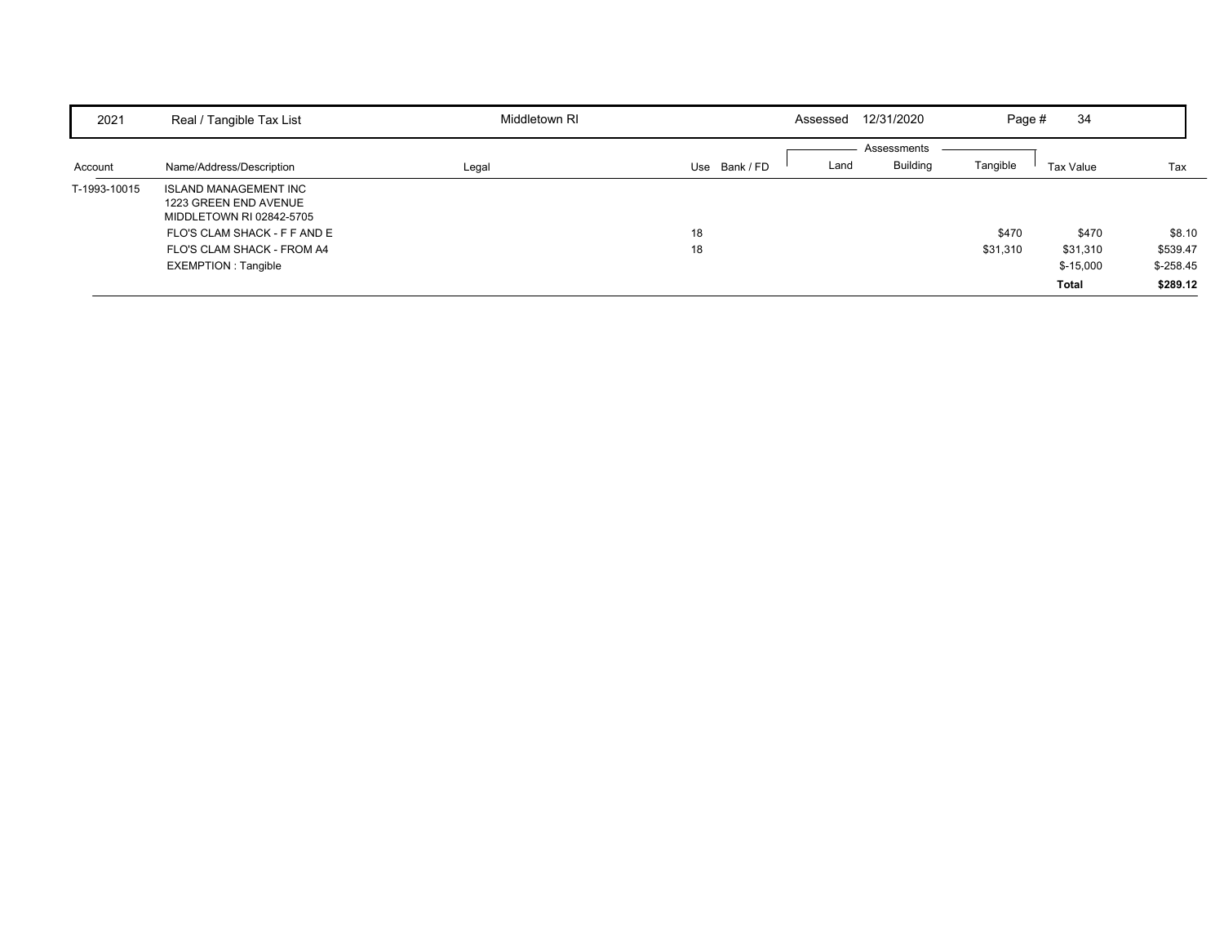| 2021         | Real / Tangible Tax List                                                          | Middletown RI |             | Assessed | 12/31/2020                     | Page #   | 34         |            |
|--------------|-----------------------------------------------------------------------------------|---------------|-------------|----------|--------------------------------|----------|------------|------------|
| Account      | Name/Address/Description                                                          | Legal         | Use Bank/FD | Land     | Assessments<br><b>Building</b> | Tangible | Tax Value  | Tax        |
| T-1993-10015 | <b>ISLAND MANAGEMENT INC</b><br>1223 GREEN END AVENUE<br>MIDDLETOWN RI 02842-5705 |               |             |          |                                |          |            |            |
|              | FLO'S CLAM SHACK - F F AND E                                                      |               | 18          |          |                                | \$470    | \$470      | \$8.10     |
|              | FLO'S CLAM SHACK - FROM A4                                                        |               | 18          |          |                                | \$31,310 | \$31,310   | \$539.47   |
|              | EXEMPTION : Tangible                                                              |               |             |          |                                |          | $$-15,000$ | $$-258.45$ |
|              |                                                                                   |               |             |          |                                |          | Total      | \$289.12   |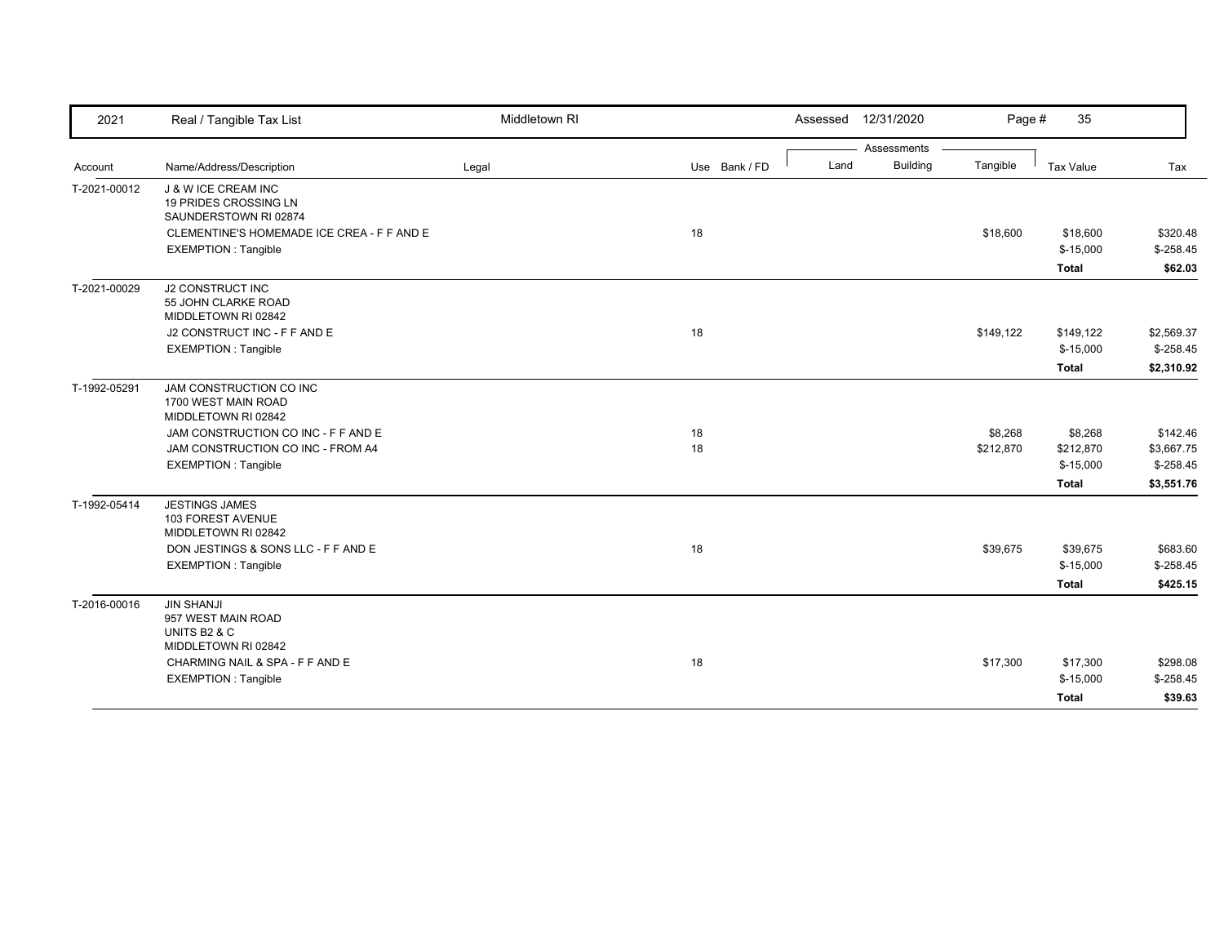| 2021         | Real / Tangible Tax List                                                       | Middletown RI |               | Assessed | 12/31/2020      | Page #    | 35           |            |
|--------------|--------------------------------------------------------------------------------|---------------|---------------|----------|-----------------|-----------|--------------|------------|
|              |                                                                                |               |               |          | Assessments     |           |              |            |
| Account      | Name/Address/Description                                                       | Legal         | Use Bank / FD | Land     | <b>Building</b> | Tangible  | Tax Value    | Tax        |
| T-2021-00012 | J & W ICE CREAM INC<br>19 PRIDES CROSSING LN<br>SAUNDERSTOWN RI 02874          |               |               |          |                 |           |              |            |
|              | CLEMENTINE'S HOMEMADE ICE CREA - F F AND E                                     |               | 18            |          |                 | \$18,600  | \$18,600     | \$320.48   |
|              | <b>EXEMPTION: Tangible</b>                                                     |               |               |          |                 |           | $$-15,000$   | $$-258.45$ |
|              |                                                                                |               |               |          |                 |           | <b>Total</b> | \$62.03    |
| T-2021-00029 | <b>J2 CONSTRUCT INC</b><br>55 JOHN CLARKE ROAD<br>MIDDLETOWN RI 02842          |               |               |          |                 |           |              |            |
|              | J2 CONSTRUCT INC - F F AND E                                                   |               | 18            |          |                 | \$149,122 | \$149,122    | \$2,569.37 |
|              | <b>EXEMPTION: Tangible</b>                                                     |               |               |          |                 |           | $$-15,000$   | $$-258.45$ |
|              |                                                                                |               |               |          |                 |           | <b>Total</b> | \$2,310.92 |
| T-1992-05291 | JAM CONSTRUCTION CO INC<br>1700 WEST MAIN ROAD<br>MIDDLETOWN RI 02842          |               |               |          |                 |           |              |            |
|              | JAM CONSTRUCTION CO INC - F F AND E                                            |               | 18            |          |                 | \$8,268   | \$8,268      | \$142.46   |
|              | JAM CONSTRUCTION CO INC - FROM A4                                              |               | 18            |          |                 | \$212,870 | \$212,870    | \$3,667.75 |
|              | <b>EXEMPTION: Tangible</b>                                                     |               |               |          |                 |           | $$-15,000$   | $$-258.45$ |
|              |                                                                                |               |               |          |                 |           | <b>Total</b> | \$3,551.76 |
| T-1992-05414 | <b>JESTINGS JAMES</b><br>103 FOREST AVENUE<br>MIDDLETOWN RI 02842              |               |               |          |                 |           |              |            |
|              | DON JESTINGS & SONS LLC - F F AND E                                            |               | 18            |          |                 | \$39,675  | \$39,675     | \$683.60   |
|              | <b>EXEMPTION: Tangible</b>                                                     |               |               |          |                 |           | $$-15,000$   | $$-258.45$ |
|              |                                                                                |               |               |          |                 |           | Total        | \$425.15   |
| T-2016-00016 | <b>JIN SHANJI</b><br>957 WEST MAIN ROAD<br>UNITS B2 & C<br>MIDDLETOWN RI 02842 |               |               |          |                 |           |              |            |
|              | CHARMING NAIL & SPA - F F AND E                                                |               | 18            |          |                 | \$17,300  | \$17,300     | \$298.08   |
|              | <b>EXEMPTION: Tangible</b>                                                     |               |               |          |                 |           | $$-15,000$   | $$-258.45$ |
|              |                                                                                |               |               |          |                 |           | <b>Total</b> | \$39.63    |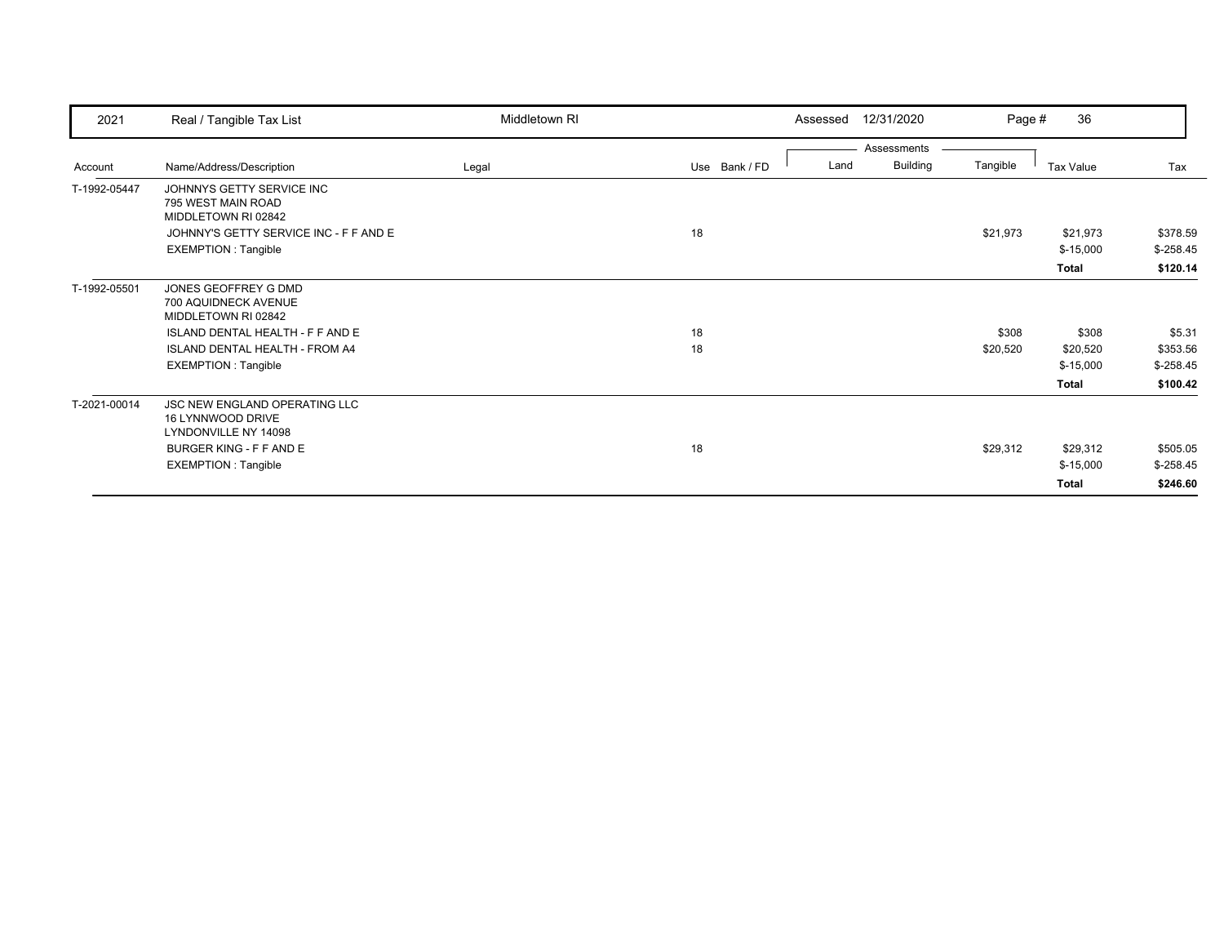| 2021         | Real / Tangible Tax List                  | Middletown RI |               | 12/31/2020<br>Assessed  | Page #   | 36           |            |
|--------------|-------------------------------------------|---------------|---------------|-------------------------|----------|--------------|------------|
|              |                                           |               |               | Assessments             |          |              |            |
| Account      | Name/Address/Description                  | Legal         | Use Bank / FD | <b>Building</b><br>Land | Tangible | Tax Value    | Tax        |
| T-1992-05447 | JOHNNYS GETTY SERVICE INC                 |               |               |                         |          |              |            |
|              | 795 WEST MAIN ROAD<br>MIDDLETOWN RI 02842 |               |               |                         |          |              |            |
|              | JOHNNY'S GETTY SERVICE INC - F F AND E    |               | 18            |                         | \$21,973 | \$21,973     | \$378.59   |
|              | <b>EXEMPTION: Tangible</b>                |               |               |                         |          | $$-15,000$   | $$-258.45$ |
|              |                                           |               |               |                         |          | <b>Total</b> | \$120.14   |
| T-1992-05501 | JONES GEOFFREY G DMD                      |               |               |                         |          |              |            |
|              | 700 AQUIDNECK AVENUE                      |               |               |                         |          |              |            |
|              | MIDDLETOWN RI 02842                       |               |               |                         |          |              |            |
|              | ISLAND DENTAL HEALTH - F F AND E          |               | 18            |                         | \$308    | \$308        | \$5.31     |
|              | <b>ISLAND DENTAL HEALTH - FROM A4</b>     |               | 18            |                         | \$20,520 | \$20,520     | \$353.56   |
|              | <b>EXEMPTION: Tangible</b>                |               |               |                         |          | $$-15,000$   | $$-258.45$ |
|              |                                           |               |               |                         |          | <b>Total</b> | \$100.42   |
| T-2021-00014 | JSC NEW ENGLAND OPERATING LLC             |               |               |                         |          |              |            |
|              | 16 LYNNWOOD DRIVE                         |               |               |                         |          |              |            |
|              | LYNDONVILLE NY 14098                      |               |               |                         |          |              |            |
|              | BURGER KING - F F AND E                   |               | 18            |                         | \$29,312 | \$29,312     | \$505.05   |
|              | <b>EXEMPTION: Tangible</b>                |               |               |                         |          | $$-15,000$   | $$-258.45$ |
|              |                                           |               |               |                         |          | Total        | \$246.60   |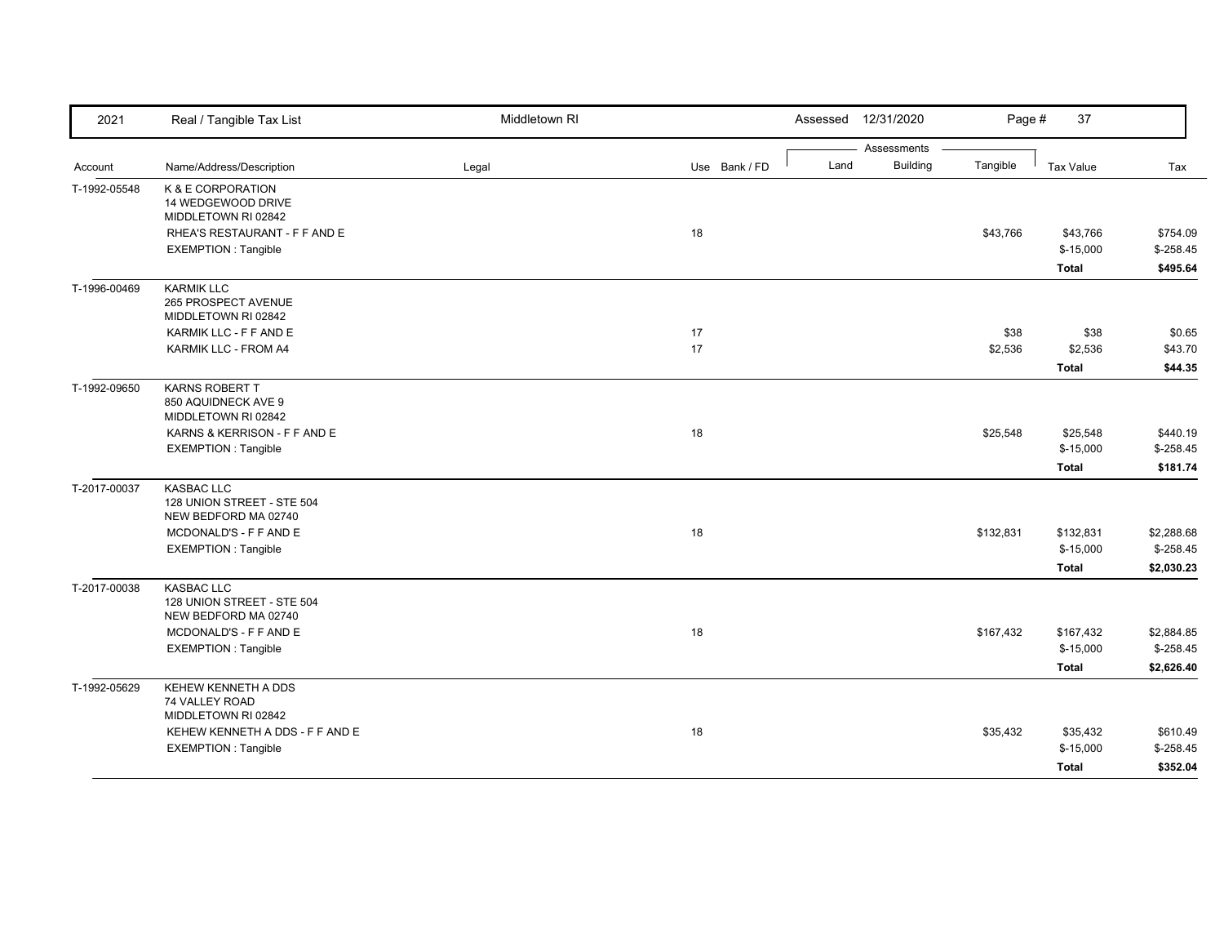| 2021         | Real / Tangible Tax List                                                | Middletown RI |               |      | Assessed 12/31/2020            | Page #          | 37                                      |                                        |
|--------------|-------------------------------------------------------------------------|---------------|---------------|------|--------------------------------|-----------------|-----------------------------------------|----------------------------------------|
| Account      | Name/Address/Description                                                | Legal         | Use Bank / FD | Land | Assessments<br><b>Building</b> | Tangible        | <b>Tax Value</b>                        | Tax                                    |
| T-1992-05548 | K & E CORPORATION<br>14 WEDGEWOOD DRIVE<br>MIDDLETOWN RI 02842          |               |               |      |                                |                 |                                         |                                        |
|              | RHEA'S RESTAURANT - F F AND E<br><b>EXEMPTION: Tangible</b>             |               | 18            |      |                                | \$43,766        | \$43,766<br>$$-15,000$<br><b>Total</b>  | \$754.09<br>$$ -258.45$<br>\$495.64    |
| T-1996-00469 | <b>KARMIK LLC</b><br>265 PROSPECT AVENUE<br>MIDDLETOWN RI 02842         |               |               |      |                                |                 |                                         |                                        |
|              | KARMIK LLC - F F AND E<br>KARMIK LLC - FROM A4                          |               | 17<br>17      |      |                                | \$38<br>\$2,536 | \$38<br>\$2,536<br>Total                | \$0.65<br>\$43.70<br>\$44.35           |
| T-1992-09650 | KARNS ROBERT T<br>850 AQUIDNECK AVE 9<br>MIDDLETOWN RI 02842            |               |               |      |                                |                 |                                         |                                        |
|              | KARNS & KERRISON - F F AND E<br><b>EXEMPTION: Tangible</b>              |               | 18            |      |                                | \$25,548        | \$25,548<br>$$-15,000$<br>Total         | \$440.19<br>$$-258.45$<br>\$181.74     |
| T-2017-00037 | <b>KASBAC LLC</b><br>128 UNION STREET - STE 504<br>NEW BEDFORD MA 02740 |               |               |      |                                |                 |                                         |                                        |
|              | MCDONALD'S - F F AND E<br>EXEMPTION : Tangible                          |               | 18            |      |                                | \$132,831       | \$132,831<br>$$-15,000$<br>Total        | \$2,288.68<br>$$-258.45$<br>\$2,030.23 |
| T-2017-00038 | KASBAC LLC<br>128 UNION STREET - STE 504<br>NEW BEDFORD MA 02740        |               |               |      |                                |                 |                                         |                                        |
|              | MCDONALD'S - F F AND E<br><b>EXEMPTION: Tangible</b>                    |               | 18            |      |                                | \$167,432       | \$167,432<br>$$-15,000$<br><b>Total</b> | \$2,884.85<br>$$-258.45$<br>\$2,626.40 |
| T-1992-05629 | KEHEW KENNETH A DDS<br>74 VALLEY ROAD<br>MIDDLETOWN RI 02842            |               |               |      |                                |                 |                                         |                                        |
|              | KEHEW KENNETH A DDS - F F AND E<br><b>EXEMPTION: Tangible</b>           |               | 18            |      |                                | \$35,432        | \$35,432<br>$$-15,000$<br><b>Total</b>  | \$610.49<br>$$ -258.45$<br>\$352.04    |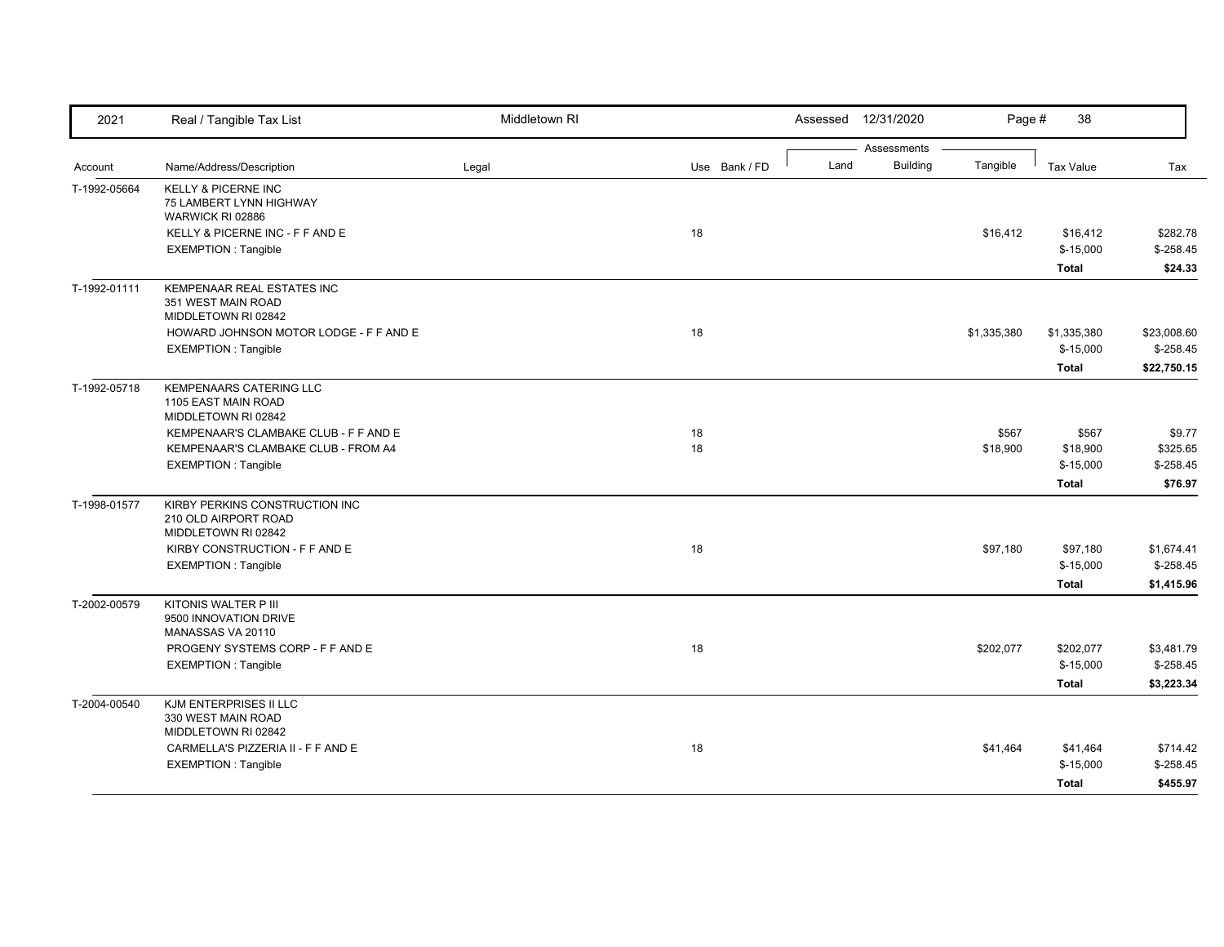| 2021         | Real / Tangible Tax List                                                      | Middletown RI |               | Assessed | 12/31/2020      | Page #      | 38                     |                           |
|--------------|-------------------------------------------------------------------------------|---------------|---------------|----------|-----------------|-------------|------------------------|---------------------------|
|              |                                                                               |               |               |          | Assessments     |             |                        |                           |
| Account      | Name/Address/Description                                                      | Legal         | Use Bank / FD | Land     | <b>Building</b> | Tangible    | <b>Tax Value</b>       | Tax                       |
| T-1992-05664 | <b>KELLY &amp; PICERNE INC</b><br>75 LAMBERT LYNN HIGHWAY<br>WARWICK RI 02886 |               |               |          |                 |             |                        |                           |
|              | KELLY & PICERNE INC - F F AND E                                               |               | 18            |          |                 | \$16,412    | \$16,412               | \$282.78                  |
|              | <b>EXEMPTION: Tangible</b>                                                    |               |               |          |                 |             | $$-15,000$             | $$-258.45$                |
|              |                                                                               |               |               |          |                 |             | Total                  | \$24.33                   |
| T-1992-01111 | KEMPENAAR REAL ESTATES INC<br>351 WEST MAIN ROAD                              |               |               |          |                 |             |                        |                           |
|              | MIDDLETOWN RI 02842                                                           |               |               |          |                 |             |                        |                           |
|              | HOWARD JOHNSON MOTOR LODGE - F F AND E                                        |               | 18            |          |                 | \$1,335,380 | \$1,335,380            | \$23,008.60<br>$$-258.45$ |
|              | <b>EXEMPTION: Tangible</b>                                                    |               |               |          |                 |             | $$-15,000$             |                           |
|              |                                                                               |               |               |          |                 |             | <b>Total</b>           | \$22,750.15               |
| T-1992-05718 | <b>KEMPENAARS CATERING LLC</b><br>1105 EAST MAIN ROAD                         |               |               |          |                 |             |                        |                           |
|              | MIDDLETOWN RI 02842                                                           |               |               |          |                 |             |                        |                           |
|              | KEMPENAAR'S CLAMBAKE CLUB - F F AND E                                         |               | 18            |          |                 | \$567       | \$567                  | \$9.77                    |
|              | KEMPENAAR'S CLAMBAKE CLUB - FROM A4                                           |               | 18            |          |                 | \$18,900    | \$18,900               | \$325.65                  |
|              | <b>EXEMPTION: Tangible</b>                                                    |               |               |          |                 |             | $$-15,000$             | $$ -258.45$               |
|              |                                                                               |               |               |          |                 |             | Total                  | \$76.97                   |
| T-1998-01577 | KIRBY PERKINS CONSTRUCTION INC<br>210 OLD AIRPORT ROAD                        |               |               |          |                 |             |                        |                           |
|              | MIDDLETOWN RI 02842                                                           |               |               |          |                 |             |                        |                           |
|              | KIRBY CONSTRUCTION - F F AND E<br><b>EXEMPTION: Tangible</b>                  |               | 18            |          |                 | \$97,180    | \$97,180<br>$$-15,000$ | \$1,674.41<br>$$-258.45$  |
|              |                                                                               |               |               |          |                 |             |                        |                           |
|              |                                                                               |               |               |          |                 |             | <b>Total</b>           | \$1,415.96                |
| T-2002-00579 | KITONIS WALTER P III<br>9500 INNOVATION DRIVE<br>MANASSAS VA 20110            |               |               |          |                 |             |                        |                           |
|              | PROGENY SYSTEMS CORP - F F AND E                                              |               | 18            |          |                 | \$202,077   | \$202,077              | \$3,481.79                |
|              | <b>EXEMPTION: Tangible</b>                                                    |               |               |          |                 |             | $$-15,000$             | $$-258.45$                |
|              |                                                                               |               |               |          |                 |             | <b>Total</b>           | \$3,223.34                |
| T-2004-00540 | KJM ENTERPRISES II LLC<br>330 WEST MAIN ROAD                                  |               |               |          |                 |             |                        |                           |
|              | MIDDLETOWN RI 02842                                                           |               |               |          |                 |             |                        |                           |
|              | CARMELLA'S PIZZERIA II - F F AND E                                            |               | 18            |          |                 | \$41,464    | \$41,464               | \$714.42                  |
|              | <b>EXEMPTION: Tangible</b>                                                    |               |               |          |                 |             | $$-15,000$             | $$-258.45$                |
|              |                                                                               |               |               |          |                 |             | Total                  | \$455.97                  |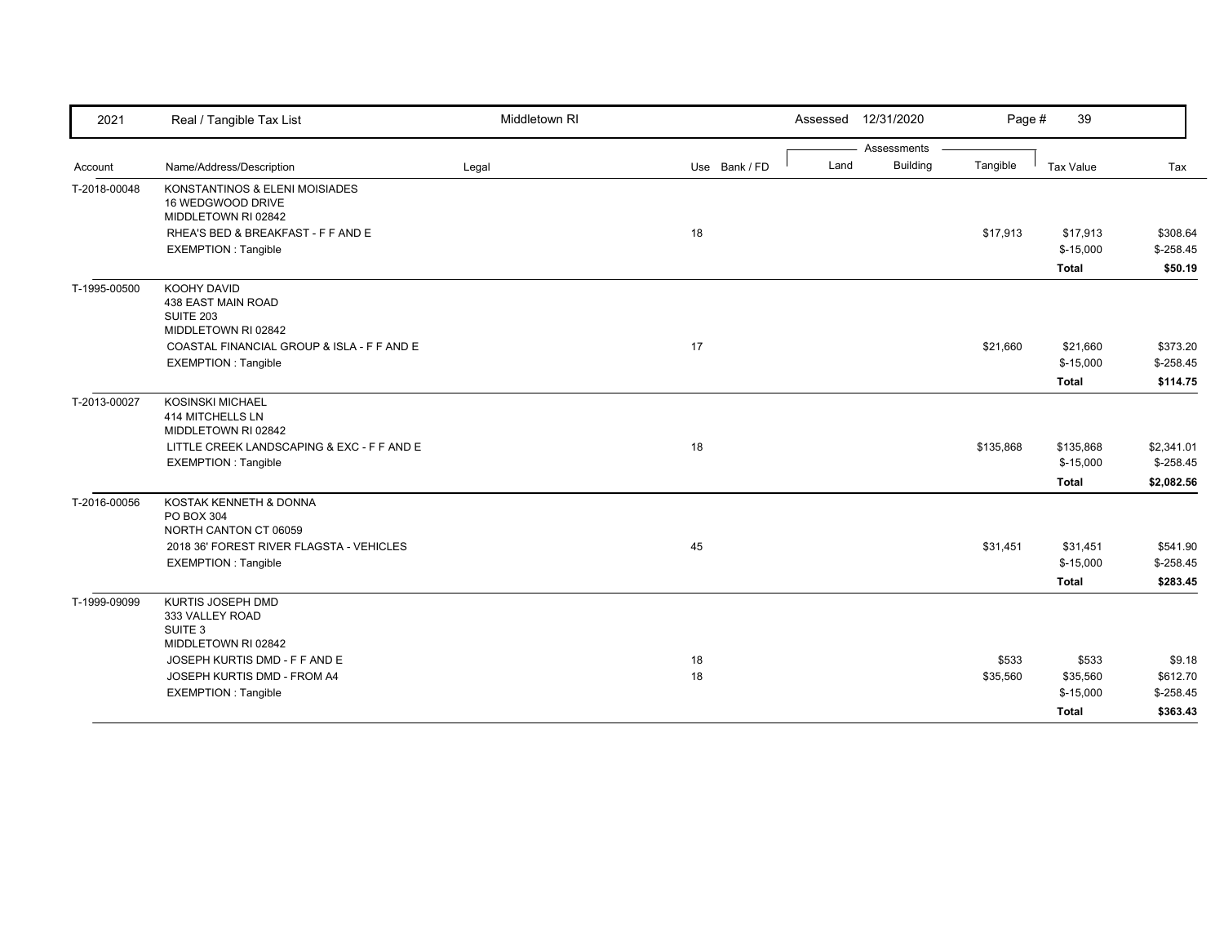| 2021         | Real / Tangible Tax List                                                                                                                       | Middletown RI |               | 12/31/2020<br>Assessed  | Page #    | 39                      |                          |
|--------------|------------------------------------------------------------------------------------------------------------------------------------------------|---------------|---------------|-------------------------|-----------|-------------------------|--------------------------|
|              |                                                                                                                                                |               |               | Assessments             |           |                         |                          |
| Account      | Name/Address/Description                                                                                                                       | Legal         | Use Bank / FD | <b>Building</b><br>Land | Tangible  | Tax Value               | Tax                      |
| T-2018-00048 | KONSTANTINOS & ELENI MOISIADES<br>16 WEDGWOOD DRIVE<br>MIDDLETOWN RI 02842                                                                     |               |               |                         |           |                         |                          |
|              | RHEA'S BED & BREAKFAST - F F AND E                                                                                                             |               | 18            |                         | \$17,913  | \$17,913                | \$308.64                 |
|              | <b>EXEMPTION: Tangible</b>                                                                                                                     |               |               |                         |           | $$-15,000$              | $$-258.45$               |
|              |                                                                                                                                                |               |               |                         |           | <b>Total</b>            | \$50.19                  |
| T-1995-00500 | KOOHY DAVID<br>438 EAST MAIN ROAD<br>SUITE 203<br>MIDDLETOWN RI 02842                                                                          |               |               |                         |           |                         |                          |
|              | COASTAL FINANCIAL GROUP & ISLA - F F AND E                                                                                                     |               | 17            |                         | \$21,660  | \$21,660                | \$373.20                 |
|              | <b>EXEMPTION: Tangible</b>                                                                                                                     |               |               |                         |           | $$-15,000$              | $$-258.45$               |
|              |                                                                                                                                                |               |               |                         |           | Total                   | \$114.75                 |
| T-2013-00027 | <b>KOSINSKI MICHAEL</b><br>414 MITCHELLS LN<br>MIDDLETOWN RI 02842<br>LITTLE CREEK LANDSCAPING & EXC - F F AND E<br><b>EXEMPTION: Tangible</b> |               | 18            |                         | \$135,868 | \$135,868<br>$$-15,000$ | \$2,341.01<br>$$-258.45$ |
| T-2016-00056 | KOSTAK KENNETH & DONNA<br><b>PO BOX 304</b><br>NORTH CANTON CT 06059                                                                           |               |               |                         |           | <b>Total</b>            | \$2,082.56               |
|              | 2018 36' FOREST RIVER FLAGSTA - VEHICLES                                                                                                       |               | 45            |                         | \$31,451  | \$31,451                | \$541.90                 |
|              | <b>EXEMPTION: Tangible</b>                                                                                                                     |               |               |                         |           | $$-15,000$              | $$-258.45$               |
|              |                                                                                                                                                |               |               |                         |           | <b>Total</b>            | \$283.45                 |
| T-1999-09099 | KURTIS JOSEPH DMD<br>333 VALLEY ROAD<br>SUITE 3<br>MIDDLETOWN RI 02842                                                                         |               |               |                         |           |                         |                          |
|              | JOSEPH KURTIS DMD - F F AND E                                                                                                                  |               | 18            |                         | \$533     | \$533                   | \$9.18                   |
|              | JOSEPH KURTIS DMD - FROM A4                                                                                                                    |               | 18            |                         | \$35,560  | \$35,560                | \$612.70                 |
|              | <b>EXEMPTION: Tangible</b>                                                                                                                     |               |               |                         |           | $$-15,000$              | $$-258.45$               |
|              |                                                                                                                                                |               |               |                         |           | Total                   | \$363.43                 |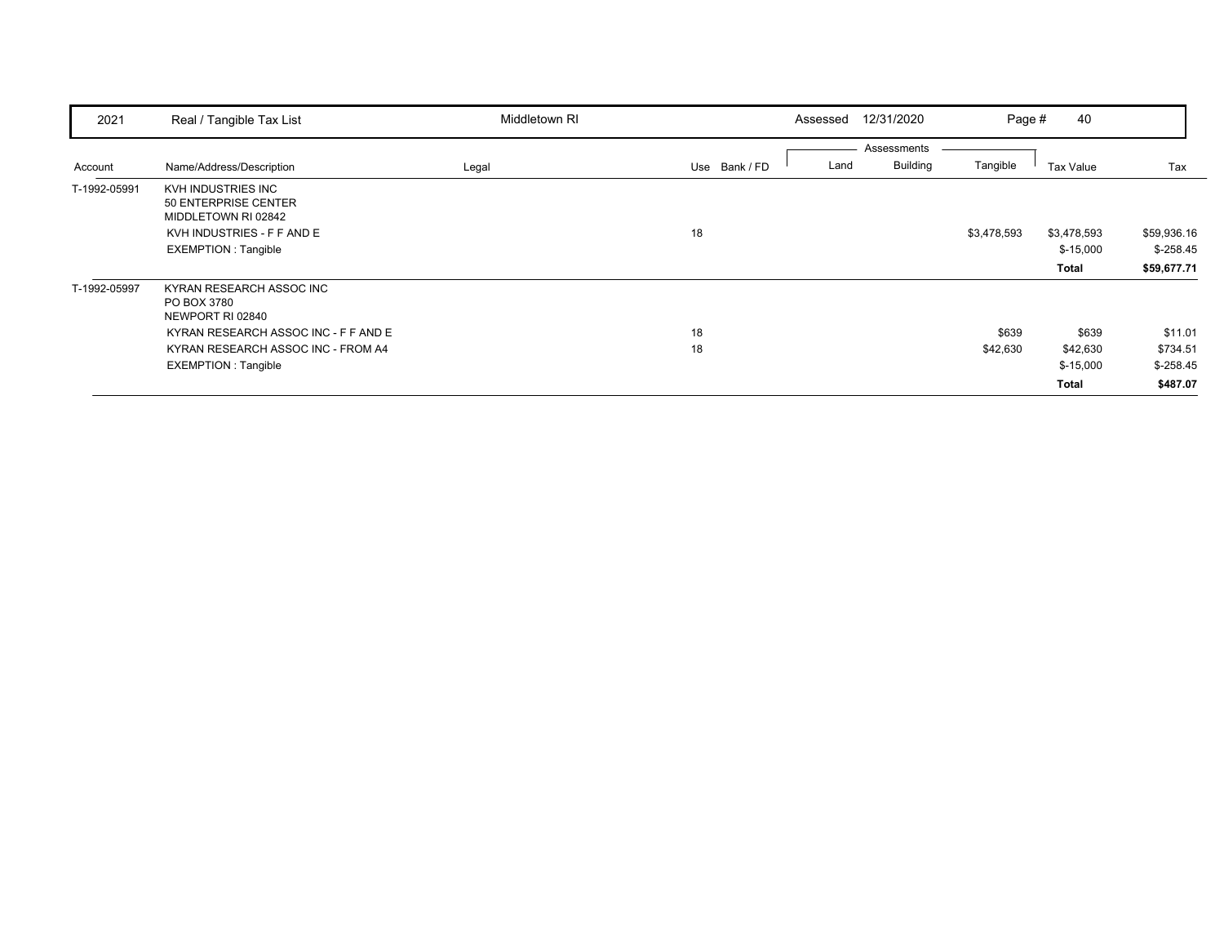| 2021         | Real / Tangible Tax List                                                                                                                                                | Middletown RI |               | 12/31/2020<br>Assessed                 | Page #            | 40                                              |                                               |
|--------------|-------------------------------------------------------------------------------------------------------------------------------------------------------------------------|---------------|---------------|----------------------------------------|-------------------|-------------------------------------------------|-----------------------------------------------|
| Account      | Name/Address/Description                                                                                                                                                | Legal         | Use Bank / FD | Assessments<br><b>Building</b><br>Land | Tangible          | Tax Value                                       | Tax                                           |
| T-1992-05991 | KVH INDUSTRIES INC<br>50 ENTERPRISE CENTER<br>MIDDLETOWN RI 02842<br>KVH INDUSTRIES - F F AND E<br><b>EXEMPTION: Tangible</b>                                           |               | 18            |                                        | \$3,478,593       | \$3,478,593<br>$$-15,000$<br><b>Total</b>       | \$59,936.16<br>$$-258.45$<br>\$59,677.71      |
| T-1992-05997 | KYRAN RESEARCH ASSOC INC<br>PO BOX 3780<br>NEWPORT RI 02840<br>KYRAN RESEARCH ASSOC INC - F F AND E<br>KYRAN RESEARCH ASSOC INC - FROM A4<br><b>EXEMPTION: Tangible</b> |               | 18<br>18      |                                        | \$639<br>\$42,630 | \$639<br>\$42,630<br>$$-15,000$<br><b>Total</b> | \$11.01<br>\$734.51<br>$$-258.45$<br>\$487.07 |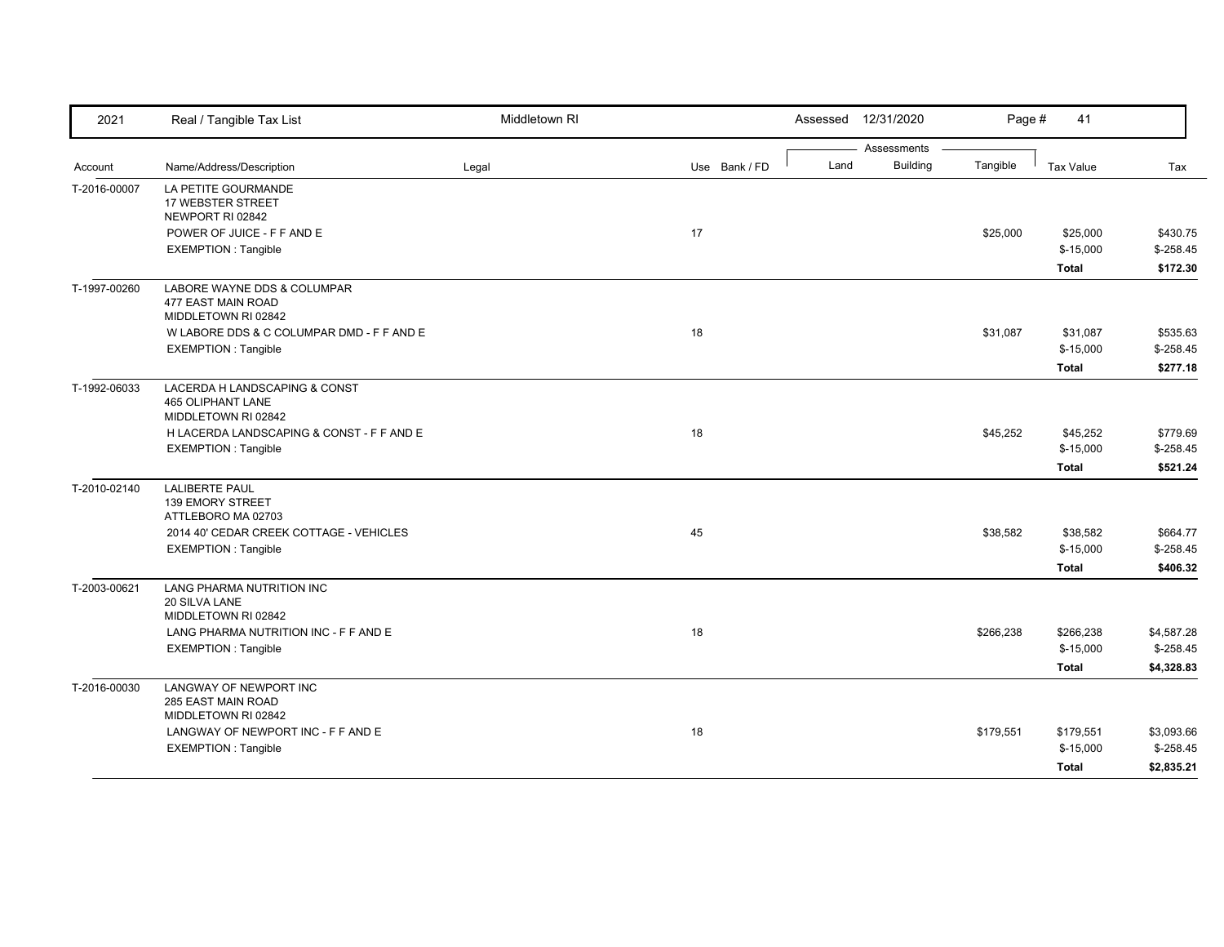| 2021         | Real / Tangible Tax List                                                         | Middletown RI |               |      | Assessed 12/31/2020 | Page #    | 41           |            |
|--------------|----------------------------------------------------------------------------------|---------------|---------------|------|---------------------|-----------|--------------|------------|
|              |                                                                                  |               |               |      | Assessments         |           |              |            |
| Account      | Name/Address/Description                                                         | Legal         | Use Bank / FD | Land | <b>Building</b>     | Tangible  | Tax Value    | Tax        |
| T-2016-00007 | LA PETITE GOURMANDE<br>17 WEBSTER STREET<br>NEWPORT RI 02842                     |               |               |      |                     |           |              |            |
|              | POWER OF JUICE - F F AND E                                                       |               | 17            |      |                     | \$25,000  | \$25,000     | \$430.75   |
|              | <b>EXEMPTION: Tangible</b>                                                       |               |               |      |                     |           | $$-15,000$   | $$-258.45$ |
|              |                                                                                  |               |               |      |                     |           | <b>Total</b> | \$172.30   |
| T-1997-00260 | LABORE WAYNE DDS & COLUMPAR<br>477 EAST MAIN ROAD<br>MIDDLETOWN RI 02842         |               |               |      |                     |           |              |            |
|              | W LABORE DDS & C COLUMPAR DMD - F F AND E                                        |               | 18            |      |                     | \$31,087  | \$31,087     | \$535.63   |
|              | <b>EXEMPTION: Tangible</b>                                                       |               |               |      |                     |           | $$-15,000$   | $$-258.45$ |
|              |                                                                                  |               |               |      |                     |           | <b>Total</b> | \$277.18   |
| T-1992-06033 | LACERDA H LANDSCAPING & CONST<br><b>465 OLIPHANT LANE</b><br>MIDDLETOWN RI 02842 |               |               |      |                     |           |              |            |
|              | H LACERDA LANDSCAPING & CONST - F F AND E                                        |               | 18            |      |                     | \$45,252  | \$45,252     | \$779.69   |
|              | <b>EXEMPTION: Tangible</b>                                                       |               |               |      |                     |           | $$-15,000$   | $$-258.45$ |
|              |                                                                                  |               |               |      |                     |           | <b>Total</b> | \$521.24   |
| T-2010-02140 | <b>LALIBERTE PAUL</b><br><b>139 EMORY STREET</b><br>ATTLEBORO MA 02703           |               |               |      |                     |           |              |            |
|              | 2014 40' CEDAR CREEK COTTAGE - VEHICLES                                          |               | 45            |      |                     | \$38,582  | \$38,582     | \$664.77   |
|              | <b>EXEMPTION: Tangible</b>                                                       |               |               |      |                     |           | $$-15,000$   | $$-258.45$ |
|              |                                                                                  |               |               |      |                     |           | <b>Total</b> | \$406.32   |
| T-2003-00621 | LANG PHARMA NUTRITION INC<br>20 SILVA LANE<br>MIDDLETOWN RI 02842                |               |               |      |                     |           |              |            |
|              | LANG PHARMA NUTRITION INC - F F AND E                                            |               | 18            |      |                     | \$266,238 | \$266,238    | \$4,587.28 |
|              | <b>EXEMPTION: Tangible</b>                                                       |               |               |      |                     |           | $$-15,000$   | $$-258.45$ |
|              |                                                                                  |               |               |      |                     |           | <b>Total</b> | \$4,328.83 |
| T-2016-00030 | LANGWAY OF NEWPORT INC<br>285 EAST MAIN ROAD<br>MIDDLETOWN RI 02842              |               |               |      |                     |           |              |            |
|              | LANGWAY OF NEWPORT INC - F F AND E                                               |               | 18            |      |                     | \$179,551 | \$179,551    | \$3,093.66 |
|              | <b>EXEMPTION: Tangible</b>                                                       |               |               |      |                     |           | $$-15,000$   | $$-258.45$ |
|              |                                                                                  |               |               |      |                     |           | <b>Total</b> | \$2,835.21 |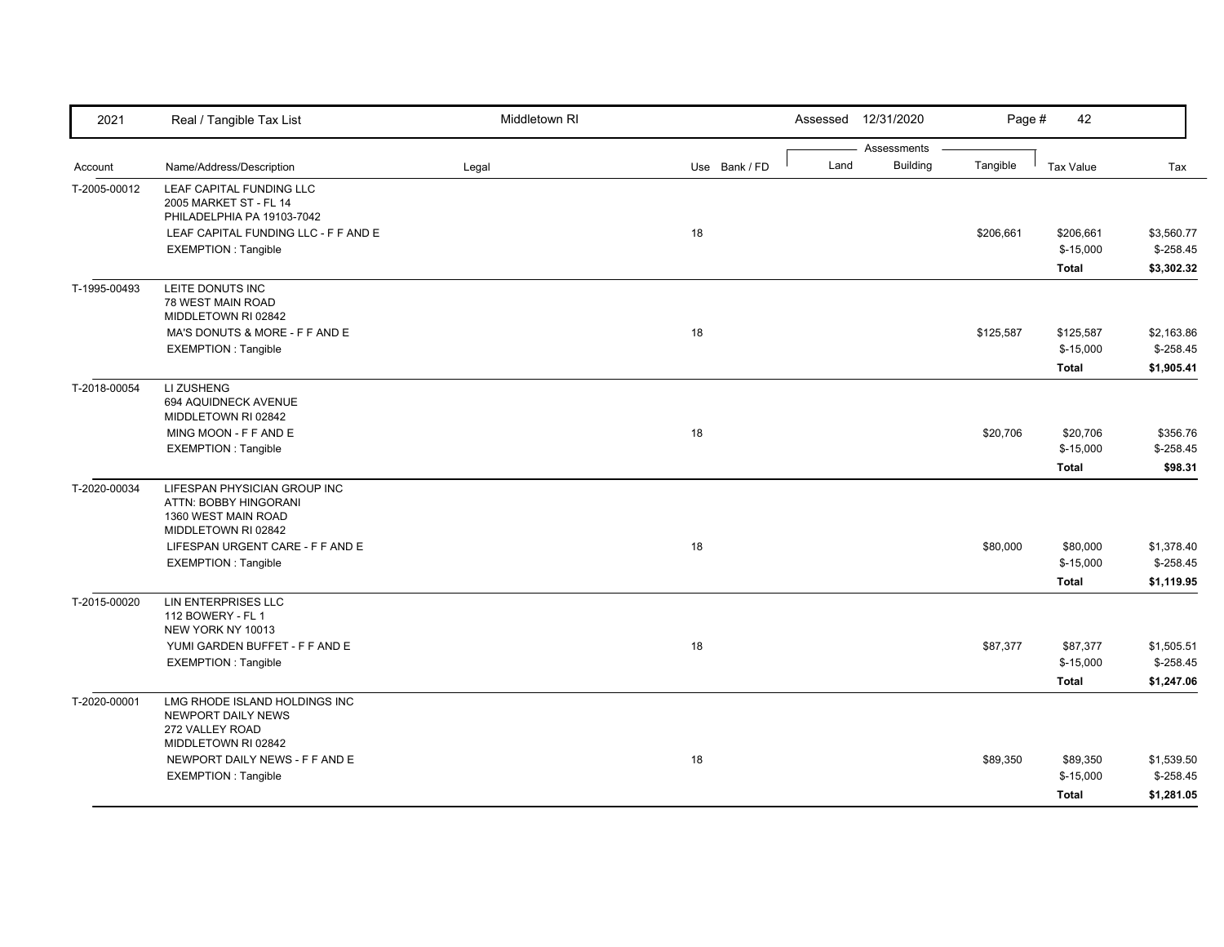| Assessments<br><b>Building</b><br>Tangible<br>Name/Address/Description<br>Use Bank / FD<br>Land<br><b>Tax Value</b><br>Tax<br>Account<br>Legal<br>LEAF CAPITAL FUNDING LLC<br>2005 MARKET ST - FL 14<br>PHILADELPHIA PA 19103-7042<br>18<br>\$3,560.77<br>LEAF CAPITAL FUNDING LLC - F F AND E<br>\$206,661<br>\$206,661<br>$$-15,000$<br>$$-258.45$<br><b>EXEMPTION: Tangible</b><br>\$3,302.32<br><b>Total</b><br>LEITE DONUTS INC<br>78 WEST MAIN ROAD<br>MIDDLETOWN RI 02842<br>MA'S DONUTS & MORE - F F AND E<br>18<br>\$125,587<br>\$125,587<br>\$2,163.86<br>$$-258.45$<br><b>EXEMPTION: Tangible</b><br>$$-15,000$<br>\$1,905.41<br><b>Total</b><br>T-2018-00054<br>LI ZUSHENG<br>694 AQUIDNECK AVENUE<br>MIDDLETOWN RI 02842<br>18<br>MING MOON - F F AND E<br>\$20,706<br>\$20,706<br>\$356.76<br><b>EXEMPTION: Tangible</b><br>$$-15,000$<br>$$-258.45$<br><b>Total</b><br>\$98.31<br>LIFESPAN PHYSICIAN GROUP INC<br>ATTN: BOBBY HINGORANI<br>1360 WEST MAIN ROAD<br>MIDDLETOWN RI 02842<br>LIFESPAN URGENT CARE - F F AND E<br>18<br>\$80,000<br>\$80,000<br>\$1,378.40<br><b>EXEMPTION: Tangible</b><br>$$-15,000$<br>$$-258.45$<br><b>Total</b><br>\$1,119.95<br>T-2015-00020<br>LIN ENTERPRISES LLC<br>112 BOWERY - FL 1<br>NEW YORK NY 10013<br>18<br>YUMI GARDEN BUFFET - F F AND E<br>\$87,377<br>\$87,377<br>\$1,505.51<br><b>EXEMPTION: Tangible</b><br>$$-15,000$<br>$$-258.45$<br>\$1,247.06<br><b>Total</b><br>LMG RHODE ISLAND HOLDINGS INC<br>NEWPORT DAILY NEWS<br>272 VALLEY ROAD<br>MIDDLETOWN RI 02842<br>18<br>NEWPORT DAILY NEWS - F F AND E<br>\$89,350<br>\$89,350<br>\$1,539.50<br>$$-258.45$<br><b>EXEMPTION: Tangible</b><br>$$-15,000$ | 2021         | Real / Tangible Tax List | Middletown RI |  | Assessed 12/31/2020 | Page # | 42           |            |
|------------------------------------------------------------------------------------------------------------------------------------------------------------------------------------------------------------------------------------------------------------------------------------------------------------------------------------------------------------------------------------------------------------------------------------------------------------------------------------------------------------------------------------------------------------------------------------------------------------------------------------------------------------------------------------------------------------------------------------------------------------------------------------------------------------------------------------------------------------------------------------------------------------------------------------------------------------------------------------------------------------------------------------------------------------------------------------------------------------------------------------------------------------------------------------------------------------------------------------------------------------------------------------------------------------------------------------------------------------------------------------------------------------------------------------------------------------------------------------------------------------------------------------------------------------------------------------------------------------------------------------------------------------------------------|--------------|--------------------------|---------------|--|---------------------|--------|--------------|------------|
|                                                                                                                                                                                                                                                                                                                                                                                                                                                                                                                                                                                                                                                                                                                                                                                                                                                                                                                                                                                                                                                                                                                                                                                                                                                                                                                                                                                                                                                                                                                                                                                                                                                                              |              |                          |               |  |                     |        |              |            |
|                                                                                                                                                                                                                                                                                                                                                                                                                                                                                                                                                                                                                                                                                                                                                                                                                                                                                                                                                                                                                                                                                                                                                                                                                                                                                                                                                                                                                                                                                                                                                                                                                                                                              |              |                          |               |  |                     |        |              |            |
|                                                                                                                                                                                                                                                                                                                                                                                                                                                                                                                                                                                                                                                                                                                                                                                                                                                                                                                                                                                                                                                                                                                                                                                                                                                                                                                                                                                                                                                                                                                                                                                                                                                                              | T-2005-00012 |                          |               |  |                     |        |              |            |
|                                                                                                                                                                                                                                                                                                                                                                                                                                                                                                                                                                                                                                                                                                                                                                                                                                                                                                                                                                                                                                                                                                                                                                                                                                                                                                                                                                                                                                                                                                                                                                                                                                                                              |              |                          |               |  |                     |        |              |            |
|                                                                                                                                                                                                                                                                                                                                                                                                                                                                                                                                                                                                                                                                                                                                                                                                                                                                                                                                                                                                                                                                                                                                                                                                                                                                                                                                                                                                                                                                                                                                                                                                                                                                              |              |                          |               |  |                     |        |              |            |
|                                                                                                                                                                                                                                                                                                                                                                                                                                                                                                                                                                                                                                                                                                                                                                                                                                                                                                                                                                                                                                                                                                                                                                                                                                                                                                                                                                                                                                                                                                                                                                                                                                                                              |              |                          |               |  |                     |        |              |            |
|                                                                                                                                                                                                                                                                                                                                                                                                                                                                                                                                                                                                                                                                                                                                                                                                                                                                                                                                                                                                                                                                                                                                                                                                                                                                                                                                                                                                                                                                                                                                                                                                                                                                              |              |                          |               |  |                     |        |              |            |
|                                                                                                                                                                                                                                                                                                                                                                                                                                                                                                                                                                                                                                                                                                                                                                                                                                                                                                                                                                                                                                                                                                                                                                                                                                                                                                                                                                                                                                                                                                                                                                                                                                                                              | T-1995-00493 |                          |               |  |                     |        |              |            |
|                                                                                                                                                                                                                                                                                                                                                                                                                                                                                                                                                                                                                                                                                                                                                                                                                                                                                                                                                                                                                                                                                                                                                                                                                                                                                                                                                                                                                                                                                                                                                                                                                                                                              |              |                          |               |  |                     |        |              |            |
|                                                                                                                                                                                                                                                                                                                                                                                                                                                                                                                                                                                                                                                                                                                                                                                                                                                                                                                                                                                                                                                                                                                                                                                                                                                                                                                                                                                                                                                                                                                                                                                                                                                                              |              |                          |               |  |                     |        |              |            |
|                                                                                                                                                                                                                                                                                                                                                                                                                                                                                                                                                                                                                                                                                                                                                                                                                                                                                                                                                                                                                                                                                                                                                                                                                                                                                                                                                                                                                                                                                                                                                                                                                                                                              |              |                          |               |  |                     |        |              |            |
|                                                                                                                                                                                                                                                                                                                                                                                                                                                                                                                                                                                                                                                                                                                                                                                                                                                                                                                                                                                                                                                                                                                                                                                                                                                                                                                                                                                                                                                                                                                                                                                                                                                                              |              |                          |               |  |                     |        |              |            |
|                                                                                                                                                                                                                                                                                                                                                                                                                                                                                                                                                                                                                                                                                                                                                                                                                                                                                                                                                                                                                                                                                                                                                                                                                                                                                                                                                                                                                                                                                                                                                                                                                                                                              |              |                          |               |  |                     |        |              |            |
|                                                                                                                                                                                                                                                                                                                                                                                                                                                                                                                                                                                                                                                                                                                                                                                                                                                                                                                                                                                                                                                                                                                                                                                                                                                                                                                                                                                                                                                                                                                                                                                                                                                                              |              |                          |               |  |                     |        |              |            |
|                                                                                                                                                                                                                                                                                                                                                                                                                                                                                                                                                                                                                                                                                                                                                                                                                                                                                                                                                                                                                                                                                                                                                                                                                                                                                                                                                                                                                                                                                                                                                                                                                                                                              |              |                          |               |  |                     |        |              |            |
|                                                                                                                                                                                                                                                                                                                                                                                                                                                                                                                                                                                                                                                                                                                                                                                                                                                                                                                                                                                                                                                                                                                                                                                                                                                                                                                                                                                                                                                                                                                                                                                                                                                                              |              |                          |               |  |                     |        |              |            |
|                                                                                                                                                                                                                                                                                                                                                                                                                                                                                                                                                                                                                                                                                                                                                                                                                                                                                                                                                                                                                                                                                                                                                                                                                                                                                                                                                                                                                                                                                                                                                                                                                                                                              |              |                          |               |  |                     |        |              |            |
|                                                                                                                                                                                                                                                                                                                                                                                                                                                                                                                                                                                                                                                                                                                                                                                                                                                                                                                                                                                                                                                                                                                                                                                                                                                                                                                                                                                                                                                                                                                                                                                                                                                                              |              |                          |               |  |                     |        |              |            |
|                                                                                                                                                                                                                                                                                                                                                                                                                                                                                                                                                                                                                                                                                                                                                                                                                                                                                                                                                                                                                                                                                                                                                                                                                                                                                                                                                                                                                                                                                                                                                                                                                                                                              | T-2020-00034 |                          |               |  |                     |        |              |            |
|                                                                                                                                                                                                                                                                                                                                                                                                                                                                                                                                                                                                                                                                                                                                                                                                                                                                                                                                                                                                                                                                                                                                                                                                                                                                                                                                                                                                                                                                                                                                                                                                                                                                              |              |                          |               |  |                     |        |              |            |
|                                                                                                                                                                                                                                                                                                                                                                                                                                                                                                                                                                                                                                                                                                                                                                                                                                                                                                                                                                                                                                                                                                                                                                                                                                                                                                                                                                                                                                                                                                                                                                                                                                                                              |              |                          |               |  |                     |        |              |            |
|                                                                                                                                                                                                                                                                                                                                                                                                                                                                                                                                                                                                                                                                                                                                                                                                                                                                                                                                                                                                                                                                                                                                                                                                                                                                                                                                                                                                                                                                                                                                                                                                                                                                              |              |                          |               |  |                     |        |              |            |
|                                                                                                                                                                                                                                                                                                                                                                                                                                                                                                                                                                                                                                                                                                                                                                                                                                                                                                                                                                                                                                                                                                                                                                                                                                                                                                                                                                                                                                                                                                                                                                                                                                                                              |              |                          |               |  |                     |        |              |            |
|                                                                                                                                                                                                                                                                                                                                                                                                                                                                                                                                                                                                                                                                                                                                                                                                                                                                                                                                                                                                                                                                                                                                                                                                                                                                                                                                                                                                                                                                                                                                                                                                                                                                              |              |                          |               |  |                     |        |              |            |
|                                                                                                                                                                                                                                                                                                                                                                                                                                                                                                                                                                                                                                                                                                                                                                                                                                                                                                                                                                                                                                                                                                                                                                                                                                                                                                                                                                                                                                                                                                                                                                                                                                                                              |              |                          |               |  |                     |        |              |            |
|                                                                                                                                                                                                                                                                                                                                                                                                                                                                                                                                                                                                                                                                                                                                                                                                                                                                                                                                                                                                                                                                                                                                                                                                                                                                                                                                                                                                                                                                                                                                                                                                                                                                              |              |                          |               |  |                     |        |              |            |
|                                                                                                                                                                                                                                                                                                                                                                                                                                                                                                                                                                                                                                                                                                                                                                                                                                                                                                                                                                                                                                                                                                                                                                                                                                                                                                                                                                                                                                                                                                                                                                                                                                                                              |              |                          |               |  |                     |        |              |            |
|                                                                                                                                                                                                                                                                                                                                                                                                                                                                                                                                                                                                                                                                                                                                                                                                                                                                                                                                                                                                                                                                                                                                                                                                                                                                                                                                                                                                                                                                                                                                                                                                                                                                              |              |                          |               |  |                     |        |              |            |
|                                                                                                                                                                                                                                                                                                                                                                                                                                                                                                                                                                                                                                                                                                                                                                                                                                                                                                                                                                                                                                                                                                                                                                                                                                                                                                                                                                                                                                                                                                                                                                                                                                                                              |              |                          |               |  |                     |        |              |            |
|                                                                                                                                                                                                                                                                                                                                                                                                                                                                                                                                                                                                                                                                                                                                                                                                                                                                                                                                                                                                                                                                                                                                                                                                                                                                                                                                                                                                                                                                                                                                                                                                                                                                              |              |                          |               |  |                     |        |              |            |
|                                                                                                                                                                                                                                                                                                                                                                                                                                                                                                                                                                                                                                                                                                                                                                                                                                                                                                                                                                                                                                                                                                                                                                                                                                                                                                                                                                                                                                                                                                                                                                                                                                                                              | T-2020-00001 |                          |               |  |                     |        |              |            |
|                                                                                                                                                                                                                                                                                                                                                                                                                                                                                                                                                                                                                                                                                                                                                                                                                                                                                                                                                                                                                                                                                                                                                                                                                                                                                                                                                                                                                                                                                                                                                                                                                                                                              |              |                          |               |  |                     |        |              |            |
|                                                                                                                                                                                                                                                                                                                                                                                                                                                                                                                                                                                                                                                                                                                                                                                                                                                                                                                                                                                                                                                                                                                                                                                                                                                                                                                                                                                                                                                                                                                                                                                                                                                                              |              |                          |               |  |                     |        |              |            |
|                                                                                                                                                                                                                                                                                                                                                                                                                                                                                                                                                                                                                                                                                                                                                                                                                                                                                                                                                                                                                                                                                                                                                                                                                                                                                                                                                                                                                                                                                                                                                                                                                                                                              |              |                          |               |  |                     |        |              |            |
|                                                                                                                                                                                                                                                                                                                                                                                                                                                                                                                                                                                                                                                                                                                                                                                                                                                                                                                                                                                                                                                                                                                                                                                                                                                                                                                                                                                                                                                                                                                                                                                                                                                                              |              |                          |               |  |                     |        |              |            |
|                                                                                                                                                                                                                                                                                                                                                                                                                                                                                                                                                                                                                                                                                                                                                                                                                                                                                                                                                                                                                                                                                                                                                                                                                                                                                                                                                                                                                                                                                                                                                                                                                                                                              |              |                          |               |  |                     |        | <b>Total</b> | \$1,281.05 |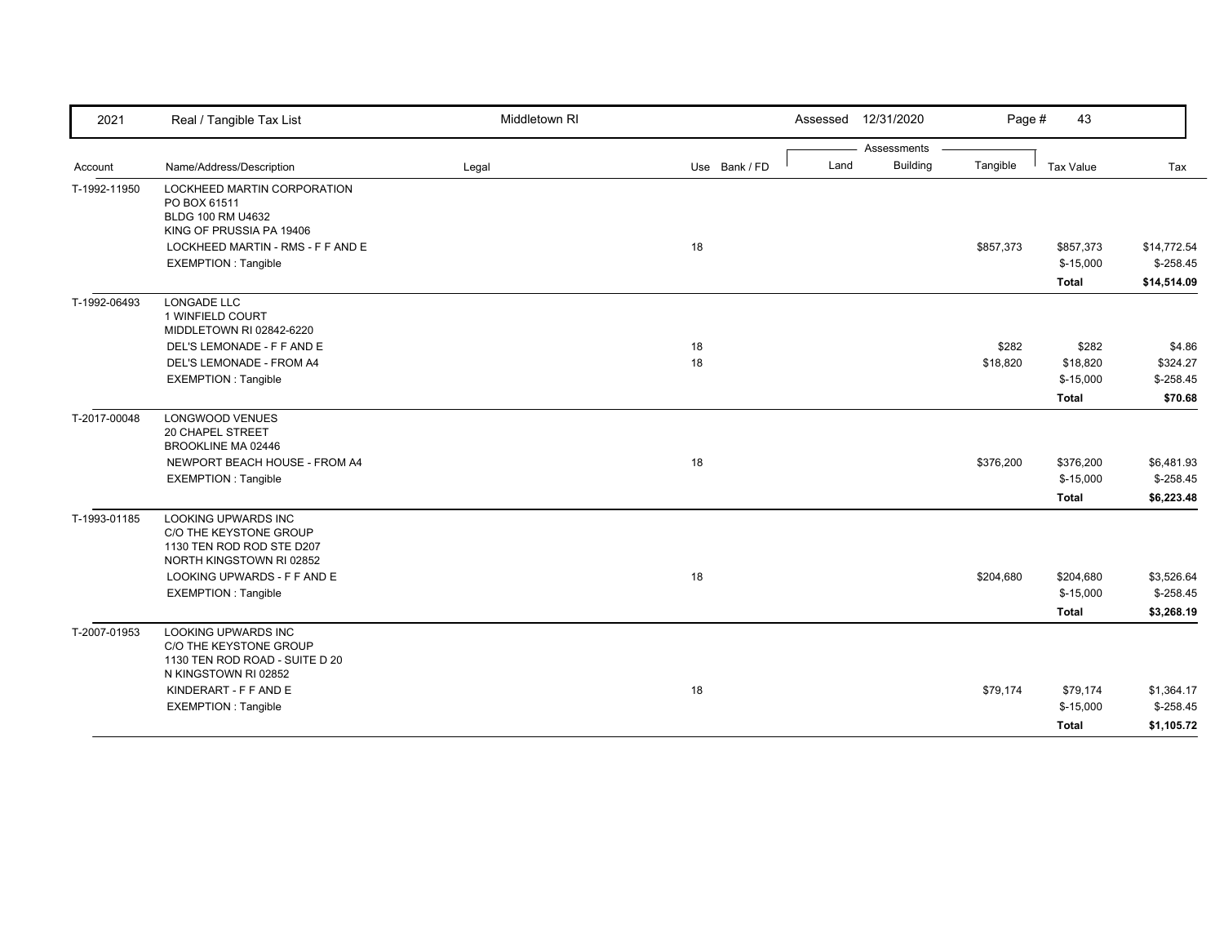| 2021         | Real / Tangible Tax List                                                                                       | Middletown RI |               | Assessed | 12/31/2020      | Page #    | 43                      |                           |
|--------------|----------------------------------------------------------------------------------------------------------------|---------------|---------------|----------|-----------------|-----------|-------------------------|---------------------------|
|              |                                                                                                                |               |               |          | Assessments     |           |                         |                           |
| Account      | Name/Address/Description                                                                                       | Legal         | Use Bank / FD | Land     | <b>Building</b> | Tangible  | <b>Tax Value</b>        | Tax                       |
| T-1992-11950 | LOCKHEED MARTIN CORPORATION<br>PO BOX 61511<br>BLDG 100 RM U4632                                               |               |               |          |                 |           |                         |                           |
|              | KING OF PRUSSIA PA 19406                                                                                       |               | 18            |          |                 |           |                         |                           |
|              | LOCKHEED MARTIN - RMS - F F AND E<br><b>EXEMPTION: Tangible</b>                                                |               |               |          |                 | \$857,373 | \$857,373<br>$$-15,000$ | \$14,772.54<br>$$-258.45$ |
|              |                                                                                                                |               |               |          |                 |           | <b>Total</b>            | \$14,514.09               |
| T-1992-06493 | LONGADE LLC<br>1 WINFIELD COURT<br>MIDDLETOWN RI 02842-6220                                                    |               |               |          |                 |           |                         |                           |
|              | DEL'S LEMONADE - F F AND E                                                                                     |               | 18            |          |                 | \$282     | \$282                   | \$4.86                    |
|              | DEL'S LEMONADE - FROM A4                                                                                       |               | 18            |          |                 | \$18,820  | \$18,820                | \$324.27                  |
|              | <b>EXEMPTION: Tangible</b>                                                                                     |               |               |          |                 |           | $$-15,000$              | $$-258.45$                |
|              |                                                                                                                |               |               |          |                 |           | <b>Total</b>            | \$70.68                   |
| T-2017-00048 | <b>LONGWOOD VENUES</b><br><b>20 CHAPEL STREET</b><br>BROOKLINE MA 02446                                        |               |               |          |                 |           |                         |                           |
|              | NEWPORT BEACH HOUSE - FROM A4                                                                                  |               | 18            |          |                 | \$376,200 | \$376,200               | \$6,481.93                |
|              | <b>EXEMPTION: Tangible</b>                                                                                     |               |               |          |                 |           | $$-15,000$              | $$-258.45$                |
|              |                                                                                                                |               |               |          |                 |           | <b>Total</b>            | \$6,223.48                |
| T-1993-01185 | <b>LOOKING UPWARDS INC</b><br>C/O THE KEYSTONE GROUP<br>1130 TEN ROD ROD STE D207<br>NORTH KINGSTOWN RI 02852  |               |               |          |                 |           |                         |                           |
|              | LOOKING UPWARDS - F F AND E                                                                                    |               | 18            |          |                 | \$204,680 | \$204,680               | \$3,526.64                |
|              | <b>EXEMPTION: Tangible</b>                                                                                     |               |               |          |                 |           | $$-15,000$              | $$-258.45$                |
|              |                                                                                                                |               |               |          |                 |           | <b>Total</b>            | \$3,268.19                |
| T-2007-01953 | <b>LOOKING UPWARDS INC</b><br>C/O THE KEYSTONE GROUP<br>1130 TEN ROD ROAD - SUITE D 20<br>N KINGSTOWN RI 02852 |               |               |          |                 |           |                         |                           |
|              | KINDERART - F F AND E                                                                                          |               | 18            |          |                 | \$79,174  | \$79,174                | \$1,364.17                |
|              | <b>EXEMPTION: Tangible</b>                                                                                     |               |               |          |                 |           | $$-15,000$              | $$-258.45$                |
|              |                                                                                                                |               |               |          |                 |           | Total                   | \$1,105.72                |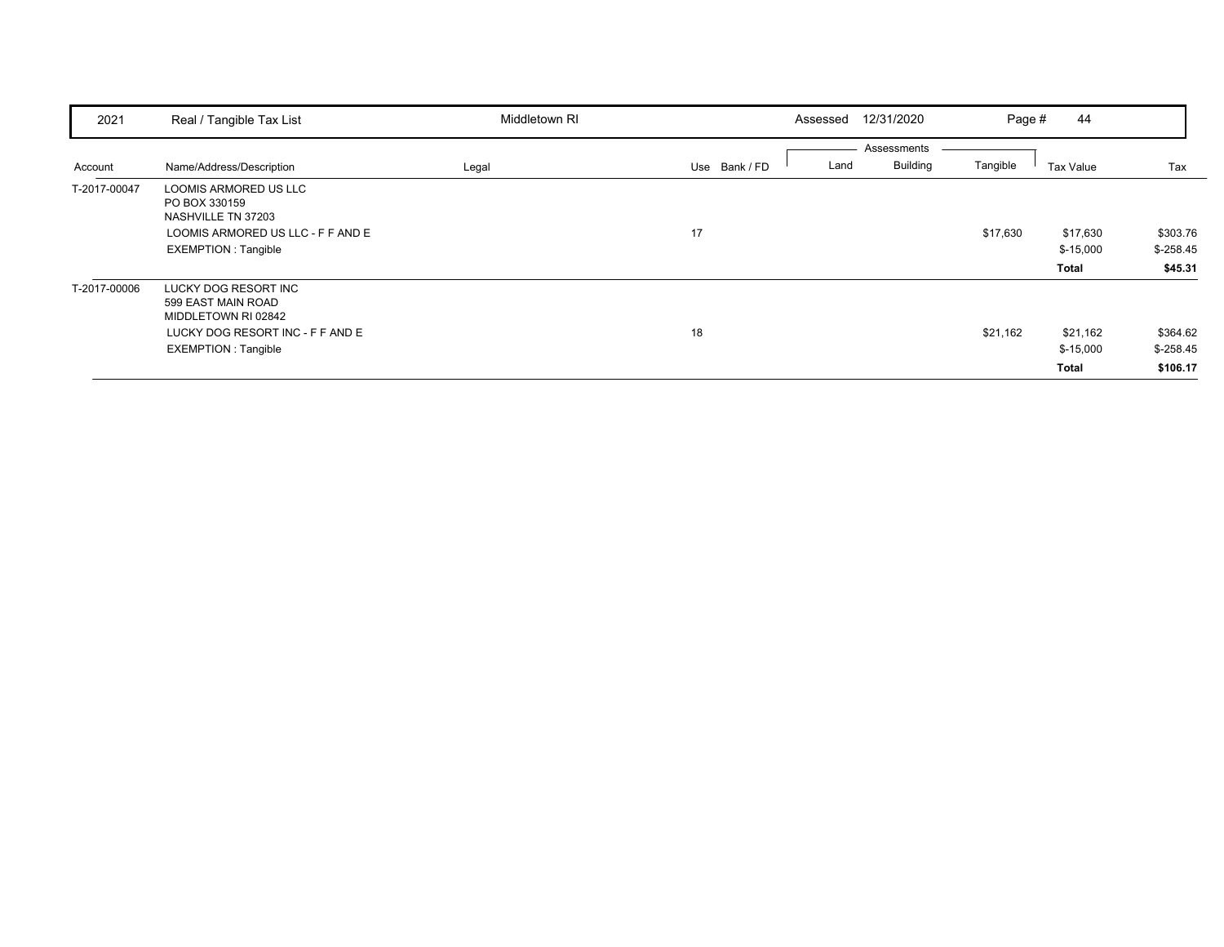| 2021         | Real / Tangible Tax List                                                                                                            | Middletown RI |               | 12/31/2020<br>Assessed                 | Page #   | 44                              |                                    |
|--------------|-------------------------------------------------------------------------------------------------------------------------------------|---------------|---------------|----------------------------------------|----------|---------------------------------|------------------------------------|
| Account      | Name/Address/Description                                                                                                            | Legal         | Use Bank / FD | Assessments<br><b>Building</b><br>Land | Tangible | Tax Value                       | Tax                                |
| T-2017-00047 | LOOMIS ARMORED US LLC<br>PO BOX 330159<br>NASHVILLE TN 37203<br>LOOMIS ARMORED US LLC - F F AND E<br><b>EXEMPTION: Tangible</b>     |               | 17            |                                        | \$17,630 | \$17,630<br>$$-15,000$<br>Total | \$303.76<br>$$-258.45$<br>\$45.31  |
| T-2017-00006 | LUCKY DOG RESORT INC<br>599 EAST MAIN ROAD<br>MIDDLETOWN RI 02842<br>LUCKY DOG RESORT INC - F F AND E<br><b>EXEMPTION: Tangible</b> |               | 18            |                                        | \$21,162 | \$21,162<br>$$-15,000$<br>Total | \$364.62<br>$$-258.45$<br>\$106.17 |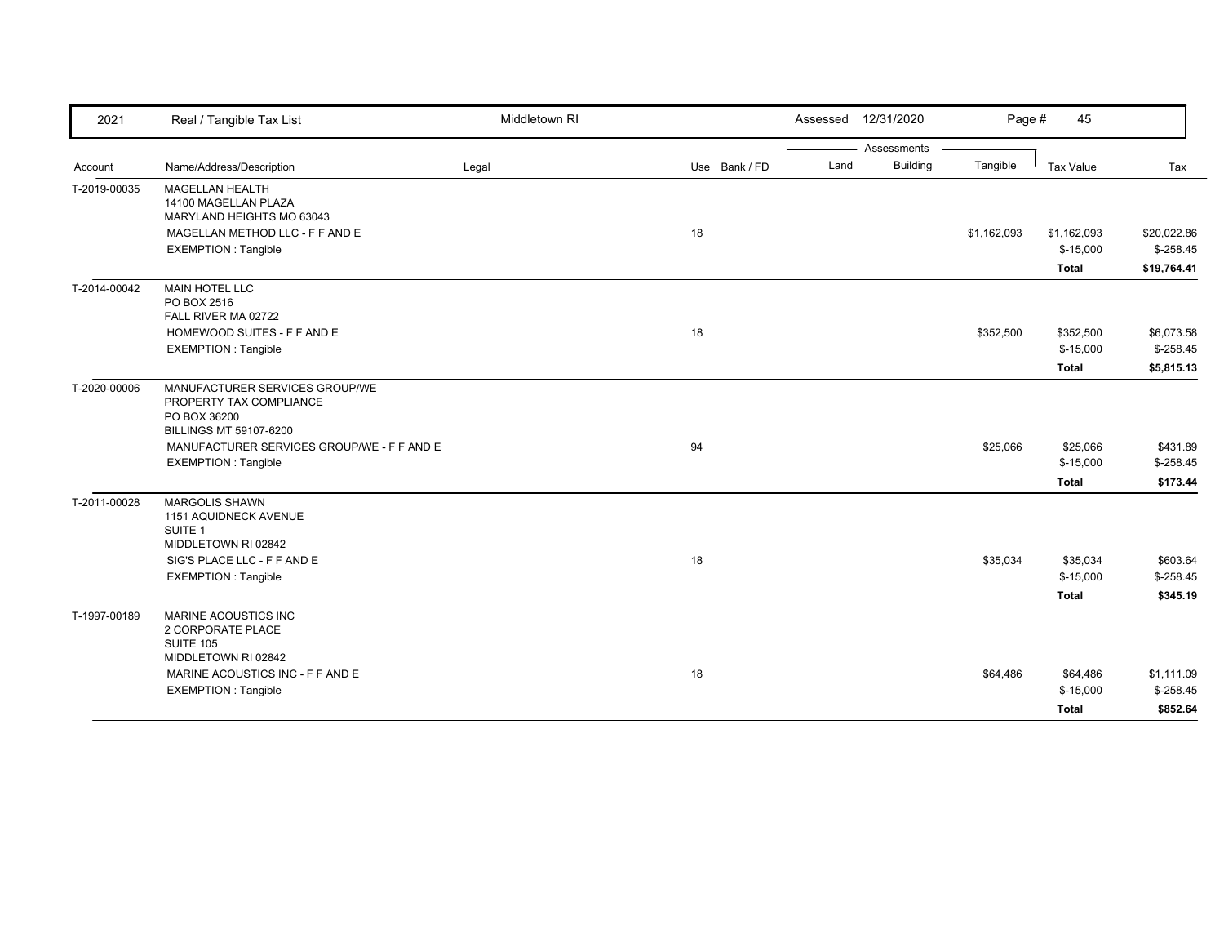| 2021         | Real / Tangible Tax List                                       | Middletown RI |               | Assessed | 12/31/2020      | Page #      | 45                     |                          |
|--------------|----------------------------------------------------------------|---------------|---------------|----------|-----------------|-------------|------------------------|--------------------------|
|              |                                                                |               |               |          | Assessments     |             |                        |                          |
| Account      | Name/Address/Description                                       | Legal         | Use Bank / FD | Land     | <b>Building</b> | Tangible    | Tax Value              | Tax                      |
| T-2019-00035 | <b>MAGELLAN HEALTH</b><br>14100 MAGELLAN PLAZA                 |               |               |          |                 |             |                        |                          |
|              | MARYLAND HEIGHTS MO 63043                                      |               |               |          |                 |             |                        |                          |
|              | MAGELLAN METHOD LLC - F F AND E                                |               | 18            |          |                 | \$1,162,093 | \$1,162,093            | \$20,022.86              |
|              | <b>EXEMPTION: Tangible</b>                                     |               |               |          |                 |             | $$-15,000$             | $$-258.45$               |
|              |                                                                |               |               |          |                 |             | <b>Total</b>           | \$19,764.41              |
| T-2014-00042 | <b>MAIN HOTEL LLC</b>                                          |               |               |          |                 |             |                        |                          |
|              | PO BOX 2516<br>FALL RIVER MA 02722                             |               |               |          |                 |             |                        |                          |
|              | HOMEWOOD SUITES - F F AND E                                    |               | 18            |          |                 | \$352,500   | \$352,500              | \$6,073.58               |
|              | <b>EXEMPTION: Tangible</b>                                     |               |               |          |                 |             | $$-15,000$             | $$-258.45$               |
|              |                                                                |               |               |          |                 |             |                        |                          |
|              |                                                                |               |               |          |                 |             | <b>Total</b>           | \$5,815.13               |
| T-2020-00006 | MANUFACTURER SERVICES GROUP/WE                                 |               |               |          |                 |             |                        |                          |
|              | PROPERTY TAX COMPLIANCE<br>PO BOX 36200                        |               |               |          |                 |             |                        |                          |
|              | <b>BILLINGS MT 59107-6200</b>                                  |               |               |          |                 |             |                        |                          |
|              | MANUFACTURER SERVICES GROUP/WE - F F AND E                     |               | 94            |          |                 | \$25,066    | \$25,066               | \$431.89                 |
|              | <b>EXEMPTION: Tangible</b>                                     |               |               |          |                 |             | $$-15,000$             | $$-258.45$               |
|              |                                                                |               |               |          |                 |             | <b>Total</b>           | \$173.44                 |
| T-2011-00028 | <b>MARGOLIS SHAWN</b>                                          |               |               |          |                 |             |                        |                          |
|              | 1151 AQUIDNECK AVENUE                                          |               |               |          |                 |             |                        |                          |
|              | SUITE 1                                                        |               |               |          |                 |             |                        |                          |
|              | MIDDLETOWN RI 02842                                            |               |               |          |                 |             |                        |                          |
|              | SIG'S PLACE LLC - F F AND E                                    |               | 18            |          |                 | \$35,034    | \$35,034               | \$603.64                 |
|              | <b>EXEMPTION: Tangible</b>                                     |               |               |          |                 |             | $$-15,000$             | $$-258.45$               |
|              |                                                                |               |               |          |                 |             | <b>Total</b>           | \$345.19                 |
| T-1997-00189 | MARINE ACOUSTICS INC                                           |               |               |          |                 |             |                        |                          |
|              | 2 CORPORATE PLACE                                              |               |               |          |                 |             |                        |                          |
|              | <b>SUITE 105</b><br>MIDDLETOWN RI 02842                        |               |               |          |                 |             |                        |                          |
|              |                                                                |               |               |          |                 |             |                        |                          |
|              | MARINE ACOUSTICS INC - F F AND E<br><b>EXEMPTION: Tangible</b> |               | 18            |          |                 | \$64,486    | \$64,486<br>$$-15,000$ | \$1,111.09<br>$$-258.45$ |
|              |                                                                |               |               |          |                 |             |                        |                          |
|              |                                                                |               |               |          |                 |             | Total                  | \$852.64                 |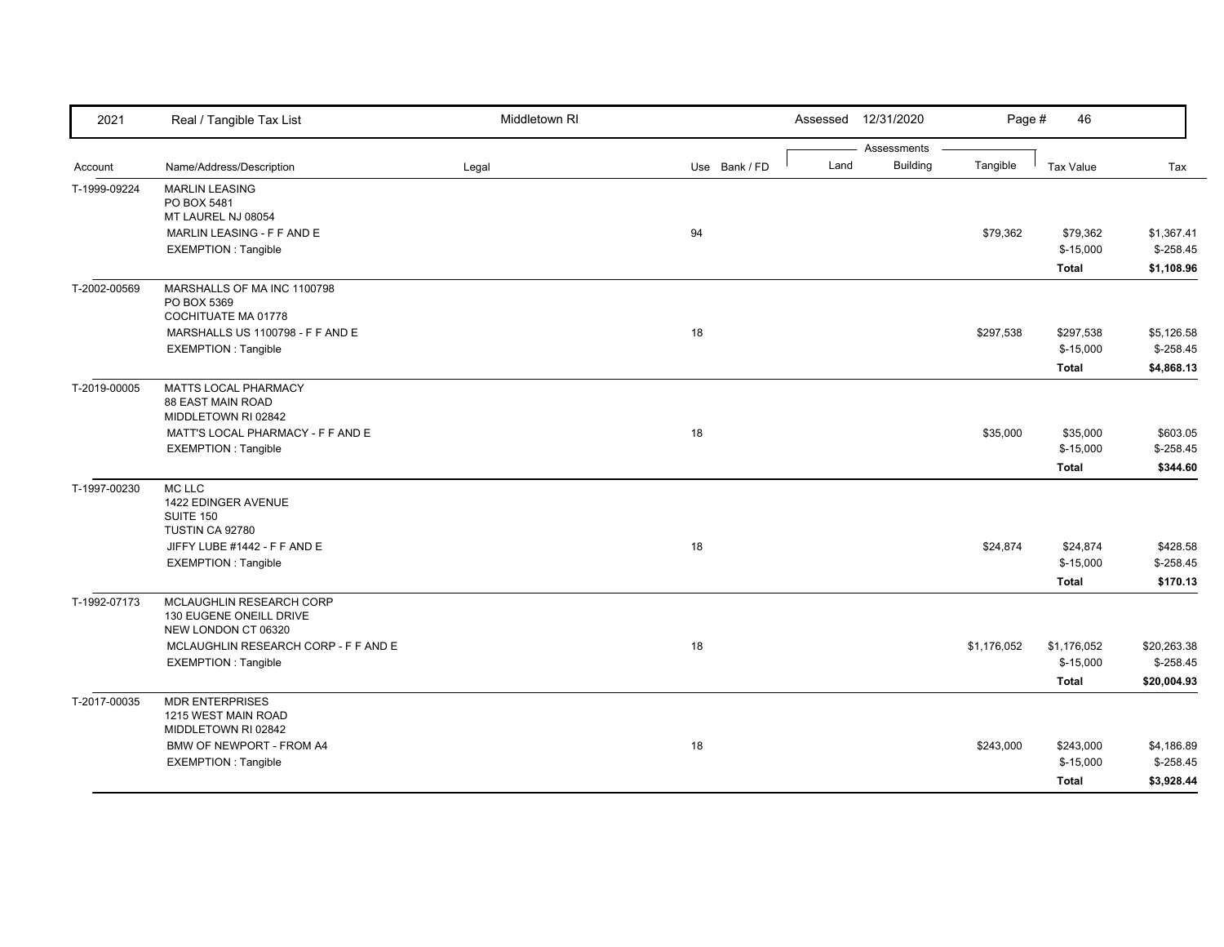| 2021         | Real / Tangible Tax List                   | Middletown RI |               | Assessed | 12/31/2020                     | Page #      | 46               |             |
|--------------|--------------------------------------------|---------------|---------------|----------|--------------------------------|-------------|------------------|-------------|
|              |                                            |               |               |          | Assessments<br><b>Building</b> | Tangible    |                  |             |
| Account      | Name/Address/Description                   | Legal         | Use Bank / FD | Land     |                                |             | <b>Tax Value</b> | Tax         |
| T-1999-09224 | <b>MARLIN LEASING</b>                      |               |               |          |                                |             |                  |             |
|              | PO BOX 5481<br>MT LAUREL NJ 08054          |               |               |          |                                |             |                  |             |
|              | MARLIN LEASING - F F AND E                 |               | 94            |          |                                | \$79,362    | \$79,362         | \$1,367.41  |
|              | <b>EXEMPTION: Tangible</b>                 |               |               |          |                                |             | $$-15,000$       | $$-258.45$  |
|              |                                            |               |               |          |                                |             | <b>Total</b>     | \$1,108.96  |
|              |                                            |               |               |          |                                |             |                  |             |
| T-2002-00569 | MARSHALLS OF MA INC 1100798<br>PO BOX 5369 |               |               |          |                                |             |                  |             |
|              | COCHITUATE MA 01778                        |               |               |          |                                |             |                  |             |
|              | MARSHALLS US 1100798 - F F AND E           |               | 18            |          |                                | \$297,538   | \$297,538        | \$5,126.58  |
|              | EXEMPTION: Tangible                        |               |               |          |                                |             | $$-15,000$       | $$-258.45$  |
|              |                                            |               |               |          |                                |             | <b>Total</b>     | \$4,868.13  |
| T-2019-00005 | MATTS LOCAL PHARMACY                       |               |               |          |                                |             |                  |             |
|              | 88 EAST MAIN ROAD                          |               |               |          |                                |             |                  |             |
|              | MIDDLETOWN RI 02842                        |               |               |          |                                |             |                  |             |
|              | MATT'S LOCAL PHARMACY - F F AND E          |               | 18            |          |                                | \$35,000    | \$35,000         | \$603.05    |
|              | <b>EXEMPTION: Tangible</b>                 |               |               |          |                                |             | $$-15,000$       | $$-258.45$  |
|              |                                            |               |               |          |                                |             | <b>Total</b>     | \$344.60    |
| T-1997-00230 | MC LLC                                     |               |               |          |                                |             |                  |             |
|              | 1422 EDINGER AVENUE                        |               |               |          |                                |             |                  |             |
|              | SUITE 150                                  |               |               |          |                                |             |                  |             |
|              | TUSTIN CA 92780                            |               |               |          |                                |             |                  |             |
|              | JIFFY LUBE #1442 - F F AND E               |               | 18            |          |                                | \$24,874    | \$24,874         | \$428.58    |
|              | <b>EXEMPTION: Tangible</b>                 |               |               |          |                                |             | $$-15,000$       | $$ -258.45$ |
|              |                                            |               |               |          |                                |             | Total            | \$170.13    |
| T-1992-07173 | MCLAUGHLIN RESEARCH CORP                   |               |               |          |                                |             |                  |             |
|              | 130 EUGENE ONEILL DRIVE                    |               |               |          |                                |             |                  |             |
|              | NEW LONDON CT 06320                        |               |               |          |                                |             |                  |             |
|              | MCLAUGHLIN RESEARCH CORP - F F AND E       |               | 18            |          |                                | \$1,176,052 | \$1,176,052      | \$20,263.38 |
|              | <b>EXEMPTION: Tangible</b>                 |               |               |          |                                |             | $$-15,000$       | $$-258.45$  |
|              |                                            |               |               |          |                                |             | <b>Total</b>     | \$20,004.93 |
| T-2017-00035 | <b>MDR ENTERPRISES</b>                     |               |               |          |                                |             |                  |             |
|              | 1215 WEST MAIN ROAD                        |               |               |          |                                |             |                  |             |
|              | MIDDLETOWN RI 02842                        |               |               |          |                                |             |                  |             |
|              | BMW OF NEWPORT - FROM A4                   |               | 18            |          |                                | \$243,000   | \$243,000        | \$4,186.89  |
|              | <b>EXEMPTION: Tangible</b>                 |               |               |          |                                |             | $$-15,000$       | $$-258.45$  |
|              |                                            |               |               |          |                                |             | <b>Total</b>     | \$3,928.44  |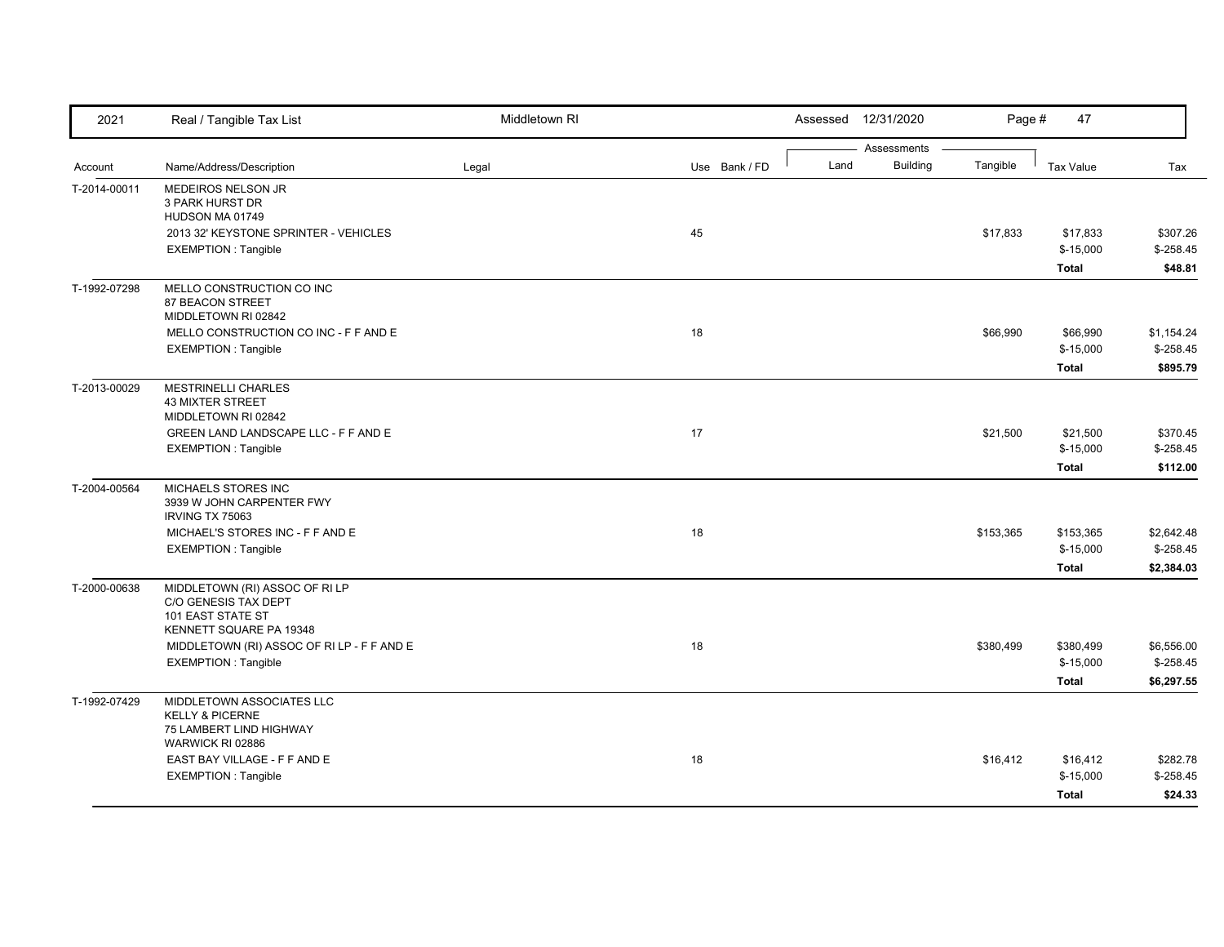| 2021         | Real / Tangible Tax List                                                                                      | Middletown RI |               |      | Assessed 12/31/2020 | Page #    | 47               |            |
|--------------|---------------------------------------------------------------------------------------------------------------|---------------|---------------|------|---------------------|-----------|------------------|------------|
|              |                                                                                                               |               |               |      | Assessments         |           |                  |            |
| Account      | Name/Address/Description                                                                                      | Legal         | Use Bank / FD | Land | <b>Building</b>     | Tangible  | <b>Tax Value</b> | Tax        |
| T-2014-00011 | MEDEIROS NELSON JR<br>3 PARK HURST DR<br>HUDSON MA 01749                                                      |               |               |      |                     |           |                  |            |
|              | 2013 32' KEYSTONE SPRINTER - VEHICLES                                                                         |               | 45            |      |                     | \$17,833  | \$17,833         | \$307.26   |
|              | <b>EXEMPTION: Tangible</b>                                                                                    |               |               |      |                     |           | $$-15,000$       | $$-258.45$ |
|              |                                                                                                               |               |               |      |                     |           | <b>Total</b>     | \$48.81    |
| T-1992-07298 | MELLO CONSTRUCTION CO INC<br>87 BEACON STREET<br>MIDDLETOWN RI 02842                                          |               |               |      |                     |           |                  |            |
|              | MELLO CONSTRUCTION CO INC - F F AND E                                                                         |               | 18            |      |                     | \$66,990  | \$66,990         | \$1,154.24 |
|              | <b>EXEMPTION: Tangible</b>                                                                                    |               |               |      |                     |           | $$-15,000$       | $$-258.45$ |
|              |                                                                                                               |               |               |      |                     |           | <b>Total</b>     | \$895.79   |
| T-2013-00029 | <b>MESTRINELLI CHARLES</b><br><b>43 MIXTER STREET</b>                                                         |               |               |      |                     |           |                  |            |
|              | MIDDLETOWN RI 02842<br>GREEN LAND LANDSCAPE LLC - F F AND E                                                   |               | 17            |      |                     | \$21,500  | \$21,500         | \$370.45   |
|              | <b>EXEMPTION: Tangible</b>                                                                                    |               |               |      |                     |           | $$-15,000$       | $$-258.45$ |
|              |                                                                                                               |               |               |      |                     |           | <b>Total</b>     | \$112.00   |
| T-2004-00564 | MICHAELS STORES INC<br>3939 W JOHN CARPENTER FWY<br>IRVING TX 75063                                           |               |               |      |                     |           |                  |            |
|              | MICHAEL'S STORES INC - F F AND E                                                                              |               | 18            |      |                     | \$153,365 | \$153,365        | \$2,642.48 |
|              | <b>EXEMPTION: Tangible</b>                                                                                    |               |               |      |                     |           | $$-15,000$       | $$-258.45$ |
|              |                                                                                                               |               |               |      |                     |           | Total            | \$2,384.03 |
| T-2000-00638 | MIDDLETOWN (RI) ASSOC OF RI LP<br>C/O GENESIS TAX DEPT<br><b>101 EAST STATE ST</b><br>KENNETT SQUARE PA 19348 |               |               |      |                     |           |                  |            |
|              | MIDDLETOWN (RI) ASSOC OF RI LP - F F AND E                                                                    |               | 18            |      |                     | \$380,499 | \$380,499        | \$6,556.00 |
|              | <b>EXEMPTION: Tangible</b>                                                                                    |               |               |      |                     |           | $$-15,000$       | $$-258.45$ |
|              |                                                                                                               |               |               |      |                     |           | Total            | \$6,297.55 |
| T-1992-07429 | MIDDLETOWN ASSOCIATES LLC<br><b>KELLY &amp; PICERNE</b><br>75 LAMBERT LIND HIGHWAY                            |               |               |      |                     |           |                  |            |
|              | WARWICK RI 02886                                                                                              |               |               |      |                     |           |                  |            |
|              | EAST BAY VILLAGE - F F AND E                                                                                  |               | 18            |      |                     | \$16,412  | \$16,412         | \$282.78   |
|              | <b>EXEMPTION: Tangible</b>                                                                                    |               |               |      |                     |           | $$-15,000$       | $$-258.45$ |
|              |                                                                                                               |               |               |      |                     |           | <b>Total</b>     | \$24.33    |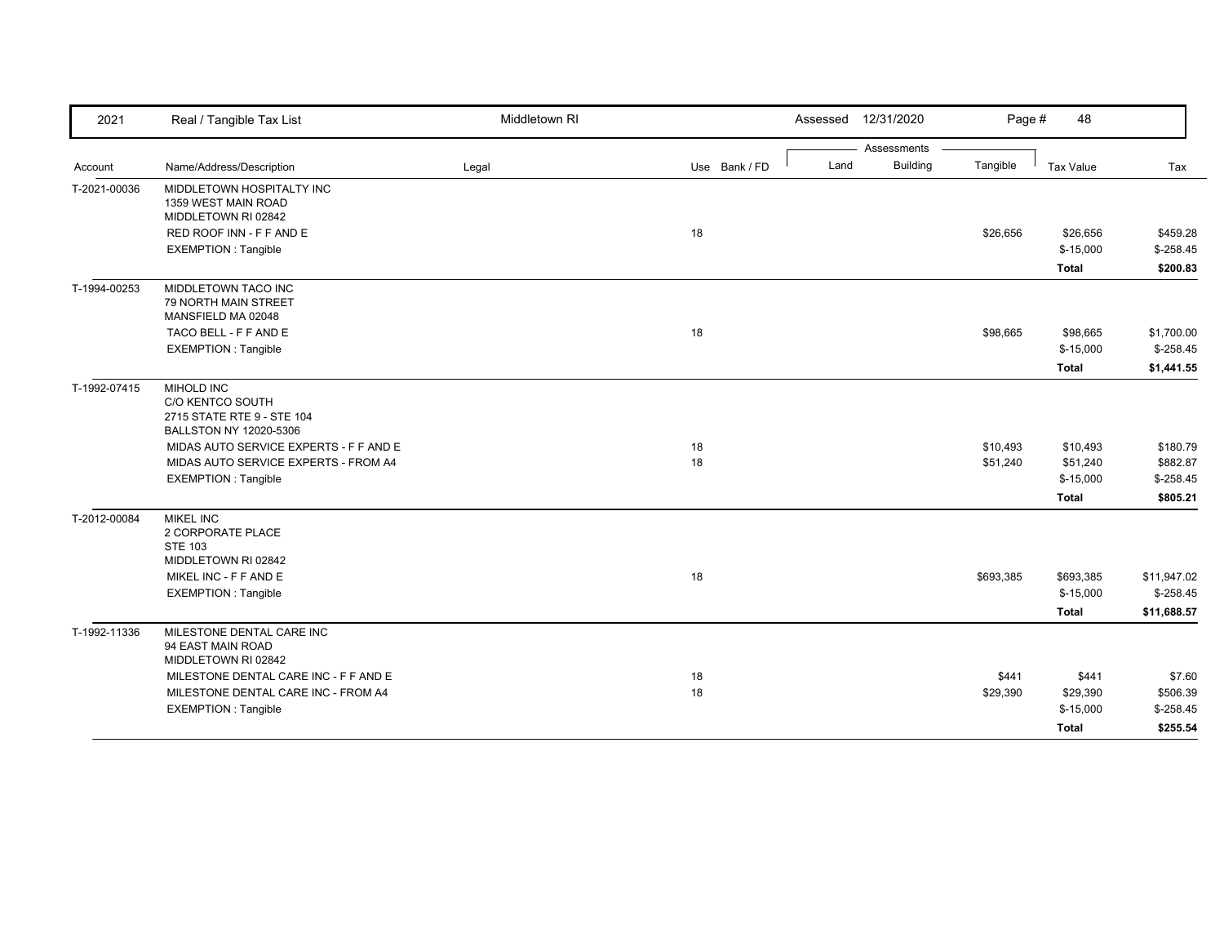| 2021         | Real / Tangible Tax List                         | Middletown RI |               | Assessed 12/31/2020                    | Page #    | 48               |             |
|--------------|--------------------------------------------------|---------------|---------------|----------------------------------------|-----------|------------------|-------------|
|              |                                                  |               |               | Assessments<br><b>Building</b><br>Land | Tangible  | <b>Tax Value</b> |             |
| Account      | Name/Address/Description                         | Legal         | Use Bank / FD |                                        |           |                  | Tax         |
| T-2021-00036 | MIDDLETOWN HOSPITALTY INC<br>1359 WEST MAIN ROAD |               |               |                                        |           |                  |             |
|              | MIDDLETOWN RI 02842                              |               |               |                                        |           |                  |             |
|              | RED ROOF INN - F F AND E                         |               | 18            |                                        | \$26,656  | \$26,656         | \$459.28    |
|              | <b>EXEMPTION: Tangible</b>                       |               |               |                                        |           | $$-15,000$       | $$ -258.45$ |
|              |                                                  |               |               |                                        |           | <b>Total</b>     | \$200.83    |
| T-1994-00253 | MIDDLETOWN TACO INC                              |               |               |                                        |           |                  |             |
|              | <b>79 NORTH MAIN STREET</b>                      |               |               |                                        |           |                  |             |
|              | MANSFIELD MA 02048                               |               |               |                                        |           |                  |             |
|              | TACO BELL - F F AND E                            |               | 18            |                                        | \$98,665  | \$98,665         | \$1,700.00  |
|              | <b>EXEMPTION: Tangible</b>                       |               |               |                                        |           | $$-15,000$       | $$-258.45$  |
|              |                                                  |               |               |                                        |           | Total            | \$1,441.55  |
| T-1992-07415 | MIHOLD INC                                       |               |               |                                        |           |                  |             |
|              | C/O KENTCO SOUTH<br>2715 STATE RTE 9 - STE 104   |               |               |                                        |           |                  |             |
|              | BALLSTON NY 12020-5306                           |               |               |                                        |           |                  |             |
|              | MIDAS AUTO SERVICE EXPERTS - F F AND E           |               | 18            |                                        | \$10,493  | \$10,493         | \$180.79    |
|              | MIDAS AUTO SERVICE EXPERTS - FROM A4             |               | 18            |                                        | \$51,240  | \$51,240         | \$882.87    |
|              | EXEMPTION : Tangible                             |               |               |                                        |           | $$-15,000$       | $$-258.45$  |
|              |                                                  |               |               |                                        |           | <b>Total</b>     | \$805.21    |
| T-2012-00084 | <b>MIKEL INC</b>                                 |               |               |                                        |           |                  |             |
|              | 2 CORPORATE PLACE                                |               |               |                                        |           |                  |             |
|              | <b>STE 103</b>                                   |               |               |                                        |           |                  |             |
|              | MIDDLETOWN RI 02842<br>MIKEL INC - F F AND E     |               | 18            |                                        | \$693,385 | \$693,385        | \$11,947.02 |
|              | <b>EXEMPTION: Tangible</b>                       |               |               |                                        |           | $$-15,000$       | $$-258.45$  |
|              |                                                  |               |               |                                        |           |                  |             |
|              |                                                  |               |               |                                        |           | <b>Total</b>     | \$11,688.57 |
| T-1992-11336 | MILESTONE DENTAL CARE INC<br>94 EAST MAIN ROAD   |               |               |                                        |           |                  |             |
|              | MIDDLETOWN RI 02842                              |               |               |                                        |           |                  |             |
|              | MILESTONE DENTAL CARE INC - F F AND E            |               | 18            |                                        | \$441     | \$441            | \$7.60      |
|              | MILESTONE DENTAL CARE INC - FROM A4              |               | 18            |                                        | \$29,390  | \$29,390         | \$506.39    |
|              | <b>EXEMPTION: Tangible</b>                       |               |               |                                        |           | $$-15,000$       | $$ -258.45$ |
|              |                                                  |               |               |                                        |           | <b>Total</b>     | \$255.54    |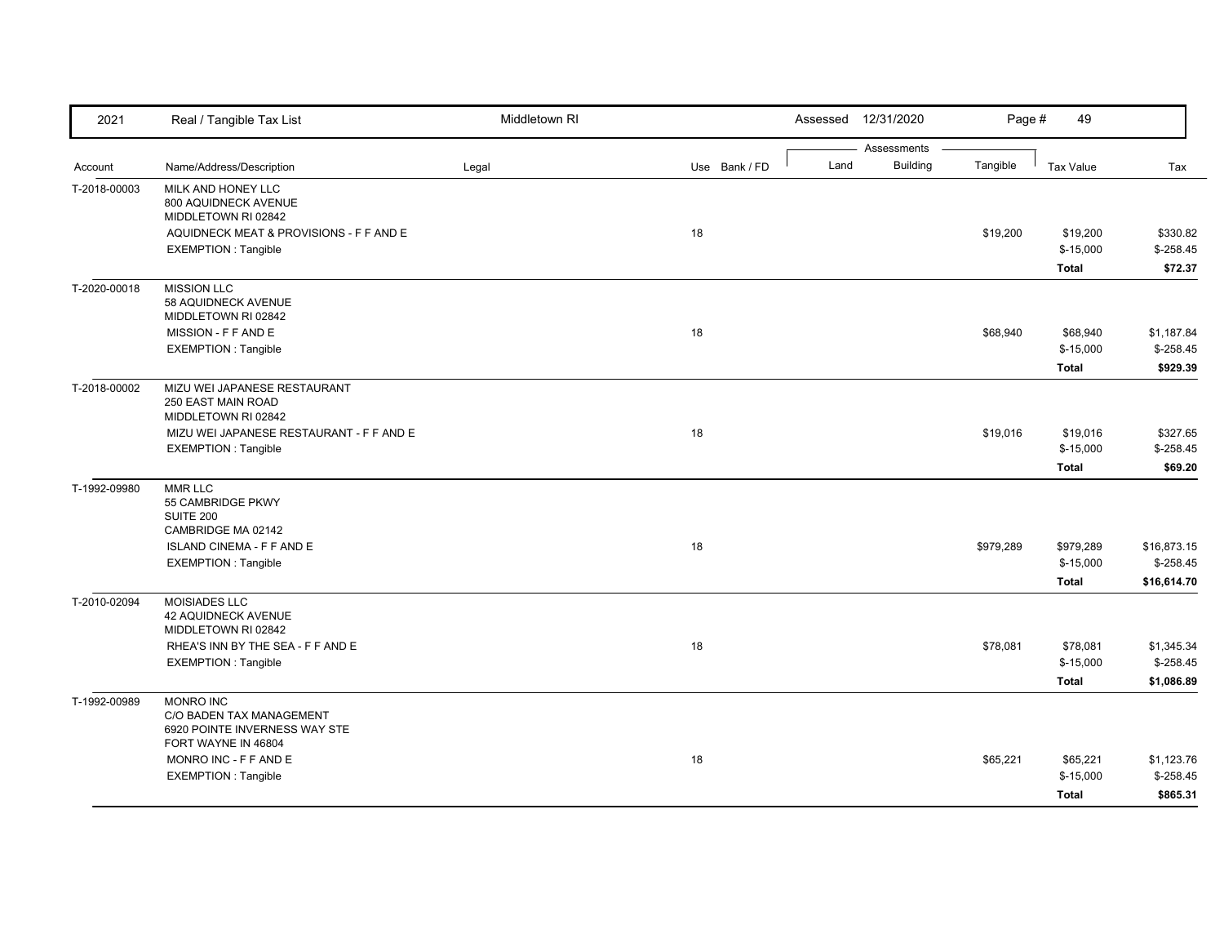| 2021         | Real / Tangible Tax List                                                                             | Middletown RI |               |      | Assessed 12/31/2020            | Page #    | 49                                      |                                          |
|--------------|------------------------------------------------------------------------------------------------------|---------------|---------------|------|--------------------------------|-----------|-----------------------------------------|------------------------------------------|
| Account      | Name/Address/Description                                                                             | Legal         | Use Bank / FD | Land | Assessments<br><b>Building</b> | Tangible  | Tax Value                               | Tax                                      |
| T-2018-00003 | MILK AND HONEY LLC<br>800 AQUIDNECK AVENUE<br>MIDDLETOWN RI 02842                                    |               |               |      |                                |           |                                         |                                          |
|              | AQUIDNECK MEAT & PROVISIONS - F F AND E<br><b>EXEMPTION: Tangible</b>                                |               | 18            |      |                                | \$19,200  | \$19,200<br>$$-15,000$<br><b>Total</b>  | \$330.82<br>$$-258.45$<br>\$72.37        |
| T-2020-00018 | <b>MISSION LLC</b><br>58 AQUIDNECK AVENUE<br>MIDDLETOWN RI 02842                                     |               |               |      |                                |           |                                         |                                          |
|              | MISSION - F F AND E<br><b>EXEMPTION: Tangible</b>                                                    |               | 18            |      |                                | \$68,940  | \$68,940<br>$$-15,000$<br><b>Total</b>  | \$1,187.84<br>$$-258.45$<br>\$929.39     |
| T-2018-00002 | MIZU WEI JAPANESE RESTAURANT<br>250 EAST MAIN ROAD<br>MIDDLETOWN RI 02842                            |               |               |      |                                |           |                                         |                                          |
|              | MIZU WEI JAPANESE RESTAURANT - F F AND E<br><b>EXEMPTION: Tangible</b>                               |               | 18            |      |                                | \$19,016  | \$19,016<br>$$-15,000$<br><b>Total</b>  | \$327.65<br>$$-258.45$<br>\$69.20        |
| T-1992-09980 | <b>MMR LLC</b><br>55 CAMBRIDGE PKWY<br>SUITE 200                                                     |               |               |      |                                |           |                                         |                                          |
|              | CAMBRIDGE MA 02142<br><b>ISLAND CINEMA - F F AND E</b><br><b>EXEMPTION: Tangible</b>                 |               | 18            |      |                                | \$979,289 | \$979,289<br>$$-15,000$<br><b>Total</b> | \$16,873.15<br>$$-258.45$<br>\$16,614.70 |
| T-2010-02094 | <b>MOISIADES LLC</b><br><b>42 AQUIDNECK AVENUE</b><br>MIDDLETOWN RI 02842                            |               |               |      |                                |           |                                         |                                          |
|              | RHEA'S INN BY THE SEA - F F AND E<br><b>EXEMPTION: Tangible</b>                                      |               | 18            |      |                                | \$78,081  | \$78,081<br>$$-15,000$<br><b>Total</b>  | \$1,345.34<br>$$-258.45$<br>\$1,086.89   |
| T-1992-00989 | <b>MONRO INC</b><br>C/O BADEN TAX MANAGEMENT<br>6920 POINTE INVERNESS WAY STE<br>FORT WAYNE IN 46804 |               |               |      |                                |           |                                         |                                          |
|              | MONRO INC - F F AND E<br><b>EXEMPTION: Tangible</b>                                                  |               | 18            |      |                                | \$65,221  | \$65,221<br>$$-15,000$<br><b>Total</b>  | \$1,123.76<br>$$-258.45$<br>\$865.31     |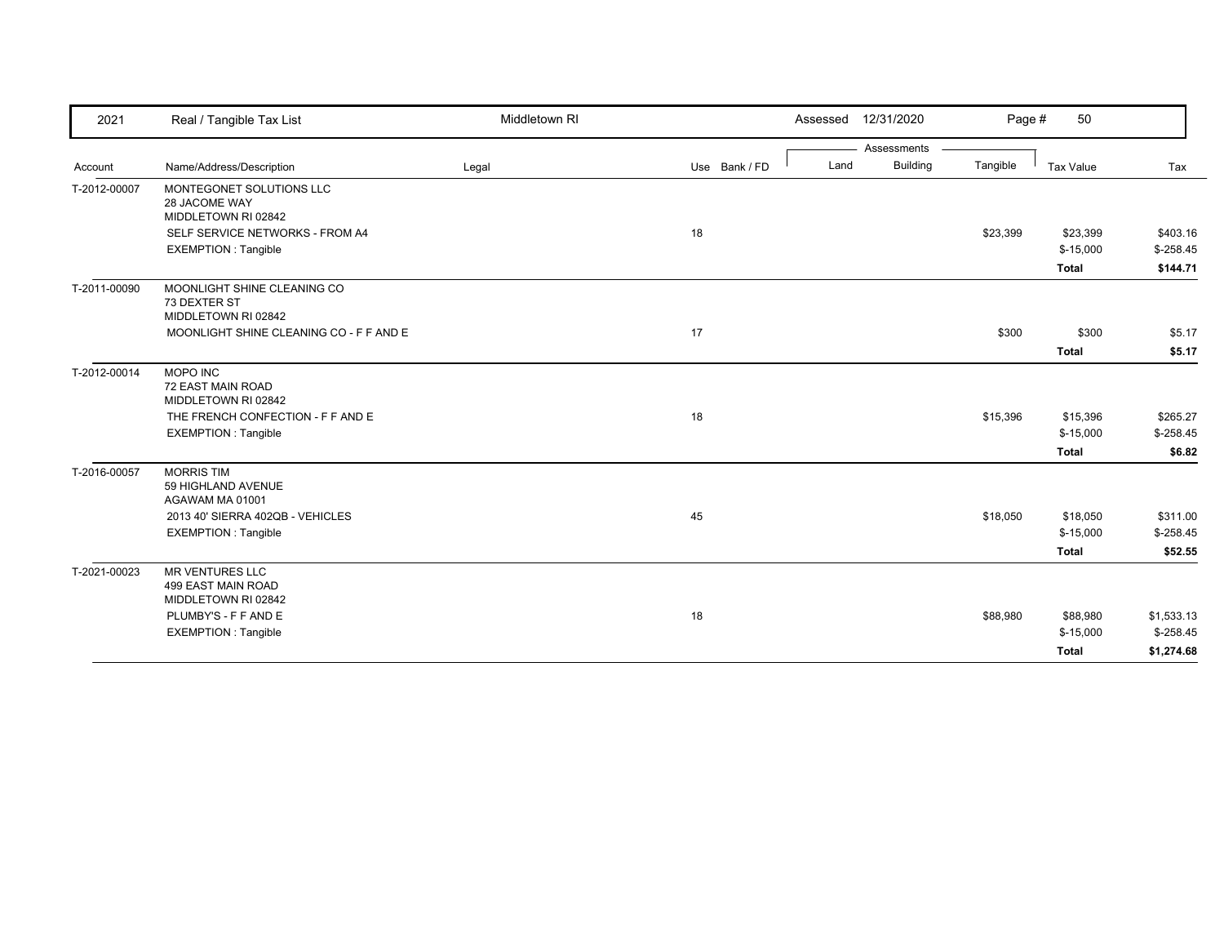| 2021         | Real / Tangible Tax List                                            | Middletown RI |               | Assessed 12/31/2020     | Page #   | 50               |            |
|--------------|---------------------------------------------------------------------|---------------|---------------|-------------------------|----------|------------------|------------|
|              |                                                                     |               |               | Assessments             |          |                  |            |
| Account      | Name/Address/Description                                            | Legal         | Use Bank / FD | <b>Building</b><br>Land | Tangible | <b>Tax Value</b> | Tax        |
| T-2012-00007 | MONTEGONET SOLUTIONS LLC<br>28 JACOME WAY                           |               |               |                         |          |                  |            |
|              | MIDDLETOWN RI 02842<br>SELF SERVICE NETWORKS - FROM A4              |               | 18            |                         | \$23,399 | \$23,399         | \$403.16   |
|              | <b>EXEMPTION: Tangible</b>                                          |               |               |                         |          | $$-15,000$       | $$-258.45$ |
|              |                                                                     |               |               |                         |          | <b>Total</b>     | \$144.71   |
| T-2011-00090 | MOONLIGHT SHINE CLEANING CO<br>73 DEXTER ST<br>MIDDLETOWN RI 02842  |               |               |                         |          |                  |            |
|              | MOONLIGHT SHINE CLEANING CO - F F AND E                             |               | 17            |                         | \$300    | \$300            | \$5.17     |
|              |                                                                     |               |               |                         |          | <b>Total</b>     | \$5.17     |
| T-2012-00014 | <b>MOPO INC</b><br>72 EAST MAIN ROAD<br>MIDDLETOWN RI 02842         |               |               |                         |          |                  |            |
|              | THE FRENCH CONFECTION - F F AND E                                   |               | 18            |                         | \$15,396 | \$15,396         | \$265.27   |
|              | <b>EXEMPTION: Tangible</b>                                          |               |               |                         |          | $$-15,000$       | $$-258.45$ |
|              |                                                                     |               |               |                         |          | <b>Total</b>     | \$6.82     |
| T-2016-00057 | <b>MORRIS TIM</b><br>59 HIGHLAND AVENUE<br>AGAWAM MA 01001          |               |               |                         |          |                  |            |
|              | 2013 40' SIERRA 402QB - VEHICLES                                    |               | 45            |                         | \$18,050 | \$18,050         | \$311.00   |
|              | <b>EXEMPTION: Tangible</b>                                          |               |               |                         |          | $$-15,000$       | $$-258.45$ |
|              |                                                                     |               |               |                         |          | <b>Total</b>     | \$52.55    |
| T-2021-00023 | <b>MR VENTURES LLC</b><br>499 EAST MAIN ROAD<br>MIDDLETOWN RI 02842 |               |               |                         |          |                  |            |
|              | PLUMBY'S - F F AND E                                                |               | 18            |                         | \$88,980 | \$88,980         | \$1,533.13 |
|              | <b>EXEMPTION: Tangible</b>                                          |               |               |                         |          | $$-15,000$       | $$-258.45$ |
|              |                                                                     |               |               |                         |          | <b>Total</b>     | \$1,274.68 |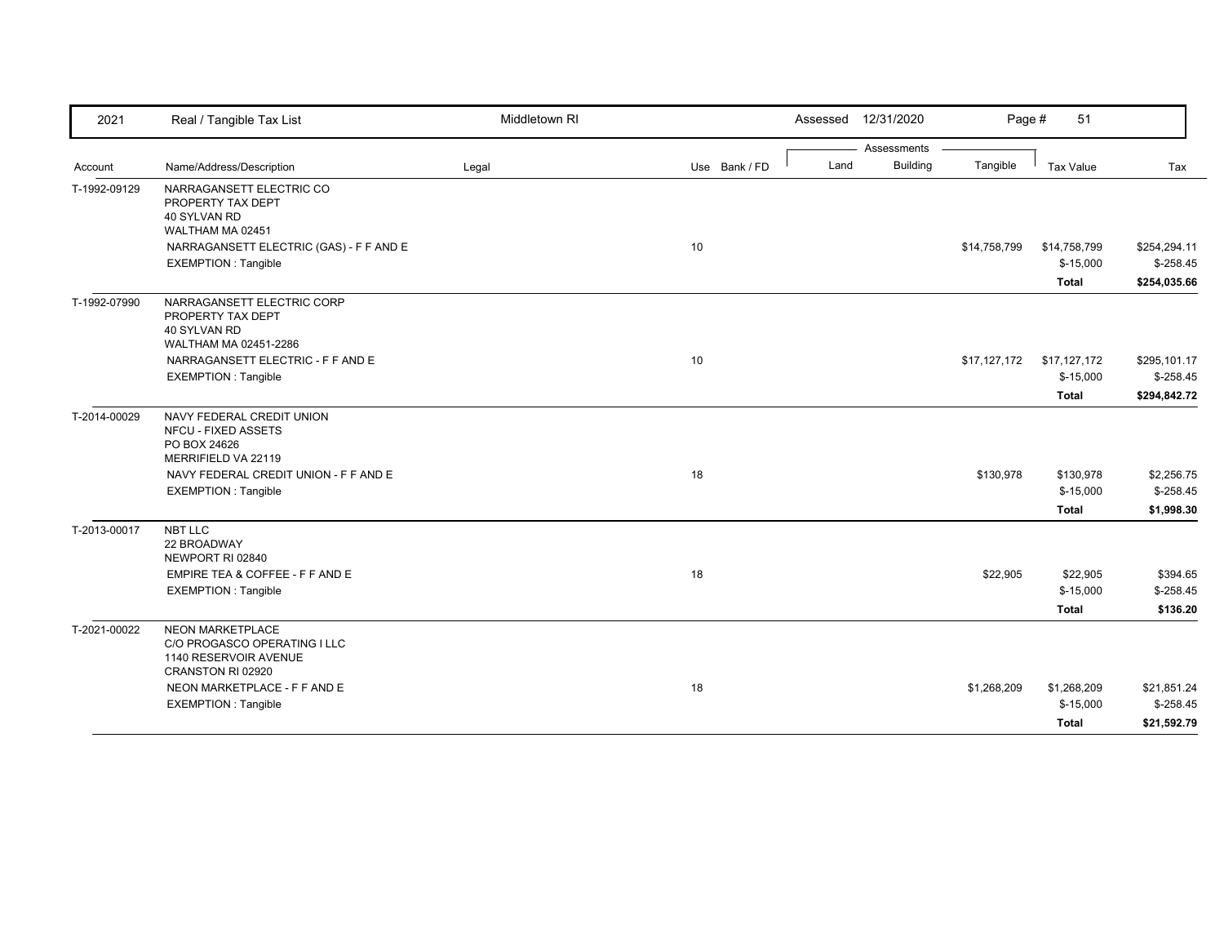| 2021         | Real / Tangible Tax List                                              | Middletown RI |               |      | Assessed 12/31/2020 | Page #       | 51                         |                          |
|--------------|-----------------------------------------------------------------------|---------------|---------------|------|---------------------|--------------|----------------------------|--------------------------|
|              |                                                                       |               |               |      | Assessments         |              |                            |                          |
| Account      | Name/Address/Description                                              | Legal         | Use Bank / FD | Land | <b>Building</b>     | Tangible     | Tax Value                  | Tax                      |
| T-1992-09129 | NARRAGANSETT ELECTRIC CO<br>PROPERTY TAX DEPT                         |               |               |      |                     |              |                            |                          |
|              | 40 SYLVAN RD                                                          |               |               |      |                     |              |                            |                          |
|              | WALTHAM MA 02451                                                      |               | 10            |      |                     |              |                            | \$254,294.11             |
|              | NARRAGANSETT ELECTRIC (GAS) - F F AND E<br><b>EXEMPTION: Tangible</b> |               |               |      |                     | \$14,758,799 | \$14,758,799<br>$$-15,000$ | $$-258.45$               |
|              |                                                                       |               |               |      |                     |              | <b>Total</b>               | \$254,035.66             |
|              |                                                                       |               |               |      |                     |              |                            |                          |
| T-1992-07990 | NARRAGANSETT ELECTRIC CORP<br>PROPERTY TAX DEPT                       |               |               |      |                     |              |                            |                          |
|              | 40 SYLVAN RD                                                          |               |               |      |                     |              |                            |                          |
|              | WALTHAM MA 02451-2286                                                 |               |               |      |                     |              |                            |                          |
|              | NARRAGANSETT ELECTRIC - F F AND E                                     |               | 10            |      |                     | \$17,127,172 | \$17,127,172               | \$295,101.17             |
|              | <b>EXEMPTION: Tangible</b>                                            |               |               |      |                     |              | $$-15,000$                 | $$-258.45$               |
|              |                                                                       |               |               |      |                     |              | <b>Total</b>               | \$294,842.72             |
| T-2014-00029 | NAVY FEDERAL CREDIT UNION                                             |               |               |      |                     |              |                            |                          |
|              | <b>NFCU - FIXED ASSETS</b>                                            |               |               |      |                     |              |                            |                          |
|              | PO BOX 24626<br>MERRIFIELD VA 22119                                   |               |               |      |                     |              |                            |                          |
|              | NAVY FEDERAL CREDIT UNION - F F AND E                                 |               | 18            |      |                     | \$130,978    | \$130,978                  |                          |
|              | <b>EXEMPTION: Tangible</b>                                            |               |               |      |                     |              | $$-15,000$                 | \$2,256.75<br>$$-258.45$ |
|              |                                                                       |               |               |      |                     |              | <b>Total</b>               | \$1,998.30               |
| T-2013-00017 | NBT LLC                                                               |               |               |      |                     |              |                            |                          |
|              | 22 BROADWAY                                                           |               |               |      |                     |              |                            |                          |
|              | NEWPORT RI 02840                                                      |               |               |      |                     |              |                            |                          |
|              | EMPIRE TEA & COFFEE - F F AND E                                       |               | 18            |      |                     | \$22,905     | \$22,905                   | \$394.65                 |
|              | <b>EXEMPTION: Tangible</b>                                            |               |               |      |                     |              | $$-15,000$                 | $$-258.45$               |
|              |                                                                       |               |               |      |                     |              | <b>Total</b>               | \$136.20                 |
| T-2021-00022 | <b>NEON MARKETPLACE</b>                                               |               |               |      |                     |              |                            |                          |
|              | C/O PROGASCO OPERATING I LLC                                          |               |               |      |                     |              |                            |                          |
|              | 1140 RESERVOIR AVENUE<br>CRANSTON RI 02920                            |               |               |      |                     |              |                            |                          |
|              | NEON MARKETPLACE - F F AND E                                          |               | 18            |      |                     | \$1,268,209  | \$1,268,209                | \$21,851.24              |
|              | <b>EXEMPTION: Tangible</b>                                            |               |               |      |                     |              | $$-15,000$                 | $$-258.45$               |
|              |                                                                       |               |               |      |                     |              | Total                      | \$21,592.79              |
|              |                                                                       |               |               |      |                     |              |                            |                          |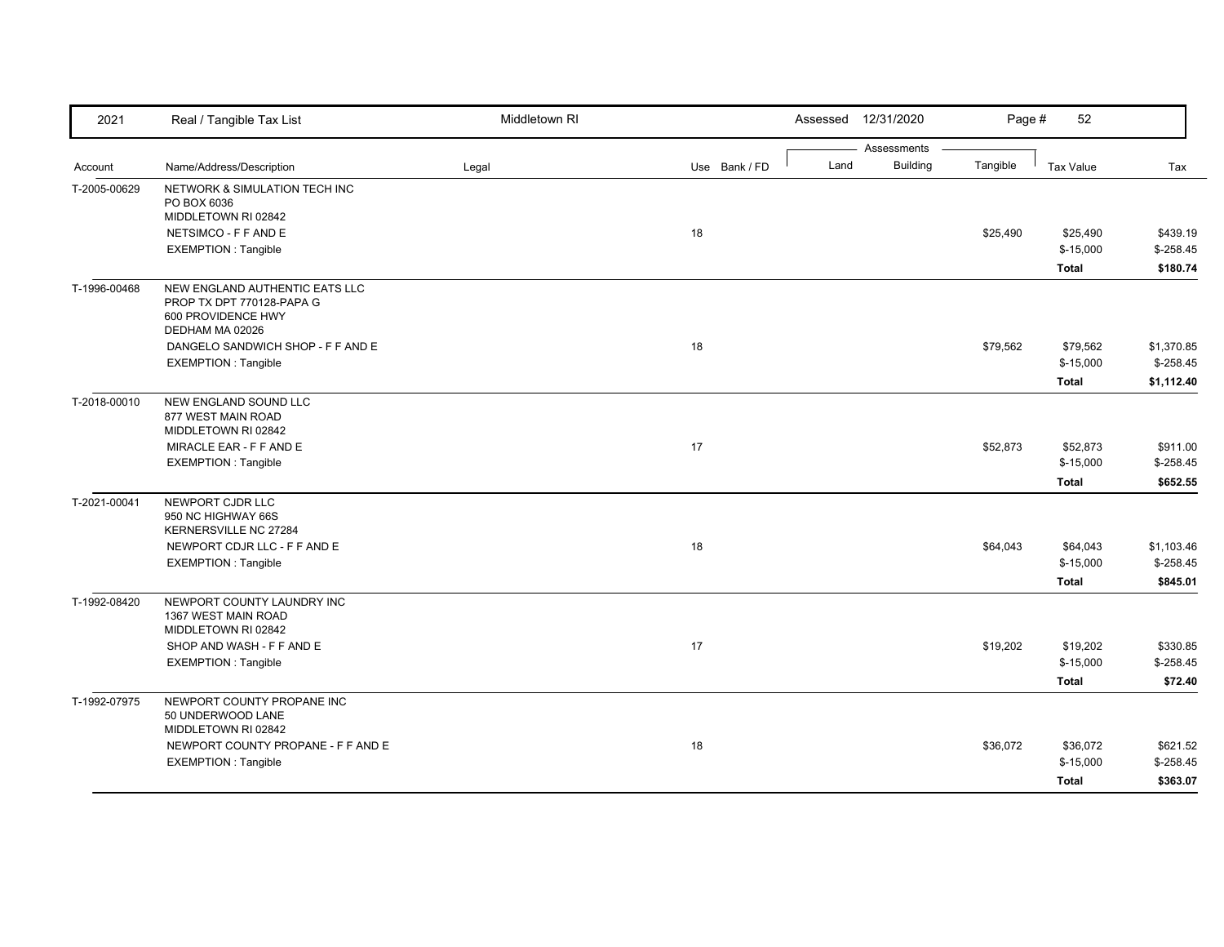| 2021         | Real / Tangible Tax List                                                                             | Middletown RI |               |      | Assessed 12/31/2020 | Page #   | 52           |            |
|--------------|------------------------------------------------------------------------------------------------------|---------------|---------------|------|---------------------|----------|--------------|------------|
|              |                                                                                                      |               |               |      | Assessments         |          |              |            |
| Account      | Name/Address/Description                                                                             | Legal         | Use Bank / FD | Land | <b>Building</b>     | Tangible | Tax Value    | Tax        |
| T-2005-00629 | NETWORK & SIMULATION TECH INC<br>PO BOX 6036                                                         |               |               |      |                     |          |              |            |
|              | MIDDLETOWN RI 02842<br>NETSIMCO - F F AND E                                                          |               | 18            |      |                     | \$25,490 | \$25,490     | \$439.19   |
|              | <b>EXEMPTION: Tangible</b>                                                                           |               |               |      |                     |          | $$-15,000$   | $$-258.45$ |
|              |                                                                                                      |               |               |      |                     |          |              |            |
|              |                                                                                                      |               |               |      |                     |          | <b>Total</b> | \$180.74   |
| T-1996-00468 | NEW ENGLAND AUTHENTIC EATS LLC<br>PROP TX DPT 770128-PAPA G<br>600 PROVIDENCE HWY<br>DEDHAM MA 02026 |               |               |      |                     |          |              |            |
|              | DANGELO SANDWICH SHOP - F F AND E                                                                    |               | 18            |      |                     | \$79,562 | \$79,562     | \$1,370.85 |
|              | <b>EXEMPTION: Tangible</b>                                                                           |               |               |      |                     |          | $$-15,000$   | $$-258.45$ |
|              |                                                                                                      |               |               |      |                     |          | <b>Total</b> | \$1,112.40 |
|              | NEW ENGLAND SOUND LLC                                                                                |               |               |      |                     |          |              |            |
| T-2018-00010 | 877 WEST MAIN ROAD                                                                                   |               |               |      |                     |          |              |            |
|              | MIDDLETOWN RI 02842                                                                                  |               |               |      |                     |          |              |            |
|              | MIRACLE EAR - F F AND E                                                                              |               | 17            |      |                     | \$52,873 | \$52,873     | \$911.00   |
|              | <b>EXEMPTION: Tangible</b>                                                                           |               |               |      |                     |          | $$-15,000$   | $$-258.45$ |
|              |                                                                                                      |               |               |      |                     |          | <b>Total</b> | \$652.55   |
| T-2021-00041 | NEWPORT CJDR LLC                                                                                     |               |               |      |                     |          |              |            |
|              | 950 NC HIGHWAY 66S                                                                                   |               |               |      |                     |          |              |            |
|              | KERNERSVILLE NC 27284                                                                                |               |               |      |                     |          |              |            |
|              | NEWPORT CDJR LLC - F F AND E                                                                         |               | 18            |      |                     | \$64,043 | \$64,043     | \$1,103.46 |
|              | <b>EXEMPTION: Tangible</b>                                                                           |               |               |      |                     |          | $$-15,000$   | $$-258.45$ |
|              |                                                                                                      |               |               |      |                     |          | <b>Total</b> | \$845.01   |
| T-1992-08420 | NEWPORT COUNTY LAUNDRY INC                                                                           |               |               |      |                     |          |              |            |
|              | 1367 WEST MAIN ROAD                                                                                  |               |               |      |                     |          |              |            |
|              | MIDDLETOWN RI 02842                                                                                  |               |               |      |                     |          |              |            |
|              | SHOP AND WASH - F F AND E                                                                            |               | 17            |      |                     | \$19,202 | \$19,202     | \$330.85   |
|              | <b>EXEMPTION: Tangible</b>                                                                           |               |               |      |                     |          | $$-15,000$   | $$-258.45$ |
|              |                                                                                                      |               |               |      |                     |          | <b>Total</b> | \$72.40    |
| T-1992-07975 | NEWPORT COUNTY PROPANE INC<br>50 UNDERWOOD LANE<br>MIDDLETOWN RI 02842                               |               |               |      |                     |          |              |            |
|              | NEWPORT COUNTY PROPANE - F F AND E                                                                   |               | 18            |      |                     | \$36,072 | \$36,072     | \$621.52   |
|              | <b>EXEMPTION: Tangible</b>                                                                           |               |               |      |                     |          | $$-15,000$   | $$-258.45$ |
|              |                                                                                                      |               |               |      |                     |          |              | \$363.07   |
|              |                                                                                                      |               |               |      |                     |          | <b>Total</b> |            |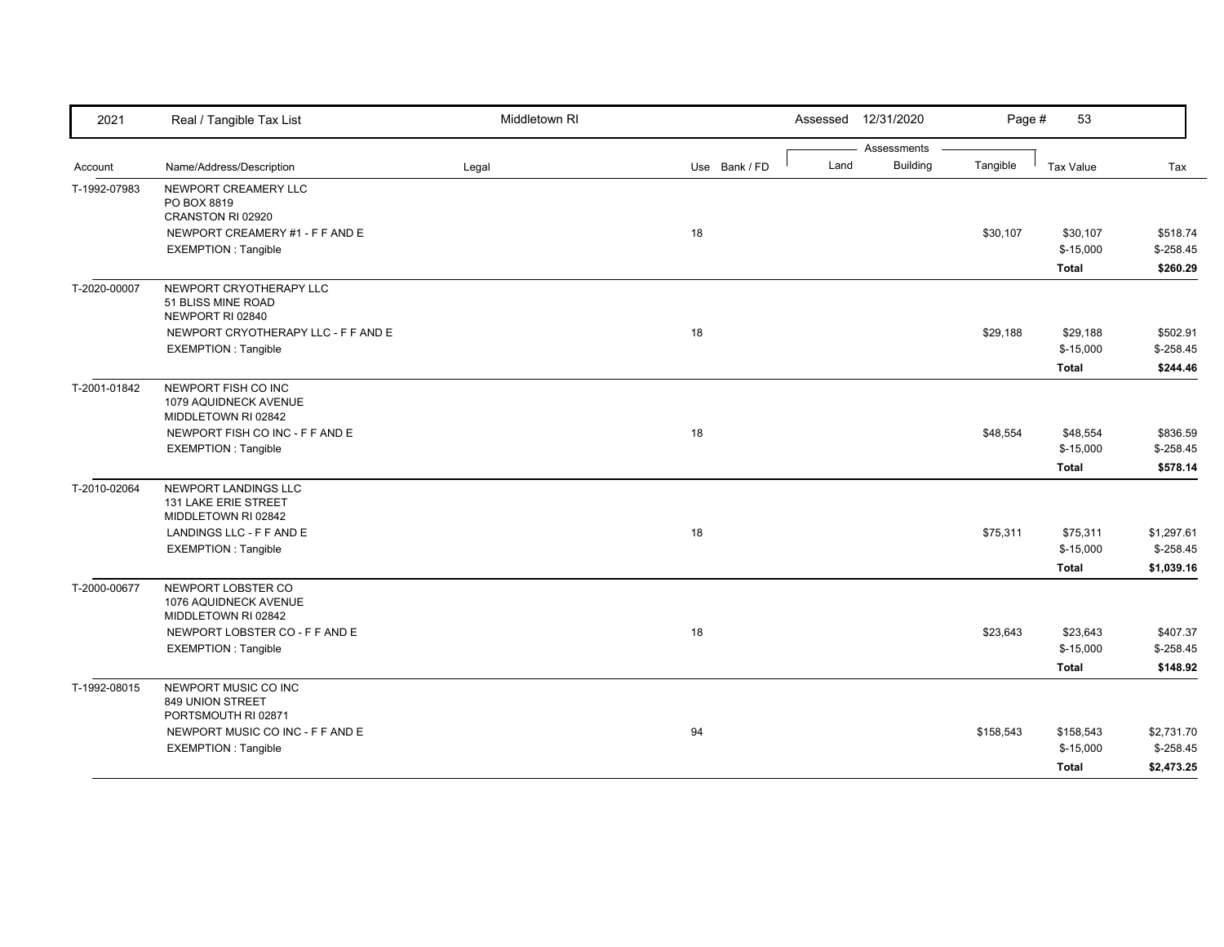| 2021         | Real / Tangible Tax List                                            | Middletown RI |               |      | Assessed 12/31/2020 | Page #    | 53                         |                          |
|--------------|---------------------------------------------------------------------|---------------|---------------|------|---------------------|-----------|----------------------------|--------------------------|
|              |                                                                     |               |               |      | Assessments         |           |                            |                          |
| Account      | Name/Address/Description                                            | Legal         | Use Bank / FD | Land | <b>Building</b>     | Tangible  | Tax Value                  | Tax                      |
| T-1992-07983 | NEWPORT CREAMERY LLC<br>PO BOX 8819<br>CRANSTON RI 02920            |               |               |      |                     |           |                            |                          |
|              | NEWPORT CREAMERY #1 - F F AND E<br><b>EXEMPTION: Tangible</b>       |               | 18            |      |                     | \$30,107  | \$30,107<br>$$-15,000$     | \$518.74<br>$$-258.45$   |
|              |                                                                     |               |               |      |                     |           | <b>Total</b>               | \$260.29                 |
| T-2020-00007 | NEWPORT CRYOTHERAPY LLC<br>51 BLISS MINE ROAD<br>NEWPORT RI 02840   |               |               |      |                     |           |                            |                          |
|              | NEWPORT CRYOTHERAPY LLC - F F AND E<br><b>EXEMPTION: Tangible</b>   |               | 18            |      |                     | \$29,188  | \$29,188<br>$$-15,000$     | \$502.91<br>$$-258.45$   |
|              |                                                                     |               |               |      |                     |           | <b>Total</b>               | \$244.46                 |
| T-2001-01842 | NEWPORT FISH CO INC<br>1079 AQUIDNECK AVENUE<br>MIDDLETOWN RI 02842 |               |               |      |                     |           |                            |                          |
|              | NEWPORT FISH CO INC - F F AND E<br><b>EXEMPTION: Tangible</b>       |               | 18            |      |                     | \$48,554  | \$48,554<br>$$-15,000$     | \$836.59<br>$$-258.45$   |
|              |                                                                     |               |               |      |                     |           | <b>Total</b>               | \$578.14                 |
| T-2010-02064 | NEWPORT LANDINGS LLC<br>131 LAKE ERIE STREET<br>MIDDLETOWN RI 02842 |               |               |      |                     |           |                            |                          |
|              | LANDINGS LLC - F F AND E<br><b>EXEMPTION: Tangible</b>              |               | 18            |      |                     | \$75,311  | \$75,311<br>$$-15,000$     | \$1.297.61<br>$$-258.45$ |
|              |                                                                     |               |               |      |                     |           | <b>Total</b>               | \$1,039.16               |
| T-2000-00677 | NEWPORT LOBSTER CO<br>1076 AQUIDNECK AVENUE<br>MIDDLETOWN RI 02842  |               |               |      |                     |           |                            |                          |
|              | NEWPORT LOBSTER CO - F F AND E                                      |               | 18            |      |                     | \$23,643  | \$23,643                   | \$407.37                 |
|              | <b>EXEMPTION: Tangible</b>                                          |               |               |      |                     |           | $$-15,000$<br><b>Total</b> | $$-258.45$<br>\$148.92   |
| T-1992-08015 | NEWPORT MUSIC CO INC<br>849 UNION STREET<br>PORTSMOUTH RI 02871     |               |               |      |                     |           |                            |                          |
|              | NEWPORT MUSIC CO INC - F F AND E<br><b>EXEMPTION: Tangible</b>      |               | 94            |      |                     | \$158,543 | \$158,543<br>$$-15,000$    | \$2,731.70<br>$$-258.45$ |
|              |                                                                     |               |               |      |                     |           | <b>Total</b>               | \$2,473.25               |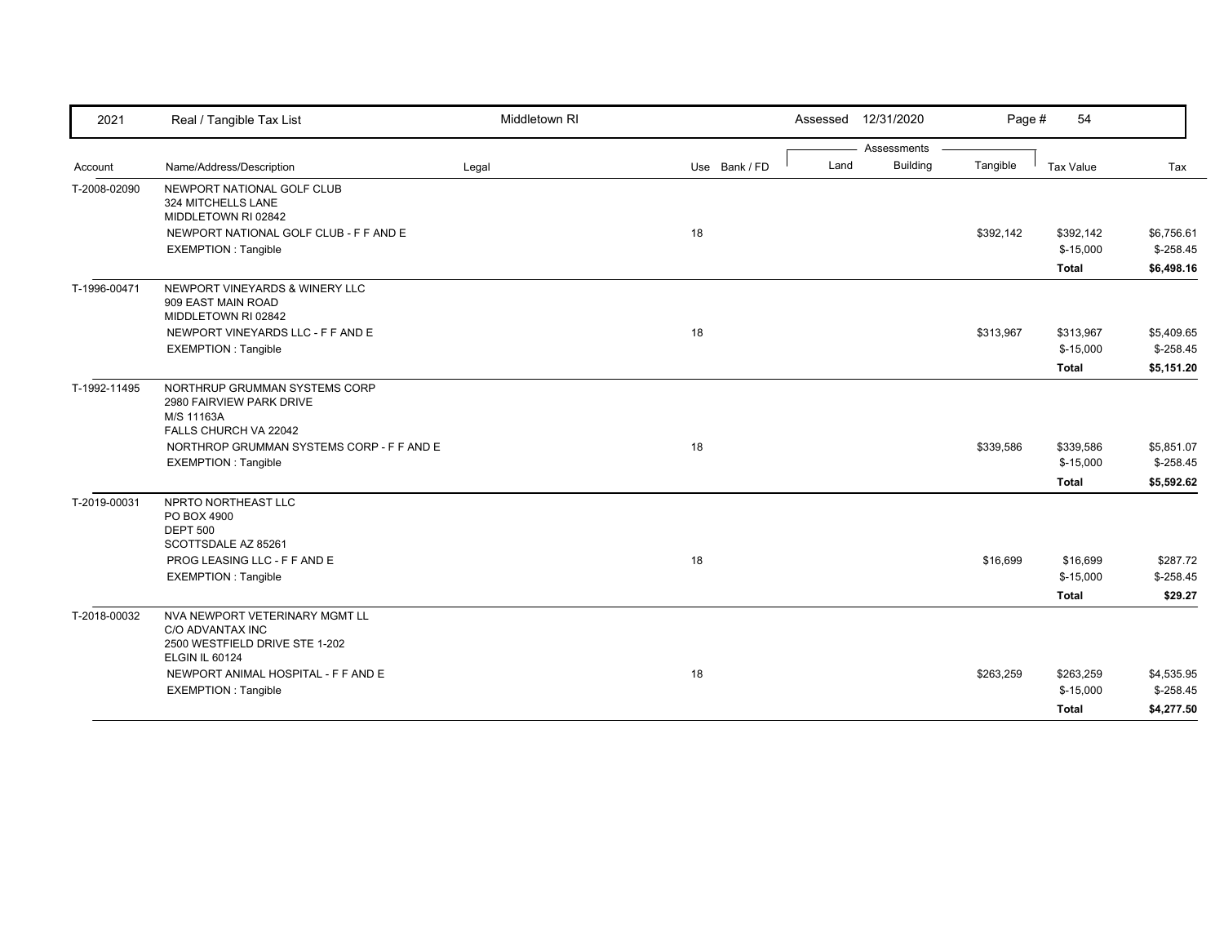| 2021         | Real / Tangible Tax List                                                                                                                                                    | Middletown RI |               | Assessed 12/31/2020 | Page #                                     | 54                                              |                                                 |
|--------------|-----------------------------------------------------------------------------------------------------------------------------------------------------------------------------|---------------|---------------|---------------------|--------------------------------------------|-------------------------------------------------|-------------------------------------------------|
| Account      | Name/Address/Description                                                                                                                                                    | Legal         | Use Bank / FD | Land                | Assessments<br><b>Building</b><br>Tangible | Tax Value                                       | Tax                                             |
| T-2008-02090 | NEWPORT NATIONAL GOLF CLUB<br>324 MITCHELLS LANE                                                                                                                            |               |               |                     |                                            |                                                 |                                                 |
|              | MIDDLETOWN RI 02842<br>NEWPORT NATIONAL GOLF CLUB - F F AND E<br><b>EXEMPTION: Tangible</b>                                                                                 |               | 18            |                     | \$392,142                                  | \$392,142<br>$$-15,000$<br>Total                | \$6,756.61<br>$$-258.45$<br>\$6,498.16          |
| T-1996-00471 | NEWPORT VINEYARDS & WINERY LLC<br>909 EAST MAIN ROAD<br>MIDDLETOWN RI 02842                                                                                                 |               |               |                     |                                            |                                                 |                                                 |
|              | NEWPORT VINEYARDS LLC - F F AND E<br><b>EXEMPTION: Tangible</b>                                                                                                             |               | 18            |                     | \$313,967                                  | \$313,967<br>$$-15,000$<br><b>Total</b>         | \$5,409.65<br>$$-258.45$<br>\$5,151.20          |
| T-1992-11495 | NORTHRUP GRUMMAN SYSTEMS CORP<br>2980 FAIRVIEW PARK DRIVE<br>M/S 11163A<br>FALLS CHURCH VA 22042<br>NORTHROP GRUMMAN SYSTEMS CORP - F F AND E<br><b>EXEMPTION: Tangible</b> |               | 18            |                     | \$339,586                                  | \$339,586<br>$$-15,000$                         | \$5,851.07<br>$$-258.45$                        |
| T-2019-00031 | NPRTO NORTHEAST LLC<br>PO BOX 4900<br><b>DEPT 500</b><br>SCOTTSDALE AZ 85261<br>PROG LEASING LLC - F F AND E<br><b>EXEMPTION: Tangible</b>                                  |               | 18            |                     | \$16,699                                   | Total<br>\$16,699<br>$$-15,000$<br><b>Total</b> | \$5,592.62<br>\$287.72<br>$$-258.45$<br>\$29.27 |
| T-2018-00032 | NVA NEWPORT VETERINARY MGMT LL<br>C/O ADVANTAX INC<br>2500 WESTFIELD DRIVE STE 1-202<br><b>ELGIN IL 60124</b>                                                               |               |               |                     |                                            |                                                 |                                                 |
|              | NEWPORT ANIMAL HOSPITAL - F F AND E<br><b>EXEMPTION: Tangible</b>                                                                                                           |               | 18            |                     | \$263,259                                  | \$263,259<br>$$-15,000$<br>Total                | \$4,535.95<br>$$-258.45$<br>\$4,277.50          |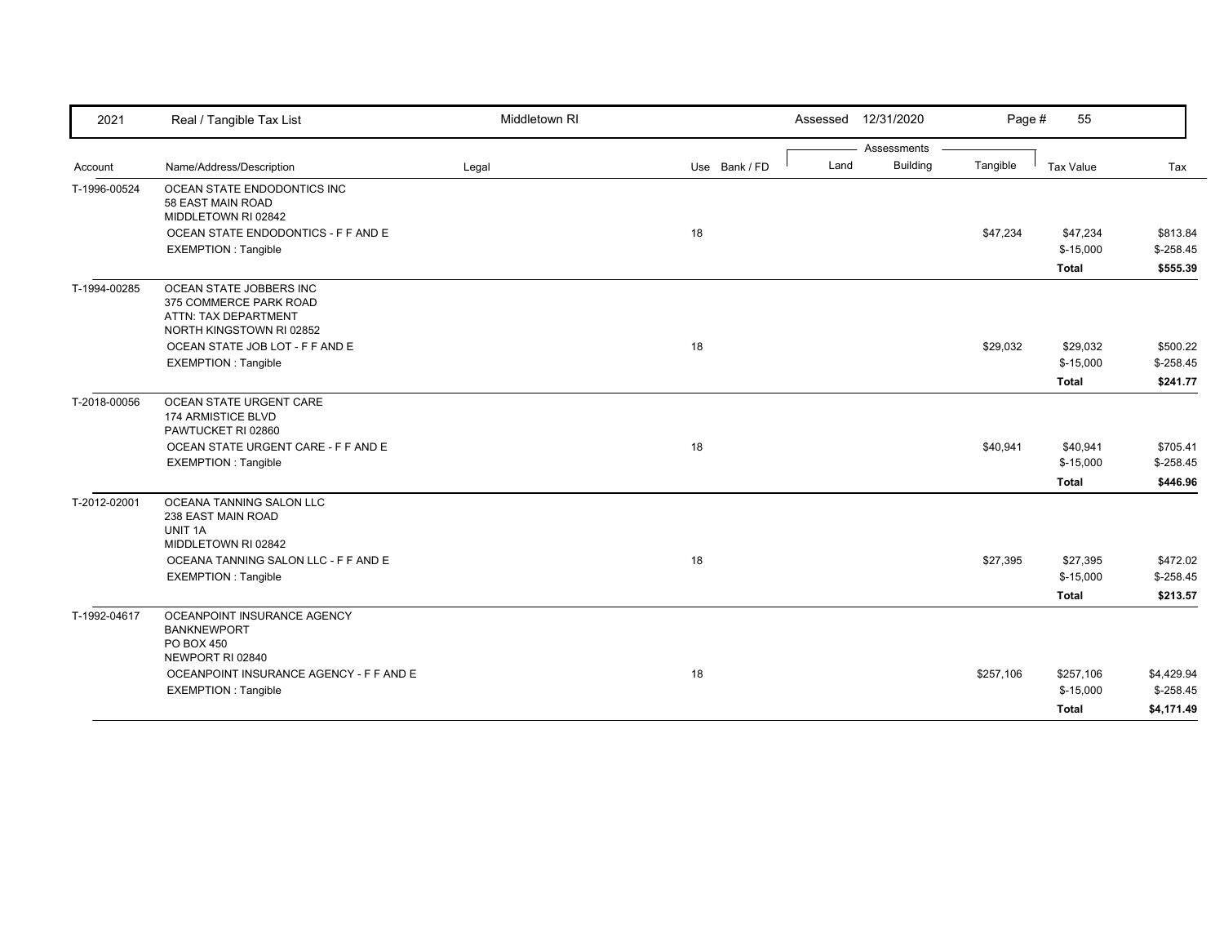| 2021         | Real / Tangible Tax List                         | Middletown RI |               |      | Assessed 12/31/2020            | Page #    | 55           |            |
|--------------|--------------------------------------------------|---------------|---------------|------|--------------------------------|-----------|--------------|------------|
| Account      | Name/Address/Description                         | Legal         | Use Bank / FD | Land | Assessments<br><b>Building</b> | Tangible  | Tax Value    | Tax        |
| T-1996-00524 | OCEAN STATE ENDODONTICS INC                      |               |               |      |                                |           |              |            |
|              | 58 EAST MAIN ROAD                                |               |               |      |                                |           |              |            |
|              | MIDDLETOWN RI 02842                              |               |               |      |                                |           |              |            |
|              | OCEAN STATE ENDODONTICS - F F AND E              |               | 18            |      |                                | \$47,234  | \$47,234     | \$813.84   |
|              | <b>EXEMPTION: Tangible</b>                       |               |               |      |                                |           | $$-15,000$   | $$-258.45$ |
|              |                                                  |               |               |      |                                |           | <b>Total</b> | \$555.39   |
| T-1994-00285 | OCEAN STATE JOBBERS INC                          |               |               |      |                                |           |              |            |
|              | 375 COMMERCE PARK ROAD                           |               |               |      |                                |           |              |            |
|              | ATTN: TAX DEPARTMENT<br>NORTH KINGSTOWN RI 02852 |               |               |      |                                |           |              |            |
|              | OCEAN STATE JOB LOT - F F AND E                  |               | 18            |      |                                | \$29,032  | \$29,032     | \$500.22   |
|              | <b>EXEMPTION: Tangible</b>                       |               |               |      |                                |           | $$-15,000$   | $$-258.45$ |
|              |                                                  |               |               |      |                                |           | <b>Total</b> | \$241.77   |
|              |                                                  |               |               |      |                                |           |              |            |
| T-2018-00056 | OCEAN STATE URGENT CARE<br>174 ARMISTICE BLVD    |               |               |      |                                |           |              |            |
|              | PAWTUCKET RI 02860                               |               |               |      |                                |           |              |            |
|              | OCEAN STATE URGENT CARE - F F AND E              |               | 18            |      |                                | \$40,941  | \$40,941     | \$705.41   |
|              | <b>EXEMPTION: Tangible</b>                       |               |               |      |                                |           | $$-15,000$   | $$-258.45$ |
|              |                                                  |               |               |      |                                |           | <b>Total</b> | \$446.96   |
| T-2012-02001 | OCEANA TANNING SALON LLC                         |               |               |      |                                |           |              |            |
|              | 238 EAST MAIN ROAD                               |               |               |      |                                |           |              |            |
|              | UNIT 1A<br>MIDDLETOWN RI 02842                   |               |               |      |                                |           |              |            |
|              | OCEANA TANNING SALON LLC - F F AND E             |               | 18            |      |                                | \$27,395  | \$27,395     | \$472.02   |
|              | <b>EXEMPTION: Tangible</b>                       |               |               |      |                                |           | $$-15,000$   | $$-258.45$ |
|              |                                                  |               |               |      |                                |           | <b>Total</b> | \$213.57   |
| T-1992-04617 | OCEANPOINT INSURANCE AGENCY                      |               |               |      |                                |           |              |            |
|              | <b>BANKNEWPORT</b>                               |               |               |      |                                |           |              |            |
|              | PO BOX 450                                       |               |               |      |                                |           |              |            |
|              | NEWPORT RI 02840                                 |               |               |      |                                |           |              |            |
|              | OCEANPOINT INSURANCE AGENCY - F F AND E          |               | 18            |      |                                | \$257,106 | \$257,106    | \$4,429.94 |
|              | <b>EXEMPTION: Tangible</b>                       |               |               |      |                                |           | $$-15,000$   | $$-258.45$ |
|              |                                                  |               |               |      |                                |           | <b>Total</b> | \$4,171.49 |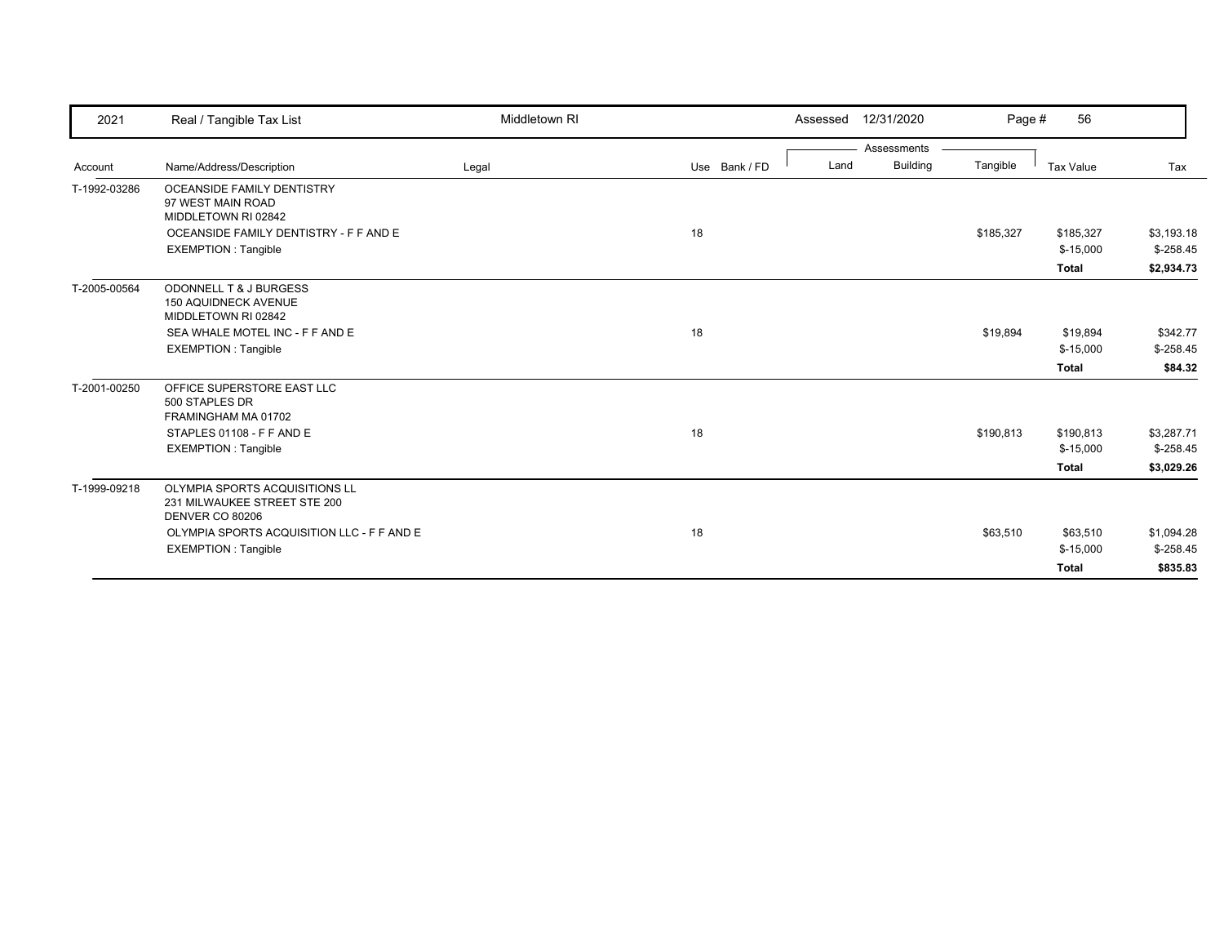| 2021         | Real / Tangible Tax List                                                                                                                                      | Middletown RI |               | 12/31/2020<br>Assessed                 | Page #    | 56                                      |                                        |
|--------------|---------------------------------------------------------------------------------------------------------------------------------------------------------------|---------------|---------------|----------------------------------------|-----------|-----------------------------------------|----------------------------------------|
| Account      | Name/Address/Description                                                                                                                                      | Legal         | Use Bank / FD | Assessments<br><b>Building</b><br>Land | Tangible  | <b>Tax Value</b>                        | Tax                                    |
| T-1992-03286 | OCEANSIDE FAMILY DENTISTRY<br>97 WEST MAIN ROAD<br>MIDDLETOWN RI 02842<br>OCEANSIDE FAMILY DENTISTRY - F F AND E                                              |               | 18            |                                        | \$185,327 | \$185,327                               | \$3,193.18                             |
|              | <b>EXEMPTION: Tangible</b>                                                                                                                                    |               |               |                                        |           | $$-15,000$<br><b>Total</b>              | $$-258.45$<br>\$2,934.73               |
| T-2005-00564 | ODONNELL T & J BURGESS<br><b>150 AQUIDNECK AVENUE</b><br>MIDDLETOWN RI 02842<br>SEA WHALE MOTEL INC - F F AND E<br><b>EXEMPTION: Tangible</b>                 |               | 18            |                                        | \$19,894  | \$19,894<br>$$-15,000$<br><b>Total</b>  | \$342.77<br>$$-258.45$<br>\$84.32      |
| T-2001-00250 | OFFICE SUPERSTORE EAST LLC<br>500 STAPLES DR<br>FRAMINGHAM MA 01702<br>STAPLES 01108 - F F AND E<br><b>EXEMPTION: Tangible</b>                                |               | 18            |                                        | \$190,813 | \$190,813<br>$$-15,000$<br><b>Total</b> | \$3,287.71<br>$$-258.45$<br>\$3,029.26 |
| T-1999-09218 | OLYMPIA SPORTS ACQUISITIONS LL<br>231 MILWAUKEE STREET STE 200<br>DENVER CO 80206<br>OLYMPIA SPORTS ACQUISITION LLC - F F AND E<br><b>EXEMPTION: Tangible</b> |               | 18            |                                        | \$63,510  | \$63,510<br>$$-15,000$<br><b>Total</b>  | \$1,094.28<br>$$-258.45$<br>\$835.83   |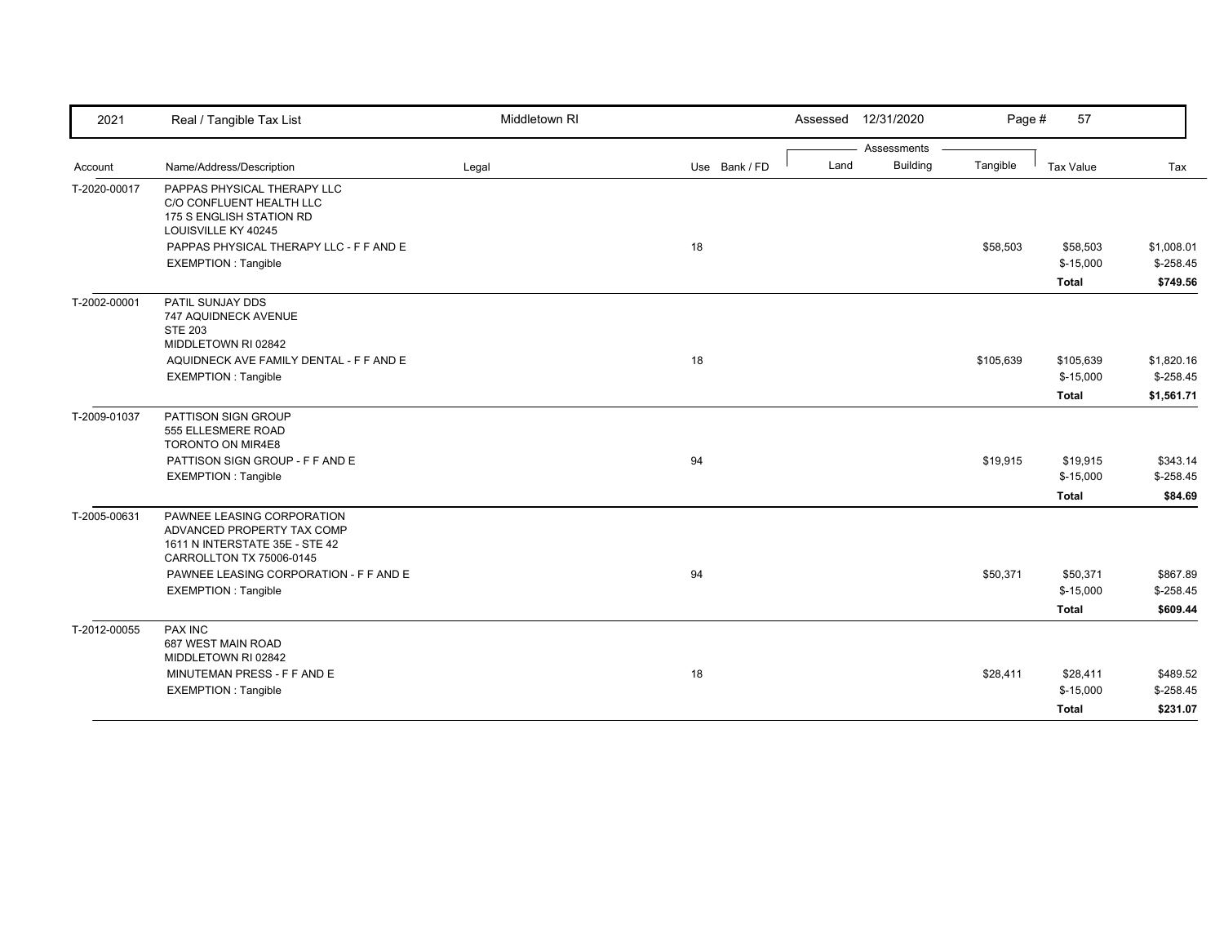| 2021         | Real / Tangible Tax List                                                                                               | Middletown RI |               | Assessed | 12/31/2020      | Page #    | 57         |            |
|--------------|------------------------------------------------------------------------------------------------------------------------|---------------|---------------|----------|-----------------|-----------|------------|------------|
|              |                                                                                                                        |               |               |          | Assessments     |           |            |            |
| Account      | Name/Address/Description                                                                                               | Legal         | Use Bank / FD | Land     | <b>Building</b> | Tangible  | Tax Value  | Tax        |
| T-2020-00017 | PAPPAS PHYSICAL THERAPY LLC<br>C/O CONFLUENT HEALTH LLC<br>175 S ENGLISH STATION RD<br>LOUISVILLE KY 40245             |               |               |          |                 |           |            |            |
|              | PAPPAS PHYSICAL THERAPY LLC - F F AND E                                                                                |               | 18            |          |                 | \$58,503  | \$58,503   | \$1,008.01 |
|              | <b>EXEMPTION: Tangible</b>                                                                                             |               |               |          |                 |           | $$-15,000$ | $$-258.45$ |
|              |                                                                                                                        |               |               |          |                 |           | Total      | \$749.56   |
| T-2002-00001 | PATIL SUNJAY DDS<br>747 AQUIDNECK AVENUE<br><b>STE 203</b><br>MIDDLETOWN RI 02842                                      |               |               |          |                 |           |            |            |
|              | AQUIDNECK AVE FAMILY DENTAL - F F AND E                                                                                |               | 18            |          |                 | \$105,639 | \$105,639  | \$1,820.16 |
|              | <b>EXEMPTION: Tangible</b>                                                                                             |               |               |          |                 |           | $$-15,000$ | $$-258.45$ |
|              |                                                                                                                        |               |               |          |                 |           | Total      | \$1,561.71 |
| T-2009-01037 | PATTISON SIGN GROUP<br>555 ELLESMERE ROAD<br>TORONTO ON MIR4E8                                                         |               |               |          |                 |           |            |            |
|              | PATTISON SIGN GROUP - F F AND E                                                                                        |               | 94            |          |                 | \$19,915  | \$19,915   | \$343.14   |
|              | <b>EXEMPTION: Tangible</b>                                                                                             |               |               |          |                 |           | $$-15,000$ | $$-258.45$ |
|              |                                                                                                                        |               |               |          |                 |           | Total      | \$84.69    |
| T-2005-00631 | PAWNEE LEASING CORPORATION<br>ADVANCED PROPERTY TAX COMP<br>1611 N INTERSTATE 35E - STE 42<br>CARROLLTON TX 75006-0145 |               |               |          |                 |           |            |            |
|              | PAWNEE LEASING CORPORATION - F F AND E                                                                                 |               | 94            |          |                 | \$50,371  | \$50,371   | \$867.89   |
|              | <b>EXEMPTION: Tangible</b>                                                                                             |               |               |          |                 |           | $$-15,000$ | $$-258.45$ |
|              |                                                                                                                        |               |               |          |                 |           | Total      | \$609.44   |
| T-2012-00055 | PAX INC<br>687 WEST MAIN ROAD<br>MIDDLETOWN RI 02842                                                                   |               |               |          |                 |           |            |            |
|              | MINUTEMAN PRESS - F F AND E                                                                                            |               | 18            |          |                 | \$28,411  | \$28,411   | \$489.52   |
|              | <b>EXEMPTION: Tangible</b>                                                                                             |               |               |          |                 |           | $$-15,000$ | $$-258.45$ |
|              |                                                                                                                        |               |               |          |                 |           | Total      | \$231.07   |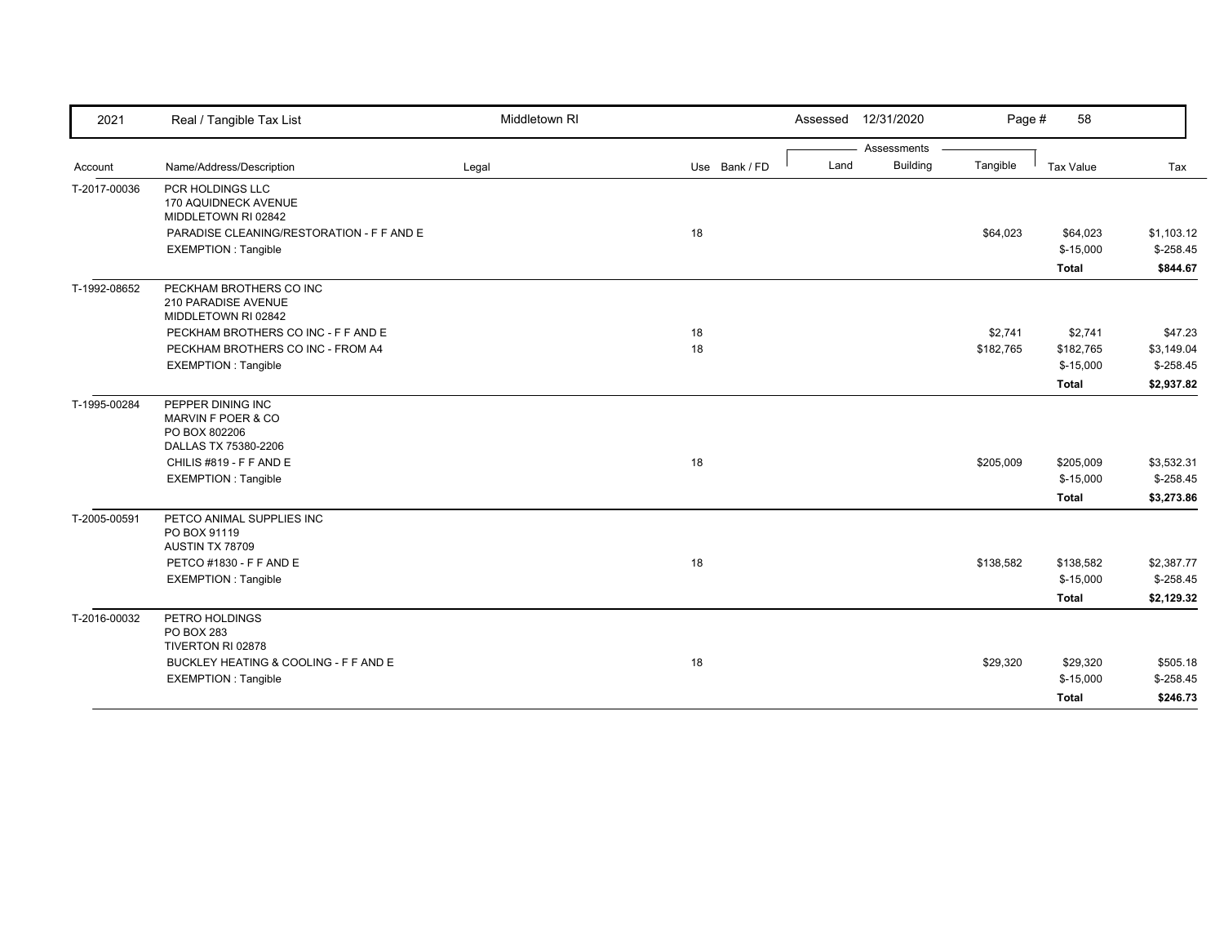| 2021         | Real / Tangible Tax List                                              | Middletown RI |               | Assessed | 12/31/2020      | Page #    | 58           |             |
|--------------|-----------------------------------------------------------------------|---------------|---------------|----------|-----------------|-----------|--------------|-------------|
|              |                                                                       |               |               |          | Assessments     |           |              |             |
| Account      | Name/Address/Description                                              | Legal         | Use Bank / FD | Land     | <b>Building</b> | Tangible  | Tax Value    | Tax         |
| T-2017-00036 | PCR HOLDINGS LLC<br>170 AQUIDNECK AVENUE<br>MIDDLETOWN RI 02842       |               |               |          |                 |           |              |             |
|              | PARADISE CLEANING/RESTORATION - F F AND E                             |               | 18            |          |                 | \$64,023  | \$64,023     | \$1,103.12  |
|              | <b>EXEMPTION: Tangible</b>                                            |               |               |          |                 |           | $$-15,000$   | $$-258.45$  |
|              |                                                                       |               |               |          |                 |           | <b>Total</b> | \$844.67    |
| T-1992-08652 | PECKHAM BROTHERS CO INC<br>210 PARADISE AVENUE<br>MIDDLETOWN RI 02842 |               |               |          |                 |           |              |             |
|              | PECKHAM BROTHERS CO INC - F F AND E                                   |               | 18            |          |                 | \$2,741   | \$2,741      | \$47.23     |
|              | PECKHAM BROTHERS CO INC - FROM A4                                     |               | 18            |          |                 | \$182,765 | \$182,765    | \$3,149.04  |
|              | EXEMPTION : Tangible                                                  |               |               |          |                 |           | $$-15,000$   | $$-258.45$  |
|              |                                                                       |               |               |          |                 |           | <b>Total</b> | \$2,937.82  |
| T-1995-00284 | PEPPER DINING INC<br>MARVIN F POER & CO<br>PO BOX 802206              |               |               |          |                 |           |              |             |
|              | DALLAS TX 75380-2206                                                  |               |               |          |                 |           |              |             |
|              | CHILIS #819 - F F AND E                                               |               | 18            |          |                 | \$205,009 | \$205,009    | \$3,532.31  |
|              | <b>EXEMPTION: Tangible</b>                                            |               |               |          |                 |           | $$-15,000$   | $$-258.45$  |
|              |                                                                       |               |               |          |                 |           | <b>Total</b> | \$3,273.86  |
| T-2005-00591 | PETCO ANIMAL SUPPLIES INC<br>PO BOX 91119<br>AUSTIN TX 78709          |               |               |          |                 |           |              |             |
|              | PETCO #1830 - F F AND E                                               |               | 18            |          |                 | \$138,582 | \$138,582    | \$2,387.77  |
|              | <b>EXEMPTION: Tangible</b>                                            |               |               |          |                 |           | $$-15,000$   | $$ -258.45$ |
|              |                                                                       |               |               |          |                 |           | <b>Total</b> | \$2,129.32  |
| T-2016-00032 | PETRO HOLDINGS<br>PO BOX 283<br>TIVERTON RI 02878                     |               |               |          |                 |           |              |             |
|              | BUCKLEY HEATING & COOLING - F F AND E                                 |               | 18            |          |                 | \$29,320  | \$29,320     | \$505.18    |
|              | <b>EXEMPTION: Tangible</b>                                            |               |               |          |                 |           | $$-15,000$   | $$-258.45$  |
|              |                                                                       |               |               |          |                 |           | <b>Total</b> | \$246.73    |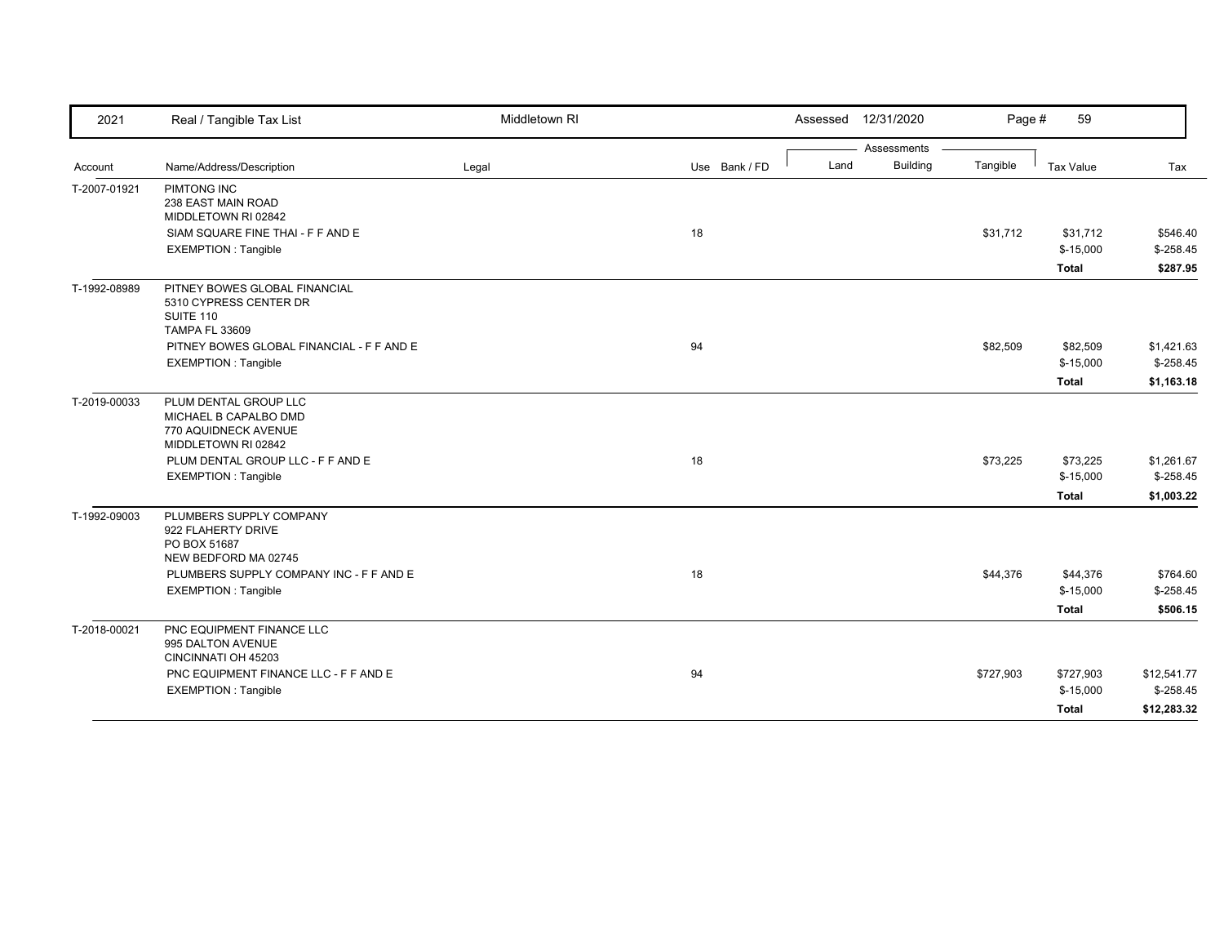| 2021         | Real / Tangible Tax List                                                                      | Middletown RI |               |      | Assessed 12/31/2020            | Page #    | 59                     |             |
|--------------|-----------------------------------------------------------------------------------------------|---------------|---------------|------|--------------------------------|-----------|------------------------|-------------|
|              | Name/Address/Description                                                                      |               | Use Bank / FD | Land | Assessments<br><b>Building</b> | Tangible  | Tax Value              | Tax         |
| Account      |                                                                                               | Legal         |               |      |                                |           |                        |             |
| T-2007-01921 | PIMTONG INC<br>238 EAST MAIN ROAD                                                             |               |               |      |                                |           |                        |             |
|              | MIDDLETOWN RI 02842                                                                           |               |               |      |                                |           |                        |             |
|              | SIAM SQUARE FINE THAI - F F AND E                                                             |               | 18            |      |                                | \$31,712  | \$31,712               | \$546.40    |
|              | <b>EXEMPTION: Tangible</b>                                                                    |               |               |      |                                |           | $$-15,000$             | $$-258.45$  |
|              |                                                                                               |               |               |      |                                |           | <b>Total</b>           | \$287.95    |
| T-1992-08989 | PITNEY BOWES GLOBAL FINANCIAL<br>5310 CYPRESS CENTER DR<br>SUITE 110                          |               |               |      |                                |           |                        |             |
|              | <b>TAMPA FL 33609</b>                                                                         |               |               |      |                                |           |                        |             |
|              | PITNEY BOWES GLOBAL FINANCIAL - F F AND E                                                     |               | 94            |      |                                | \$82,509  | \$82,509               | \$1,421.63  |
|              | <b>EXEMPTION: Tangible</b>                                                                    |               |               |      |                                |           | $$-15,000$             | $$-258.45$  |
|              |                                                                                               |               |               |      |                                |           | <b>Total</b>           | \$1,163.18  |
| T-2019-00033 | PLUM DENTAL GROUP LLC<br>MICHAEL B CAPALBO DMD<br>770 AQUIDNECK AVENUE<br>MIDDLETOWN RI 02842 |               |               |      |                                |           |                        |             |
|              | PLUM DENTAL GROUP LLC - F F AND E                                                             |               | 18            |      |                                | \$73,225  | \$73,225               | \$1,261.67  |
|              | <b>EXEMPTION: Tangible</b>                                                                    |               |               |      |                                |           | $$-15,000$             | $$-258.45$  |
|              |                                                                                               |               |               |      |                                |           | Total                  | \$1,003.22  |
| T-1992-09003 | PLUMBERS SUPPLY COMPANY<br>922 FLAHERTY DRIVE<br>PO BOX 51687                                 |               |               |      |                                |           |                        |             |
|              | NEW BEDFORD MA 02745                                                                          |               |               |      |                                |           |                        |             |
|              | PLUMBERS SUPPLY COMPANY INC - F F AND E<br><b>EXEMPTION: Tangible</b>                         |               | 18            |      |                                | \$44,376  | \$44,376<br>$$-15,000$ | \$764.60    |
|              |                                                                                               |               |               |      |                                |           |                        | $$-258.45$  |
|              |                                                                                               |               |               |      |                                |           | <b>Total</b>           | \$506.15    |
| T-2018-00021 | PNC EQUIPMENT FINANCE LLC<br>995 DALTON AVENUE<br>CINCINNATI OH 45203                         |               |               |      |                                |           |                        |             |
|              | PNC EQUIPMENT FINANCE LLC - F F AND E                                                         |               | 94            |      |                                | \$727,903 | \$727,903              | \$12,541.77 |
|              | <b>EXEMPTION: Tangible</b>                                                                    |               |               |      |                                |           | $$-15,000$             | $$-258.45$  |
|              |                                                                                               |               |               |      |                                |           | <b>Total</b>           | \$12,283.32 |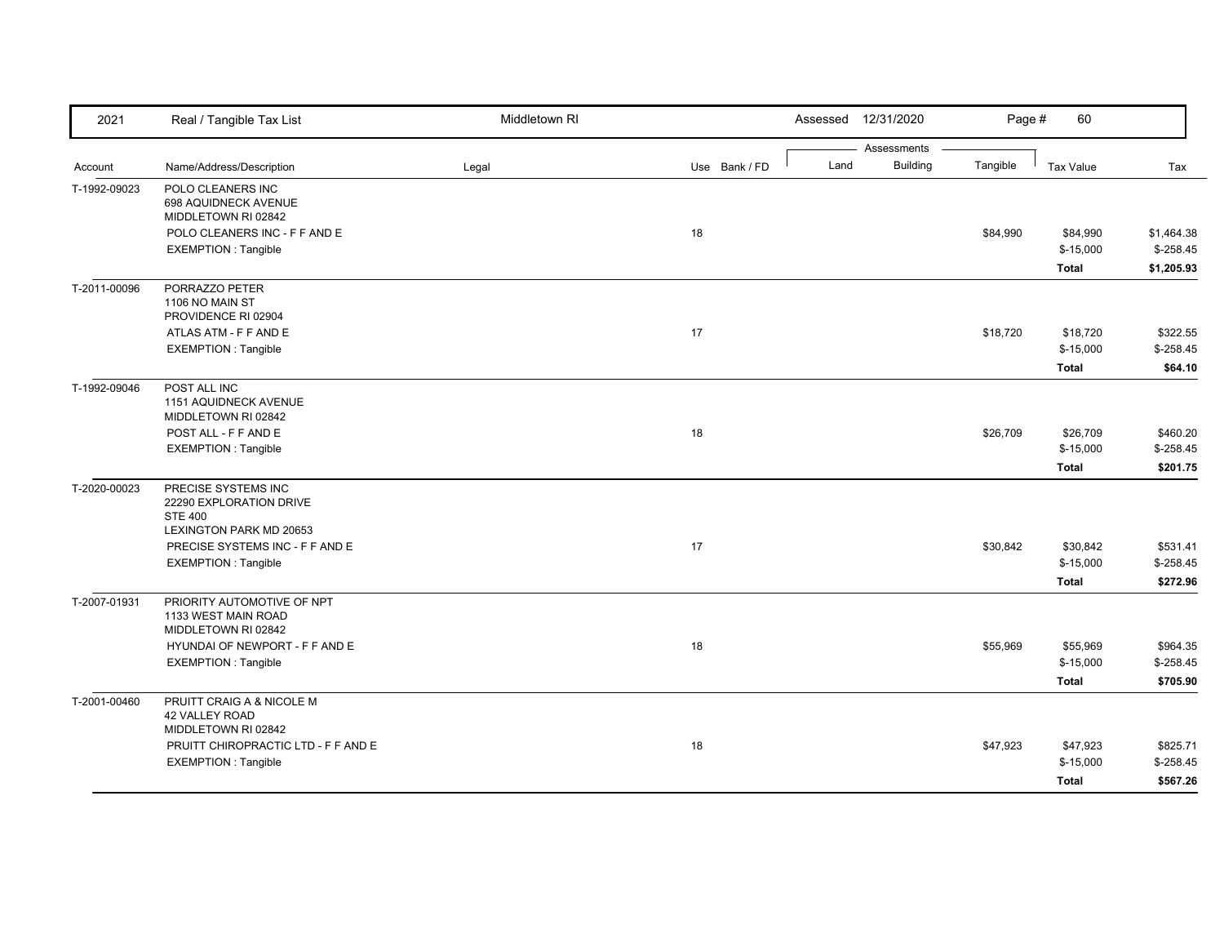| 2021         | Real / Tangible Tax List                  | Middletown RI |               |      | Assessed 12/31/2020            | Page #   | 60           |            |
|--------------|-------------------------------------------|---------------|---------------|------|--------------------------------|----------|--------------|------------|
|              |                                           |               | Use Bank / FD | Land | Assessments<br><b>Building</b> | Tangible |              |            |
| Account      | Name/Address/Description                  | Legal         |               |      |                                |          | Tax Value    | Tax        |
| T-1992-09023 | POLO CLEANERS INC<br>698 AQUIDNECK AVENUE |               |               |      |                                |          |              |            |
|              | MIDDLETOWN RI 02842                       |               |               |      |                                |          |              |            |
|              | POLO CLEANERS INC - F F AND E             |               | 18            |      |                                | \$84,990 | \$84,990     | \$1,464.38 |
|              | <b>EXEMPTION: Tangible</b>                |               |               |      |                                |          | $$-15,000$   | $$-258.45$ |
|              |                                           |               |               |      |                                |          | <b>Total</b> | \$1,205.93 |
| T-2011-00096 | PORRAZZO PETER                            |               |               |      |                                |          |              |            |
|              | 1106 NO MAIN ST<br>PROVIDENCE RI 02904    |               |               |      |                                |          |              |            |
|              | ATLAS ATM - F F AND E                     |               | 17            |      |                                | \$18,720 | \$18,720     | \$322.55   |
|              | <b>EXEMPTION: Tangible</b>                |               |               |      |                                |          | $$-15,000$   | $$-258.45$ |
|              |                                           |               |               |      |                                |          | <b>Total</b> | \$64.10    |
| T-1992-09046 | POST ALL INC                              |               |               |      |                                |          |              |            |
|              | 1151 AQUIDNECK AVENUE                     |               |               |      |                                |          |              |            |
|              | MIDDLETOWN RI 02842                       |               |               |      |                                |          |              |            |
|              | POST ALL - F F AND E                      |               | 18            |      |                                | \$26,709 | \$26,709     | \$460.20   |
|              | <b>EXEMPTION: Tangible</b>                |               |               |      |                                |          | $$-15,000$   | $$-258.45$ |
|              |                                           |               |               |      |                                |          | <b>Total</b> | \$201.75   |
| T-2020-00023 | PRECISE SYSTEMS INC                       |               |               |      |                                |          |              |            |
|              | 22290 EXPLORATION DRIVE                   |               |               |      |                                |          |              |            |
|              | <b>STE 400</b><br>LEXINGTON PARK MD 20653 |               |               |      |                                |          |              |            |
|              | PRECISE SYSTEMS INC - F F AND E           |               | 17            |      |                                | \$30,842 | \$30,842     | \$531.41   |
|              | <b>EXEMPTION: Tangible</b>                |               |               |      |                                |          | $$-15,000$   | $$-258.45$ |
|              |                                           |               |               |      |                                |          | <b>Total</b> | \$272.96   |
| T-2007-01931 | PRIORITY AUTOMOTIVE OF NPT                |               |               |      |                                |          |              |            |
|              | 1133 WEST MAIN ROAD                       |               |               |      |                                |          |              |            |
|              | MIDDLETOWN RI 02842                       |               |               |      |                                |          |              |            |
|              | HYUNDAI OF NEWPORT - F F AND E            |               | 18            |      |                                | \$55,969 | \$55,969     | \$964.35   |
|              | <b>EXEMPTION: Tangible</b>                |               |               |      |                                |          | $$-15,000$   | $$-258.45$ |
|              |                                           |               |               |      |                                |          | <b>Total</b> | \$705.90   |
| T-2001-00460 | PRUITT CRAIG A & NICOLE M                 |               |               |      |                                |          |              |            |
|              | 42 VALLEY ROAD                            |               |               |      |                                |          |              |            |
|              | MIDDLETOWN RI 02842                       |               |               |      |                                |          |              |            |
|              | PRUITT CHIROPRACTIC LTD - F F AND E       |               | 18            |      |                                | \$47,923 | \$47,923     | \$825.71   |
|              | <b>EXEMPTION: Tangible</b>                |               |               |      |                                |          | $$-15,000$   | $$-258.45$ |
|              |                                           |               |               |      |                                |          | <b>Total</b> | \$567.26   |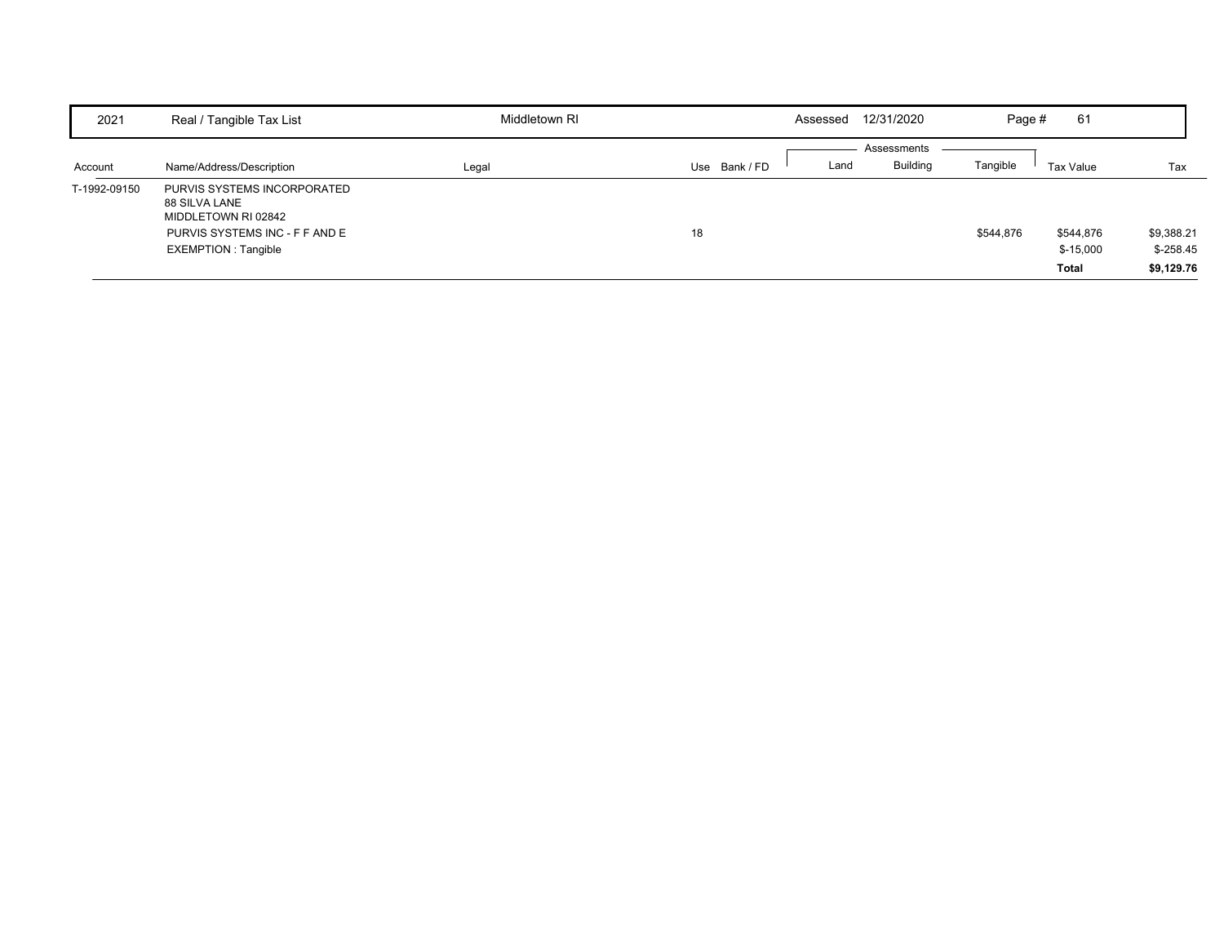| 2021         | Real / Tangible Tax List                                                                                                            | Middletown RI | 12/31/2020<br>Assessed             | 61<br>Page #                                         |                                         |
|--------------|-------------------------------------------------------------------------------------------------------------------------------------|---------------|------------------------------------|------------------------------------------------------|-----------------------------------------|
| Account      | Name/Address/Description                                                                                                            | Legal         | Assessments<br>Use Bank/FD<br>Land | <b>Building</b><br>Tangible<br>Tax Value             | Tax                                     |
| T-1992-09150 | PURVIS SYSTEMS INCORPORATED<br>88 SILVA LANE<br>MIDDLETOWN RI 02842<br>PURVIS SYSTEMS INC - F F AND E<br><b>EXEMPTION: Tangible</b> |               | 18                                 | \$544,876<br>\$544,876<br>$$-15,000$<br><b>Total</b> | \$9,388.21<br>$$ -258.45$<br>\$9,129.76 |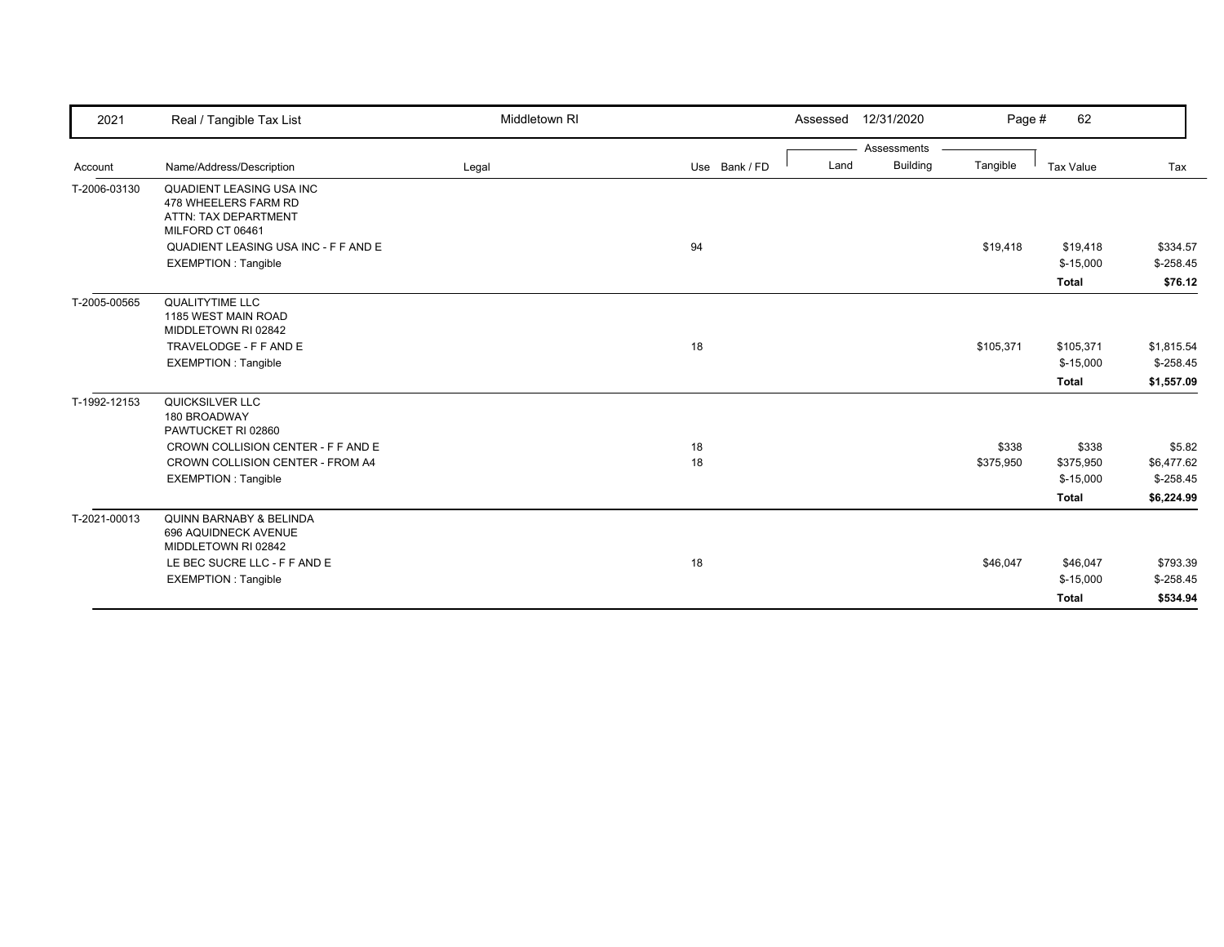| 2021         | Real / Tangible Tax List                                                                                              | Middletown RI |               | 12/31/2020<br>Assessed  | Page #    | 62                      |                          |
|--------------|-----------------------------------------------------------------------------------------------------------------------|---------------|---------------|-------------------------|-----------|-------------------------|--------------------------|
|              |                                                                                                                       |               |               | Assessments             |           |                         |                          |
| Account      | Name/Address/Description                                                                                              | Legal         | Use Bank / FD | <b>Building</b><br>Land | Tangible  | <b>Tax Value</b>        | Tax                      |
| T-2006-03130 | QUADIENT LEASING USA INC<br>478 WHEELERS FARM RD<br>ATTN: TAX DEPARTMENT<br>MILFORD CT 06461                          |               |               |                         |           |                         |                          |
|              | QUADIENT LEASING USA INC - F F AND E                                                                                  |               | 94            |                         | \$19,418  | \$19,418                | \$334.57                 |
|              | <b>EXEMPTION: Tangible</b>                                                                                            |               |               |                         |           | $$-15,000$              | $$-258.45$               |
|              |                                                                                                                       |               |               |                         |           | <b>Total</b>            | \$76.12                  |
| T-2005-00565 | QUALITYTIME LLC<br>1185 WEST MAIN ROAD<br>MIDDLETOWN RI 02842<br>TRAVELODGE - F F AND E<br><b>EXEMPTION: Tangible</b> |               | 18            |                         | \$105,371 | \$105,371<br>$$-15,000$ | \$1,815.54<br>$$-258.45$ |
|              |                                                                                                                       |               |               |                         |           | <b>Total</b>            | \$1,557.09               |
| T-1992-12153 | QUICKSILVER LLC<br>180 BROADWAY<br>PAWTUCKET RI 02860                                                                 |               |               |                         |           |                         |                          |
|              | CROWN COLLISION CENTER - F F AND E                                                                                    |               | 18            |                         | \$338     | \$338                   | \$5.82                   |
|              | CROWN COLLISION CENTER - FROM A4                                                                                      |               | 18            |                         | \$375,950 | \$375,950               | \$6,477.62               |
|              | <b>EXEMPTION: Tangible</b>                                                                                            |               |               |                         |           | $$-15,000$              | $$-258.45$               |
|              |                                                                                                                       |               |               |                         |           | <b>Total</b>            | \$6,224.99               |
| T-2021-00013 | <b>QUINN BARNABY &amp; BELINDA</b><br>696 AQUIDNECK AVENUE<br>MIDDLETOWN RI 02842                                     |               |               |                         |           |                         |                          |
|              | LE BEC SUCRE LLC - F F AND E                                                                                          |               | 18            |                         | \$46,047  | \$46,047                | \$793.39                 |
|              | <b>EXEMPTION: Tangible</b>                                                                                            |               |               |                         |           | $$-15,000$              | $$-258.45$               |
|              |                                                                                                                       |               |               |                         |           | <b>Total</b>            | \$534.94                 |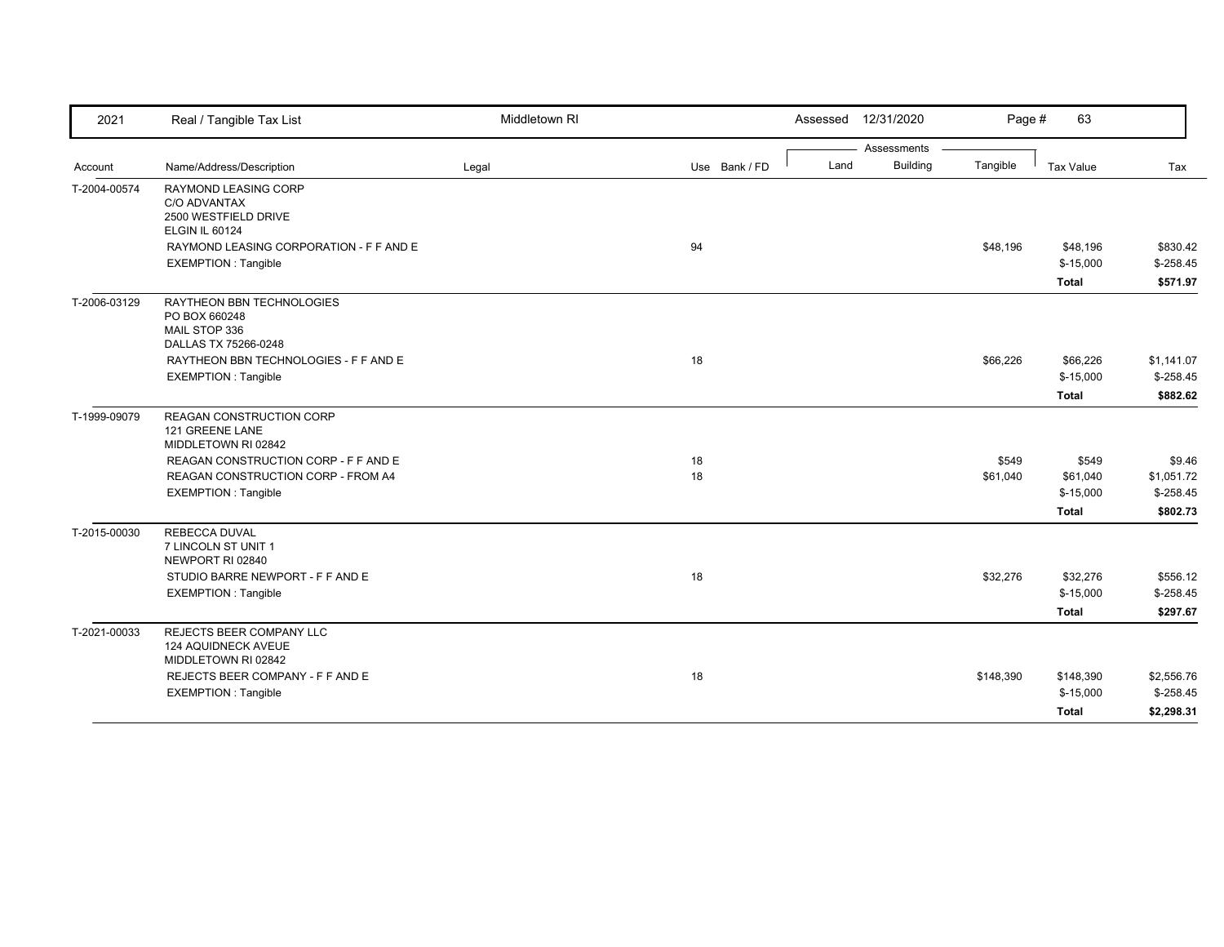| 2021         | Real / Tangible Tax List                                                      | Middletown RI |               |      | Assessed 12/31/2020 | Page #    | 63               |            |
|--------------|-------------------------------------------------------------------------------|---------------|---------------|------|---------------------|-----------|------------------|------------|
|              |                                                                               |               |               |      | Assessments         |           |                  |            |
| Account      | Name/Address/Description                                                      | Legal         | Use Bank / FD | Land | <b>Building</b>     | Tangible  | <b>Tax Value</b> | Tax        |
| T-2004-00574 | <b>RAYMOND LEASING CORP</b><br>C/O ADVANTAX<br>2500 WESTFIELD DRIVE           |               |               |      |                     |           |                  |            |
|              | <b>ELGIN IL 60124</b>                                                         |               |               |      |                     |           |                  |            |
|              | RAYMOND LEASING CORPORATION - F F AND E                                       |               | 94            |      |                     | \$48,196  | \$48,196         | \$830.42   |
|              | <b>EXEMPTION: Tangible</b>                                                    |               |               |      |                     |           | $$-15,000$       | $$-258.45$ |
|              |                                                                               |               |               |      |                     |           | <b>Total</b>     | \$571.97   |
| T-2006-03129 | RAYTHEON BBN TECHNOLOGIES<br>PO BOX 660248<br>MAIL STOP 336                   |               |               |      |                     |           |                  |            |
|              | DALLAS TX 75266-0248                                                          |               |               |      |                     |           |                  |            |
|              | RAYTHEON BBN TECHNOLOGIES - F F AND E                                         |               | 18            |      |                     | \$66,226  | \$66,226         | \$1,141.07 |
|              | <b>EXEMPTION: Tangible</b>                                                    |               |               |      |                     |           | $$-15,000$       | $$-258.45$ |
|              |                                                                               |               |               |      |                     |           | <b>Total</b>     | \$882.62   |
| T-1999-09079 | REAGAN CONSTRUCTION CORP<br>121 GREENE LANE<br>MIDDLETOWN RI 02842            |               |               |      |                     |           |                  |            |
|              | REAGAN CONSTRUCTION CORP - F F AND E                                          |               | 18            |      |                     | \$549     | \$549            | \$9.46     |
|              | REAGAN CONSTRUCTION CORP - FROM A4                                            |               | 18            |      |                     | \$61,040  | \$61,040         | \$1,051.72 |
|              | <b>EXEMPTION: Tangible</b>                                                    |               |               |      |                     |           | $$-15,000$       | $$-258.45$ |
|              |                                                                               |               |               |      |                     |           | <b>Total</b>     | \$802.73   |
| T-2015-00030 | <b>REBECCA DUVAL</b><br>7 LINCOLN ST UNIT 1<br>NEWPORT RI 02840               |               |               |      |                     |           |                  |            |
|              | STUDIO BARRE NEWPORT - F F AND E                                              |               | 18            |      |                     | \$32,276  | \$32,276         | \$556.12   |
|              | <b>EXEMPTION: Tangible</b>                                                    |               |               |      |                     |           | $$-15,000$       | $$-258.45$ |
|              |                                                                               |               |               |      |                     |           | <b>Total</b>     | \$297.67   |
| T-2021-00033 | REJECTS BEER COMPANY LLC<br><b>124 AQUIDNECK AVEUE</b><br>MIDDLETOWN RI 02842 |               |               |      |                     |           |                  |            |
|              | REJECTS BEER COMPANY - F F AND E                                              |               | 18            |      |                     | \$148,390 | \$148,390        | \$2,556.76 |
|              | <b>EXEMPTION: Tangible</b>                                                    |               |               |      |                     |           | $$-15,000$       | $$-258.45$ |
|              |                                                                               |               |               |      |                     |           | Total            | \$2,298.31 |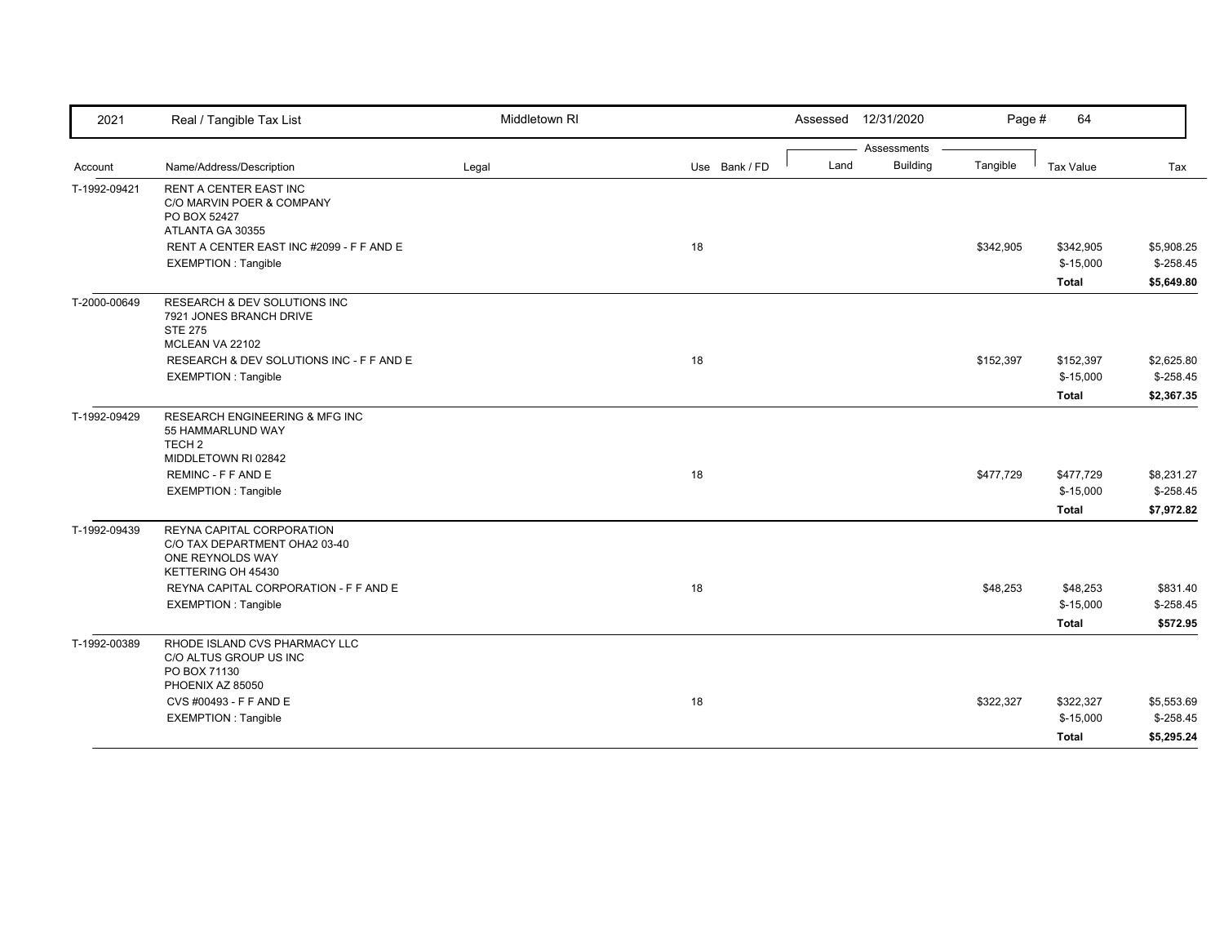| 2021                    | Real / Tangible Tax List                                                                                   | Middletown RI |               | Assessed 12/31/2020                    | Page #    | 64                                      |                                        |
|-------------------------|------------------------------------------------------------------------------------------------------------|---------------|---------------|----------------------------------------|-----------|-----------------------------------------|----------------------------------------|
|                         | Name/Address/Description                                                                                   |               | Use Bank / FD | Assessments<br><b>Building</b><br>Land | Tangible  | Tax Value                               |                                        |
| Account<br>T-1992-09421 | <b>RENT A CENTER EAST INC</b><br>C/O MARVIN POER & COMPANY<br>PO BOX 52427<br>ATLANTA GA 30355             | Legal         |               |                                        |           |                                         | Tax                                    |
|                         | RENT A CENTER EAST INC #2099 - F F AND E<br><b>EXEMPTION: Tangible</b>                                     |               | 18            |                                        | \$342,905 | \$342,905<br>$$-15,000$<br><b>Total</b> | \$5,908.25<br>$$-258.45$<br>\$5,649.80 |
| T-2000-00649            | <b>RESEARCH &amp; DEV SOLUTIONS INC</b><br>7921 JONES BRANCH DRIVE<br><b>STE 275</b><br>MCLEAN VA 22102    |               |               |                                        |           |                                         |                                        |
|                         | RESEARCH & DEV SOLUTIONS INC - F F AND E<br><b>EXEMPTION: Tangible</b>                                     |               | 18            |                                        | \$152,397 | \$152,397<br>$$-15,000$<br><b>Total</b> | \$2,625.80<br>$$-258.45$<br>\$2,367.35 |
| T-1992-09429            | <b>RESEARCH ENGINEERING &amp; MFG INC</b><br>55 HAMMARLUND WAY<br>TECH <sub>2</sub><br>MIDDLETOWN RI 02842 |               |               |                                        |           |                                         |                                        |
|                         | REMINC - F F AND E<br><b>EXEMPTION: Tangible</b>                                                           |               | 18            |                                        | \$477,729 | \$477,729<br>$$-15,000$<br><b>Total</b> | \$8,231.27<br>$$-258.45$<br>\$7,972.82 |
| T-1992-09439            | REYNA CAPITAL CORPORATION<br>C/O TAX DEPARTMENT OHA2 03-40<br>ONE REYNOLDS WAY<br>KETTERING OH 45430       |               |               |                                        |           |                                         |                                        |
|                         | REYNA CAPITAL CORPORATION - F F AND E<br><b>EXEMPTION: Tangible</b>                                        |               | 18            |                                        | \$48,253  | \$48,253<br>$$-15,000$<br>Total         | \$831.40<br>$$-258.45$<br>\$572.95     |
| T-1992-00389            | RHODE ISLAND CVS PHARMACY LLC<br>C/O ALTUS GROUP US INC<br>PO BOX 71130<br>PHOENIX AZ 85050                |               |               |                                        |           |                                         |                                        |
|                         | CVS #00493 - F F AND E<br><b>EXEMPTION: Tangible</b>                                                       |               | 18            |                                        | \$322,327 | \$322,327<br>$$-15,000$<br><b>Total</b> | \$5,553.69<br>$$-258.45$<br>\$5,295.24 |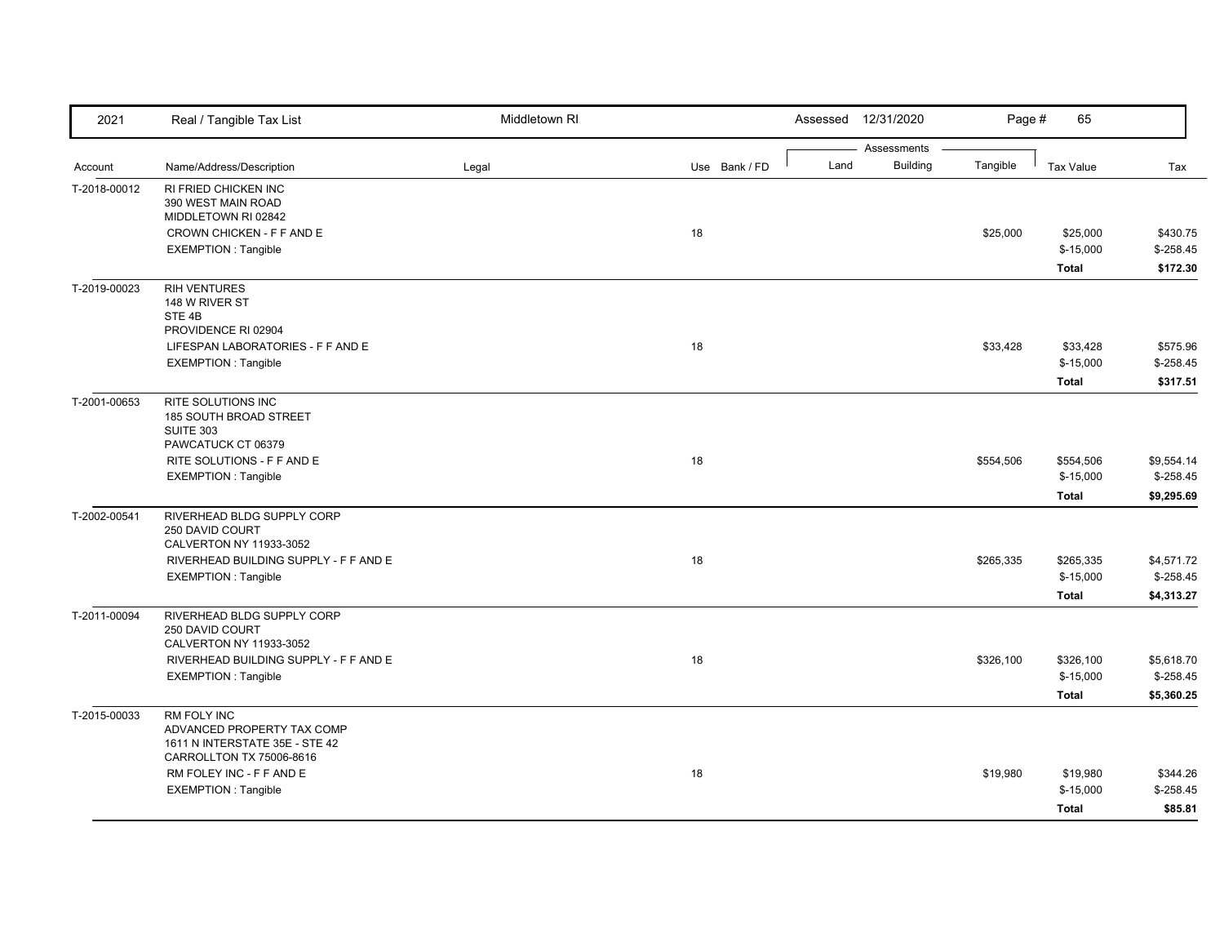| 2021         | Real / Tangible Tax List                                                                                | Middletown RI |               |      | Assessed 12/31/2020            | Page #    | 65                                      |                                         |
|--------------|---------------------------------------------------------------------------------------------------------|---------------|---------------|------|--------------------------------|-----------|-----------------------------------------|-----------------------------------------|
| Account      | Name/Address/Description                                                                                | Legal         | Use Bank / FD | Land | Assessments<br><b>Building</b> | Tangible  | <b>Tax Value</b>                        | Tax                                     |
| T-2018-00012 | <b>RI FRIED CHICKEN INC</b><br>390 WEST MAIN ROAD<br>MIDDLETOWN RI 02842                                |               |               |      |                                |           |                                         |                                         |
|              | CROWN CHICKEN - F F AND E<br><b>EXEMPTION: Tangible</b>                                                 |               | 18            |      |                                | \$25,000  | \$25,000<br>$$-15,000$<br><b>Total</b>  | \$430.75<br>$$ -258.45$<br>\$172.30     |
| T-2019-00023 | <b>RIH VENTURES</b><br>148 W RIVER ST<br>STE <sub>4B</sub><br>PROVIDENCE RI 02904                       |               |               |      |                                |           |                                         |                                         |
|              | LIFESPAN LABORATORIES - F F AND E<br><b>EXEMPTION: Tangible</b>                                         |               | 18            |      |                                | \$33,428  | \$33,428<br>$$-15,000$<br><b>Total</b>  | \$575.96<br>$$ -258.45$<br>\$317.51     |
| T-2001-00653 | <b>RITE SOLUTIONS INC</b><br>185 SOUTH BROAD STREET<br><b>SUITE 303</b><br>PAWCATUCK CT 06379           |               |               |      |                                |           |                                         |                                         |
|              | RITE SOLUTIONS - F F AND E<br><b>EXEMPTION: Tangible</b>                                                |               | 18            |      |                                | \$554,506 | \$554,506<br>$$-15,000$<br><b>Total</b> | \$9,554.14<br>$$-258.45$<br>\$9,295.69  |
| T-2002-00541 | RIVERHEAD BLDG SUPPLY CORP<br>250 DAVID COURT<br>CALVERTON NY 11933-3052                                |               |               |      |                                |           |                                         |                                         |
|              | RIVERHEAD BUILDING SUPPLY - F F AND E<br><b>EXEMPTION: Tangible</b>                                     |               | 18            |      |                                | \$265,335 | \$265,335<br>$$-15,000$<br><b>Total</b> | \$4,571.72<br>$$-258.45$<br>\$4,313.27  |
| T-2011-00094 | RIVERHEAD BLDG SUPPLY CORP<br>250 DAVID COURT<br>CALVERTON NY 11933-3052                                |               |               |      |                                |           |                                         |                                         |
|              | RIVERHEAD BUILDING SUPPLY - F F AND E<br>EXEMPTION : Tangible                                           |               | 18            |      |                                | \$326,100 | \$326,100<br>$$-15,000$<br><b>Total</b> | \$5,618.70<br>$$ -258.45$<br>\$5,360.25 |
| T-2015-00033 | RM FOLY INC<br>ADVANCED PROPERTY TAX COMP<br>1611 N INTERSTATE 35E - STE 42<br>CARROLLTON TX 75006-8616 |               |               |      |                                |           |                                         |                                         |
|              | RM FOLEY INC - F F AND E<br><b>EXEMPTION: Tangible</b>                                                  |               | 18            |      |                                | \$19,980  | \$19,980<br>$$-15,000$<br><b>Total</b>  | \$344.26<br>$$-258.45$<br>\$85.81       |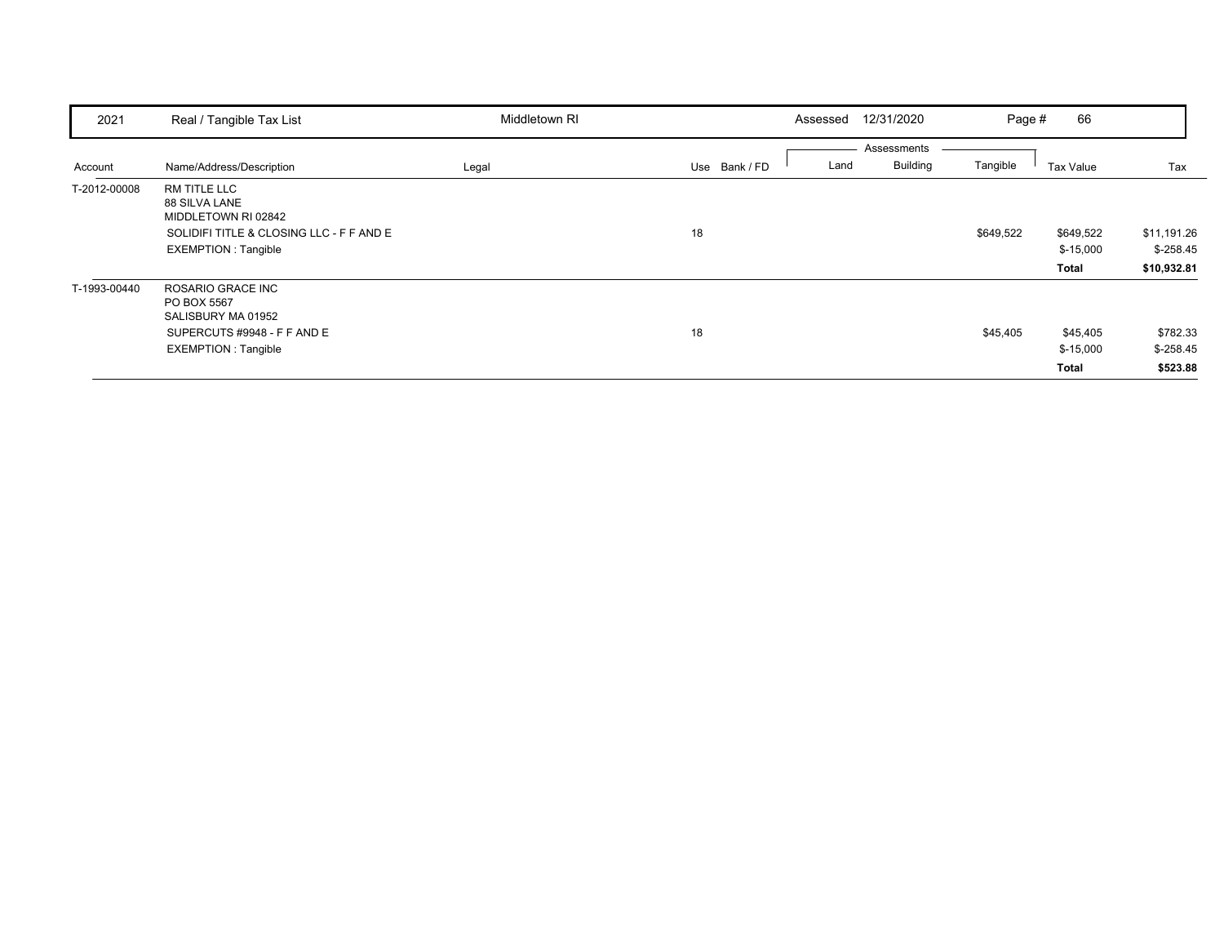| 2021         | Real / Tangible Tax List                                                                                                       | Middletown RI |               | 12/31/2020<br>Assessed                 | Page #    | 66                               |                                          |
|--------------|--------------------------------------------------------------------------------------------------------------------------------|---------------|---------------|----------------------------------------|-----------|----------------------------------|------------------------------------------|
| Account      | Name/Address/Description                                                                                                       | Legal         | Use Bank / FD | Assessments<br><b>Building</b><br>Land | Tangible  | Tax Value                        | Tax                                      |
| T-2012-00008 | RM TITLE LLC<br>88 SILVA LANE<br>MIDDLETOWN RI 02842<br>SOLIDIFI TITLE & CLOSING LLC - F F AND E<br><b>EXEMPTION: Tangible</b> |               | 18            |                                        | \$649,522 | \$649,522<br>$$-15,000$<br>Total | \$11,191.26<br>$$-258.45$<br>\$10,932.81 |
| T-1993-00440 | ROSARIO GRACE INC<br>PO BOX 5567<br>SALISBURY MA 01952<br>SUPERCUTS #9948 - F F AND E<br><b>EXEMPTION: Tangible</b>            |               | 18            |                                        | \$45,405  | \$45,405<br>$$-15,000$<br>Total  | \$782.33<br>$$-258.45$<br>\$523.88       |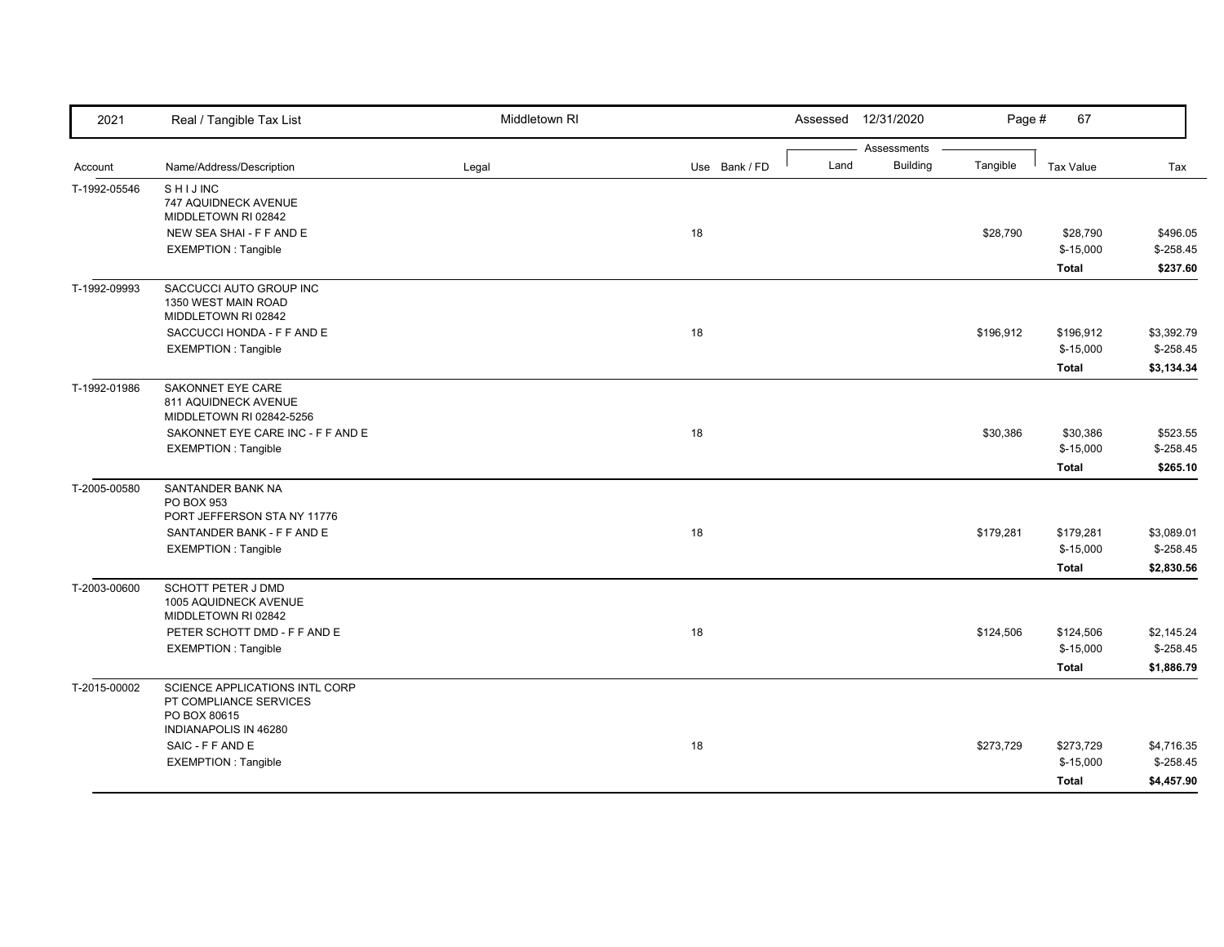| 2021         | Real / Tangible Tax List                                                                          | Middletown RI |               | Assessed 12/31/2020 |                                            | 67<br>Page #            |             |
|--------------|---------------------------------------------------------------------------------------------------|---------------|---------------|---------------------|--------------------------------------------|-------------------------|-------------|
| Account      | Name/Address/Description                                                                          | Legal         | Use Bank / FD | Land                | Assessments<br><b>Building</b><br>Tangible | <b>Tax Value</b>        | Tax         |
| T-1992-05546 | <b>SHIJINC</b><br>747 AQUIDNECK AVENUE<br>MIDDLETOWN RI 02842                                     |               |               |                     |                                            |                         |             |
|              | NEW SEA SHAI - F F AND E                                                                          |               | 18            |                     | \$28,790                                   | \$28,790                | \$496.05    |
|              | <b>EXEMPTION: Tangible</b>                                                                        |               |               |                     |                                            | $$-15,000$              | $$-258.45$  |
|              |                                                                                                   |               |               |                     |                                            | Total                   | \$237.60    |
| T-1992-09993 | SACCUCCI AUTO GROUP INC<br>1350 WEST MAIN ROAD<br>MIDDLETOWN RI 02842                             |               |               |                     |                                            |                         |             |
|              | SACCUCCI HONDA - F F AND E                                                                        |               | 18            |                     | \$196,912                                  | \$196,912               | \$3,392.79  |
|              | <b>EXEMPTION: Tangible</b>                                                                        |               |               |                     |                                            | $$-15,000$              | $$ -258.45$ |
|              |                                                                                                   |               |               |                     |                                            | Total                   | \$3,134.34  |
| T-1992-01986 | SAKONNET EYE CARE<br>811 AQUIDNECK AVENUE<br>MIDDLETOWN RI 02842-5256                             |               |               |                     |                                            |                         |             |
|              | SAKONNET EYE CARE INC - F F AND E                                                                 |               | 18            |                     | \$30,386                                   | \$30,386                | \$523.55    |
|              | <b>EXEMPTION: Tangible</b>                                                                        |               |               |                     |                                            | $$-15,000$              | $$-258.45$  |
|              |                                                                                                   |               |               |                     |                                            | Total                   | \$265.10    |
| T-2005-00580 | SANTANDER BANK NA<br>PO BOX 953                                                                   |               |               |                     |                                            |                         |             |
|              | PORT JEFFERSON STA NY 11776<br>SANTANDER BANK - F F AND E                                         |               | 18            |                     |                                            |                         | \$3,089.01  |
|              | <b>EXEMPTION: Tangible</b>                                                                        |               |               |                     | \$179,281                                  | \$179,281<br>$$-15,000$ | $$-258.45$  |
|              |                                                                                                   |               |               |                     |                                            | Total                   | \$2,830.56  |
| T-2003-00600 | SCHOTT PETER J DMD<br>1005 AQUIDNECK AVENUE<br>MIDDLETOWN RI 02842                                |               |               |                     |                                            |                         |             |
|              | PETER SCHOTT DMD - F F AND E                                                                      |               | 18            |                     | \$124,506                                  | \$124,506               | \$2,145.24  |
|              | <b>EXEMPTION: Tangible</b>                                                                        |               |               |                     |                                            | $$-15,000$              | $$-258.45$  |
|              |                                                                                                   |               |               |                     |                                            | Total                   | \$1,886.79  |
| T-2015-00002 | SCIENCE APPLICATIONS INTL CORP<br>PT COMPLIANCE SERVICES<br>PO BOX 80615<br>INDIANAPOLIS IN 46280 |               |               |                     |                                            |                         |             |
|              | SAIC - F F AND E                                                                                  |               | 18            |                     | \$273,729                                  | \$273,729               | \$4,716.35  |
|              | <b>EXEMPTION: Tangible</b>                                                                        |               |               |                     |                                            | $$-15,000$              | $$-258.45$  |
|              |                                                                                                   |               |               |                     |                                            | Total                   | \$4,457.90  |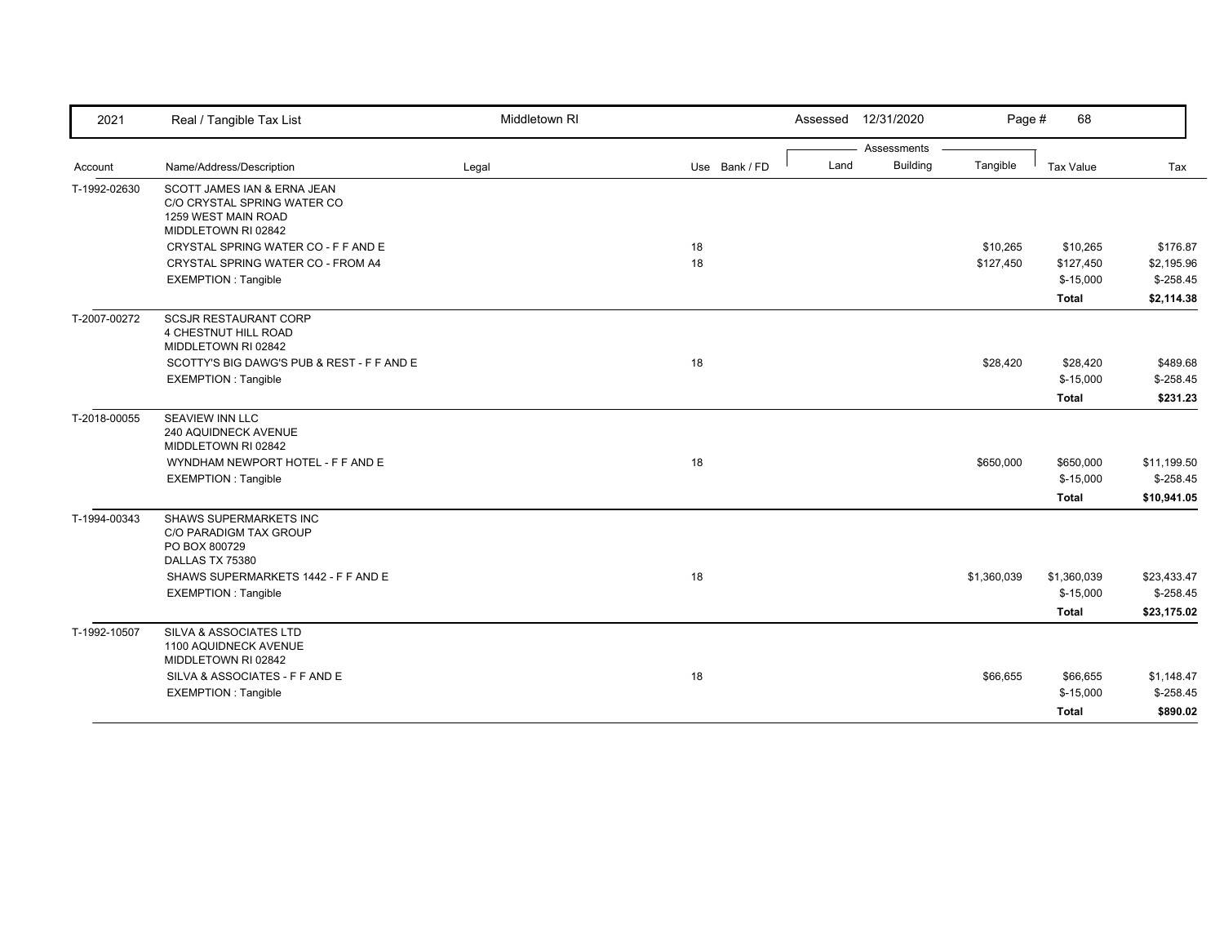| 2021         | Real / Tangible Tax List                                                                                                                                  | Middletown RI |               |      | Assessed 12/31/2020            | Page #                | 68                                                  |                                                    |
|--------------|-----------------------------------------------------------------------------------------------------------------------------------------------------------|---------------|---------------|------|--------------------------------|-----------------------|-----------------------------------------------------|----------------------------------------------------|
| Account      | Name/Address/Description                                                                                                                                  | Legal         | Use Bank / FD | Land | Assessments<br><b>Building</b> | Tangible              | Tax Value                                           | Tax                                                |
| T-1992-02630 | SCOTT JAMES IAN & ERNA JEAN<br>C/O CRYSTAL SPRING WATER CO<br>1259 WEST MAIN ROAD                                                                         |               |               |      |                                |                       |                                                     |                                                    |
|              | MIDDLETOWN RI 02842<br>CRYSTAL SPRING WATER CO - F F AND E<br>CRYSTAL SPRING WATER CO - FROM A4<br><b>EXEMPTION: Tangible</b>                             |               | 18<br>18      |      |                                | \$10,265<br>\$127,450 | \$10,265<br>\$127,450<br>$$-15,000$<br><b>Total</b> | \$176.87<br>\$2,195.96<br>$$-258.45$<br>\$2,114.38 |
| T-2007-00272 | <b>SCSJR RESTAURANT CORP</b><br>4 CHESTNUT HILL ROAD<br>MIDDLETOWN RI 02842<br>SCOTTY'S BIG DAWG'S PUB & REST - F F AND E<br><b>EXEMPTION: Tangible</b>   |               | 18            |      |                                | \$28,420              | \$28,420<br>$$-15,000$<br><b>Total</b>              | \$489.68<br>$$-258.45$<br>\$231.23                 |
| T-2018-00055 | SEAVIEW INN LLC<br>240 AQUIDNECK AVENUE<br>MIDDLETOWN RI 02842<br>WYNDHAM NEWPORT HOTEL - F F AND E<br><b>EXEMPTION: Tangible</b>                         |               | 18            |      |                                | \$650,000             | \$650,000<br>$$-15,000$<br><b>Total</b>             | \$11,199.50<br>$$-258.45$<br>\$10,941.05           |
| T-1994-00343 | SHAWS SUPERMARKETS INC<br>C/O PARADIGM TAX GROUP<br>PO BOX 800729<br>DALLAS TX 75380<br>SHAWS SUPERMARKETS 1442 - F F AND E<br><b>EXEMPTION: Tangible</b> |               | 18            |      |                                | \$1,360,039           | \$1,360,039<br>$$-15,000$<br><b>Total</b>           | \$23,433.47<br>$$-258.45$<br>\$23,175.02           |
| T-1992-10507 | SILVA & ASSOCIATES LTD<br>1100 AQUIDNECK AVENUE<br>MIDDLETOWN RI 02842<br>SILVA & ASSOCIATES - F F AND E<br><b>EXEMPTION: Tangible</b>                    |               | 18            |      |                                | \$66,655              | \$66,655<br>$$-15,000$<br><b>Total</b>              | \$1,148.47<br>$$-258.45$<br>\$890.02               |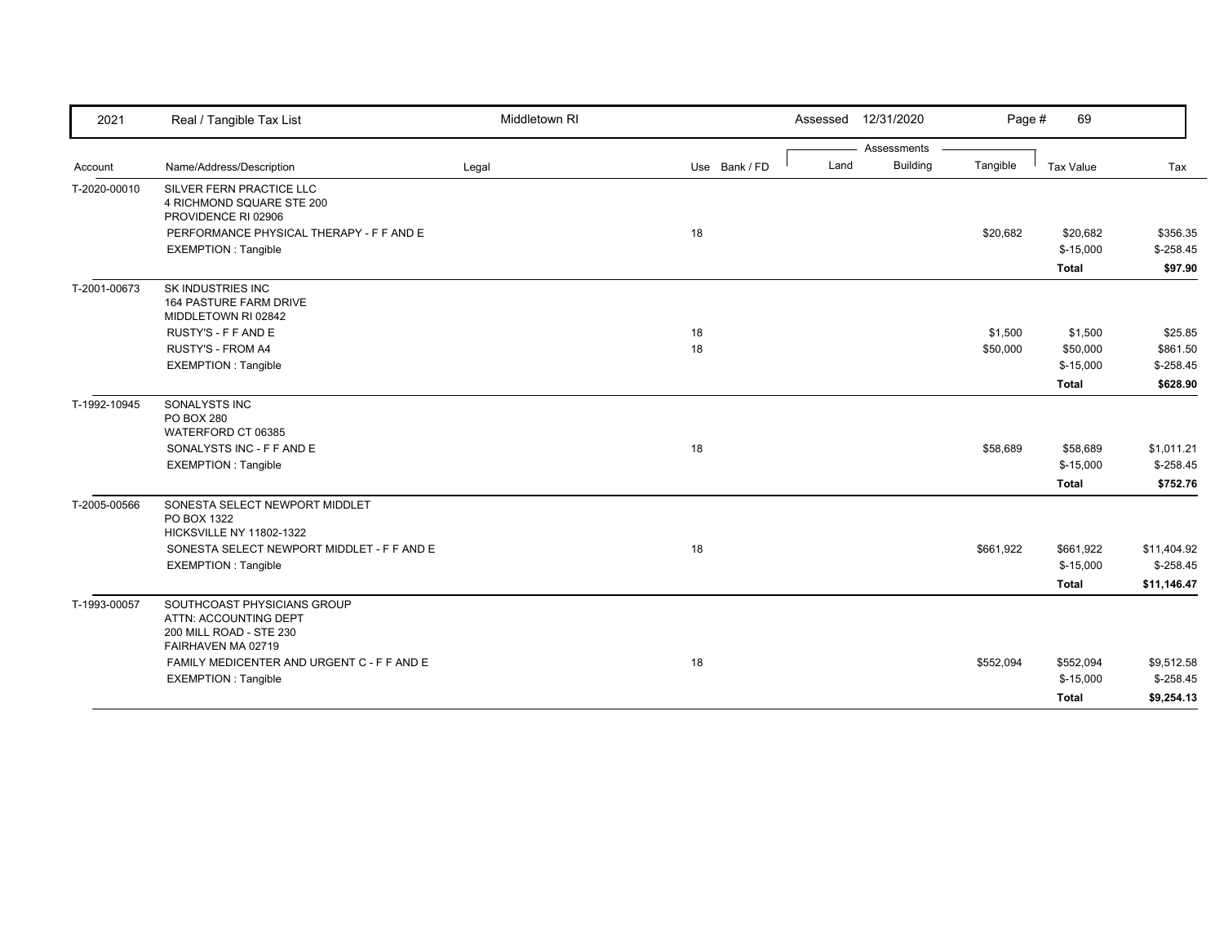| 2021         | Real / Tangible Tax List                                                                              | Middletown RI |               | Assessed | 12/31/2020      | Page #    | 69           |             |
|--------------|-------------------------------------------------------------------------------------------------------|---------------|---------------|----------|-----------------|-----------|--------------|-------------|
|              |                                                                                                       |               |               |          | Assessments     |           |              |             |
| Account      | Name/Address/Description                                                                              | Legal         | Use Bank / FD | Land     | <b>Building</b> | Tangible  | Tax Value    | Tax         |
| T-2020-00010 | SILVER FERN PRACTICE LLC<br>4 RICHMOND SQUARE STE 200<br>PROVIDENCE RI 02906                          |               |               |          |                 |           |              |             |
|              | PERFORMANCE PHYSICAL THERAPY - F F AND E                                                              |               | 18            |          |                 | \$20,682  | \$20,682     | \$356.35    |
|              | <b>EXEMPTION: Tangible</b>                                                                            |               |               |          |                 |           | $$-15,000$   | $$-258.45$  |
|              |                                                                                                       |               |               |          |                 |           | <b>Total</b> | \$97.90     |
| T-2001-00673 | SK INDUSTRIES INC<br>164 PASTURE FARM DRIVE<br>MIDDLETOWN RI 02842                                    |               |               |          |                 |           |              |             |
|              | RUSTY'S - F F AND E                                                                                   |               | 18            |          |                 | \$1,500   | \$1,500      | \$25.85     |
|              | RUSTY'S - FROM A4                                                                                     |               | 18            |          |                 | \$50,000  | \$50,000     | \$861.50    |
|              | <b>EXEMPTION: Tangible</b>                                                                            |               |               |          |                 |           | $$-15,000$   | $$-258.45$  |
|              |                                                                                                       |               |               |          |                 |           | Total        | \$628.90    |
| T-1992-10945 | SONALYSTS INC<br><b>PO BOX 280</b><br>WATERFORD CT 06385                                              |               |               |          |                 |           |              |             |
|              | SONALYSTS INC - F F AND E                                                                             |               | 18            |          |                 | \$58,689  | \$58,689     | \$1,011.21  |
|              | <b>EXEMPTION: Tangible</b>                                                                            |               |               |          |                 |           | $$-15,000$   | $$-258.45$  |
|              |                                                                                                       |               |               |          |                 |           | Total        | \$752.76    |
| T-2005-00566 | SONESTA SELECT NEWPORT MIDDLET<br>PO BOX 1322<br>HICKSVILLE NY 11802-1322                             |               |               |          |                 |           |              |             |
|              | SONESTA SELECT NEWPORT MIDDLET - F F AND E                                                            |               | 18            |          |                 | \$661,922 | \$661,922    | \$11,404.92 |
|              | <b>EXEMPTION: Tangible</b>                                                                            |               |               |          |                 |           | $$-15,000$   | $$-258.45$  |
|              |                                                                                                       |               |               |          |                 |           | Total        | \$11,146.47 |
| T-1993-00057 | SOUTHCOAST PHYSICIANS GROUP<br>ATTN: ACCOUNTING DEPT<br>200 MILL ROAD - STE 230<br>FAIRHAVEN MA 02719 |               |               |          |                 |           |              |             |
|              | FAMILY MEDICENTER AND URGENT C - F F AND E                                                            |               | 18            |          |                 | \$552,094 | \$552,094    | \$9,512.58  |
|              | <b>EXEMPTION: Tangible</b>                                                                            |               |               |          |                 |           | $$-15,000$   | $$-258.45$  |
|              |                                                                                                       |               |               |          |                 |           | Total        | \$9,254.13  |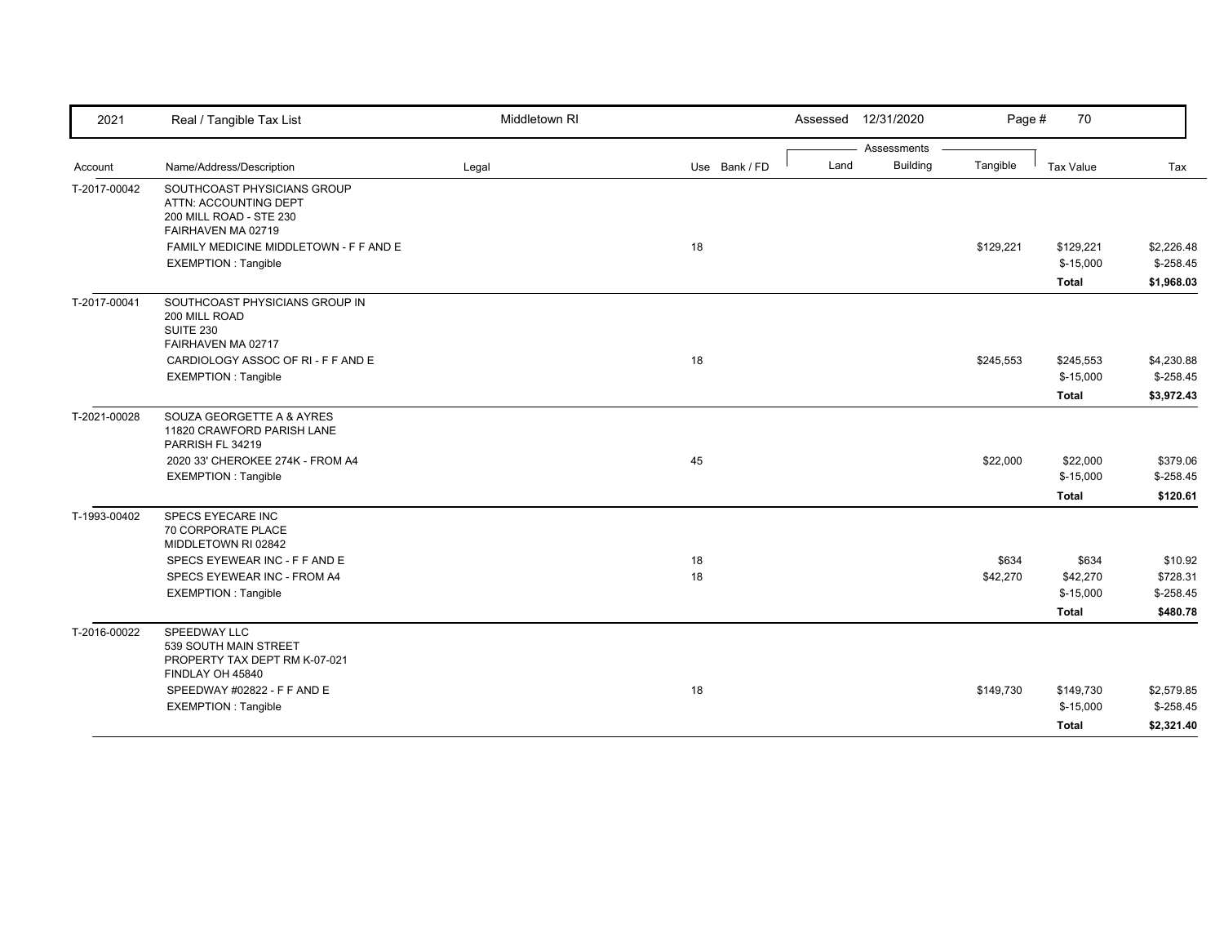| 2021         | Real / Tangible Tax List                                                                              | Middletown RI |               |      | Assessed 12/31/2020 | Page #    | 70           |            |
|--------------|-------------------------------------------------------------------------------------------------------|---------------|---------------|------|---------------------|-----------|--------------|------------|
|              |                                                                                                       |               |               |      | Assessments         |           |              |            |
| Account      | Name/Address/Description                                                                              | Legal         | Use Bank / FD | Land | <b>Building</b>     | Tangible  | Tax Value    | Tax        |
| T-2017-00042 | SOUTHCOAST PHYSICIANS GROUP<br>ATTN: ACCOUNTING DEPT<br>200 MILL ROAD - STE 230<br>FAIRHAVEN MA 02719 |               |               |      |                     |           |              |            |
|              | FAMILY MEDICINE MIDDLETOWN - F F AND E                                                                |               | 18            |      |                     | \$129,221 | \$129,221    | \$2,226.48 |
|              | <b>EXEMPTION: Tangible</b>                                                                            |               |               |      |                     |           | $$-15,000$   | $$-258.45$ |
|              |                                                                                                       |               |               |      |                     |           | <b>Total</b> | \$1,968.03 |
| T-2017-00041 | SOUTHCOAST PHYSICIANS GROUP IN<br>200 MILL ROAD<br><b>SUITE 230</b><br>FAIRHAVEN MA 02717             |               |               |      |                     |           |              |            |
|              | CARDIOLOGY ASSOC OF RI - F F AND E                                                                    |               | 18            |      |                     | \$245,553 | \$245,553    | \$4,230.88 |
|              | <b>EXEMPTION: Tangible</b>                                                                            |               |               |      |                     |           | $$-15,000$   | $$-258.45$ |
|              |                                                                                                       |               |               |      |                     |           | <b>Total</b> | \$3,972.43 |
| T-2021-00028 | SOUZA GEORGETTE A & AYRES<br>11820 CRAWFORD PARISH LANE<br>PARRISH FL 34219                           |               |               |      |                     |           |              |            |
|              | 2020 33' CHEROKEE 274K - FROM A4                                                                      |               | 45            |      |                     | \$22,000  | \$22,000     | \$379.06   |
|              | <b>EXEMPTION: Tangible</b>                                                                            |               |               |      |                     |           | $$-15,000$   | $$-258.45$ |
|              |                                                                                                       |               |               |      |                     |           | <b>Total</b> | \$120.61   |
| T-1993-00402 | SPECS EYECARE INC<br>70 CORPORATE PLACE<br>MIDDLETOWN RI 02842                                        |               |               |      |                     |           |              |            |
|              | SPECS EYEWEAR INC - F F AND E                                                                         |               | 18            |      |                     | \$634     | \$634        | \$10.92    |
|              | SPECS EYEWEAR INC - FROM A4                                                                           |               | 18            |      |                     | \$42,270  | \$42,270     | \$728.31   |
|              | <b>EXEMPTION: Tangible</b>                                                                            |               |               |      |                     |           | $$-15,000$   | $$-258.45$ |
|              |                                                                                                       |               |               |      |                     |           | Total        | \$480.78   |
| T-2016-00022 | SPEEDWAY LLC<br>539 SOUTH MAIN STREET<br>PROPERTY TAX DEPT RM K-07-021<br>FINDLAY OH 45840            |               |               |      |                     |           |              |            |
|              | SPEEDWAY #02822 - F F AND E                                                                           |               | 18            |      |                     | \$149.730 | \$149,730    | \$2,579.85 |
|              | <b>EXEMPTION: Tangible</b>                                                                            |               |               |      |                     |           | $$-15,000$   | $$-258.45$ |
|              |                                                                                                       |               |               |      |                     |           | Total        | \$2,321.40 |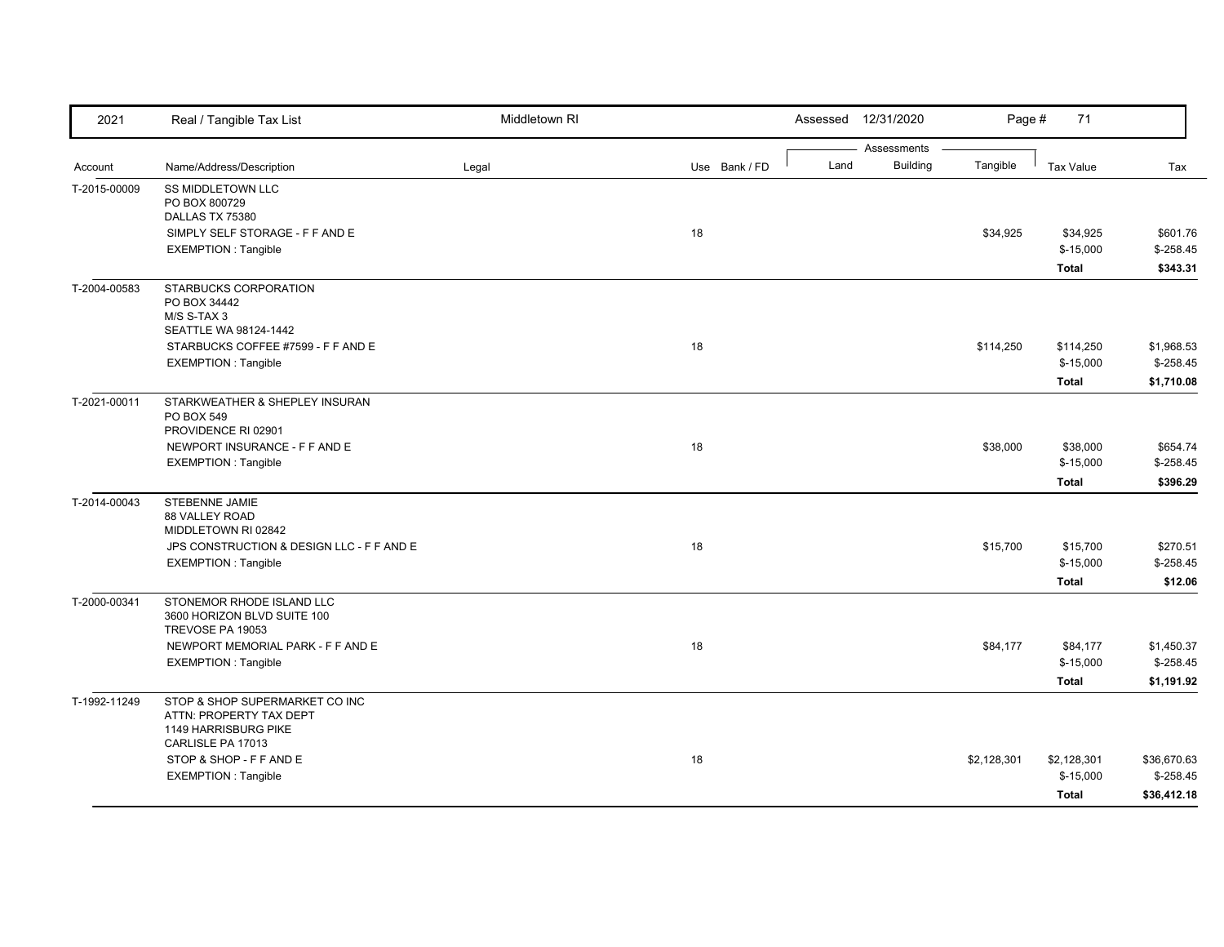| 2021         | Real / Tangible Tax List                        | Middletown RI |               | Assessed | 12/31/2020      | Page #      | 71               |             |
|--------------|-------------------------------------------------|---------------|---------------|----------|-----------------|-------------|------------------|-------------|
|              |                                                 |               |               |          | Assessments     |             |                  |             |
| Account      | Name/Address/Description                        | Legal         | Use Bank / FD | Land     | <b>Building</b> | Tangible    | <b>Tax Value</b> | Tax         |
| T-2015-00009 | <b>SS MIDDLETOWN LLC</b>                        |               |               |          |                 |             |                  |             |
|              | PO BOX 800729                                   |               |               |          |                 |             |                  |             |
|              | DALLAS TX 75380                                 |               |               |          |                 |             |                  |             |
|              | SIMPLY SELF STORAGE - F F AND E                 |               | 18            |          |                 | \$34,925    | \$34,925         | \$601.76    |
|              | <b>EXEMPTION: Tangible</b>                      |               |               |          |                 |             | $$-15,000$       | $$-258.45$  |
|              |                                                 |               |               |          |                 |             | Total            | \$343.31    |
| T-2004-00583 | STARBUCKS CORPORATION                           |               |               |          |                 |             |                  |             |
|              | PO BOX 34442                                    |               |               |          |                 |             |                  |             |
|              | M/S S-TAX 3                                     |               |               |          |                 |             |                  |             |
|              | SEATTLE WA 98124-1442                           |               |               |          |                 |             |                  |             |
|              | STARBUCKS COFFEE #7599 - F F AND E              |               | 18            |          |                 | \$114,250   | \$114,250        | \$1,968.53  |
|              | <b>EXEMPTION: Tangible</b>                      |               |               |          |                 |             | $$-15,000$       | $$-258.45$  |
|              |                                                 |               |               |          |                 |             | <b>Total</b>     | \$1,710.08  |
| T-2021-00011 | STARKWEATHER & SHEPLEY INSURAN                  |               |               |          |                 |             |                  |             |
|              | PO BOX 549                                      |               |               |          |                 |             |                  |             |
|              | PROVIDENCE RI 02901                             |               |               |          |                 |             |                  |             |
|              | NEWPORT INSURANCE - F F AND E                   |               | 18            |          |                 | \$38,000    | \$38,000         | \$654.74    |
|              | <b>EXEMPTION: Tangible</b>                      |               |               |          |                 |             | $$-15,000$       | $$-258.45$  |
|              |                                                 |               |               |          |                 |             | <b>Total</b>     | \$396.29    |
| T-2014-00043 | STEBENNE JAMIE                                  |               |               |          |                 |             |                  |             |
|              | 88 VALLEY ROAD                                  |               |               |          |                 |             |                  |             |
|              | MIDDLETOWN RI 02842                             |               |               |          |                 |             |                  |             |
|              | JPS CONSTRUCTION & DESIGN LLC - F F AND E       |               | 18            |          |                 | \$15,700    | \$15,700         | \$270.51    |
|              | <b>EXEMPTION: Tangible</b>                      |               |               |          |                 |             | $$-15,000$       | $$-258.45$  |
|              |                                                 |               |               |          |                 |             | <b>Total</b>     | \$12.06     |
| T-2000-00341 | STONEMOR RHODE ISLAND LLC                       |               |               |          |                 |             |                  |             |
|              | 3600 HORIZON BLVD SUITE 100<br>TREVOSE PA 19053 |               |               |          |                 |             |                  |             |
|              |                                                 |               |               |          |                 |             |                  |             |
|              | NEWPORT MEMORIAL PARK - F F AND E               |               | 18            |          |                 | \$84,177    | \$84,177         | \$1,450.37  |
|              | <b>EXEMPTION: Tangible</b>                      |               |               |          |                 |             | $$-15,000$       | $$-258.45$  |
|              |                                                 |               |               |          |                 |             | <b>Total</b>     | \$1,191.92  |
| T-1992-11249 | STOP & SHOP SUPERMARKET CO INC                  |               |               |          |                 |             |                  |             |
|              | ATTN: PROPERTY TAX DEPT                         |               |               |          |                 |             |                  |             |
|              | 1149 HARRISBURG PIKE<br>CARLISLE PA 17013       |               |               |          |                 |             |                  |             |
|              | STOP & SHOP - F F AND E                         |               | 18            |          |                 | \$2,128,301 | \$2,128,301      | \$36,670.63 |
|              | <b>EXEMPTION: Tangible</b>                      |               |               |          |                 |             | $$-15,000$       | $$-258.45$  |
|              |                                                 |               |               |          |                 |             |                  |             |
|              |                                                 |               |               |          |                 |             | <b>Total</b>     | \$36,412.18 |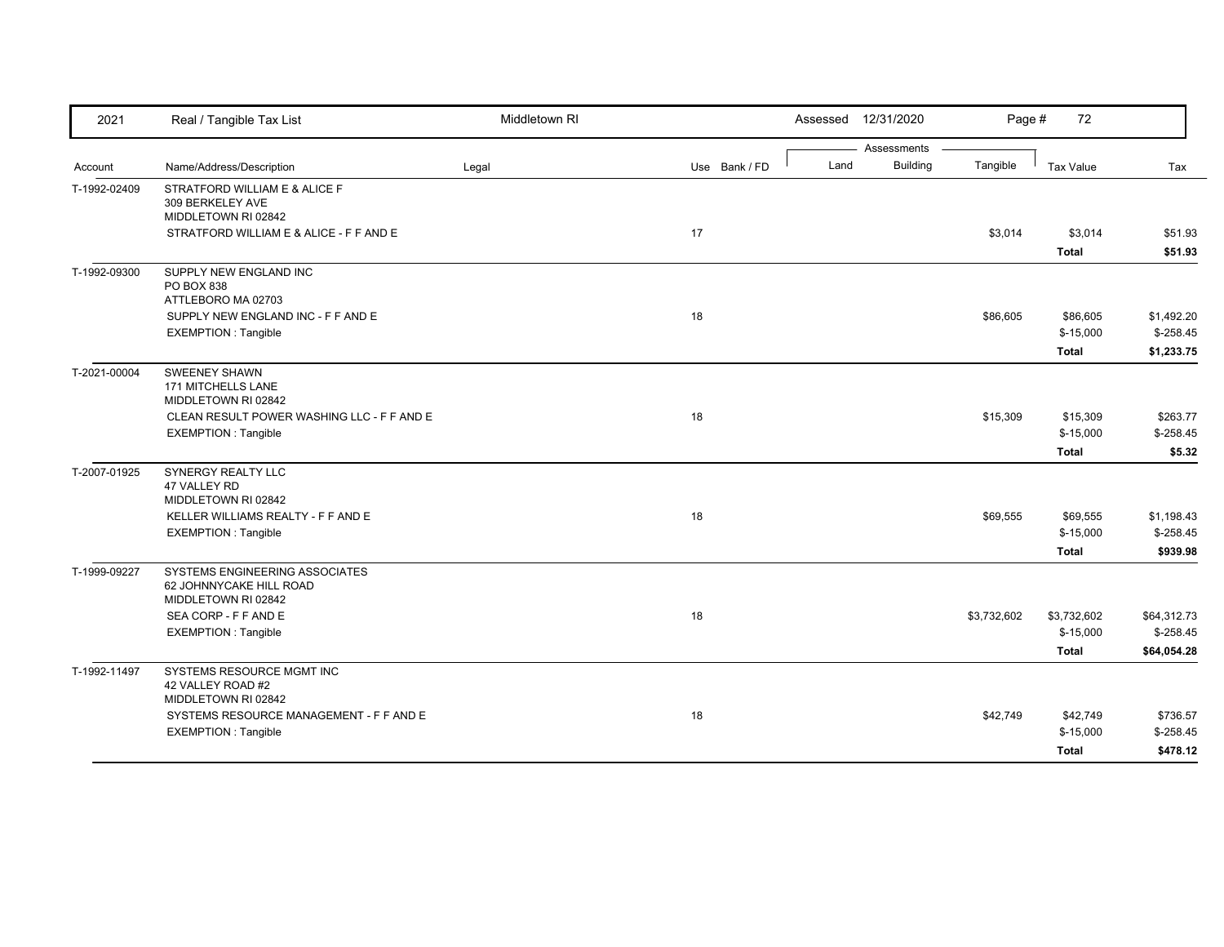| 2021         | Real / Tangible Tax List                       | Middletown RI |               |      | Assessed 12/31/2020            | Page #      | 72                        |                           |
|--------------|------------------------------------------------|---------------|---------------|------|--------------------------------|-------------|---------------------------|---------------------------|
| Account      | Name/Address/Description                       | Legal         | Use Bank / FD | Land | Assessments<br><b>Building</b> | Tangible    | <b>Tax Value</b>          | Tax                       |
| T-1992-02409 | STRATFORD WILLIAM E & ALICE F                  |               |               |      |                                |             |                           |                           |
|              | 309 BERKELEY AVE                               |               |               |      |                                |             |                           |                           |
|              | MIDDLETOWN RI 02842                            |               |               |      |                                |             |                           |                           |
|              | STRATFORD WILLIAM E & ALICE - F F AND E        |               | 17            |      |                                | \$3,014     | \$3,014                   | \$51.93                   |
|              |                                                |               |               |      |                                |             | <b>Total</b>              | \$51.93                   |
| T-1992-09300 | SUPPLY NEW ENGLAND INC                         |               |               |      |                                |             |                           |                           |
|              | PO BOX 838<br>ATTLEBORO MA 02703               |               |               |      |                                |             |                           |                           |
|              | SUPPLY NEW ENGLAND INC - F F AND E             |               | 18            |      |                                | \$86,605    | \$86,605                  | \$1,492.20                |
|              | <b>EXEMPTION: Tangible</b>                     |               |               |      |                                |             | $$-15,000$                | $$-258.45$                |
|              |                                                |               |               |      |                                |             | <b>Total</b>              | \$1,233.75                |
| T-2021-00004 | <b>SWEENEY SHAWN</b>                           |               |               |      |                                |             |                           |                           |
|              | 171 MITCHELLS LANE                             |               |               |      |                                |             |                           |                           |
|              | MIDDLETOWN RI 02842                            |               |               |      |                                |             |                           |                           |
|              | CLEAN RESULT POWER WASHING LLC - F F AND E     |               | 18            |      |                                | \$15,309    | \$15,309                  | \$263.77                  |
|              | <b>EXEMPTION: Tangible</b>                     |               |               |      |                                |             | $$-15,000$                | $$-258.45$                |
|              |                                                |               |               |      |                                |             | <b>Total</b>              | \$5.32                    |
| T-2007-01925 | SYNERGY REALTY LLC<br>47 VALLEY RD             |               |               |      |                                |             |                           |                           |
|              | MIDDLETOWN RI 02842                            |               |               |      |                                |             |                           |                           |
|              | KELLER WILLIAMS REALTY - F F AND E             |               | 18            |      |                                | \$69,555    | \$69,555                  | \$1,198.43                |
|              | <b>EXEMPTION: Tangible</b>                     |               |               |      |                                |             | $$-15,000$                | $$-258.45$                |
|              |                                                |               |               |      |                                |             | <b>Total</b>              | \$939.98                  |
| T-1999-09227 | SYSTEMS ENGINEERING ASSOCIATES                 |               |               |      |                                |             |                           |                           |
|              | 62 JOHNNYCAKE HILL ROAD                        |               |               |      |                                |             |                           |                           |
|              | MIDDLETOWN RI 02842                            |               |               |      |                                |             |                           |                           |
|              | SEA CORP - F F AND E                           |               | 18            |      |                                | \$3,732,602 | \$3,732,602<br>$$-15,000$ | \$64,312.73<br>$$-258.45$ |
|              | <b>EXEMPTION: Tangible</b>                     |               |               |      |                                |             |                           |                           |
|              |                                                |               |               |      |                                |             | <b>Total</b>              | \$64,054.28               |
| T-1992-11497 | SYSTEMS RESOURCE MGMT INC<br>42 VALLEY ROAD #2 |               |               |      |                                |             |                           |                           |
|              | MIDDLETOWN RI 02842                            |               |               |      |                                |             |                           |                           |
|              | SYSTEMS RESOURCE MANAGEMENT - F F AND E        |               | 18            |      |                                | \$42,749    | \$42,749                  | \$736.57                  |
|              | <b>EXEMPTION: Tangible</b>                     |               |               |      |                                |             | $$-15,000$                | $$-258.45$                |
|              |                                                |               |               |      |                                |             | <b>Total</b>              | \$478.12                  |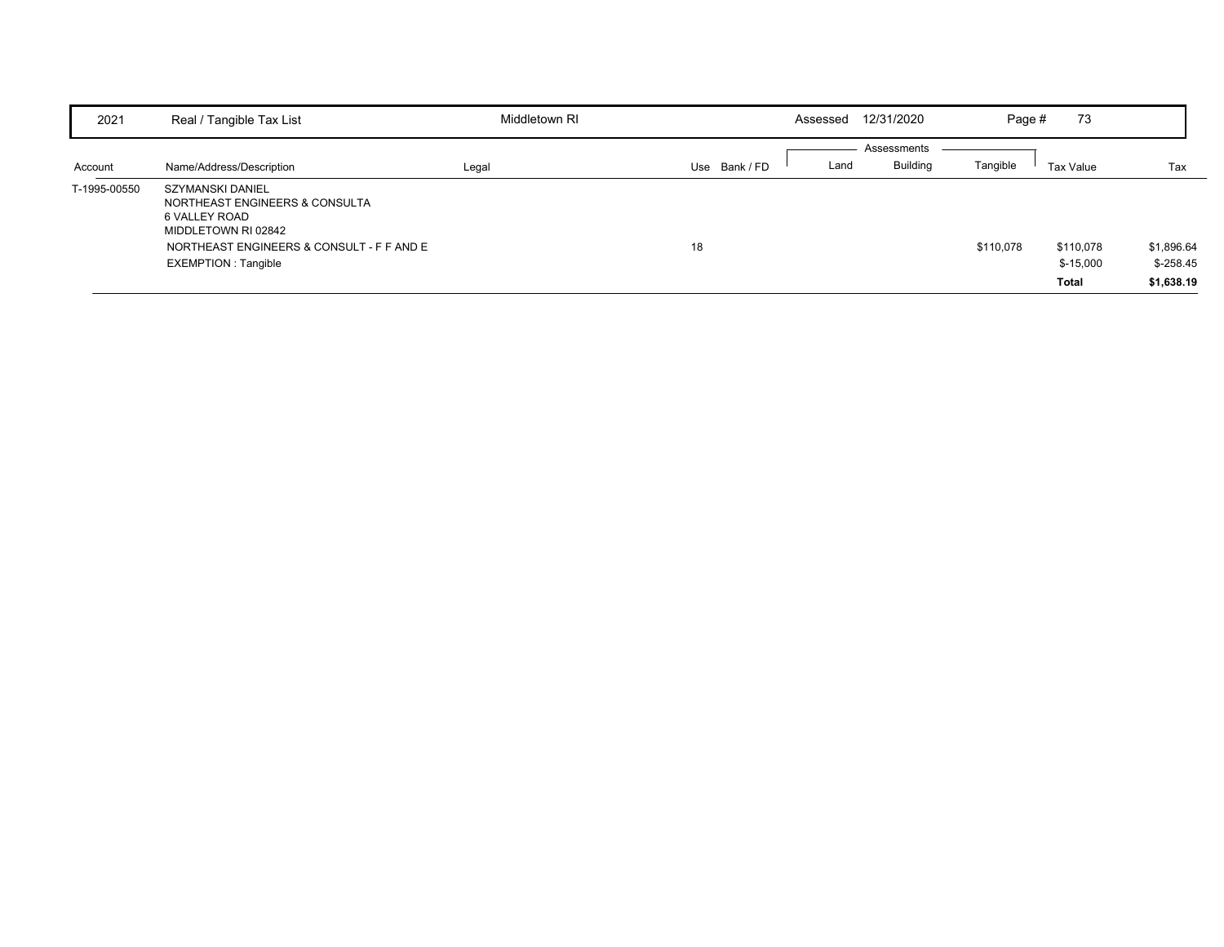| 2021         | Real / Tangible Tax List                                                                                                                                        | Middletown RI |             | Assessed | 12/31/2020                     | Page #    | 73                               |                                        |
|--------------|-----------------------------------------------------------------------------------------------------------------------------------------------------------------|---------------|-------------|----------|--------------------------------|-----------|----------------------------------|----------------------------------------|
| Account      | Name/Address/Description                                                                                                                                        | Legal         | Use Bank/FD | Land     | Assessments<br><b>Building</b> | Tangible  | Tax Value                        | Tax                                    |
| T-1995-00550 | SZYMANSKI DANIEL<br>NORTHEAST ENGINEERS & CONSULTA<br>6 VALLEY ROAD<br>MIDDLETOWN RI 02842<br>NORTHEAST ENGINEERS & CONSULT - F F AND E<br>EXEMPTION : Tangible |               | 18          |          |                                | \$110,078 | \$110,078<br>$$-15,000$<br>Total | \$1,896.64<br>$$-258.45$<br>\$1,638.19 |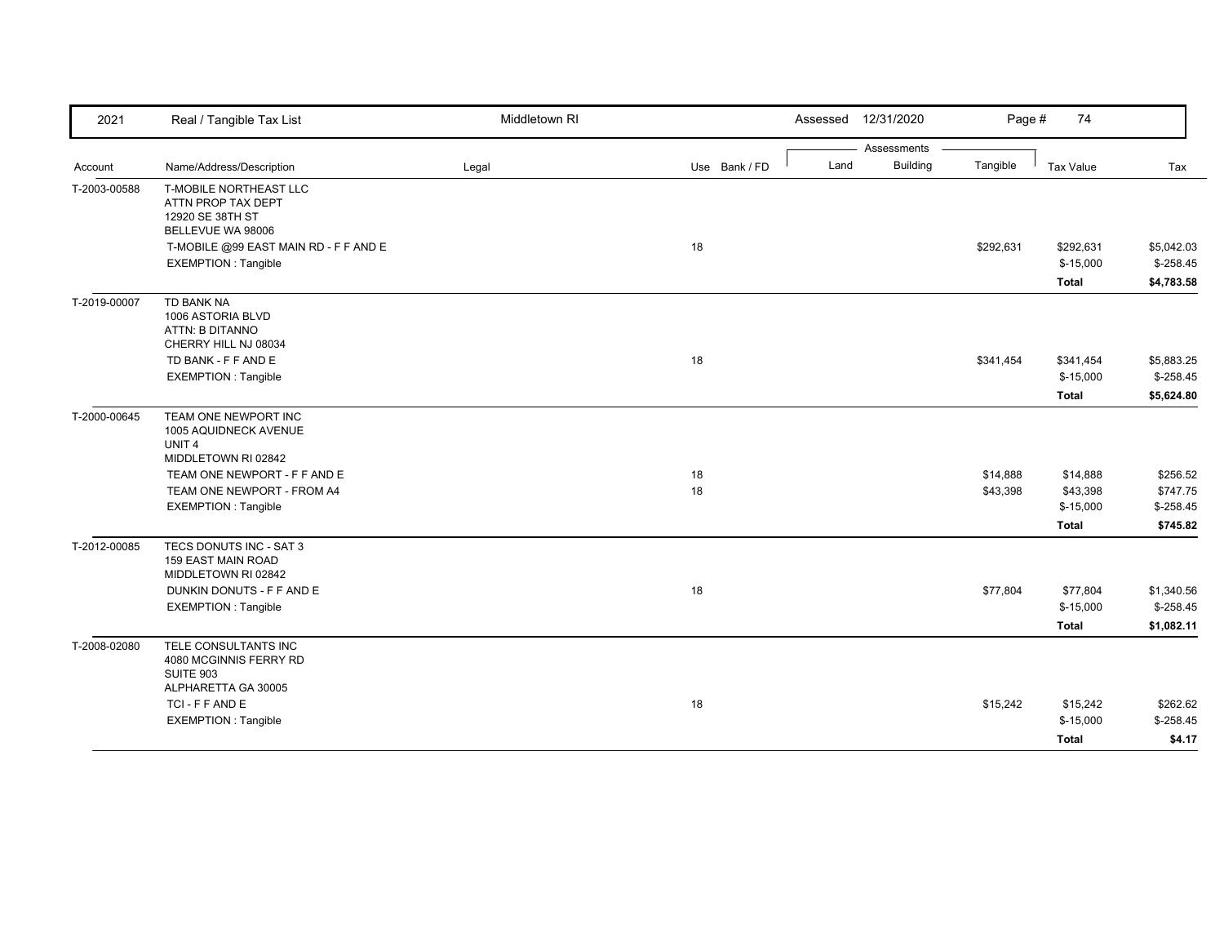| 2021         | Real / Tangible Tax List                     | Middletown RI |               | 12/31/2020<br>Assessed  | Page #    | 74           |             |
|--------------|----------------------------------------------|---------------|---------------|-------------------------|-----------|--------------|-------------|
|              |                                              |               |               | Assessments             |           |              |             |
| Account      | Name/Address/Description                     | Legal         | Use Bank / FD | <b>Building</b><br>Land | Tangible  | Tax Value    | Tax         |
| T-2003-00588 | T-MOBILE NORTHEAST LLC<br>ATTN PROP TAX DEPT |               |               |                         |           |              |             |
|              | 12920 SE 38TH ST                             |               |               |                         |           |              |             |
|              | BELLEVUE WA 98006                            |               |               |                         |           |              |             |
|              | T-MOBILE @99 EAST MAIN RD - F F AND E        |               | 18            |                         | \$292,631 | \$292,631    | \$5,042.03  |
|              | <b>EXEMPTION: Tangible</b>                   |               |               |                         |           | $$-15,000$   | $$-258.45$  |
|              |                                              |               |               |                         |           | <b>Total</b> | \$4,783.58  |
| T-2019-00007 | TD BANK NA                                   |               |               |                         |           |              |             |
|              | 1006 ASTORIA BLVD                            |               |               |                         |           |              |             |
|              | ATTN: B DITANNO<br>CHERRY HILL NJ 08034      |               |               |                         |           |              |             |
|              | TD BANK - F F AND E                          |               | 18            |                         | \$341,454 | \$341,454    | \$5,883.25  |
|              | <b>EXEMPTION: Tangible</b>                   |               |               |                         |           | $$-15,000$   | $$-258.45$  |
|              |                                              |               |               |                         |           | <b>Total</b> | \$5,624.80  |
| T-2000-00645 | TEAM ONE NEWPORT INC                         |               |               |                         |           |              |             |
|              | 1005 AQUIDNECK AVENUE                        |               |               |                         |           |              |             |
|              | UNIT <sub>4</sub><br>MIDDLETOWN RI 02842     |               |               |                         |           |              |             |
|              | TEAM ONE NEWPORT - F F AND E                 |               | 18            |                         | \$14,888  | \$14,888     | \$256.52    |
|              | TEAM ONE NEWPORT - FROM A4                   |               | 18            |                         | \$43,398  | \$43,398     | \$747.75    |
|              | <b>EXEMPTION: Tangible</b>                   |               |               |                         |           | $$-15,000$   | $$-258.45$  |
|              |                                              |               |               |                         |           | <b>Total</b> | \$745.82    |
| T-2012-00085 | TECS DONUTS INC - SAT 3                      |               |               |                         |           |              |             |
|              | <b>159 EAST MAIN ROAD</b>                    |               |               |                         |           |              |             |
|              | MIDDLETOWN RI 02842                          |               |               |                         |           |              |             |
|              | DUNKIN DONUTS - F F AND E                    |               | 18            |                         | \$77,804  | \$77,804     | \$1,340.56  |
|              | <b>EXEMPTION: Tangible</b>                   |               |               |                         |           | $$-15,000$   | $$-258.45$  |
|              |                                              |               |               |                         |           | <b>Total</b> | \$1,082.11  |
| T-2008-02080 | TELE CONSULTANTS INC                         |               |               |                         |           |              |             |
|              | 4080 MCGINNIS FERRY RD<br>SUITE 903          |               |               |                         |           |              |             |
|              | ALPHARETTA GA 30005                          |               |               |                         |           |              |             |
|              | TCI-FFANDE                                   |               | 18            |                         | \$15,242  | \$15,242     | \$262.62    |
|              | <b>EXEMPTION: Tangible</b>                   |               |               |                         |           | $$-15,000$   | $$ -258.45$ |
|              |                                              |               |               |                         |           | <b>Total</b> | \$4.17      |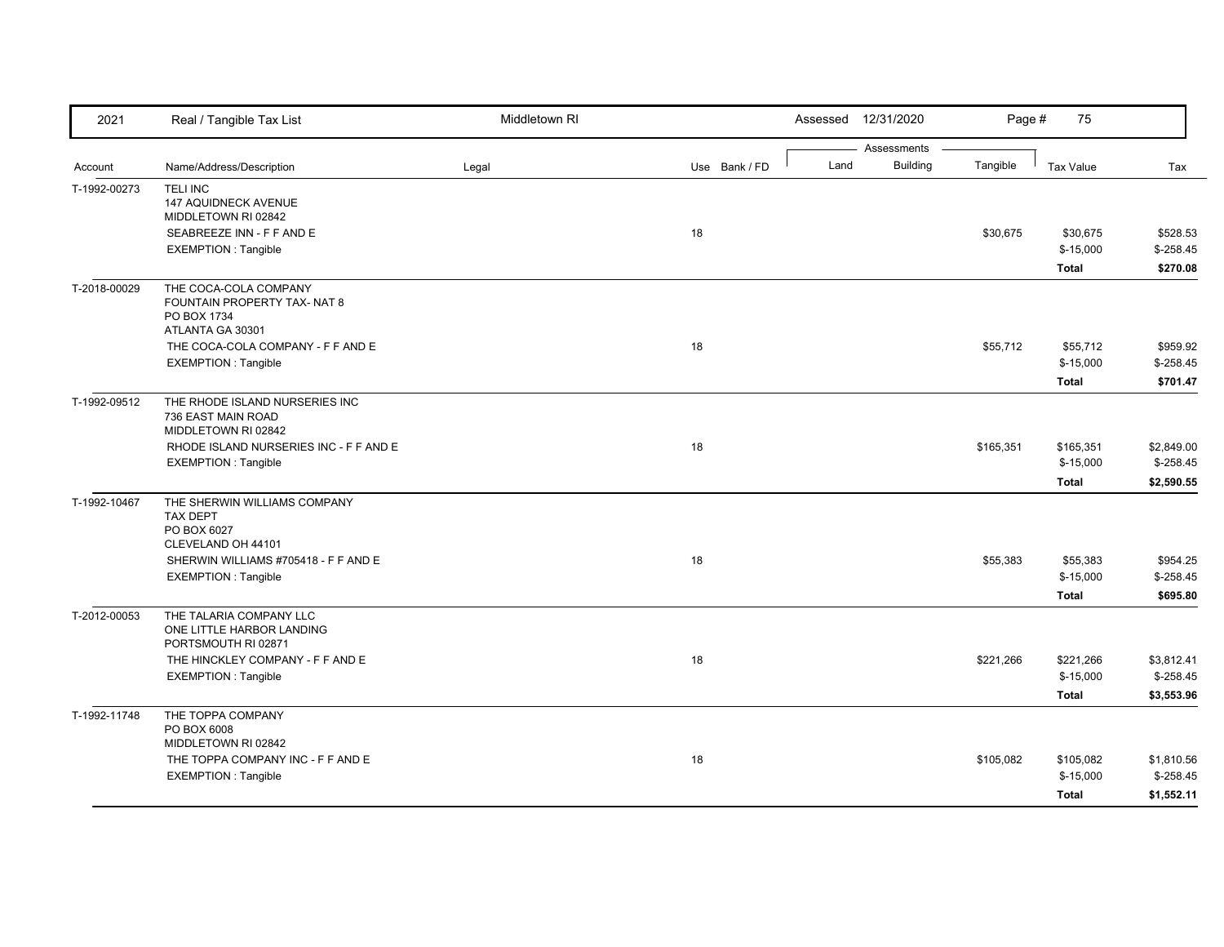| 2021         | Real / Tangible Tax List                                                                 | Middletown RI |               |      | Assessed 12/31/2020            | Page #    | 75                                      |                                         |
|--------------|------------------------------------------------------------------------------------------|---------------|---------------|------|--------------------------------|-----------|-----------------------------------------|-----------------------------------------|
| Account      | Name/Address/Description                                                                 | Legal         | Use Bank / FD | Land | Assessments<br><b>Building</b> | Tangible  | Tax Value                               | Tax                                     |
| T-1992-00273 | <b>TELI INC</b><br><b>147 AQUIDNECK AVENUE</b><br>MIDDLETOWN RI 02842                    |               |               |      |                                |           |                                         |                                         |
|              | SEABREEZE INN - F F AND E<br><b>EXEMPTION: Tangible</b>                                  |               | 18            |      |                                | \$30,675  | \$30,675<br>$$-15,000$<br><b>Total</b>  | \$528.53<br>$$-258.45$<br>\$270.08      |
| T-2018-00029 | THE COCA-COLA COMPANY<br>FOUNTAIN PROPERTY TAX- NAT 8<br>PO BOX 1734<br>ATLANTA GA 30301 |               |               |      |                                |           |                                         |                                         |
|              | THE COCA-COLA COMPANY - F F AND E<br><b>EXEMPTION: Tangible</b>                          |               | 18            |      |                                | \$55,712  | \$55,712<br>$$-15,000$<br><b>Total</b>  | \$959.92<br>$$ -258.45$<br>\$701.47     |
| T-1992-09512 | THE RHODE ISLAND NURSERIES INC<br>736 EAST MAIN ROAD<br>MIDDLETOWN RI 02842              |               |               |      |                                |           |                                         |                                         |
|              | RHODE ISLAND NURSERIES INC - F F AND E<br><b>EXEMPTION: Tangible</b>                     |               | 18            |      |                                | \$165,351 | \$165,351<br>$$-15,000$<br><b>Total</b> | \$2,849.00<br>$$-258.45$<br>\$2,590.55  |
| T-1992-10467 | THE SHERWIN WILLIAMS COMPANY<br>TAX DEPT<br>PO BOX 6027<br>CLEVELAND OH 44101            |               |               |      |                                |           |                                         |                                         |
|              | SHERWIN WILLIAMS #705418 - F F AND E<br><b>EXEMPTION: Tangible</b>                       |               | 18            |      |                                | \$55,383  | \$55,383<br>$$-15,000$<br><b>Total</b>  | \$954.25<br>$$-258.45$<br>\$695.80      |
| T-2012-00053 | THE TALARIA COMPANY LLC<br>ONE LITTLE HARBOR LANDING<br>PORTSMOUTH RI 02871              |               |               |      |                                |           |                                         |                                         |
|              | THE HINCKLEY COMPANY - F F AND E<br><b>EXEMPTION: Tangible</b>                           |               | 18            |      |                                | \$221,266 | \$221,266<br>$$-15,000$<br><b>Total</b> | \$3,812.41<br>$$-258.45$<br>\$3,553.96  |
| T-1992-11748 | THE TOPPA COMPANY<br>PO BOX 6008<br>MIDDLETOWN RI 02842                                  |               |               |      |                                |           |                                         |                                         |
|              | THE TOPPA COMPANY INC - F F AND E<br><b>EXEMPTION: Tangible</b>                          |               | 18            |      |                                | \$105,082 | \$105,082<br>$$-15,000$<br><b>Total</b> | \$1,810.56<br>$$ -258.45$<br>\$1,552.11 |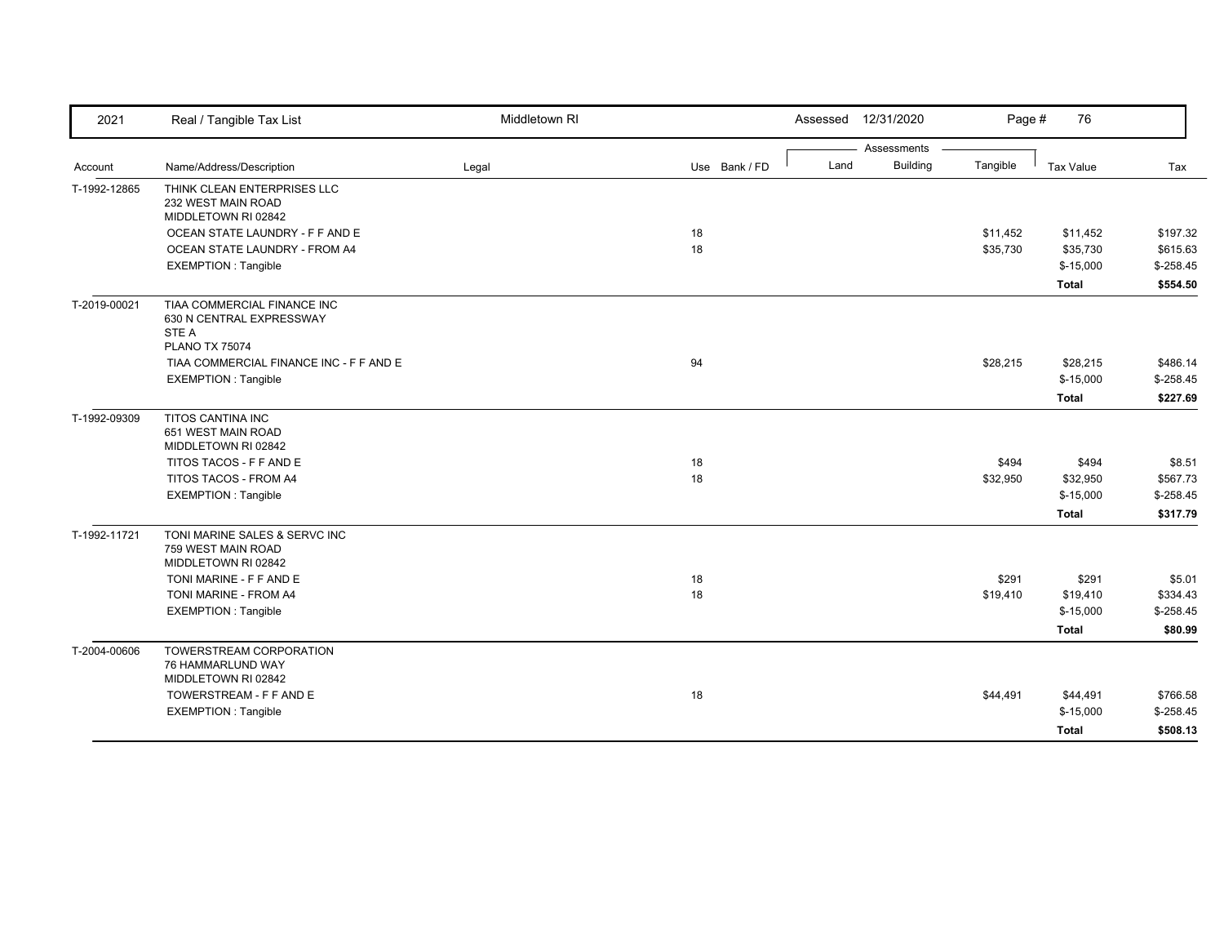| 2021         | Real / Tangible Tax List                          | Middletown RI |               | Assessed | 12/31/2020                     | Page #   | 76           |             |
|--------------|---------------------------------------------------|---------------|---------------|----------|--------------------------------|----------|--------------|-------------|
|              | Name/Address/Description                          |               | Use Bank / FD | Land     | Assessments<br><b>Building</b> | Tangible | Tax Value    | Tax         |
| Account      |                                                   | Legal         |               |          |                                |          |              |             |
| T-1992-12865 | THINK CLEAN ENTERPRISES LLC<br>232 WEST MAIN ROAD |               |               |          |                                |          |              |             |
|              | MIDDLETOWN RI 02842                               |               |               |          |                                |          |              |             |
|              | OCEAN STATE LAUNDRY - F F AND E                   |               | 18            |          |                                | \$11,452 | \$11,452     | \$197.32    |
|              | OCEAN STATE LAUNDRY - FROM A4                     |               | 18            |          |                                | \$35,730 | \$35,730     | \$615.63    |
|              | <b>EXEMPTION: Tangible</b>                        |               |               |          |                                |          | $$-15,000$   | $$ -258.45$ |
|              |                                                   |               |               |          |                                |          | <b>Total</b> | \$554.50    |
| T-2019-00021 | TIAA COMMERCIAL FINANCE INC                       |               |               |          |                                |          |              |             |
|              | 630 N CENTRAL EXPRESSWAY                          |               |               |          |                                |          |              |             |
|              | STE A<br><b>PLANO TX 75074</b>                    |               |               |          |                                |          |              |             |
|              | TIAA COMMERCIAL FINANCE INC - F F AND E           |               | 94            |          |                                | \$28,215 | \$28,215     | \$486.14    |
|              | <b>EXEMPTION: Tangible</b>                        |               |               |          |                                |          | $$-15,000$   | $$-258.45$  |
|              |                                                   |               |               |          |                                |          | <b>Total</b> | \$227.69    |
| T-1992-09309 | <b>TITOS CANTINA INC</b>                          |               |               |          |                                |          |              |             |
|              | 651 WEST MAIN ROAD                                |               |               |          |                                |          |              |             |
|              | MIDDLETOWN RI 02842                               |               |               |          |                                |          |              |             |
|              | TITOS TACOS - F F AND E                           |               | 18            |          |                                | \$494    | \$494        | \$8.51      |
|              | TITOS TACOS - FROM A4                             |               | 18            |          |                                | \$32,950 | \$32,950     | \$567.73    |
|              | <b>EXEMPTION: Tangible</b>                        |               |               |          |                                |          | $$-15,000$   | $$-258.45$  |
|              |                                                   |               |               |          |                                |          | <b>Total</b> | \$317.79    |
| T-1992-11721 | TONI MARINE SALES & SERVC INC                     |               |               |          |                                |          |              |             |
|              | 759 WEST MAIN ROAD<br>MIDDLETOWN RI 02842         |               |               |          |                                |          |              |             |
|              | TONI MARINE - F F AND E                           |               | 18            |          |                                | \$291    | \$291        | \$5.01      |
|              | TONI MARINE - FROM A4                             |               | 18            |          |                                | \$19,410 | \$19,410     | \$334.43    |
|              | <b>EXEMPTION: Tangible</b>                        |               |               |          |                                |          | $$-15,000$   | $$-258.45$  |
|              |                                                   |               |               |          |                                |          | <b>Total</b> | \$80.99     |
| T-2004-00606 | TOWERSTREAM CORPORATION                           |               |               |          |                                |          |              |             |
|              | 76 HAMMARLUND WAY                                 |               |               |          |                                |          |              |             |
|              | MIDDLETOWN RI 02842                               |               |               |          |                                |          |              |             |
|              | TOWERSTREAM - F F AND E                           |               | 18            |          |                                | \$44,491 | \$44,491     | \$766.58    |
|              | <b>EXEMPTION: Tangible</b>                        |               |               |          |                                |          | $$-15,000$   | $$-258.45$  |
|              |                                                   |               |               |          |                                |          | Total        | \$508.13    |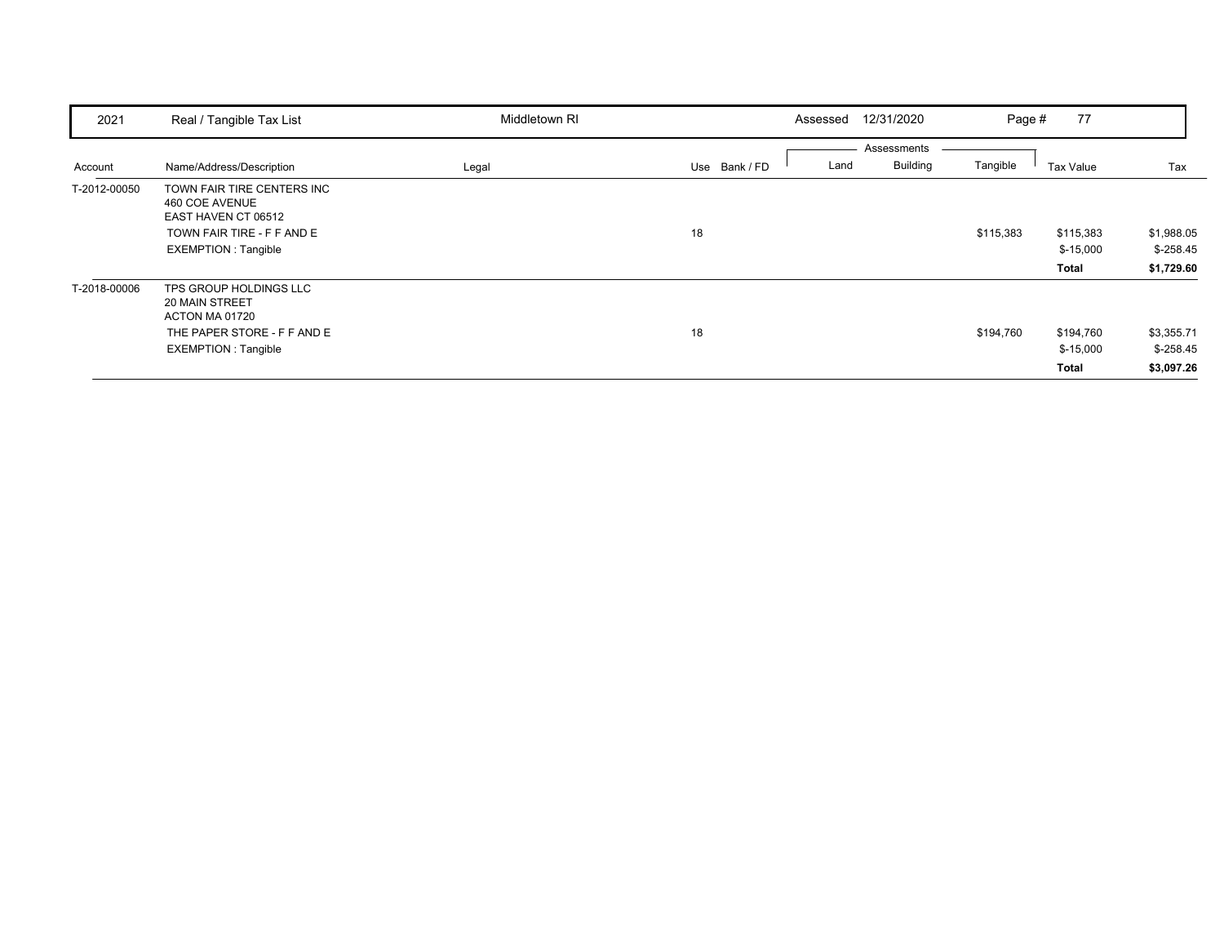| 2021         | Real / Tangible Tax List                                                                                                        | Middletown RI | Assessed              | 12/31/2020                                 | 77<br>Page #                     |                                        |
|--------------|---------------------------------------------------------------------------------------------------------------------------------|---------------|-----------------------|--------------------------------------------|----------------------------------|----------------------------------------|
| Account      | Name/Address/Description                                                                                                        | Legal         | Use Bank / FD<br>Land | Assessments<br><b>Building</b><br>Tangible | Tax Value                        | Tax                                    |
| T-2012-00050 | TOWN FAIR TIRE CENTERS INC<br>460 COE AVENUE<br>EAST HAVEN CT 06512<br>TOWN FAIR TIRE - F F AND E<br><b>EXEMPTION: Tangible</b> |               | 18                    | \$115,383                                  | \$115,383<br>$$-15,000$<br>Total | \$1,988.05<br>$$-258.45$<br>\$1,729.60 |
| T-2018-00006 | TPS GROUP HOLDINGS LLC<br>20 MAIN STREET<br>ACTON MA 01720<br>THE PAPER STORE - F F AND E<br><b>EXEMPTION: Tangible</b>         |               | 18                    | \$194,760                                  | \$194,760<br>$$-15,000$<br>Total | \$3,355.71<br>$$-258.45$<br>\$3,097.26 |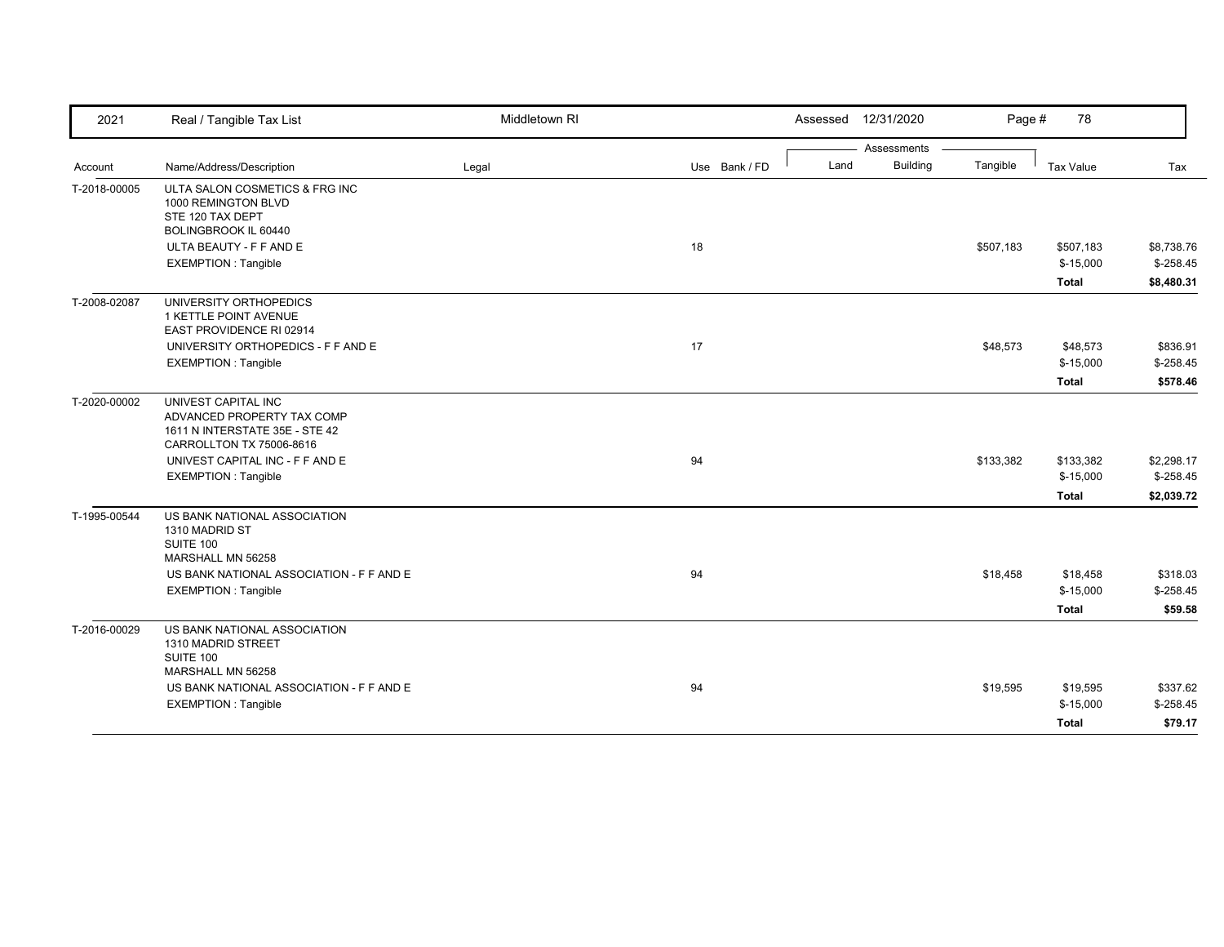| 2021         | Real / Tangible Tax List                              | Middletown RI |               |      | Assessed 12/31/2020            | Page #    | 78               |             |
|--------------|-------------------------------------------------------|---------------|---------------|------|--------------------------------|-----------|------------------|-------------|
|              |                                                       |               |               |      | Assessments<br><b>Building</b> | Tangible  |                  |             |
| Account      | Name/Address/Description                              | Legal         | Use Bank / FD | Land |                                |           | <b>Tax Value</b> | Tax         |
| T-2018-00005 | ULTA SALON COSMETICS & FRG INC<br>1000 REMINGTON BLVD |               |               |      |                                |           |                  |             |
|              | STE 120 TAX DEPT                                      |               |               |      |                                |           |                  |             |
|              | BOLINGBROOK IL 60440                                  |               |               |      |                                |           |                  |             |
|              | ULTA BEAUTY - F F AND E                               |               | 18            |      |                                | \$507,183 | \$507,183        | \$8,738.76  |
|              | <b>EXEMPTION: Tangible</b>                            |               |               |      |                                |           | $$-15,000$       | $$-258.45$  |
|              |                                                       |               |               |      |                                |           | <b>Total</b>     | \$8,480.31  |
| T-2008-02087 | UNIVERSITY ORTHOPEDICS                                |               |               |      |                                |           |                  |             |
|              | 1 KETTLE POINT AVENUE                                 |               |               |      |                                |           |                  |             |
|              | EAST PROVIDENCE RI 02914                              |               |               |      |                                |           |                  |             |
|              | UNIVERSITY ORTHOPEDICS - F F AND E                    |               | 17            |      |                                | \$48,573  | \$48,573         | \$836.91    |
|              | <b>EXEMPTION: Tangible</b>                            |               |               |      |                                |           | $$-15,000$       | $$-258.45$  |
|              |                                                       |               |               |      |                                |           | <b>Total</b>     | \$578.46    |
| T-2020-00002 | UNIVEST CAPITAL INC                                   |               |               |      |                                |           |                  |             |
|              | ADVANCED PROPERTY TAX COMP                            |               |               |      |                                |           |                  |             |
|              | 1611 N INTERSTATE 35E - STE 42                        |               |               |      |                                |           |                  |             |
|              | CARROLLTON TX 75006-8616                              |               |               |      |                                |           |                  |             |
|              | UNIVEST CAPITAL INC - F F AND E                       |               | 94            |      |                                | \$133,382 | \$133,382        | \$2,298.17  |
|              | <b>EXEMPTION: Tangible</b>                            |               |               |      |                                |           | $$-15,000$       | $$-258.45$  |
|              |                                                       |               |               |      |                                |           | <b>Total</b>     | \$2,039.72  |
| T-1995-00544 | US BANK NATIONAL ASSOCIATION                          |               |               |      |                                |           |                  |             |
|              | 1310 MADRID ST                                        |               |               |      |                                |           |                  |             |
|              | SUITE 100                                             |               |               |      |                                |           |                  |             |
|              | MARSHALL MN 56258                                     |               |               |      |                                |           |                  |             |
|              | US BANK NATIONAL ASSOCIATION - F F AND E              |               | 94            |      |                                | \$18,458  | \$18,458         | \$318.03    |
|              | <b>EXEMPTION: Tangible</b>                            |               |               |      |                                |           | $$-15,000$       | $$-258.45$  |
|              |                                                       |               |               |      |                                |           | <b>Total</b>     | \$59.58     |
| T-2016-00029 | US BANK NATIONAL ASSOCIATION                          |               |               |      |                                |           |                  |             |
|              | 1310 MADRID STREET                                    |               |               |      |                                |           |                  |             |
|              | SUITE 100                                             |               |               |      |                                |           |                  |             |
|              | MARSHALL MN 56258                                     |               |               |      |                                |           |                  |             |
|              | US BANK NATIONAL ASSOCIATION - F F AND E              |               | 94            |      |                                | \$19,595  | \$19,595         | \$337.62    |
|              | <b>EXEMPTION: Tangible</b>                            |               |               |      |                                |           | $$-15,000$       | $$ -258.45$ |
|              |                                                       |               |               |      |                                |           | <b>Total</b>     | \$79.17     |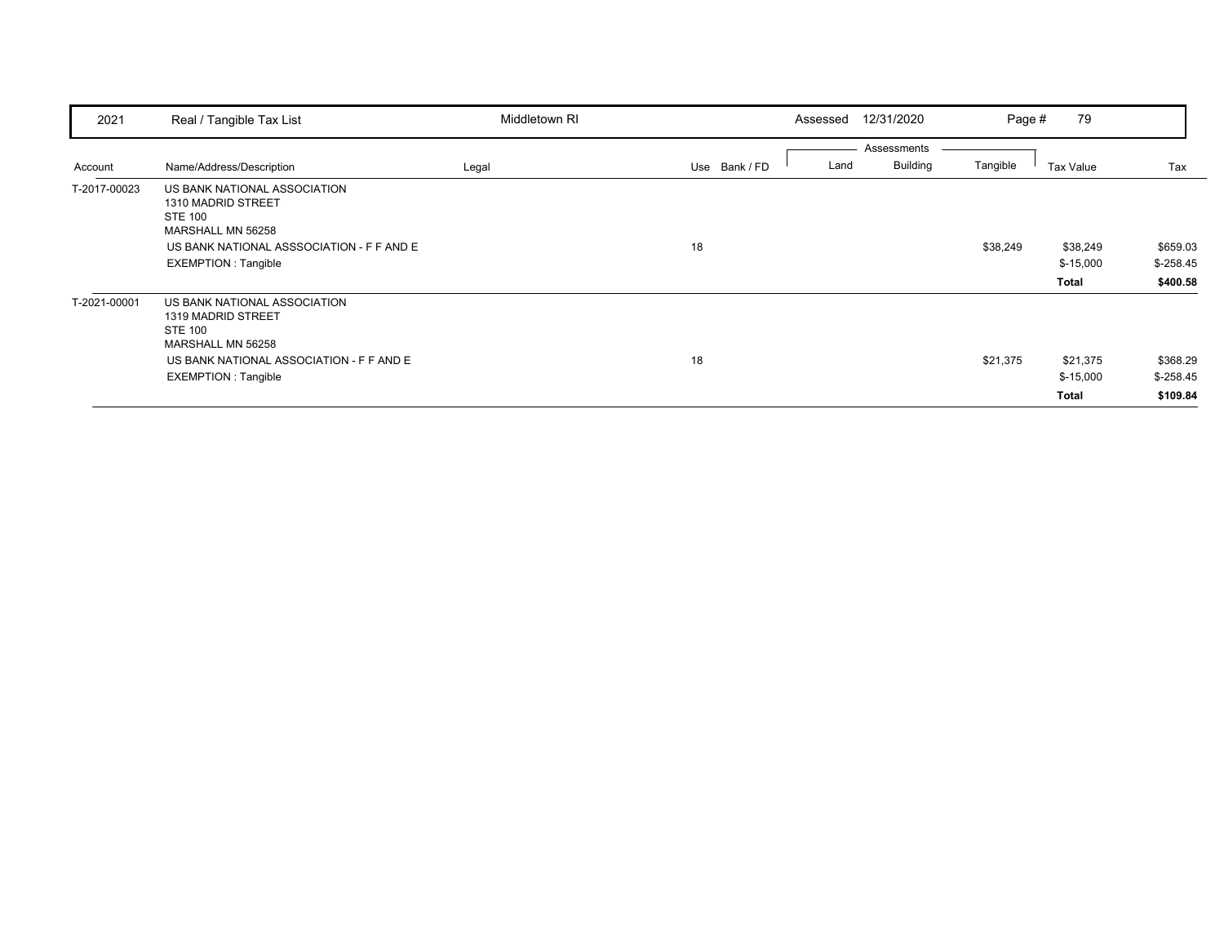| 2021         | Real / Tangible Tax List                                                                                                                                             | Middletown RI |               | 12/31/2020<br>Assessed                 | Page #   | 79                              |                                     |
|--------------|----------------------------------------------------------------------------------------------------------------------------------------------------------------------|---------------|---------------|----------------------------------------|----------|---------------------------------|-------------------------------------|
| Account      | Name/Address/Description                                                                                                                                             | Legal         | Use Bank / FD | Assessments<br><b>Building</b><br>Land | Tangible | <b>Tax Value</b>                | Tax                                 |
| T-2017-00023 | US BANK NATIONAL ASSOCIATION<br>1310 MADRID STREET<br><b>STE 100</b><br>MARSHALL MN 56258<br>US BANK NATIONAL ASSSOCIATION - F F AND E<br><b>EXEMPTION: Tangible</b> |               | 18            |                                        | \$38,249 | \$38,249<br>$$-15,000$<br>Total | \$659.03<br>$$-258.45$<br>\$400.58  |
| T-2021-00001 | US BANK NATIONAL ASSOCIATION<br>1319 MADRID STREET<br><b>STE 100</b><br>MARSHALL MN 56258<br>US BANK NATIONAL ASSOCIATION - F F AND E<br><b>EXEMPTION: Tangible</b>  |               | 18            |                                        | \$21,375 | \$21,375<br>$$-15,000$<br>Total | \$368.29<br>$$ -258.45$<br>\$109.84 |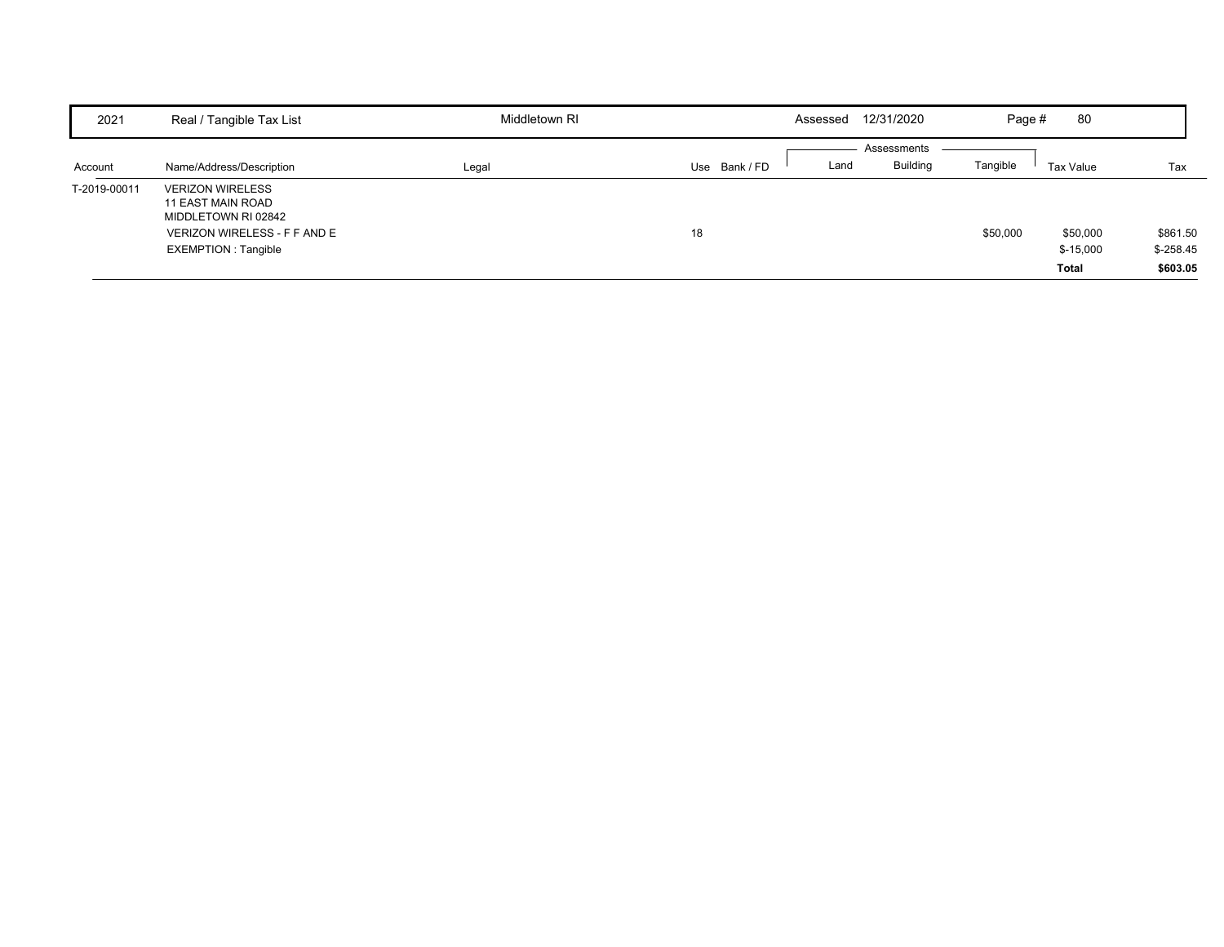| 2021         | Real / Tangible Tax List                                                                                                    | Middletown RI | 12/31/2020<br>Assessed             | 80<br>Page #                                       |                                    |
|--------------|-----------------------------------------------------------------------------------------------------------------------------|---------------|------------------------------------|----------------------------------------------------|------------------------------------|
| Account      | Name/Address/Description                                                                                                    | Legal         | Assessments<br>Use Bank/FD<br>Land | Tangible<br><b>Building</b><br>Tax Value           | Tax                                |
| T-2019-00011 | <b>VERIZON WIRELESS</b><br>11 EAST MAIN ROAD<br>MIDDLETOWN RI 02842<br>VERIZON WIRELESS - F F AND E<br>EXEMPTION : Tangible |               | 18                                 | \$50,000<br>\$50,000<br>$$-15,000$<br><b>Total</b> | \$861.50<br>$$-258.45$<br>\$603.05 |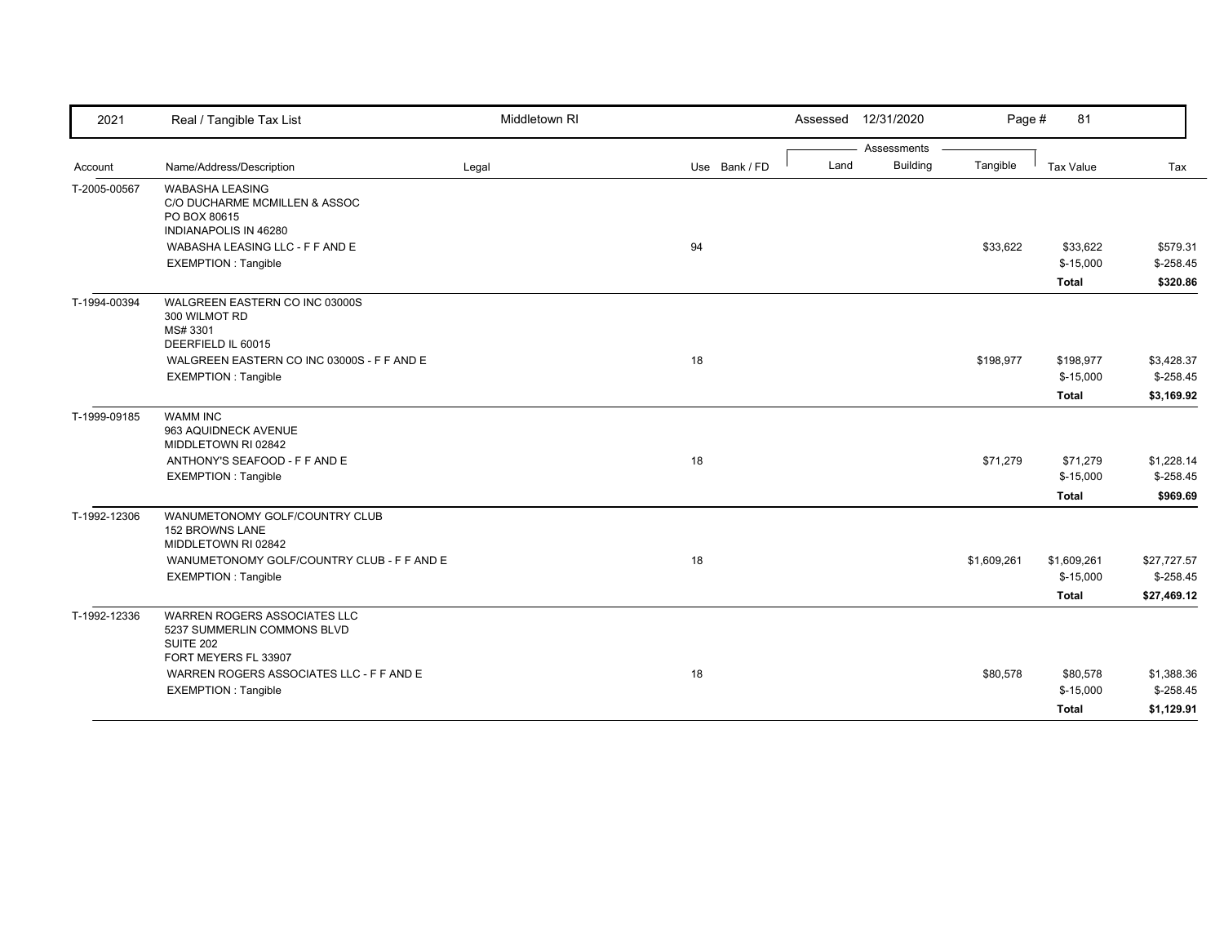| 2021         | Real / Tangible Tax List                                                                                | Middletown RI |               | Assessed | 12/31/2020      | Page #      | 81                     |                          |
|--------------|---------------------------------------------------------------------------------------------------------|---------------|---------------|----------|-----------------|-------------|------------------------|--------------------------|
|              |                                                                                                         |               |               |          | Assessments     |             |                        |                          |
| Account      | Name/Address/Description                                                                                | Legal         | Use Bank / FD | Land     | <b>Building</b> | Tangible    | Tax Value              | Tax                      |
| T-2005-00567 | <b>WABASHA LEASING</b><br>C/O DUCHARME MCMILLEN & ASSOC<br>PO BOX 80615<br><b>INDIANAPOLIS IN 46280</b> |               |               |          |                 |             |                        |                          |
|              | WABASHA LEASING LLC - F F AND E                                                                         |               | 94            |          |                 | \$33,622    | \$33,622               | \$579.31                 |
|              | <b>EXEMPTION: Tangible</b>                                                                              |               |               |          |                 |             | $$-15,000$             | $$-258.45$               |
|              |                                                                                                         |               |               |          |                 |             | <b>Total</b>           | \$320.86                 |
| T-1994-00394 | WALGREEN EASTERN CO INC 03000S<br>300 WILMOT RD<br>MS# 3301<br>DEERFIELD IL 60015                       |               |               |          |                 |             |                        |                          |
|              | WALGREEN EASTERN CO INC 03000S - F F AND E                                                              |               | 18            |          |                 | \$198,977   | \$198,977              | \$3,428.37               |
|              | <b>EXEMPTION: Tangible</b>                                                                              |               |               |          |                 |             | $$-15,000$             | $$ -258.45$              |
|              |                                                                                                         |               |               |          |                 |             | Total                  | \$3,169.92               |
| T-1999-09185 | <b>WAMM INC</b><br>963 AQUIDNECK AVENUE<br>MIDDLETOWN RI 02842                                          |               |               |          |                 |             |                        |                          |
|              | ANTHONY'S SEAFOOD - F F AND E                                                                           |               | 18            |          |                 | \$71,279    | \$71,279               | \$1,228.14               |
|              | <b>EXEMPTION: Tangible</b>                                                                              |               |               |          |                 |             | $$-15,000$             | $$-258.45$               |
|              |                                                                                                         |               |               |          |                 |             | <b>Total</b>           | \$969.69                 |
| T-1992-12306 | WANUMETONOMY GOLF/COUNTRY CLUB<br>152 BROWNS LANE<br>MIDDLETOWN RI 02842                                |               |               |          |                 |             |                        |                          |
|              | WANUMETONOMY GOLF/COUNTRY CLUB - F F AND E                                                              |               | 18            |          |                 | \$1,609,261 | \$1,609,261            | \$27,727.57              |
|              | <b>EXEMPTION: Tangible</b>                                                                              |               |               |          |                 |             | $$-15,000$             | $$-258.45$               |
|              |                                                                                                         |               |               |          |                 |             | <b>Total</b>           | \$27,469.12              |
| T-1992-12336 | WARREN ROGERS ASSOCIATES LLC<br>5237 SUMMERLIN COMMONS BLVD<br>SUITE 202                                |               |               |          |                 |             |                        |                          |
|              | FORT MEYERS FL 33907                                                                                    |               |               |          |                 |             |                        |                          |
|              | WARREN ROGERS ASSOCIATES LLC - F F AND E<br><b>EXEMPTION: Tangible</b>                                  |               | 18            |          |                 | \$80,578    | \$80,578<br>$$-15,000$ | \$1,388.36<br>$$-258.45$ |
|              |                                                                                                         |               |               |          |                 |             |                        |                          |
|              |                                                                                                         |               |               |          |                 |             | Total                  | \$1,129.91               |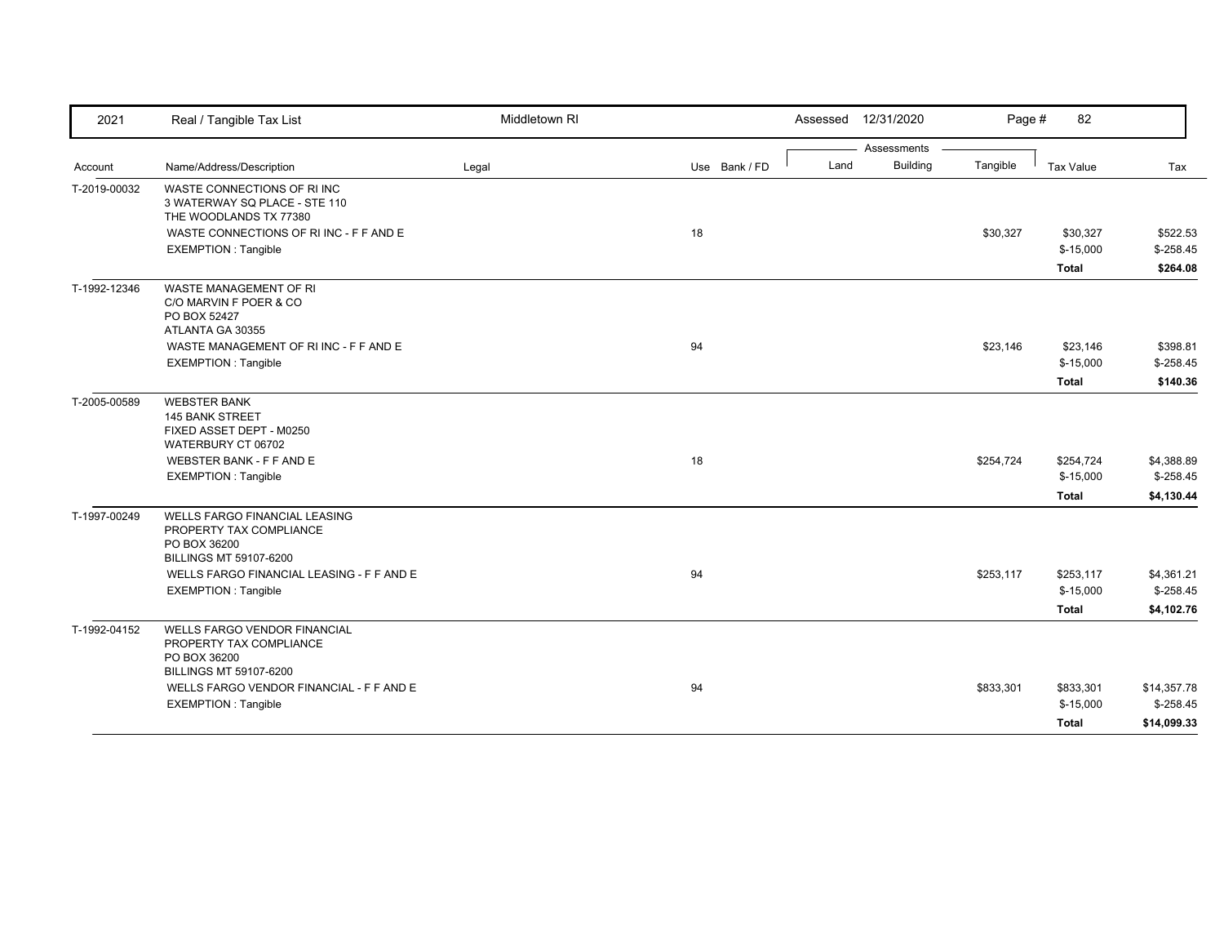| 2021         | Real / Tangible Tax List                                                                                                                                  | Middletown RI |               |      | Assessed 12/31/2020 | Page #    | 82                                      |                                        |
|--------------|-----------------------------------------------------------------------------------------------------------------------------------------------------------|---------------|---------------|------|---------------------|-----------|-----------------------------------------|----------------------------------------|
|              |                                                                                                                                                           |               |               |      | Assessments         |           |                                         |                                        |
| Account      | Name/Address/Description                                                                                                                                  | Legal         | Use Bank / FD | Land | <b>Building</b>     | Tangible  | <b>Tax Value</b>                        | Tax                                    |
| T-2019-00032 | WASTE CONNECTIONS OF RIINC<br>3 WATERWAY SQ PLACE - STE 110<br>THE WOODLANDS TX 77380                                                                     |               |               |      |                     |           |                                         |                                        |
|              | WASTE CONNECTIONS OF RI INC - F F AND E                                                                                                                   |               | 18            |      |                     | \$30,327  | \$30,327                                | \$522.53                               |
|              | <b>EXEMPTION: Tangible</b>                                                                                                                                |               |               |      |                     |           | $$-15,000$                              | $$-258.45$                             |
|              |                                                                                                                                                           |               |               |      |                     |           | <b>Total</b>                            | \$264.08                               |
| T-1992-12346 | WASTE MANAGEMENT OF RI<br>C/O MARVIN F POER & CO<br>PO BOX 52427<br>ATLANTA GA 30355                                                                      |               |               |      |                     |           |                                         |                                        |
|              | WASTE MANAGEMENT OF RIINC - F F AND E                                                                                                                     |               | 94            |      |                     | \$23,146  | \$23,146                                | \$398.81                               |
|              | <b>EXEMPTION: Tangible</b>                                                                                                                                |               |               |      |                     |           | $$-15,000$                              | $$-258.45$                             |
|              |                                                                                                                                                           |               |               |      |                     |           | <b>Total</b>                            | \$140.36                               |
| T-2005-00589 | <b>WEBSTER BANK</b><br><b>145 BANK STREET</b><br>FIXED ASSET DEPT - M0250<br>WATERBURY CT 06702<br>WEBSTER BANK - F F AND E<br><b>EXEMPTION: Tangible</b> |               | 18            |      |                     | \$254,724 | \$254,724<br>$$-15,000$<br><b>Total</b> | \$4,388.89<br>$$-258.45$<br>\$4,130.44 |
| T-1997-00249 | WELLS FARGO FINANCIAL LEASING<br>PROPERTY TAX COMPLIANCE<br>PO BOX 36200<br><b>BILLINGS MT 59107-6200</b>                                                 |               |               |      |                     |           |                                         |                                        |
|              | WELLS FARGO FINANCIAL LEASING - F F AND E                                                                                                                 |               | 94            |      |                     | \$253,117 | \$253,117                               | \$4,361.21                             |
|              | <b>EXEMPTION: Tangible</b>                                                                                                                                |               |               |      |                     |           | $$-15,000$                              | $$-258.45$                             |
|              |                                                                                                                                                           |               |               |      |                     |           | <b>Total</b>                            | \$4,102.76                             |
| T-1992-04152 | <b>WELLS FARGO VENDOR FINANCIAL</b><br>PROPERTY TAX COMPLIANCE<br>PO BOX 36200<br><b>BILLINGS MT 59107-6200</b>                                           |               |               |      |                     |           |                                         |                                        |
|              | WELLS FARGO VENDOR FINANCIAL - F F AND E                                                                                                                  |               | 94            |      |                     | \$833,301 | \$833,301                               | \$14,357.78                            |
|              | <b>EXEMPTION: Tangible</b>                                                                                                                                |               |               |      |                     |           | $$-15,000$                              | $$-258.45$                             |
|              |                                                                                                                                                           |               |               |      |                     |           | <b>Total</b>                            | \$14,099.33                            |
|              |                                                                                                                                                           |               |               |      |                     |           |                                         |                                        |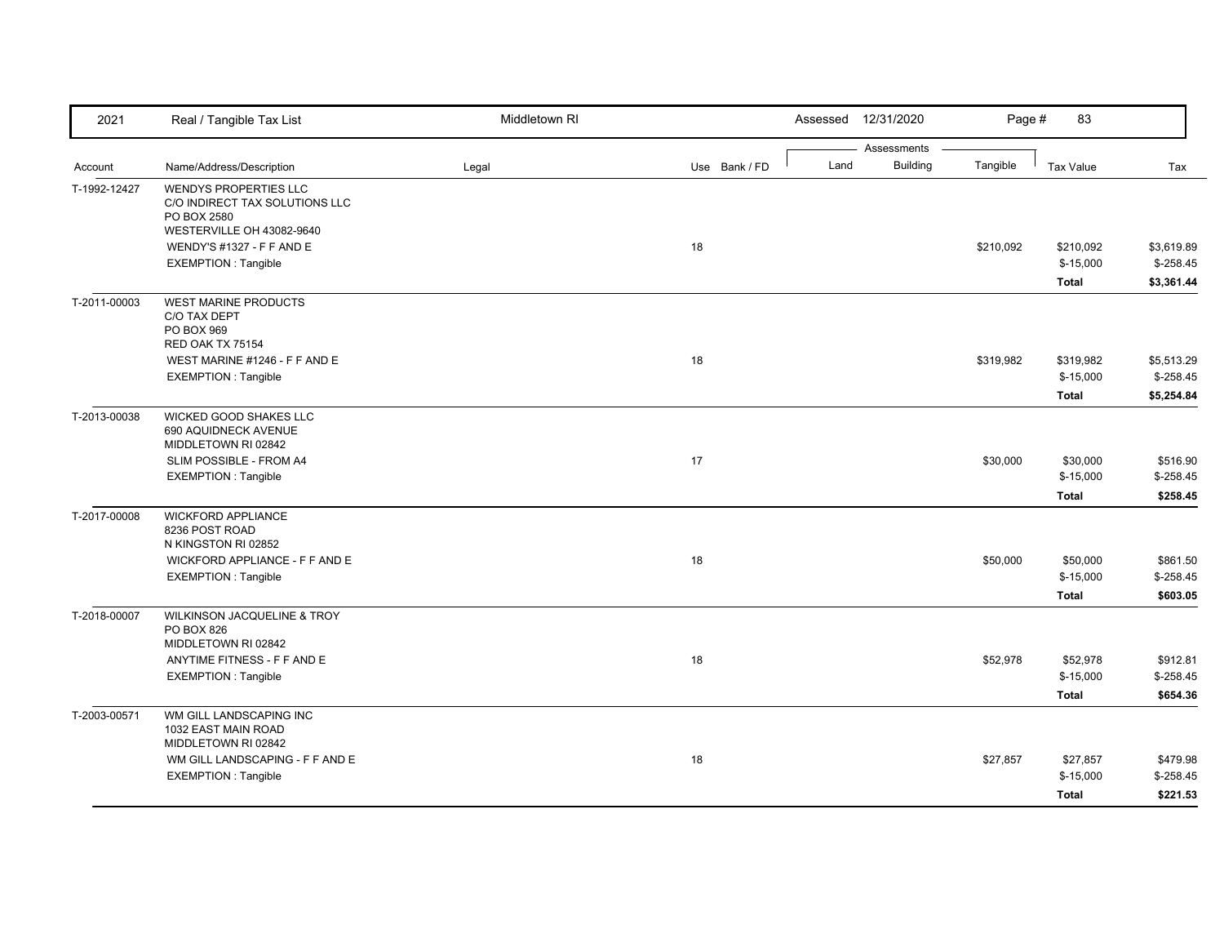| 2021         | Real / Tangible Tax List                                                                            | Middletown RI |               |      | Assessed 12/31/2020            | Page #    | 83                                      |                                        |
|--------------|-----------------------------------------------------------------------------------------------------|---------------|---------------|------|--------------------------------|-----------|-----------------------------------------|----------------------------------------|
| Account      | Name/Address/Description                                                                            | Legal         | Use Bank / FD | Land | Assessments<br><b>Building</b> | Tangible  | <b>Tax Value</b>                        | Tax                                    |
| T-1992-12427 | WENDYS PROPERTIES LLC<br>C/O INDIRECT TAX SOLUTIONS LLC<br>PO BOX 2580<br>WESTERVILLE OH 43082-9640 |               |               |      |                                |           |                                         |                                        |
|              | WENDY'S #1327 - F F AND E<br><b>EXEMPTION: Tangible</b>                                             |               | 18            |      |                                | \$210,092 | \$210,092<br>$$-15,000$<br><b>Total</b> | \$3,619.89<br>$$-258.45$<br>\$3,361.44 |
| T-2011-00003 | <b>WEST MARINE PRODUCTS</b><br>C/O TAX DEPT<br>PO BOX 969<br>RED OAK TX 75154                       |               |               |      |                                |           |                                         |                                        |
|              | WEST MARINE #1246 - F F AND E<br><b>EXEMPTION: Tangible</b>                                         |               | 18            |      |                                | \$319,982 | \$319,982<br>$$-15,000$<br><b>Total</b> | \$5,513.29<br>$$-258.45$<br>\$5,254.84 |
| T-2013-00038 | WICKED GOOD SHAKES LLC<br>690 AQUIDNECK AVENUE<br>MIDDLETOWN RI 02842                               |               |               |      |                                |           |                                         |                                        |
|              | SLIM POSSIBLE - FROM A4<br><b>EXEMPTION: Tangible</b>                                               |               | 17            |      |                                | \$30,000  | \$30,000<br>$$-15,000$<br><b>Total</b>  | \$516.90<br>$$-258.45$<br>\$258.45     |
| T-2017-00008 | <b>WICKFORD APPLIANCE</b><br>8236 POST ROAD<br>N KINGSTON RI 02852                                  |               |               |      |                                |           |                                         |                                        |
|              | WICKFORD APPLIANCE - F F AND E<br><b>EXEMPTION: Tangible</b>                                        |               | 18            |      |                                | \$50,000  | \$50,000<br>$$-15,000$<br><b>Total</b>  | \$861.50<br>$$-258.45$<br>\$603.05     |
| T-2018-00007 | WILKINSON JACQUELINE & TROY<br>PO BOX 826<br>MIDDLETOWN RI 02842                                    |               |               |      |                                |           |                                         |                                        |
|              | ANYTIME FITNESS - F F AND E<br><b>EXEMPTION: Tangible</b>                                           |               | 18            |      |                                | \$52,978  | \$52,978<br>$$-15,000$<br><b>Total</b>  | \$912.81<br>$$-258.45$<br>\$654.36     |
| T-2003-00571 | WM GILL LANDSCAPING INC<br>1032 EAST MAIN ROAD<br>MIDDLETOWN RI 02842                               |               |               |      |                                |           |                                         |                                        |
|              | WM GILL LANDSCAPING - F F AND E<br><b>EXEMPTION: Tangible</b>                                       |               | 18            |      |                                | \$27,857  | \$27,857<br>$$-15,000$<br><b>Total</b>  | \$479.98<br>$$-258.45$<br>\$221.53     |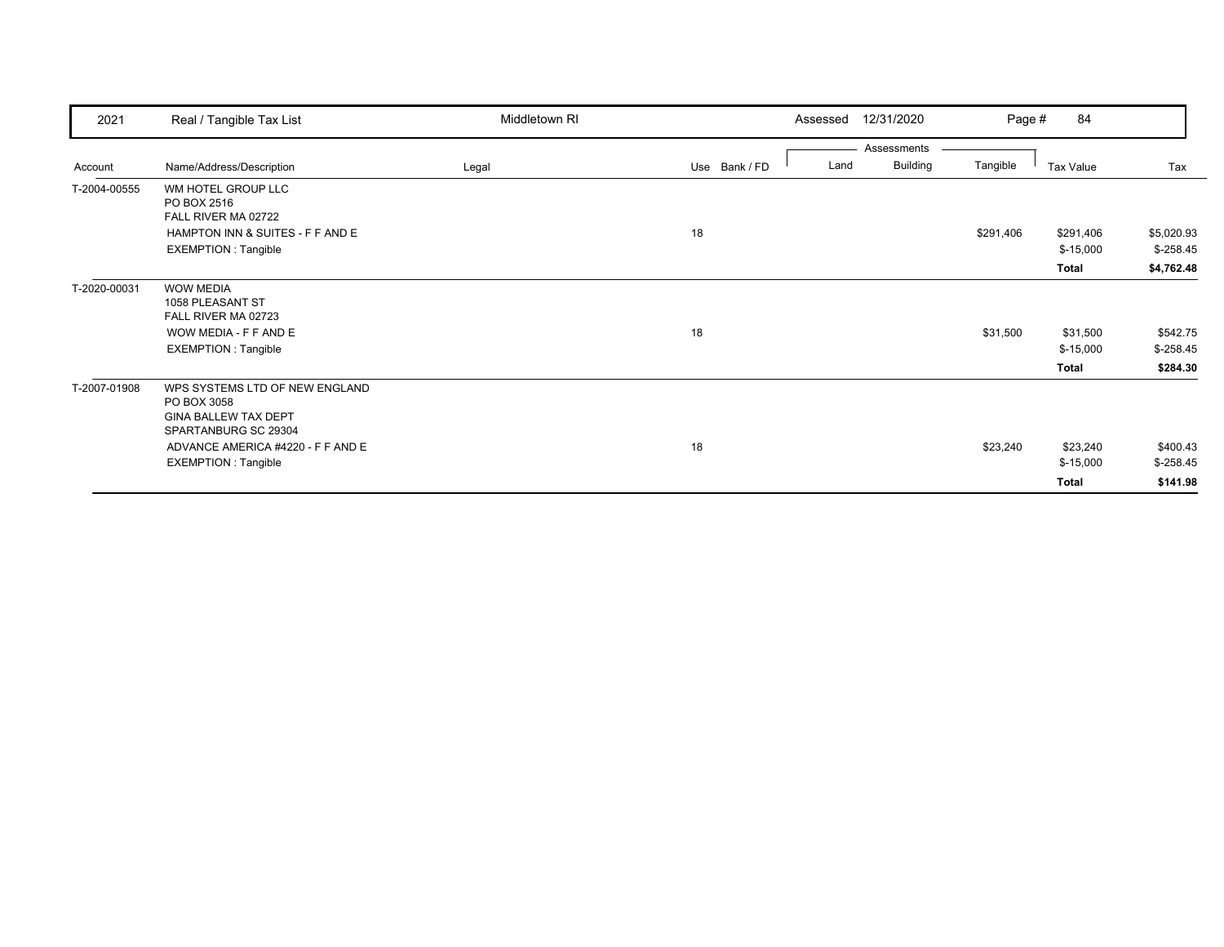| 2021         | Real / Tangible Tax List                                                                                                                                                | Middletown RI |               | 12/31/2020<br>Assessed                 | Page #    | 84                                     |                                        |
|--------------|-------------------------------------------------------------------------------------------------------------------------------------------------------------------------|---------------|---------------|----------------------------------------|-----------|----------------------------------------|----------------------------------------|
| Account      | Name/Address/Description                                                                                                                                                | Legal         | Use Bank / FD | Assessments<br><b>Building</b><br>Land | Tangible  | Tax Value                              | Tax                                    |
| T-2004-00555 | WM HOTEL GROUP LLC<br>PO BOX 2516<br>FALL RIVER MA 02722<br>HAMPTON INN & SUITES - F F AND E<br>EXEMPTION : Tangible                                                    |               | 18            |                                        | \$291,406 | \$291,406<br>$$-15,000$<br>Total       | \$5,020.93<br>$$-258.45$<br>\$4,762.48 |
| T-2020-00031 | <b>WOW MEDIA</b><br>1058 PLEASANT ST<br>FALL RIVER MA 02723<br>WOW MEDIA - F F AND E<br>EXEMPTION : Tangible                                                            |               | 18            |                                        | \$31,500  | \$31,500<br>$$-15,000$<br>Total        | \$542.75<br>$$-258.45$<br>\$284.30     |
| T-2007-01908 | WPS SYSTEMS LTD OF NEW ENGLAND<br>PO BOX 3058<br><b>GINA BALLEW TAX DEPT</b><br>SPARTANBURG SC 29304<br>ADVANCE AMERICA #4220 - F F AND E<br><b>EXEMPTION: Tangible</b> |               | 18            |                                        | \$23,240  | \$23,240<br>$$-15,000$<br><b>Total</b> | \$400.43<br>$$-258.45$<br>\$141.98     |